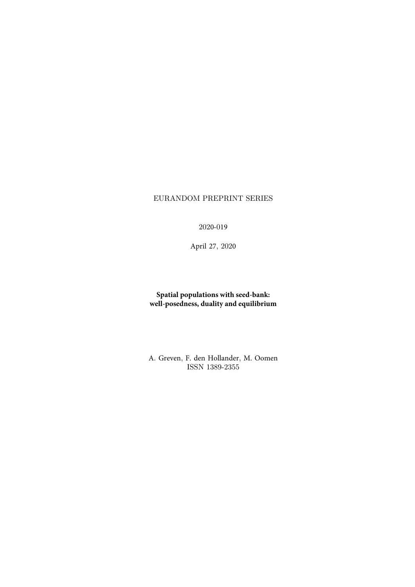## EURANDOM PREPRINT SERIES

2020-019

April 27, 2020

### **Spatial populations with seed-bank: well-posedness, duality and equilibrium**

A. Greven, F. den Hollander, M. Oomen ISSN 1389-2355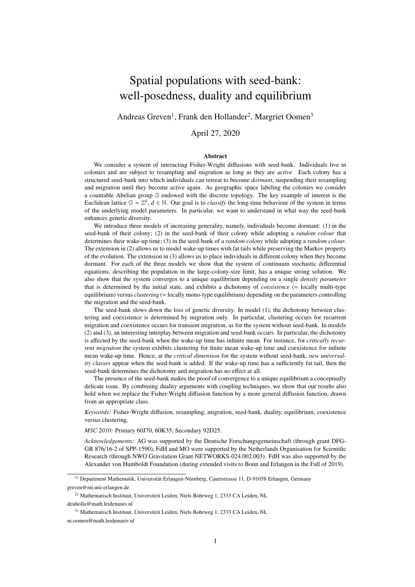# Spatial populations with seed-bank: well-posedness, duality and equilibrium

Andreas Greven<sup>1</sup>, Frank den Hollander<sup>2</sup>, Margriet Oomen<sup>3</sup>

April 27, 2020

#### Abstract

We consider a system of interacting Fisher-Wright diffusions with seed-bank. Individuals live in colonies and are subject to resampling and migration as long as they are *active*. Each colony has a structured seed-bank into which individuals can retreat to become *dormant*, suspending their resampling and migration until they become active again. As geographic space labeling the colonies we consider a countable Abelian group G endowed with the discrete topology. The key example of interest is the Euclidean lattice  $\mathbb{G} = \mathbb{Z}^d$ ,  $d \in \mathbb{N}$ . Our goal is to *classify* the long-time behaviour of the system in terms of the underlying model parameters. In particular, we want to understand in what way the seed-bank enhances genetic diversity.

We introduce three models of increasing generality, namely, individuals become dormant: (1) in the seed-bank of their colony; (2) in the seed-bank of their colony while adopting a *random colour* that determines their wake-up time; (3) in the seed-bank of a *random colony* while adopting a *random colour*. The extension in (2) allows us to model wake-up times with fat tails while preserving the Markov property of the evolution. The extension in (3) allows us to place individuals in different colony when they become dormant. For each of the three models we show that the system of continuum stochastic differential equations, describing the population in the large-colony-size limit, has a unique strong solution. We also show that the system converges to a unique equilibrium depending on a single *density parameter* that is determined by the initial state, and exhibits a dichotomy of *coexistence* (= locally multi-type equilibrium) versus *clustering* (= locally mono-type equilibrium) depending on the parameters controlling the migration and the seed-bank.

The seed-bank slows down the loss of genetic diversity. In model (1), the dichotomy between clustering and coexistence is determined by migration only. In particular, clustering occurs for recurrent migration and coexistence occurs for transient migration, as for the system without seed-bank. In models (2) and (3), an interesting interplay between migration and seed-bank occurs. In particular, the dichotomy is affected by the seed-bank when the wake-up time has infinite mean. For instance, for *critically recurrent migration* the system exhibits clustering for finite mean wake-up time and coexistence for infinite mean wake-up time. Hence, at the *critical dimension* for the system without seed-bank, *new universality classes* appear when the seed-bank is added. If the wake-up time has a sufficiently fat tail, then the seed-bank determines the dichotomy and migration has no effect at all.

The presence of the seed-bank makes the proof of convergence to a unique equilibrium a conceptually delicate issue. By combining duality arguments with coupling techniques, we show that our results also hold when we replace the Fisher-Wright diffusion function by a more general diffusion function, drawn from an appropriate class.

*Keywords:* Fisher-Wright diffusion, resampling, migration, seed-bank, duality, equilibrium, coexistence versus clustering,

*MSC 2010:* Primary 60J70, 60K35; Secondary 92D25.

*Acknowledgements:* AG was supported by the Deutsche Forschungsgemeinschaft (through grant DFG-GR 876/16-2 of SPP-1590), FdH and MO were supported by the Netherlands Organisation for Scientific Research (through NWO Gravitation Grant NETWORKS-024.002.003). FdH was also supported by the Alexander von Humboldt Foundation (during extended visits to Bonn and Erlangen in the Fall of 2019).

<sup>&</sup>lt;sup>1)</sup> Department Mathematik, Universität Erlangen-Nürnberg, Cauerstrasse 11, D-91058 Erlangen, Germany greven@mi.uni-erlangen.de

<sup>2)</sup> Mathematisch Instituut, Universiteit Leiden, Niels Bohrweg 1, 2333 CA Leiden, NL denholla@math.leidenuniv.nl

<sup>3)</sup> Mathematisch Instituut, Universiteit Leiden, Niels Bohrweg 1, 2333 CA Leiden, NL m.oomen@math.leidenuniv.nl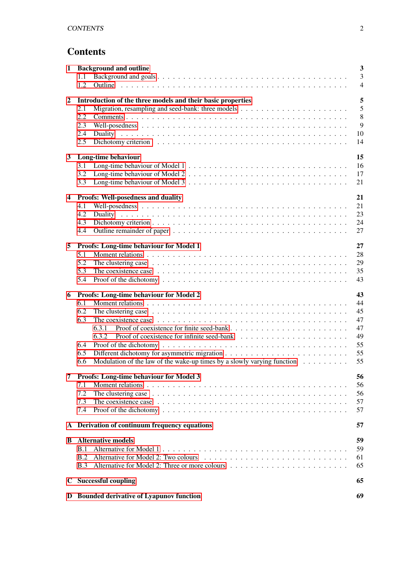## **Contents**

| 1            | <b>Background and outline</b>                                                                                                 |                |  |
|--------------|-------------------------------------------------------------------------------------------------------------------------------|----------------|--|
|              | 1.1                                                                                                                           | $\overline{3}$ |  |
|              | 1.2                                                                                                                           | $\overline{4}$ |  |
|              |                                                                                                                               |                |  |
| $\mathbf{2}$ | Introduction of the three models and their basic properties<br>2.1                                                            | 5<br>5         |  |
|              | 2.2                                                                                                                           | 8              |  |
|              | 2.3                                                                                                                           | 9              |  |
|              | 2.4                                                                                                                           | 10             |  |
|              | 2.5                                                                                                                           | 14             |  |
|              |                                                                                                                               |                |  |
| $\mathbf{3}$ | Long-time behaviour                                                                                                           | 15             |  |
|              | 3.1                                                                                                                           | 16             |  |
|              | 3.2                                                                                                                           | 17             |  |
|              | 3.3                                                                                                                           | 21             |  |
|              |                                                                                                                               |                |  |
| 4            | <b>Proofs: Well-posedness and duality</b>                                                                                     | 21             |  |
|              | 4.1                                                                                                                           | 21             |  |
|              | 4.2                                                                                                                           | 23             |  |
|              | 4.3                                                                                                                           | 24             |  |
|              | 4.4                                                                                                                           | 27             |  |
|              |                                                                                                                               |                |  |
| 5            | Proofs: Long-time behaviour for Model 1                                                                                       | 27             |  |
|              | 5.1                                                                                                                           | 28             |  |
|              | 5.2                                                                                                                           | 29             |  |
|              | 5.3                                                                                                                           | 35             |  |
|              | 5.4                                                                                                                           | 43             |  |
| 6            | Proofs: Long-time behaviour for Model 2                                                                                       | 43             |  |
|              | 6.1                                                                                                                           | 44             |  |
|              | 6.2                                                                                                                           | 45             |  |
|              | 6.3                                                                                                                           | 47             |  |
|              | 6.3.1                                                                                                                         | 47             |  |
|              | 6.3.2                                                                                                                         | 49             |  |
|              | 6.4                                                                                                                           | 55             |  |
|              | 6.5                                                                                                                           | 55             |  |
|              | Modulation of the law of the wake-up times by a slowly varying function $\dots \dots \dots$<br>6.6                            | 55             |  |
|              |                                                                                                                               |                |  |
|              | 7 Proofs: Long-time behaviour for Model 3                                                                                     | 56             |  |
|              | 7.1                                                                                                                           | 56             |  |
|              | 7.2                                                                                                                           | 56             |  |
|              | 7.3<br>The coexistence case $\dots \dots \dots \dots \dots \dots \dots \dots \dots \dots \dots \dots \dots \dots \dots \dots$ | 57             |  |
|              | 7.4                                                                                                                           | 57             |  |
|              |                                                                                                                               | 57             |  |
|              | A Derivation of continuum frequency equations                                                                                 |                |  |
| В            | <b>Alternative models</b>                                                                                                     | 59             |  |
|              | B.1                                                                                                                           | 59             |  |
|              | B.2                                                                                                                           | 61             |  |
|              | <b>B.3</b>                                                                                                                    | 65             |  |
|              |                                                                                                                               |                |  |
|              | C Successful coupling<br>65                                                                                                   |                |  |
|              | D Bounded derivative of Lyapunov function<br>69                                                                               |                |  |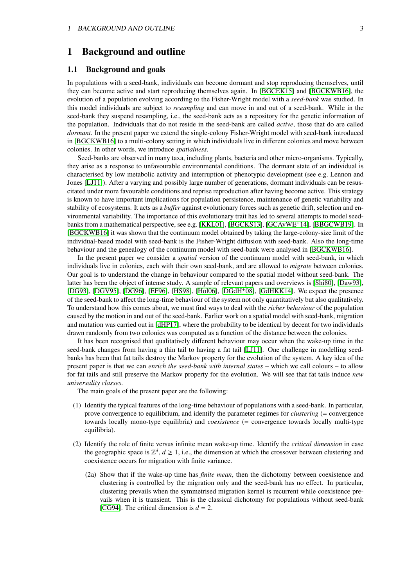## <span id="page-3-0"></span>1 Background and outline

#### <span id="page-3-1"></span>1.1 Background and goals

In populations with a seed-bank, individuals can become dormant and stop reproducing themselves, until they can become active and start reproducing themselves again. In [\[BGCEK15\]](#page-71-0) and [\[BGCKWB16\]](#page-71-1), the evolution of a population evolving according to the Fisher-Wright model with a *seed-bank* was studied. In this model individuals are subject to *resampling* and can move in and out of a seed-bank. While in the seed-bank they suspend resampling, i.e., the seed-bank acts as a repository for the genetic information of the population. Individuals that do not reside in the seed-bank are called *active*, those that do are called *dormant*. In the present paper we extend the single-colony Fisher-Wright model with seed-bank introduced in [\[BGCKWB16\]](#page-71-1) to a multi-colony setting in which individuals live in different colonies and move between colonies. In other words, we introduce *spatialness*.

Seed-banks are observed in many taxa, including plants, bacteria and other micro-organisms. Typically, they arise as a response to unfavourable environmental conditions. The dormant state of an individual is characterised by low metabolic activity and interruption of phenotypic development (see e.g. Lennon and Jones [\[LJ11\]](#page-73-0)). After a varying and possibly large number of generations, dormant individuals can be resuscitated under more favourable conditions and reprise reproduction after having become active. This strategy is known to have important implications for population persistence, maintenance of genetic variability and stability of ecosystems. It acts as a *bu*ff*er* against evolutionary forces such as genetic drift, selection and environmental variability. The importance of this evolutionary trait has led to several attempts to model seedbanks from a mathematical perspective, see e.g. [\[KKL01\]](#page-72-0), [\[BGCKS13\]](#page-71-2), [\[GCAvWE](#page-72-1)<sup>+</sup>14], [\[BBGCWB19\]](#page-71-3). In [\[BGCKWB16\]](#page-71-1) it was shown that the continuum model obtained by taking the large-colony-size limit of the individual-based model with seed-bank is the Fisher-Wright diffusion with seed-bank. Also the long-time behaviour and the genealogy of the continuum model with seed-bank were analysed in [\[BGCKWB16\]](#page-71-1).

In the present paper we consider a *spatial* version of the continuum model with seed-bank, in which individuals live in colonies, each with their own seed-bank, and are allowed to *migrate* between colonies. Our goal is to understand the change in behaviour compared to the spatial model without seed-bank. The latter has been the object of intense study. A sample of relevant papers and overviews is [\[Shi80\]](#page-73-1), [\[Daw93\]](#page-71-4), [\[DG93\]](#page-71-5), [\[DGV95\]](#page-71-6), [\[DG96\]](#page-71-7), [\[EF96\]](#page-72-2), [\[HS98\]](#page-72-3), [\[Hol06\]](#page-72-4), [\[DGdH](#page-71-8)<sup>+</sup>08], [\[GdHKK14\]](#page-72-5). We expect the presence of the seed-bank to affect the long-time behaviour of the system not only quantitatively but also qualitatively. To understand how this comes about, we must find ways to deal with the *richer behaviour* of the population caused by the motion in and out of the seed-bank. Earlier work on a spatial model with seed-bank, migration and mutation was carried out in [\[dHP17\]](#page-72-6), where the probability to be identical by decent for two individuals drawn randomly from two colonies was computed as a function of the distance between the colonies.

It has been recognised that qualitatively different behaviour may occur when the wake-up time in the seed-bank changes from having a thin tail to having a fat tail [\[LJ11\]](#page-73-0). One challenge in modelling seedbanks has been that fat tails destroy the Markov property for the evolution of the system. A key idea of the present paper is that we can *enrich the seed-bank with internal states* – which we call colours – to allow for fat tails and still preserve the Markov property for the evolution. We will see that fat tails induce *new universality classes*.

The main goals of the present paper are the following:

- (1) Identify the typical features of the long-time behaviour of populations with a seed-bank. In particular, prove convergence to equilibrium, and identify the parameter regimes for *clustering* (= convergence towards locally mono-type equilibria) and *coexistence* (= convergence towards locally multi-type equilibria).
- (2) Identify the role of finite versus infinite mean wake-up time. Identify the *critical dimension* in case the geographic space is  $\mathbb{Z}^d$ ,  $d \ge 1$ , i.e., the dimension at which the crossover between clustering and coexistence occurs for migration with finite variance.
	- (2a) Show that if the wake-up time has *finite mean*, then the dichotomy between coexistence and clustering is controlled by the migration only and the seed-bank has no effect. In particular, clustering prevails when the symmetrised migration kernel is recurrent while coexistence prevails when it is transient. This is the classical dichotomy for populations without seed-bank [\[CG94\]](#page-71-9). The critical dimension is  $d = 2$ .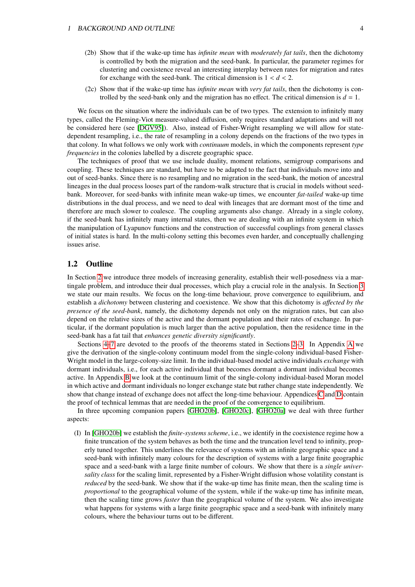#### 1 BACKGROUND AND OUTLINE 4

- (2b) Show that if the wake-up time has *infinite mean* with *moderately fat tails*, then the dichotomy is controlled by both the migration and the seed-bank. In particular, the parameter regimes for clustering and coexistence reveal an interesting interplay between rates for migration and rates for exchange with the seed-bank. The critical dimension is  $1 < d < 2$ .
- (2c) Show that if the wake-up time has *infinite mean* with *very fat tails*, then the dichotomy is controlled by the seed-bank only and the migration has no effect. The critical dimension is  $d = 1$ .

We focus on the situation where the individuals can be of two types. The extension to infinitely many types, called the Fleming-Viot measure-valued diffusion, only requires standard adaptations and will not be considered here (see [\[DGV95\]](#page-71-6)). Also, instead of Fisher-Wright resampling we will allow for statedependent resampling, i.e., the rate of resampling in a colony depends on the fractions of the two types in that colony. In what follows we only work with *continuum* models, in which the components represent *type frequencies* in the colonies labelled by a discrete geographic space.

The techniques of proof that we use include duality, moment relations, semigroup comparisons and coupling. These techniques are standard, but have to be adapted to the fact that individuals move into and out of seed-banks. Since there is no resampling and no migration in the seed-bank, the motion of ancestral lineages in the dual process looses part of the random-walk structure that is crucial in models without seedbank. Moreover, for seed-banks with infinite mean wake-up times, we encounter *fat-tailed* wake-up time distributions in the dual process, and we need to deal with lineages that are dormant most of the time and therefore are much slower to coalesce. The coupling arguments also change. Already in a single colony, if the seed-bank has infinitely many internal states, then we are dealing with an infinite system in which the manipulation of Lyapunov functions and the construction of successful couplings from general classes of initial states is hard. In the multi-colony setting this becomes even harder, and conceptually challenging issues arise.

#### <span id="page-4-0"></span>1.2 Outline

In Section [2](#page-5-0) we introduce three models of increasing generality, establish their well-posedness via a martingale problem, and introduce their dual processes, which play a crucial role in the analysis. In Section [3](#page-15-0) we state our main results. We focus on the long-time behaviour, prove convergence to equilibrium, and establish a *dichotomy* between clustering and coexistence. We show that this dichotomy is *a*ff*ected by the presence of the seed-bank*, namely, the dichotomy depends not only on the migration rates, but can also depend on the relative sizes of the active and the dormant population and their rates of exchange. In particular, if the dormant population is much larger than the active population, then the residence time in the seed-bank has a fat tail that *enhances genetic diversity significantly*.

Sections [4–](#page-21-1)[7](#page-56-0) are devoted to the proofs of the theorems stated in Sections [2–](#page-5-0)[3.](#page-15-0) In Appendix [A](#page-57-2) we give the derivation of the single-colony continuum model from the single-colony individual-based Fisher-Wright model in the large-colony-size limit. In the individual-based model active individuals *exchange* with dormant individuals, i.e., for each active individual that becomes dormant a dormant individual becomes active. In Appendix [B](#page-59-0) we look at the continuum limit of the single-colony individual-based Moran model in which active and dormant individuals no longer exchange state but rather change state independently. We show that change instead of exchange does not affect the long-time behaviour. Appendices [C](#page-65-1) and [D](#page-69-0) contain the proof of technical lemmas that are needed in the proof of the convergence to equilibrium.

In three upcoming companion papers [\[GHO20b\]](#page-72-7), [\[GHO20c\]](#page-72-8), [\[GHO20a\]](#page-72-9) we deal with three further aspects:

(I) In [\[GHO20b\]](#page-72-7) we establish the *finite-systems scheme*, i.e., we identify in the coexistence regime how a finite truncation of the system behaves as both the time and the truncation level tend to infinity, properly tuned together. This underlines the relevance of systems with an infinite geographic space and a seed-bank with infinitely many colours for the description of systems with a large finite geographic space and a seed-bank with a large finite number of colours. We show that there is a *single universality class* for the scaling limit, represented by a Fisher-Wright diffusion whose volatility constant is *reduced* by the seed-bank. We show that if the wake-up time has finite mean, then the scaling time is *proportional* to the geographical volume of the system, while if the wake-up time has infinite mean, then the scaling time grows *faster* than the geographical volume of the system. We also investigate what happens for systems with a large finite geographic space and a seed-bank with infinitely many colours, where the behaviour turns out to be different.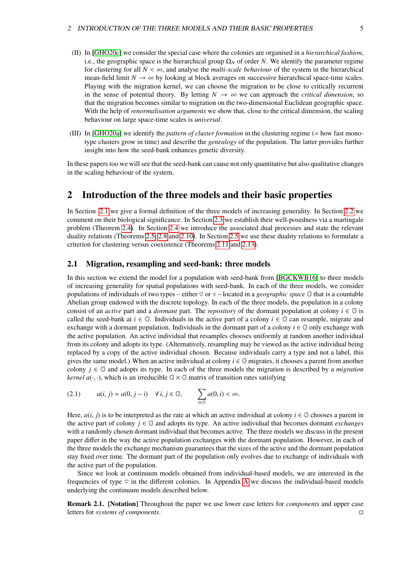- (II) In [\[GHO20c\]](#page-72-8) we consider the special case where the colonies are organised in a *hierarchical fashion*, i.e., the geographic space is the hierarchical group  $\Omega_N$  of order *N*. We identify the parameter regime for clustering for all  $N < \infty$ , and analyse the *multi-scale behaviour* of the system in the hierarchical mean-field limit  $N \to \infty$  by looking at block averages on successive hierarchical space-time scales. Playing with the migration kernel, we can choose the migration to be close to critically recurrent in the sense of potential theory. By letting  $N \to \infty$  we can approach the *critical dimension*, so that the migration becomes similar to migration on the two-dimensional Euclidean geographic space. With the help of *renormalisation arguments* we show that, close to the critical dimension, the scaling behaviour on large space-time scales is *universal*.
- (III) In [\[GHO20a\]](#page-72-9) we identify the *pattern of cluster formation* in the clustering regime (= how fast monotype clusters grow in time) and describe the *genealogy* of the population. The latter provides further insight into how the seed-bank enhances genetic diversity.

In these papers too we will see that the seed-bank can cause not only quantitative but also qualitative changes in the scaling behaviour of the system.

## <span id="page-5-0"></span>2 Introduction of the three models and their basic properties

In Section [2.1](#page-5-1) we give a formal definition of the three models of increasing generality. In Section [2.2](#page-8-0) we comment on their biological significance. In Section [2.3](#page-9-0) we establish their well-posedness via a martingale problem (Theorem [2.4\)](#page-10-1). In Section [2.4](#page-10-0) we introduce the associated dual processes and state the relevant duality relations (Theorems [2.5,](#page-12-0) [2.8](#page-13-0) and [2.10\)](#page-14-1). In Section [2.5](#page-14-0) we use these duality relations to formulate a criterion for clustering versus coexistence (Theorems [2.11](#page-14-2) and [2.13\)](#page-15-1).

#### <span id="page-5-1"></span>2.1 Migration, resampling and seed-bank: three models

In this section we extend the model for a population with seed-bank from [\[BGCKWB16\]](#page-71-1) to three models of increasing generality for spatial populations with seed-bank. In each of the three models, we consider populations of individuals of two types – either  $\heartsuit$  or  $\Diamond$  – located in a *geographic space*  $\mathbb{G}$  that is a countable Abelian group endowed with the discrete topology. In each of the three models, the population in a colony consist of an *active* part and a *dormant* part. The *repository* of the dormant population at colony  $i \in \mathbb{G}$  is called the seed-bank at  $i \in \mathbb{G}$ . Individuals in the active part of a colony  $i \in \mathbb{G}$  can resample, migrate and exchange with a dormant population. Individuals in the dormant part of a colony  $i \in \mathbb{G}$  only exchange with the active population. An active individual that resamples chooses uniformly at random another individual from its colony and adopts its type. (Alternatively, resampling may be viewed as the active individual being replaced by a copy of the active individual chosen. Because individuals carry a type and not a label, this gives the same model.) When an active individual at colony  $i \in \mathbb{G}$  migrates, it chooses a parent from another colony  $j \in \mathbb{G}$  and adopts its type. In each of the three models the migration is described by a *migration kernel*  $a(\cdot, \cdot)$ , which is an irreducible  $\mathbb{G} \times \mathbb{G}$  matrix of transition rates satisfying

<span id="page-5-2"></span>
$$
(2.1) \qquad a(i,j) = a(0,j-i) \quad \forall \, i,j \in \mathbb{G}, \qquad \sum_{i \in \mathbb{G}} a(0,i) < \infty.
$$

Here,  $a(i, j)$  is to be interpreted as the rate at which an active individual at colony  $i \in \mathbb{G}$  chooses a parent in the active part of colony  $j \in \mathbb{G}$  and adopts its type. An active individual that becomes dormant *exchanges* with a randomly chosen dormant individual that becomes active. The three models we discuss in the present paper differ in the way the active population exchanges with the dormant population. However, in each of the three models the exchange mechanism guarantees that the sizes of the active and the dormant population stay fixed over time. The dormant part of the population only evolves due to exchange of individuals with the active part of the population.

Since we look at continuum models obtained from individual-based models, we are interested in the frequencies of type  $\heartsuit$  in the different colonies. In [A](#page-57-2)ppendix A we discuss the individual-based models underlying the continuum models described below.

Remark 2.1. [Notation] Throughout the paper we use lower case letters for *components* and upper case letters for *systems of components*.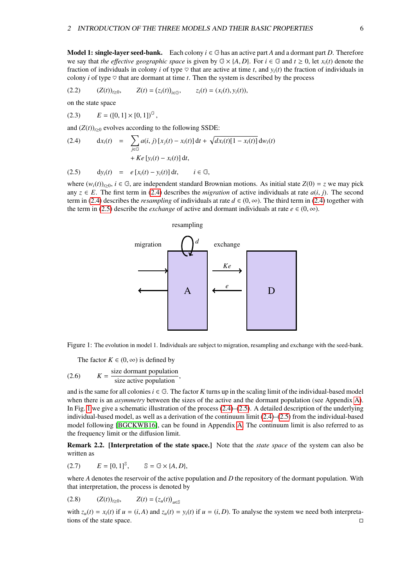Model 1: single-layer seed-bank. Each colony  $i \in \mathbb{G}$  has an active part A and a dormant part D. Therefore we say that *the effective geographic space* is given by  $\mathbb{G} \times \{A, D\}$ . For  $i \in \mathbb{G}$  and  $t \geq 0$ , let  $x_i(t)$  denote the fraction of individuals in colony *i* of type  $\heartsuit$  that are active at time *t*, and  $y_i(t)$  the fraction of individuals in colony *i* of type  $\heartsuit$  that are dormant at time *t*. Then the system is described by the process

$$
(2.2) \qquad (Z(t))_{t\geq0}, \qquad Z(t) = (z_i(t))_{i\in\mathbb{G}}, \qquad z_i(t) = (x_i(t), y_i(t)),
$$

on the state space

$$
(2.3) \t E = ([0,1] \times [0,1])^{\mathbb{G}},
$$

and  $(Z(t))_{t\geq0}$  evolves according to the following SSDE:

<span id="page-6-0"></span>(2.4) 
$$
dx_i(t) = \sum_{j \in \mathbb{G}} a(i, j) [x_j(t) - x_i(t)] dt + \sqrt{dx_i(t)[1 - x_i(t)]} dw_i(t) + Ke [y_i(t) - x_i(t)] dt,
$$

$$
(2.5) \t\t dy_i(t) = e[x_i(t) - y_i(t)] dt, \t i \in \mathbb{G},
$$

<span id="page-6-1"></span>where  $(w_i(t))_{t>0}$ ,  $i \in \mathbb{G}$ , are independent standard Brownian motions. As initial state  $Z(0) = z$  we may pick any  $z \in E$ . The first term in [\(2.4\)](#page-6-0) describes the *migration* of active individuals at rate  $a(i, j)$ . The second term in [\(2.4\)](#page-6-0) describes the *resampling* of individuals at rate  $d \in (0, \infty)$ . The third term in (2.4) together with the term in [\(2.5\)](#page-6-0) describe the *exchange* of active and dormant individuals at rate  $e \in (0, \infty)$ .

# <span id="page-6-4"></span>A  $\left| \leftarrow$  D exchange resampling migration *Ke e d*

Figure 1: The evolution in model 1. Individuals are subject to migration, resampling and exchange with the seed-bank.

<span id="page-6-2"></span>The factor  $K \in (0, \infty)$  is defined by

(2.6) 
$$
K = \frac{\text{size dominant population}}{\text{size active population}}
$$

and is the same for all colonies  $i \in \mathbb{G}$ . The factor *K* turns up in the scaling limit of the individual-based model when there is an *asymmetry* between the sizes of the active and the dormant population (see Appendix [A\)](#page-57-2). In Fig. [1](#page-6-1) we give a schematic illustration of the process  $(2.4)$ – $(2.5)$ . A detailed description of the underlying individual-based model, as well as a derivation of the continuum limit [\(2.4\)](#page-6-0)–[\(2.5\)](#page-6-0) from the individual-based model following [\[BGCKWB16\]](#page-71-1), can be found in Appendix [A.](#page-57-2) The continuum limit is also referred to as the frequency limit or the diffusion limit.

<span id="page-6-3"></span>Remark 2.2. [Interpretation of the state space.] Note that the *state space* of the system can also be written as

$$
(2.7) \qquad E = [0,1]^{\mathbb{S}}, \qquad \mathbb{S} = \mathbb{G} \times \{A,D\},
$$

where *A* denotes the reservoir of the active population and *D* the repository of the dormant population. With that interpretation, the process is denoted by

$$
(2.8) \t (Z(t))_{t\geq 0}, \t Z(t) = (z_u(t))_{u\in \mathbb{S}}
$$

with  $z_u(t) = x_i(t)$  if  $u = (i, A)$  and  $z_u(t) = y_i(t)$  if  $u = (i, D)$ . To analyse the system we need both interpretations of the state space. tions of the state space.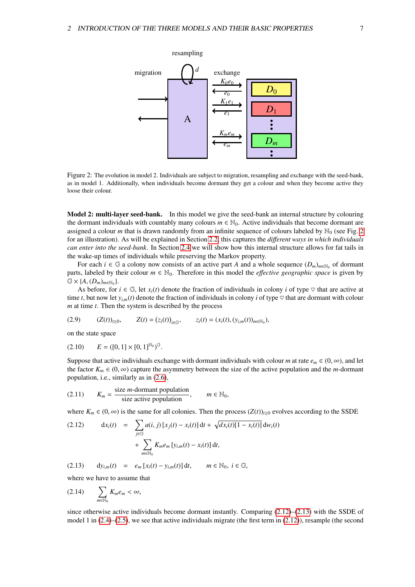<span id="page-7-0"></span>

Figure 2: The evolution in model 2. Individuals are subject to migration, resampling and exchange with the seed-bank, as in model 1. Additionally, when individuals become dormant they get a colour and when they become active they loose their colour.

Model 2: multi-layer seed-bank. In this model we give the seed-bank an internal structure by colouring the dormant individuals with countably many colours  $m \in \mathbb{N}_0$ . Active individuals that become dormant are assigned a colour *m* that is drawn randomly from an infinite sequence of colours labeled by  $\mathbb{N}_0$  (see Fig. [2](#page-7-0)) for an illustration). As will be explained in Section [2.2,](#page-8-0) this captures the *di*ff*erent ways in which individuals can enter into the seed-bank*. In Section [2.4](#page-10-0) we will show how this internal structure allows for fat tails in the wake-up times of individuals while preserving the Markov property.

For each  $i \in \mathbb{G}$  a colony now consists of an active part *A* and a whole sequence  $(D_m)_{m \in \mathbb{N}_0}$  of dormant parts, labeled by their colour  $m \in \mathbb{N}_0$ . Therefore in this model the *effective geographic space* is given by  $\mathbb{G} \times \{A, (D_m)_{m \in \mathbb{N}_0}\}.$ <br>As before for

<span id="page-7-3"></span>As before, for  $i \in \mathbb{G}$ , let  $x_i(t)$  denote the fraction of individuals in colony *i* of type  $\heartsuit$  that are active at time *t*, but now let  $y_{i,m}(t)$  denote the fraction of individuals in colony *i* of type  $\heartsuit$  that are dormant with colour *m* at time *t*. Then the system is described by the process

 $(Z.9)$   $(Z(t))_{t\geq0}$ ,  $(z_i(t))_{i \in \mathbb{G}}, \quad z_i(t) = (x_i(t), (y_{i,m}(t))_{m \in \mathbb{N}_0}),$ 

<span id="page-7-2"></span>on the state space

$$
(2.10) \t E = ([0, 1] \times [0, 1]^{\mathbb{N}_0})^{\mathbb{G}}
$$

Suppose that active individuals exchange with dormant individuals with colour *m* at rate  $e_m \in (0, \infty)$ , and let the factor  $K_m \in (0, \infty)$  capture the asymmetry between the size of the active population and the *m*-dormant population, i.e., similarly as in [\(2.6\)](#page-6-2),

<span id="page-7-4"></span>(2.11) 
$$
K_m = \frac{\text{size } m\text{-domant population}}{\text{size active population}}, \qquad m \in \mathbb{N}_0,
$$

where  $K_m \in (0, \infty)$  is the same for all colonies. Then the process  $(Z(t))_{t\geq 0}$  evolves according to the SSDE

<span id="page-7-1"></span>(2.12) 
$$
dx_i(t) = \sum_{j \in \mathbb{G}} a(i, j) [x_j(t) - x_i(t)] dt + \sqrt{dx_i(t)[1 - x_i(t)]} dw_i(t) + \sum_{m \in \mathbb{N}_0} K_m e_m [y_{i,m}(t) - x_i(t)] dt,
$$

(2.13)  $dy_{i,m}(t) = e_m[x_i(t) - y_{i,m}(t)] dt, \quad m \in \mathbb{N}_0, i \in \mathbb{G},$ 

<span id="page-7-5"></span>where we have to assume that

$$
(2.14) \qquad \sum_{m\in\mathbb{N}_0} K_m e_m < \infty,
$$

since otherwise active individuals become dormant instantly. Comparing [\(2.12\)](#page-7-1)–[\(2.13\)](#page-7-1) with the SSDE of model 1 in  $(2.4)$ – $(2.5)$ , we see that active individuals migrate (the first term in  $(2.12)$ ), resample (the second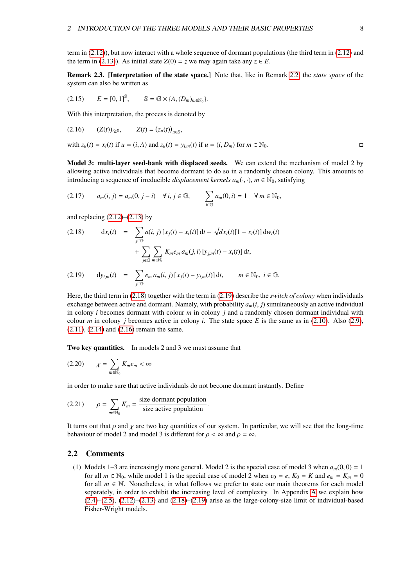term in [\(2.12\)](#page-7-1)), but now interact with a whole sequence of dormant populations (the third term in [\(2.12\)](#page-7-1) and the term in [\(2.13\)](#page-7-1)). As initial state  $Z(0) = z$  we may again take any  $z \in E$ .

Remark 2.3. [Interpretation of the state space.] Note that, like in Remark [2.2,](#page-6-3) the *state space* of the system can also be written as

$$
(2.15) \qquad E = [0,1]^{\mathbb{S}}, \qquad \mathbb{S} = \mathbb{G} \times \{A,(D_m)_{m \in \mathbb{N}_0}\}.
$$

<span id="page-8-2"></span>With this interpretation, the process is denoted by

$$
(2.16) \t (Z(t))_{t\geq 0}, \t Z(t) = (z_u(t))_{u\in \mathbb{S}},
$$

with 
$$
z_u(t) = x_i(t)
$$
 if  $u = (i, A)$  and  $z_u(t) = y_{i,m}(t)$  if  $u = (i, D_m)$  for  $m \in \mathbb{N}_0$ .

Model 3: multi-layer seed-bank with displaced seeds. We can extend the mechanism of model 2 by allowing active individuals that become dormant to do so in a randomly chosen colony. This amounts to introducing a sequence of irreducible *displacement kernels*  $a_m(\cdot, \cdot)$ ,  $m \in \mathbb{N}_0$ , satisfying

<span id="page-8-5"></span>
$$
(2.17) \qquad a_m(i,j) = a_m(0,j-i) \quad \forall \, i,j \in \mathbb{G}, \qquad \sum_{i \in \mathbb{G}} a_m(0,i) = 1 \quad \forall \, m \in \mathbb{N}_0,
$$

and replacing  $(2.12)$ – $(2.13)$  by

<span id="page-8-1"></span>(2.18) 
$$
dx_i(t) = \sum_{j \in \mathbb{G}} a(i, j) [x_j(t) - x_i(t)] dt + \sqrt{dx_i(t)[1 - x_i(t)]} dw_i(t) + \sum_{j \in \mathbb{G}} \sum_{m \in \mathbb{N}_0} K_m e_m a_m(j, i) [y_{j,m}(t) - x_i(t)] dt,
$$
  
(2.19) 
$$
dy_{i,m}(t) = \sum_{j \in \mathbb{G}} e_m a_m(i, j) [x_j(t) - y_{i,m}(t)] dt, \qquad m \in \mathbb{N}_0, i \in \mathbb{G}.
$$

Here, the third term in [\(2.18\)](#page-8-1) together with the term in [\(2.19\)](#page-8-1) describe the *switch of colony* when individuals exchange between active and dormant. Namely, with probability  $a_m(i, j)$  simultaneously an active individual in colony *i* becomes dormant with colour *m* in colony *j* and a randomly chosen dormant individual with colour *m* in colony *j* becomes active in colony *i*. The state space *E* is the same as in [\(2.10\)](#page-7-2). Also [\(2.9\)](#page-7-3), [\(2.11\)](#page-7-4), [\(2.14\)](#page-7-5) and [\(2.16\)](#page-8-2) remain the same.

<span id="page-8-3"></span>Two key quantities. In models 2 and 3 we must assume that

$$
(2.20) \qquad \chi = \sum_{m \in \mathbb{N}_0} K_m e_m < \infty
$$

in order to make sure that active individuals do not become dormant instantly. Define

<span id="page-8-4"></span>(2.21) 
$$
\rho = \sum_{m \in \mathbb{N}_0} K_m = \frac{\text{size dormant population}}{\text{size active population}}
$$

It turns out that  $\rho$  and  $\chi$  are two key quantities of our system. In particular, we will see that the long-time behaviour of model 2 and model 3 is different for  $\rho < \infty$  and  $\rho = \infty$ .

#### <span id="page-8-0"></span>2.2 Comments

(1) Models 1–3 are increasingly more general. Model 2 is the special case of model 3 when  $a_m(0, 0) = 1$ for all  $m \in \mathbb{N}_0$ , while model 1 is the special case of model 2 when  $e_0 = e$ ,  $K_0 = K$  and  $e_m = K_m = 0$ for all  $m \in \mathbb{N}$ . Nonetheless, in what follows we prefer to state our main theorems for each model separately, in order to exhibit the increasing level of complexity. In Appendix [A](#page-57-2) we explain how  $(2.4)$ – $(2.5)$ ,  $(2.12)$ – $(2.13)$  and  $(2.18)$ – $(2.19)$  arise as the large-colony-size limit of individual-based Fisher-Wright models.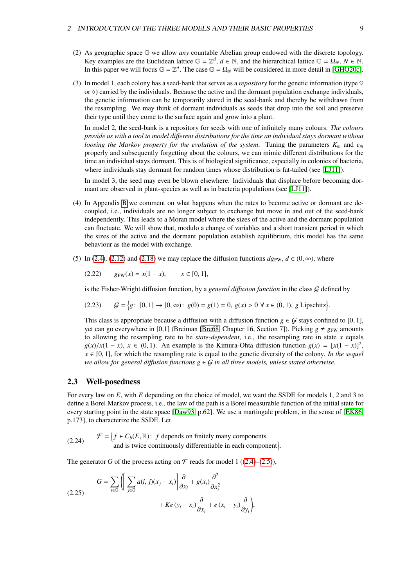- (2) As geographic space G we allow *any* countable Abelian group endowed with the discrete topology. Key examples are the Euclidean lattice  $\mathbb{G} = \mathbb{Z}^d$ ,  $d \in \mathbb{N}$ , and the hierarchical lattice  $\mathbb{G} = \Omega_N$ ,  $N \in \mathbb{N}$ . In this paper we will focus  $\mathbb{G} = \mathbb{Z}^d$ . The case  $\mathbb{G} = \Omega_N$  will be considered in more detail in [\[GHO20c\]](#page-72-8).
- (3) In model 1, each colony has a seed-bank that serves as a *repository* for the genetic information (type  $\heartsuit$ or  $\diamond$ ) carried by the individuals. Because the active and the dormant population exchange individuals, the genetic information can be temporarily stored in the seed-bank and thereby be withdrawn from the resampling. We may think of dormant individuals as seeds that drop into the soil and preserve their type until they come to the surface again and grow into a plant.

In model 2, the seed-bank is a repository for seeds with one of infinitely many colours. *The colours provide us with a tool to model di*ff*erent distributions for the time an individual stays dormant without loosing the Markov property for the evolution of the system*. Tuning the parameters *K<sup>m</sup>* and *e<sup>m</sup>* properly and subsequently forgetting about the colours, we can mimic different distributions for the time an individual stays dormant. This is of biological significance, especially in colonies of bacteria, where individuals stay dormant for random times whose distribution is fat-tailed (see [\[LJ11\]](#page-73-0)).

In model 3, the seed may even be blown elsewhere. Individuals that displace before becoming dormant are observed in plant-species as well as in bacteria populations (see [\[LJ11\]](#page-73-0)).

- (4) In Appendix [B](#page-59-0) we comment on what happens when the rates to become active or dormant are decoupled, i.e., individuals are no longer subject to exchange but move in and out of the seed-bank independently. This leads to a Moran model where the sizes of the active and the dormant population can fluctuate. We will show that, modulo a change of variables and a short transient period in which the sizes of the active and the dormant population establish equilibrium, this model has the same behaviour as the model with exchange.
- (5) In [\(2.4\)](#page-6-0), [\(2.12\)](#page-7-1) and [\(2.18\)](#page-8-1) we may replace the diffusion functions  $d_{\mathcal{S}^{\text{FW}}}, d \in (0, \infty)$ , where

<span id="page-9-1"></span>
$$
(2.22) \t\t g_{FW}(x) = x(1-x), \t x \in [0,1],
$$

is the Fisher-Wright diffusion function, by a *general di*ff*usion function* in the class G defined by

$$
(2.23) \quad \mathcal{G} = \{g \colon [0, 1] \to [0, \infty) \colon g(0) = g(1) = 0, \ g(x) > 0 \ \forall \ x \in (0, 1), \ g \text{ Lipschitz} \}.
$$

This class is appropriate because a diffusion with a diffusion function  $g \in G$  stays confined to [0, 1], yet can go everywhere in [0,1] (Breiman [\[Bre68,](#page-71-10) Chapter 16, Section 7]). Picking  $g \neq g_{FW}$  amounts to allowing the resampling rate to be *state-dependent*, i.e., the resampling rate in state *x* equals  $g(x)/x(1-x)$ ,  $x \in (0,1)$ . An example is the Kimura-Ohta diffusion function  $g(x) = [x(1-x)]^2$ ,  $x \in [0, 1]$  for which the resampling rate is equal to the genetic diversity of the colony. In the sequel  $x \in [0, 1]$ , for which the resampling rate is equal to the genetic diversity of the colony. *In the sequel we allow for general diffusion functions*  $g \in G$  *in all three models, unless stated otherwise.* 

#### <span id="page-9-0"></span>2.3 Well-posedness

For every law on *E*, with *E* depending on the choice of model, we want the SSDE for models 1, 2 and 3 to define a Borel Markov process, i.e., the law of the path is a Borel measurable function of the initial state for every starting point in the state space [\[Daw93,](#page-71-4) p.62]. We use a martingale problem, in the sense of [\[EK86,](#page-72-10) p.173], to characterize the SSDE. Let

<span id="page-9-2"></span>(2.24) 
$$
\mathcal{F} = \left\{ f \in C_b(E, \mathbb{R}) : f \text{ depends on finitely many components} \right\}
$$
  
and is twice continuously differentiable in each component

The generator *G* of the process acting on  $\mathcal F$  reads for model 1 ([\(2.4\)](#page-6-0)–[\(2.5\)](#page-6-0)),

<span id="page-9-3"></span>(2.25) 
$$
G = \sum_{i \in \mathbb{G}} \left( \left[ \sum_{j \in \mathbb{G}} a(i, j)(x_j - x_i) \right] \frac{\partial}{\partial x_i} + g(x_i) \frac{\partial^2}{\partial x_i^2} + Ke(y_i - x_i) \frac{\partial}{\partial x_i} + e(x_i - y_i) \frac{\partial}{\partial y_i} \right),
$$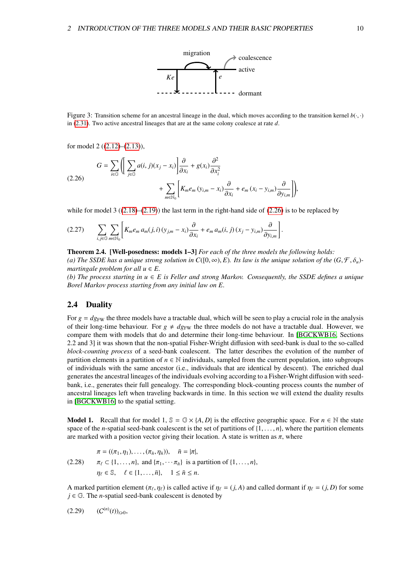

<span id="page-10-4"></span>Figure 3: Transition scheme for an ancestral lineage in the dual, which moves according to the transition kernel  $b(\cdot, \cdot)$ in [\(2.31\)](#page-11-0). Two active ancestral lineages that are at the same colony coalesce at rate *d*.

<span id="page-10-2"></span>for model 2 ([\(2.12\)](#page-7-1)–[\(2.13\)](#page-7-1)),

$$
G = \sum_{i \in \mathbb{G}} \left( \left[ \sum_{j \in \mathbb{G}} a(i, j)(x_j - x_i) \right] \frac{\partial}{\partial x_i} + g(x_i) \frac{\partial^2}{\partial x_i^2} + \sum_{m \in \mathbb{N}_0} \left[ K_m e_m (y_{i,m} - x_i) \frac{\partial}{\partial x_i} + e_m (x_i - y_{i,m}) \frac{\partial}{\partial y_{i,m}} \right] \right),
$$

while for model 3  $((2.18)–(2.19))$  $((2.18)–(2.19))$  $((2.18)–(2.19))$  $((2.18)–(2.19))$  $((2.18)–(2.19))$  the last term in the right-hand side of  $(2.26)$  is to be replaced by

$$
(2.27) \qquad \sum_{i,j\in\mathbb{G}}\sum_{m\in\mathbb{N}_0}\left[K_m e_m a_m(j,i)\left(y_{j,m}-x_i\right)\frac{\partial}{\partial x_i}+e_m a_m(i,j)\left(x_j-y_{i,m}\right)\frac{\partial}{\partial y_{i,m}}\right]
$$

#### <span id="page-10-1"></span>Theorem 2.4. [Well-posedness: models 1–3] *For each of the three models the following holds:*

*(a) The SSDE has a unique strong solution in*  $C([0, \infty), E)$ *. Its law is the unique solution of the*  $(G, \mathcal{F}, \delta_u)$ *martingale problem for all*  $u \in E$ .

*(b) The process starting in u* ∈ *E is Feller and strong Markov. Consequently, the SSDE defines a unique Borel Markov process starting from any initial law on E.*

#### <span id="page-10-0"></span>2.4 Duality

For  $g = dg_{FW}$  the three models have a tractable dual, which will be seen to play a crucial role in the analysis of their long-time behaviour. For  $g \neq dg_{FW}$  the three models do not have a tractable dual. However, we compare them with models that do and determine their long-time behaviour. In [\[BGCKWB16,](#page-71-1) Sections 2.2 and 3] it was shown that the non-spatial Fisher-Wright diffusion with seed-bank is dual to the so-called *block-counting process* of a seed-bank coalescent. The latter describes the evolution of the number of partition elements in a partition of *n* ∈ N individuals, sampled from the current population, into subgroups of individuals with the same ancestor (i.e., individuals that are identical by descent). The enriched dual generates the ancestral lineages of the individuals evolving according to a Fisher-Wright diffusion with seedbank, i.e., generates their full genealogy. The corresponding block-counting process counts the number of ancestral lineages left when traveling backwards in time. In this section we will extend the duality results in [\[BGCKWB16\]](#page-71-1) to the spatial setting.

**Model 1.** Recall that for model 1,  $\mathbb{S} = \mathbb{G} \times \{A, D\}$  is the effective geographic space. For  $n \in \mathbb{N}$  the state space of the *n*-spatial seed-bank coalescent is the set of partitions of  $\{1, \ldots, n\}$ , where the partition elements are marked with a position vector giving their location. A state is written as  $\pi$ , where

$$
\pi = ((\pi_1, \eta_1), \dots, (\pi_{\bar{n}}, \eta_{\bar{n}})), \quad \bar{n} = |\pi|,
$$
  
(2.28) 
$$
\pi_{\ell} \subset \{1, \dots, n\}, \text{ and } \{\pi_1, \dots, \pi_{\bar{n}}\} \text{ is a partition of } \{1, \dots, n\},
$$

$$
\eta_{\ell} \in \mathbb{S}, \quad \ell \in \{1, \dots, \bar{n}\}, \quad 1 \leq \bar{n} \leq n.
$$

<span id="page-10-3"></span>A marked partition element  $(\pi_\ell, \eta_\ell)$  is called active if  $\eta_\ell = (j, A)$  and called dormant if  $\eta_\ell = (j, D)$  for some  $i \in \mathbb{G}$ . The *n*-spatial seed-bank coalescent is denoted by  $j \in \mathbb{G}$ . The *n*-spatial seed-bank coalescent is denoted by

$$
(2.29) \qquad (C^{(n)}(t))_{t\geq 0},
$$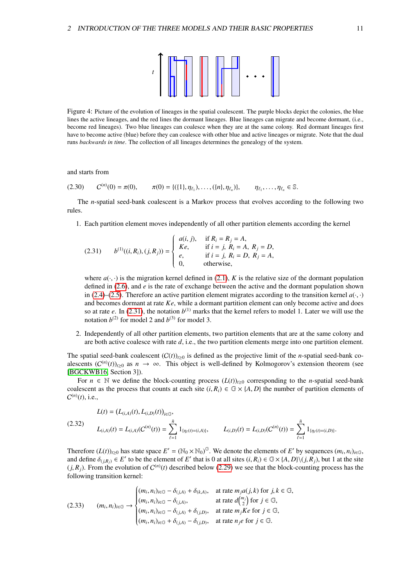<span id="page-11-0"></span>

Figure 4: Picture of the evolution of lineages in the spatial coalescent. The purple blocks depict the colonies, the blue lines the active lineages, and the red lines the dormant lineages. Blue lineages can migrate and become dormant, (i.e., become red lineages). Two blue lineages can coalesce when they are at the same colony. Red dormant lineages first have to become active (blue) before they can coalesce with other blue and active lineages or migrate. Note that the dual runs *backwards in time*. The collection of all lineages determines the genealogy of the system.

<span id="page-11-1"></span>and starts from

$$
(2.30) \tC^{(n)}(0) = \pi(0), \t\pi(0) = \{(\{1\}, \eta_{\ell_1}), \ldots, (\{n\}, \eta_{\ell_n})\}, \t\eta_{\ell_1}, \ldots, \eta_{\ell_n} \in \mathbb{S}.
$$

The *n*-spatial seed-bank coalescent is a Markov process that evolves according to the following two rules.

1. Each partition element moves independently of all other partition elements according the kernel

(2.31) 
$$
b^{(1)}((i, R_i), (j, R_j)) = \begin{cases} a(i, j), & \text{if } R_i = R_j = A, \\ Ke, & \text{if } i = j, R_i = A, R_j = D, \\ e, & \text{if } i = j, R_i = D, R_j = A, \\ 0, & \text{otherwise,} \end{cases}
$$

where  $a(\cdot, \cdot)$  is the migration kernel defined in [\(2.1\)](#page-5-2), *K* is the relative size of the dormant population defined in [\(2.6\)](#page-6-2), and *e* is the rate of exchange between the active and the dormant population shown in [\(2.4\)](#page-6-0)–[\(2.5\)](#page-6-0). Therefore an active partition element migrates according to the transition kernel  $a(\cdot, \cdot)$ and becomes dormant at rate *Ke*, while a dormant partition element can only become active and does so at rate *e*. In [\(2.31\)](#page-11-0), the notation  $b^{(1)}$  marks that the kernel refers to model 1. Later we will use the notation  $b^{(2)}$  for model 2 and  $b^{(3)}$  for model 3.

2. Independently of all other partition elements, two partition elements that are at the same colony and are both active coalesce with rate *d*, i.e., the two partition elements merge into one partition element.

The spatial seed-bank coalescent  $(C(t))_{t\geq0}$  is defined as the projective limit of the *n*-spatial seed-bank coalescents  $(C^{(n)}(t))_{t\geq0}$  as  $n \to \infty$ . This object is well-defined by Kolmogorov's extension theorem (see [\[BGCKWB16,](#page-71-1) Section 3]).

<span id="page-11-3"></span>For  $n \in \mathbb{N}$  we define the block-counting process  $(L(t))_{t>0}$  corresponding to the *n*-spatial seed-bank coalescent as the process that counts at each site  $(i, R_i) \in \mathbb{G} \times \{A, D\}$  the number of partition elements of  $C^{(n)}(t)$ , i.e.,

$$
L(t) = (L_{(i,A)}(t), L_{(i,D)}(t))_{i \in \mathbb{G}},
$$
  
(2.32) 
$$
L_{(i,A)}(t) = L_{(i,A)}(C^{(n)}(t)) = \sum_{\ell=1}^{\bar{n}} 1_{\{\eta_{\ell}(t) = (i,A)\}}, \qquad L_{(i,D)}(t) = L_{(i,D)}(C^{(n)}(t)) = \sum_{\ell=1}^{\bar{n}} 1_{\{\eta_{\ell}(t) = (i,D)\}}.
$$

Therefore  $(L(t))_{t\geq0}$  has state space  $E' = (\mathbb{N}_0 \times \mathbb{N}_0)^G$ . We denote the elements of *E'* by sequences  $(m_i, n_i)_{i\in\mathbb{G}}$ , and define  $\delta_{i,j,k} \in E'$  to be the element of *E'* that is 0 at all sites  $(i, R_i) \in \mathbb{C} \times 14$ and define  $\delta_{(j,R_j)} \in E'$  to be the element of *E'* that is 0 at all sites  $(i, R_i) \in \mathbb{G} \times \{A, D\} \setminus (j, R_j)$ , but 1 at the site  $(i, R_i)$ . From the evolution of  $C^{(n)}(t)$  described below (2.29) we see that the block-counti  $(j, R_j)$ . From the evolution of  $C^{(n)}(t)$  described below [\(2.29\)](#page-10-3) we see that the block-counting process has the following transition kernel: following transition kernel:

<span id="page-11-2"></span>(2.33) 
$$
(m_i, n_i)_{i \in \mathbb{G}} \rightarrow \begin{cases} (m_i, n_i)_{i \in \mathbb{G}} - \delta_{(j, A)} + \delta_{(k, A)}, & \text{at rate } m_j a(j, k) \text{ for } j, k \in \mathbb{G}, \\ (m_i, n_i)_{i \in \mathbb{G}} - \delta_{(j, A)}, & \text{at rate } d\binom{m_j}{2} \text{ for } j \in \mathbb{G}, \\ (m_i, n_i)_{i \in \mathbb{G}} - \delta_{(j, A)} + \delta_{(j, D)}, & \text{at rate } m_j K e \text{ for } j \in \mathbb{G}, \\ (m_i, n_i)_{i \in \mathbb{G}} + \delta_{(j, A)} - \delta_{(j, D)}, & \text{at rate } n_j e \text{ for } j \in \mathbb{G}. \end{cases}
$$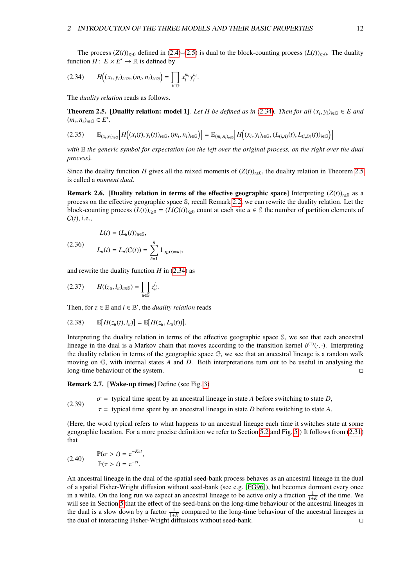<span id="page-12-1"></span>
$$
(2.34) \qquad H\big((x_i,y_i)_{i\in\mathbb{G}},(m_i,n_i)_{i\in\mathbb{G}}\big)=\prod_{i\in\mathbb{G}}x_i^{m_i}y_i^{n_i}.
$$

The *duality relation* reads as follows.

<span id="page-12-3"></span><span id="page-12-0"></span>**Theorem 2.5.** [Duality relation: model 1]*. Let H be defined as in* [\(2.34\)](#page-12-1)*. Then for all*  $(x_i, y_i)_{i \in \mathbb{G}}$  ∈ *E and*  $(m, n_i)_{i \in \mathbb{G}}$  ∈ *E'*  $(m_i, n_i)_{i \in \mathbb{G}} \in E',$ 

$$
(2.35) \qquad \mathbb{E}_{(x_i, y_i)_{i \in \mathbb{G}}} \Big[ H\Big( (x_i(t), y_i(t))_{i \in \mathbb{G}}, (m_i, n_i)_{i \in \mathbb{G}} \Big) \Big] = \mathbb{E}_{(m_i, n_i)_{i \in \mathbb{G}}} \Big[ H\Big( (x_i, y_i)_{i \in \mathbb{G}}, (L_{(i, A)}(t), L_{(i, D)}(t))_{i \in \mathbb{G}} \Big) \Big]
$$

*with* E *the generic symbol for expectation (on the left over the original process, on the right over the dual process).*

Since the duality function *H* gives all the mixed moments of  $(Z(t))_{t\geq0}$ , the duality relation in Theorem [2.5](#page-12-0) is called a *moment dual*.

<span id="page-12-2"></span>Remark 2.6. [Duality relation in terms of the effective geographic space] Interpreting  $(Z(t))_{t\geq0}$  as a process on the effective geographic space S, recall Remark [2.2,](#page-6-3) we can rewrite the duality relation. Let the block-counting process  $(L(t))_{t\geq0} = (L(C(t))_{t\geq0}$  count at each site  $u \in \mathbb{S}$  the number of partition elements of C(*t*), i.e.,

$$
L(t) = (L_u(t))_{u \in \mathbb{S}},
$$
  
(2.36) 
$$
L_u(t) = L_u(C(t)) = \sum_{\ell=1}^{\bar{n}} 1_{\{\eta_\ell(t) = u\}},
$$

and rewrite the duality function  $H$  in [\(2.34\)](#page-12-1) as

$$
(2.37) \qquad H((z_u, l_u)_{u \in \mathbb{S}}) = \prod_{u \in \mathbb{S}} z_u^{l_u}.
$$

<span id="page-12-4"></span>Then, for  $z \in \mathbb{E}$  and  $l \in \mathbb{E}'$ , the *duality relation* reads

$$
(2.38) \qquad \mathbb{E}[H(z_u(t), l_u)] = \mathbb{E}[H(z_u, L_u(t))].
$$

Interpreting the duality relation in terms of the effective geographic space S, we see that each ancestral lineage in the dual is a Markov chain that moves according to the transition kernel  $b^{(1)}(\cdot, \cdot)$ . Interpreting the duality relation in terms of the geographic space  $\mathbb{G}$ , we see that an ancestral lineage is a random the duality relation in terms of the geographic space  $\mathbb{G}$ , we see that an ancestral lineage is a random walk moving on G, with internal states *A* and *D*. Both interpretations turn out to be useful in analysing the long-time behaviour of the system.

Remark 2.7. [Wake-up times] Define (see Fig. [3\)](#page-10-4)

(2.39)  $\sigma$  = typical time spent by an ancestral lineage in state *A* before switching to state *D*,

 $\tau$  = typical time spent by an ancestral lineage in state *D* before switching to state *A*.

(Here, the word typical refers to what happens to an ancestral lineage each time it switches state at some geographic location. For a more precise definition we refer to Section [5.2](#page-29-0) and Fig. [5.](#page-30-0)) It follows from [\(2.31\)](#page-11-0) that

(2.40) 
$$
\mathbb{P}(\sigma > t) = e^{-Ket},
$$

$$
\mathbb{P}(\tau > t) = e^{-et}.
$$

An ancestral lineage in the dual of the spatial seed-bank process behaves as an ancestral lineage in the dual of a spatial Fisher-Wright diffusion without seed-bank (see e.g. [\[FG96\]](#page-72-11)), but becomes dormant every once in a while. On the long run we expect an ancestral lineage to be active only a fraction  $\frac{1}{1+K}$  of the time. We will see in Section [5](#page-27-1) that the effect of the seed-bank on the long-time behaviour of the ancestral lineages in the dual is a slow down by a factor  $\frac{1}{1+K}$  compared to the long-time behaviour of the ancestral lineages in the dual of interacting Fisher-Wright diffusions without seed-bank.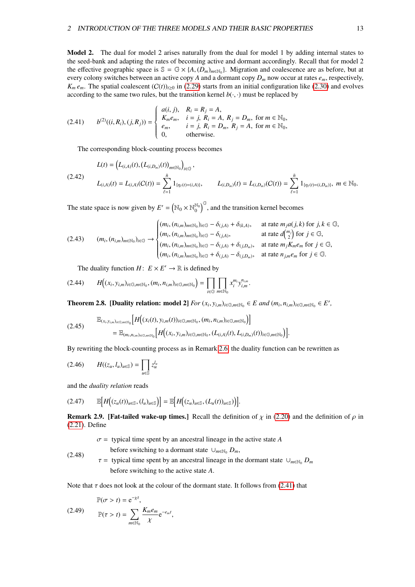Model 2. The dual for model 2 arises naturally from the dual for model 1 by adding internal states to the seed-bank and adapting the rates of becoming active and dormant accordingly. Recall that for model 2 the effective geographic space is  $\mathbb{S} = \mathbb{G} \times \{A, (D_m)_{m \in \mathbb{N}_0}\}\$ . Migration and coalescence are as before, but at every colony switches between an active conv A and a dormant conv D, now occur at rates e. respecti every colony switches between an active copy *A* and a dormant copy  $D_m$  now occur at rates  $e_m$ , respectively,  $K_m e_m$ . The spatial coalescent  $(C(t))_{t\geq0}$  in [\(2.29\)](#page-10-3) starts from an initial configuration like [\(2.30\)](#page-11-1) and evolves according to the same two rules, but the transition kernel  $b(\cdot, \cdot)$  must be replaced by

(2.41) 
$$
b^{(2)}((i, R_i), (j, R_j)) = \begin{cases} a(i, j), & R_i = R_j = A, \\ K_m e_m, & i = j, R_i = A, R_j = D_m, \text{ for } m \in \mathbb{N}_0, \\ e_m, & i = j, R_i = D_m, R_j = A, \text{ for } m \in \mathbb{N}_0, \\ 0, & \text{otherwise.} \end{cases}
$$

<span id="page-13-1"></span>The corresponding block-counting process becomes

$$
L(t) = (L_{(i,A)}(t), (L_{(i,D_m)}(t))_{m \in \mathbb{N}_0})_{i \in \mathbb{G}},
$$
  
(2.42)  

$$
L_{(i,A)}(t) = L_{(i,A)}(C(t)) = \sum_{\ell=1}^{\bar{n}} 1_{\{\eta_{\ell}(t) = (i,A)\}}, \qquad L_{(i,D_m)}(t) = L_{(i,D_m)}(C(t)) = \sum_{\ell=1}^{\bar{n}} 1_{\{\eta_{\ell}(t) = (i,D_m)\}}, \ m \in \mathbb{N}_0.
$$

The state space is now given by  $E' = (\mathbb{N}_0 \times \mathbb{N}_0^{\mathbb{N}_0})^{\mathbb{G}}$ , and the transition kernel becomes

<span id="page-13-5"></span>
$$
(2.43) \qquad (m_i, (n_{i,m})_{m \in \mathbb{N}_0})_{i \in \mathbb{G}} \rightarrow \begin{cases} (m_i, (n_{i,m})_{m \in \mathbb{N}_0})_{i \in \mathbb{G}} - \delta_{(j,A)} + \delta_{(k,A)}, & \text{at rate } m_j a(j,k) \text{ for } j, k \in \mathbb{G}, \\ (m_i, (n_{i,m})_{m \in \mathbb{N}_0})_{i \in \mathbb{G}} - \delta_{(j,A)}, & \text{at rate } d {m_j \choose 2} \text{ for } j \in \mathbb{G}, \\ (m_i, (n_{i,m})_{m \in \mathbb{N}_0})_{i \in \mathbb{G}} - \delta_{(j,A)} + \delta_{(j,D_m)}, & \text{at rate } m_j K_m e_m \text{ for } j \in \mathbb{G}, \\ (m_i, (n_{i,m})_{m \in \mathbb{N}_0})_{i \in \mathbb{G}} + \delta_{(j,A)} - \delta_{(j,D_m)}, & \text{at rate } n_{j,m} e_m \text{ for } j \in \mathbb{G}. \end{cases}
$$

<span id="page-13-6"></span><span id="page-13-3"></span>The duality function  $H: E \times E' \to \mathbb{R}$  is defined by

$$
(2.44) \qquad H\Big((x_i,y_{i,m})_{i\in\mathbb{G},m\in\mathbb{N}_0},(m_i,n_{i,m})_{i\in\mathbb{G},m\in\mathbb{N}_0}\Big)=\prod_{i\in\mathbb{G}}\prod_{m\in\mathbb{N}_0}x_i^{m_i}y_{i,m}^{n_{i,m}}.
$$

<span id="page-13-0"></span>**Theorem 2.8.** [Duality relation: model 2]  $For (x_i, y_{i,m})_{i \in \mathbb{G}, m \in \mathbb{N}_0} \in E$  and  $(m_i, n_{i,m})_{i \in \mathbb{G}, m \in \mathbb{N}_0} \in E'$ ,

$$
(2.45) \quad \mathbb{E}_{(x_i, y_{i,m})_{i \in \mathbb{G}, m \in \mathbb{N}_0}} \Big[ H\Big((x_i(t), y_{i,m}(t))_{i \in \mathbb{G}, m \in \mathbb{N}_0}, (m_i, n_{i,m})_{i \in \mathbb{G}, m \in \mathbb{N}_0}\Big) \Big] = \mathbb{E}_{(m_i, n_{i,m})_{i \in \mathbb{G}, m \in \mathbb{N}_0}} \Big[ H\Big((x_i, y_{i,m})_{i \in \mathbb{G}, m \in \mathbb{N}_0}, (L_{(i,A)}(t), L_{(i,D_m)}(t))_{i \in \mathbb{G}, m \in \mathbb{N}_0}\Big) \Big].
$$

By rewriting the block-counting process as in Remark [2.6,](#page-12-2) the duality function can be rewritten as

$$
(2.46) \qquad H((z_u, l_u)_{u \in \mathbb{S}}) = \prod_{u \in \mathbb{S}} z_u^{l_u}
$$

and the *duality relation* reads

$$
(2.47) \qquad \mathbb{E}\Big[H\big((z_u(t))_{u\in\mathbb{S}},(l_u)_{u\in\mathbb{S}}\big)\Big]=\mathbb{E}\Big[H\big((z_u)_{u\in\mathbb{S}},(L_u(t))_{u\in\mathbb{S}}\big)\Big].
$$

<span id="page-13-4"></span>**Remark 2.9. [Fat-tailed wake-up times.]** Recall the definition of  $\chi$  in [\(2.20\)](#page-8-3) and the definition of  $\rho$  in [\(2.21\)](#page-8-4). Define

<span id="page-13-7"></span><span id="page-13-2"></span> $\sigma$  = typical time spent by an ancestral lineage in the active state *A* 

before switching to a dormant state  $\cup_{m\in\mathbb{N}_0} D_m$ ,

(2.48)  $\tau$  = typical time spent by an ancestral lineage in the dormant state  $\cup_{m\in\mathbb{N}_0} D_m$ before switching to the active state *<sup>A</sup>*.

Note that  $\tau$  does not look at the colour of the dormant state. It follows from [\(2.41\)](#page-13-1) that

$$
\mathbb{P}(\sigma > t) = e^{-\chi t},
$$
\n
$$
\mathbb{P}(\tau > t) = \sum_{m \in \mathbb{N}_0} \frac{K_m e_m}{\chi} e^{-e_m t},
$$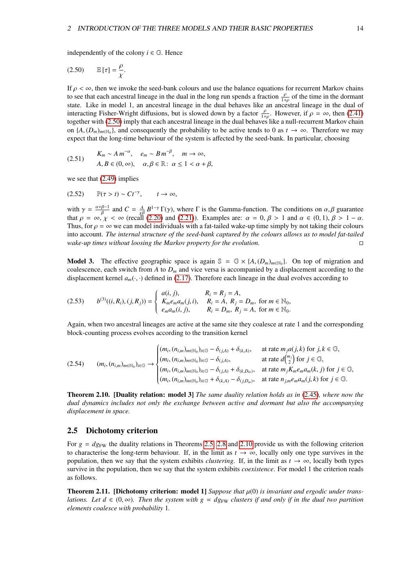<span id="page-14-3"></span>independently of the colony  $i \in \mathbb{G}$ . Hence

$$
(2.50) \qquad \mathbb{E}\left[\tau\right] = \frac{\rho}{\chi}.
$$

If  $\rho < \infty$ , then we invoke the seed-bank colours and use the balance equations for recurrent Markov chains to see that each ancestral lineage in the dual in the long run spends a fraction  $\frac{\rho}{1+\rho}$  of the time in the dormant the state. Like in model 1, an ancestral lineage in the dual behaves like an ancestral lineage in the dual of state. interacting Fisher-Wright diffusions, but is slowed down by a factor  $\frac{\rho}{1+\rho}$ . However, if  $\rho = \infty$ , then [\(2.41\)](#page-13-1) together with (2.50) imply that each ancestral lineage in the dual behaves like a null-recurrent Markov c together with [\(2.50\)](#page-14-3) imply that each ancestral lineage in the dual behaves like a null-recurrent Markov chain to the dual behaves like a null-recurrent Markov chain on  $\{A, (D_m)_{m \in \mathbb{N}_0}\}$ , and consequently the probability to be active tends to 0 as  $t \to \infty$ . Therefore we may expect that the long-time behaviour of the system is affected by the seed-bank. In particular, choosing expect that the long-time behaviour of the system is affected by the seed-bank. In particular, choosing

$$
(2.51) \quad\n\begin{aligned}\n& K_m \sim A \, m^{-\alpha}, \quad e_m \sim B \, m^{-\beta}, \quad m \to \infty, \\
& A, B \in (0, \infty), \quad \alpha, \beta \in \mathbb{R} \colon \alpha \le 1 < \alpha + \beta,\n\end{aligned}
$$

we see that [\(2.49\)](#page-13-2) implies

$$
(2.52) \qquad \mathbb{P}(\tau > t) \sim C t^{-\gamma}, \qquad t \to \infty,
$$

with  $\gamma = \frac{\alpha + \beta - 1}{\beta}$ <br>that  $\alpha = \infty$   $\gamma$  $\frac{\beta-1}{\beta}$  and *C* =  $\frac{A}{\chi\beta} B^{1-\gamma} \Gamma(\gamma)$ , where Γ is the Gamma-function. The conditions on α, β guarantee that  $\rho = \infty$ ,  $\chi < \infty$  (recall [\(2.20\)](#page-8-3) and [\(2.21\)](#page-8-4)). Examples are:  $\alpha = 0$ ,  $\beta > 1$  and  $\alpha \in (0, 1)$ ,  $\beta > 1 - \alpha$ .<br>Thus for  $\alpha = \infty$  we can model individuals with a fat-tailed wake-up time simply by not taking their colours Thus, for  $\rho = \infty$  we can model individuals with a fat-tailed wake-up time simply by not taking their colours into account. *The internal structure of the seed-bank captured by the colours allows us to model fat-tailed wake-up times without loosing the Markov property for the evolution.*

**Model 3.** The effective geographic space is again  $\mathbb{S} = \mathbb{G} \times \{A, (D_m)_{m \in \mathbb{N}_0}\}\)$ . On top of migration and coalescence each switch from A to D, and vice versa is accompanied by a displacement according to the coalescence, each switch from *A* to  $D<sub>m</sub>$  and vice versa is accompanied by a displacement according to the displacement kernel  $a_m(\cdot, \cdot)$  defined in [\(2.17\)](#page-8-5). Therefore each lineage in the dual evolves according to

$$
(2.53) \t b^{(3)}((i, R_i), (j, R_j)) = \begin{cases} a(i, j), & R_i = R_j = A, \\ K_m e_m a_m(j, i), & R_i = A, R_j = D_m, \text{ for } m \in \mathbb{N}_0, \\ e_m a_m(i, j), & R_i = D_m, R_j = A, \text{ for } m \in \mathbb{N}_0. \end{cases}
$$

<span id="page-14-4"></span>Again, when two ancestral lineages are active at the same site they coalesce at rate 1 and the corresponding block-counting process evolves according to the transition kernel

$$
(2.54) \qquad (m_i, (n_{i,m})_{m \in \mathbb{N}_0})_{i \in \mathbb{G}} \rightarrow \begin{cases} (m_i, (n_{i,m})_{m \in \mathbb{N}_0})_{i \in \mathbb{G}} - \delta_{(j,A)} + \delta_{(k,A)}, & \text{at rate } m_j a(j,k) \text{ for } j,k \in \mathbb{G}, \\ (m_i, (n_{i,m})_{m \in \mathbb{N}_0})_{i \in \mathbb{G}} - \delta_{(j,A)}, & \text{at rate } d {m_j \choose 2} \text{ for } j \in \mathbb{G}, \\ (m_i, (n_{i,m})_{m \in \mathbb{N}_0})_{i \in \mathbb{G}} - \delta_{(j,A)} + \delta_{(k,D_m)}, & \text{at rate } m_j K_m e_m a_m(k,j) \text{ for } j \in \mathbb{G}, \\ (m_i, (n_{i,m})_{m \in \mathbb{N}_0})_{i \in \mathbb{G}} + \delta_{(k,A)} - \delta_{(j,D_m)}, & \text{at rate } n_{j,m} e_m a_m(j,k) \text{ for } j \in \mathbb{G}. \end{cases}
$$

<span id="page-14-1"></span>Theorem 2.10. [Duality relation: model 3] *The same duality relation holds as in* [\(2.45\)](#page-13-3)*, where now the dual dynamics includes not only the exchange between active and dormant but also the accompanying displacement in space.*

#### <span id="page-14-0"></span>2.5 Dichotomy criterion

For  $g = dg_{FW}$  the duality relations in Theorems [2.5,](#page-12-0) [2.8](#page-13-0) and [2.10](#page-14-1) provide us with the following criterion to characterise the long-term behaviour. If, in the limit as  $t \to \infty$ , locally only one type survives in the population, then we say that the system exhibits *clustering*. If, in the limit as  $t \rightarrow \infty$ , locally both types survive in the population, then we say that the system exhibits *coexistence*. For model 1 the criterion reads as follows.

<span id="page-14-2"></span>Theorem 2.11. [Dichotomy criterion: model 1] *Suppose that*  $\mu(0)$  *is invariant and ergodic under translations. Let*  $d \in (0, \infty)$ *. Then the system with*  $g = dg_{\text{FW}}$  *clusters if and only if in the dual two partition elements coalesce with probability* 1*.*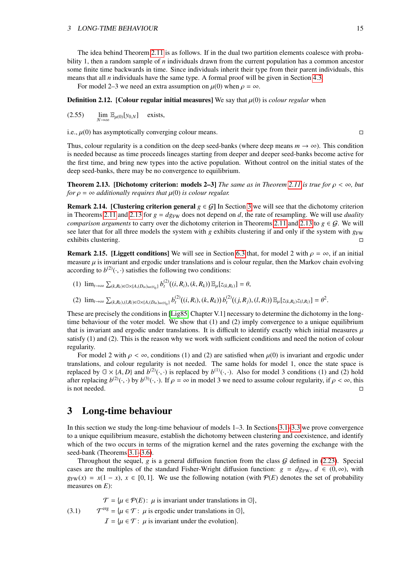#### 3 LONG-TIME BEHAVIOUR 15

The idea behind Theorem [2.11](#page-14-2) is as follows. If in the dual two partition elements coalesce with probability 1, then a random sample of *n* individuals drawn from the current population has a common ancestor some finite time backwards in time. Since individuals inherit their type from their parent individuals, this means that all *n* individuals have the same type. A formal proof will be given in Section [4.3.](#page-24-0)

For model 2–3 we need an extra assumption on  $\mu(0)$  when  $\rho = \infty$ .

<span id="page-15-2"></span>**Definition 2.12.** [Colour regular initial measures] We say that  $\mu(0)$  is *colour regular* when

 $(2.55)$  $\lim_{N \to \infty} \mathbb{E}_{\mu(0)}[y_{0,N}]$  exists,

i.e.,  $\mu(0)$  has asymptotically converging colour means.

Thus, colour regularity is a condition on the deep seed-banks (where deep means  $m \to \infty$ ). This condition is needed because as time proceeds lineages starting from deeper and deeper seed-banks become active for the first time, and bring new types into the active population. Without control on the initial states of the deep seed-banks, there may be no convergence to equilibrium.

<span id="page-15-1"></span>**Theorem 2.13. [Dichotomy criterion: models 2–3]** *The same as in Theorem [2.11](#page-14-2) is true for*  $\rho < \infty$ *, but for*  $\rho = \infty$  *additionally requires that*  $\mu(0)$  *is colour regular.* 

**Remark 2.14. [Clustering criterion general**  $g \in G$ ] In Section [3](#page-15-0) we will see that the dichotomy criterion in Theorems [2.11](#page-14-2) and [2.13](#page-15-1) for  $g = dg_{FW}$  does not depend on *d*, the rate of resampling. We will use *duality comparison arguments* to carry over the dichotomy criterion in Theorems [2.11](#page-14-2) and [2.13](#page-15-1) to  $g \in \mathcal{G}$ . We will see later that for all three models the system with *g* exhibits clustering if and only if the system with *g*<sub>FW</sub> exhibits clustering.

**Remark 2.15.** [Liggett conditions] We will see in Section [6.3](#page-47-0) that, for model 2 with  $\rho = \infty$ , if an initial measure  $\mu$  is invariant and ergodic under translations and is colour regular, then the Markov chain evolving according to  $b^{(2)}(\cdot, \cdot)$  satisfies the following two conditions:

(1) 
$$
\lim_{t\to\infty} \sum_{(k,R_k)\in\mathbb{G}\times\{A,(D_m)_{m\in\mathbb{N}_0}\}} b_t^{(2)}((i,R_i),(k,R_k)) \mathbb{E}_{\mu}[z_{(k,R_k)}] = \theta,
$$

(2)  $\lim_{t\to\infty}\sum_{(k,R_k),(l,R_l)\in\mathbb{G}\times\{A,(D_m)_{m\in\mathbb{N}_0}\}}b_l^{(2)}((i,R_i),(k,R_k))b_l^{(2)}((j,R_j),(l,R_l))\mathbb{E}_{\mu}[z_{(k,R_k)}z_{(l,R_l)}]=\theta^2.$ 

These are precisely the conditions in [\[Lig85,](#page-73-2) Chapter V.1] necessary to determine the dichotomy in the longtime behaviour of the voter model. We show that (1) and (2) imply convergence to a unique equilibrium that is invariant and ergodic under translations. It is difficult to identify exactly which initial measures  $\mu$ satisfy (1) and (2). This is the reason why we work with sufficient conditions and need the notion of colour regularity.

For model 2 with  $\rho < \infty$ , conditions (1) and (2) are satisfied when  $\mu(0)$  is invariant and ergodic under translations, and colour regularity is not needed. The same holds for model 1, once the state space is replaced by  $G \times \{A, D\}$  and  $b^{(2)}(\cdot, \cdot)$  is replaced by  $b^{(1)}(\cdot, \cdot)$ . Also for model 3 conditions (1) and (2) hold<br>after replacing  $b^{(2)}(\cdot, \cdot)$  by  $b^{(3)}(\cdot, \cdot)$ . If  $\rho = \infty$  in model 3 we need to assume colour regular after replacing  $b^{(2)}(\cdot, \cdot)$  by  $b^{(3)}(\cdot, \cdot)$ . If  $\rho = \infty$  in model 3 we need to assume colour regularity, if  $\rho < \infty$ , this  $\Box$  is not needed.  $\Box$ 

## <span id="page-15-0"></span>3 Long-time behaviour

In this section we study the long-time behaviour of models 1–3. In Sections [3.1](#page-16-0)[–3.3](#page-21-0) we prove convergence to a unique equilibrium measure, establish the dichotomy between clustering and coexistence, and identify which of the two occurs in terms of the migration kernel and the rates governing the exchange with the seed-bank (Theorems [3.1](#page-16-1)[–3.6\)](#page-21-3).

Throughout the sequel,  $g$  is a general diffusion function from the class  $G$  defined in [\(2.23\)](#page-9-1). Special cases are the multiples of the standard Fisher-Wright diffusion function:  $g = dg_{FW}$ ,  $d \in (0, \infty)$ , with  $g_{FW}(x) = x(1-x)$ ,  $x \in [0, 1]$ . We use the following notation (with  $P(E)$  denotes the set of probability measures on *E*):

(3.1)  $\mathcal{T} = {\mu \in \mathcal{P}(E) : \mu \text{ is invariant under translations in } \mathbb{G}},$  $\mathcal{T}^{\text{erg}} = {\mu \in \mathcal{T}: \mu \text{ is ergodic under translations in } \mathbb{G}},$  $\mathcal{I} = {\mu \in \mathcal{T}: \mu \text{ is invariant under the evolution}}.$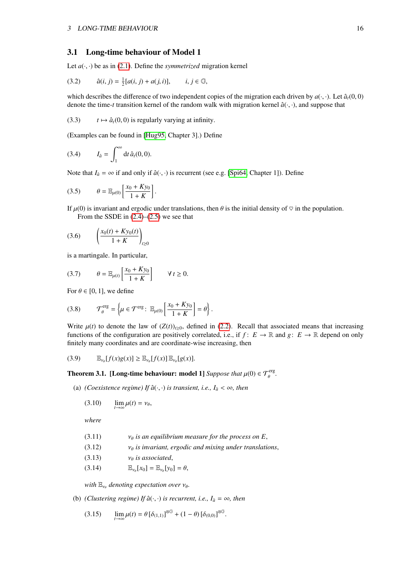#### <span id="page-16-0"></span>3.1 Long-time behaviour of Model 1

<span id="page-16-7"></span>Let  $a(\cdot, \cdot)$  be as in [\(2.1\)](#page-5-2). Define the *symmetrized* migration kernel

(3.2) 
$$
\hat{a}(i, j) = \frac{1}{2} [a(i, j) + a(j, i)], \qquad i, j \in \mathbb{G},
$$

<span id="page-16-6"></span>which describes the difference of two independent copies of the migration each driven by  $a(\cdot, \cdot)$ . Let  $\hat{a}_t(0, 0)$ denote the time-*t* transition kernel of the random walk with migration kernel  $\hat{a}(\cdot, \cdot)$ , and suppose that

(3.3)  $t \mapsto \hat{a}_t(0, 0)$  is regularly varying at infinity.

<span id="page-16-5"></span>(Examples can be found in [\[Hug95,](#page-72-12) Chapter 3].) Define

$$
(3.4) \tI_{\hat{a}} = \int_1^\infty dt \,\hat{a}_t(0,0).
$$

Note that  $I_{\hat{a}} = \infty$  if and only if  $\hat{a}(\cdot, \cdot)$  is recurrent (see e.g. [\[Spi64,](#page-73-3) Chapter 1]). Define

<span id="page-16-4"></span>
$$
(3.5) \qquad \theta = \mathbb{E}_{\mu(0)} \left[ \frac{x_0 + Ky_0}{1 + K} \right].
$$

If  $\mu(0)$  is invariant and ergodic under translations, then  $\theta$  is the initial density of  $\heartsuit$  in the population. From the SSDE in  $(2.4)$ – $(2.5)$  we see that

(3.6) 
$$
\left(\frac{x_0(t) + Ky_0(t)}{1 + K}\right)_{t \ge 0}
$$

is a martingale. In particular,

$$
(3.7) \qquad \theta = \mathbb{E}_{\mu(t)} \left[ \frac{x_0 + Ky_0}{1 + K} \right] \qquad \forall \, t \ge 0.
$$

For  $\theta \in [0, 1]$ , we define

$$
(3.8) \qquad \mathcal{T}_{\theta}^{\text{erg}} = \left\{ \mu \in \mathcal{T}^{\text{erg}}: \ \mathbb{E}_{\mu(0)} \left[ \frac{x_0 + K y_0}{1 + K} \right] = \theta \right\}.
$$

Write  $\mu(t)$  to denote the law of  $(Z(t))_{t\geq0}$ , defined in [\(2.2\)](#page-6-4). Recall that associated means that increasing functions of the configuration are positively correlated, i.e., if  $f: E \to \mathbb{R}$  and  $g: E \to \mathbb{R}$  depend on only finitely many coordinates and are coordinate-wise increasing, then

$$
(3.9) \qquad \mathbb{E}_{\nu_{\theta}}[f(x)g(x)] \geq \mathbb{E}_{\nu_{\theta}}[f(x)] \, \mathbb{E}_{\nu_{\theta}}[g(x)].
$$

<span id="page-16-1"></span>**Theorem 3.1.** [Long-time behaviour: model 1] *Suppose that*  $\mu(0) \in \mathcal{T}_{\theta}^{erg}$ .

(a) *(Coexistence regime)* If  $\hat{a}(\cdot, \cdot)$  *is transient, i.e.,*  $I_{\hat{a}} < \infty$ *, then* 

<span id="page-16-2"></span>
$$
(3.10) \qquad \lim_{t\to\infty}\mu(t)=\nu_\theta,
$$

*where*

- (3.11)  $v_{\theta}$  *is an equilibrium measure for the process on E*,<br>(3.12)  $v_{\theta}$  *is invariant, ergodic and mixing under translationaly*
- (3.12)  $v_\theta$  *is invariant, ergodic and mixing under translations*,<br>(3.13)  $v_\theta$  *is associated*,
- (3.13)  $v_{\theta}$  *is associated*,<br>(3.14)  $\mathbb{E}_{v_{\theta}}[x_0] = \mathbb{E}_{v_{\theta}}[y_0]$
- E(3.14)  $\mathbb{E}_{\nu_{\theta}}[x_0] = \mathbb{E}_{\nu_{\theta}}[y_0] = \theta,$

<span id="page-16-3"></span>*with*  $\mathbb{E}_{v_{\theta}}$  denoting expectation over  $v_{\theta}$ .

(b) *(Clustering regime)* If  $\hat{a}(\cdot, \cdot)$  *is recurrent, i.e.,*  $I_{\hat{a}} = \infty$ *, then* 

$$
(3.15) \qquad \lim_{t \to \infty} \mu(t) = \theta \left[ \delta_{(1,1)} \right]^{\otimes \mathbb{G}} + (1 - \theta) \left[ \delta_{(0,0)} \right]^{\otimes \mathbb{G}}.
$$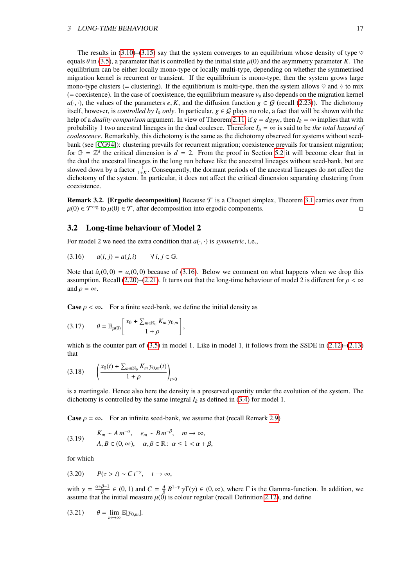The results in [\(3.10\)](#page-16-2)–[\(3.15\)](#page-16-3) say that the system converges to an equilibrium whose density of type  $\heartsuit$ equals  $\theta$  in [\(3.5\)](#page-16-4), a parameter that is controlled by the initial state  $\mu(0)$  and the asymmetry parameter *K*. The equilibrium can be either locally mono-type or locally multi-type, depending on whether the symmetrised migration kernel is recurrent or transient. If the equilibrium is mono-type, then the system grows large mono-type clusters (= clustering). If the equilibrium is multi-type, then the system allows  $\heartsuit$  and  $\diamond$  to mix (= coexistence). In the case of coexistence, the equilibrium measure  $v_\theta$  also depends on the migration kernel  $a(\cdot, \cdot)$ , the values of the parameters *e*, *K*, and the diffusion function  $g \in G$  (recall [\(2.23\)](#page-9-1)). The dichotomy itself, however, is *controlled by I<sub>a</sub> only*. In particular,  $g \in G$  plays no role, a fact that will be shown with the help of a *duality comparison* argument. In view of Theorem [2.11,](#page-14-2) if  $g = dg_{FW}$ , then  $I_a = \infty$  implies that with probability 1 two ancestral lineages in the dual coalesce. Therefore  $I_a = \infty$  is said to be *the total hazard of coalescence*. Remarkably, this dichotomy is the same as the dichotomy observed for systems without seedbank (see [\[CG94\]](#page-71-9)): clustering prevails for recurrent migration; coexistence prevails for transient migration; for  $G = \mathbb{Z}^d$  the critical dimension is  $d = 2$ . From the proof in Section [5.2](#page-29-0) it will become clear that in the dual the ancestral lineages in the long run behave like the ancestral lineages without seed-bank, but are slowed down by a factor  $\frac{1}{1+K}$ . Consequently, the dormant periods of the ancestral lineages do not affect the dichotomy of the system. In particular, it does not affect the critical dimension separating clustering from coexistence.

**Remark 3.2. [Ergodic decomposition]** Because  $\mathcal{T}$  is a Choquet simplex, Theorem [3.1](#page-16-1) carries over from  $\mu(0) \in \mathcal{T}$ <sup>erg</sup> to  $\mu(0) \in \mathcal{T}$ , after decomposition into ergodic components.

#### <span id="page-17-0"></span>3.2 Long-time behaviour of Model 2

<span id="page-17-1"></span>For model 2 we need the extra condition that  $a(\cdot, \cdot)$  is *symmetric*, i.e.,

(3.16) 
$$
a(i, j) = a(j, i)
$$
  $\forall i, j \in \mathbb{G}$ .

Note that  $\hat{a}_t(0,0) = a_t(0,0)$  because of [\(3.16\)](#page-17-1). Below we comment on what happens when we drop this assumption. Recall [\(2.20\)](#page-8-3)–[\(2.21\)](#page-8-4). It turns out that the long-time behaviour of model 2 is different for  $\rho < \infty$ and  $\rho = \infty$ .

**Case**  $\rho < \infty$ . For a finite seed-bank, we define the initial density as

$$
(3.17) \qquad \theta = \mathbb{E}_{\mu(0)} \left[ \frac{x_0 + \sum_{m \in \mathbb{N}_0} K_m y_{0,m}}{1 + \rho} \right],
$$

which is the counter part of  $(3.5)$  in model 1. Like in model 1, it follows from the SSDE in  $(2.12)$ – $(2.13)$ that

$$
(3.18) \qquad \left(\frac{x_0(t) + \sum_{m \in \mathbb{N}_0} K_m y_{0,m}(t)}{1 + \rho}\right)_{t \ge 0}
$$

is a martingale. Hence also here the density is a preserved quantity under the evolution of the system. The dichotomy is controlled by the same integral  $I_{\hat{a}}$  as defined in [\(3.4\)](#page-16-5) for model 1.

<span id="page-17-2"></span>**Case**  $\rho = \infty$ . For an infinite seed-bank, we assume that (recall Remark [2.9\)](#page-13-4)

(3.19) 
$$
K_m \sim A m^{-\alpha}, \quad e_m \sim B m^{-\beta}, \quad m \to \infty,
$$

$$
A, B \in (0, \infty), \quad \alpha, \beta \in \mathbb{R}: \alpha \le 1 < \alpha + \beta,
$$

<span id="page-17-3"></span>for which

(3.20)  $P(\tau > t) \sim C t^{-\gamma}, \quad t \to \infty,$ 

with  $\gamma = \frac{\alpha + \beta - 1}{\beta}$ <br>assume that the  $\frac{\beta-1}{\beta} \in (0,1)$  and  $C = \frac{A}{\beta}$ <br>the initial measure  $\mu(0)$ β  $B^{1-\gamma} \gamma \Gamma(\gamma) \in (0, \infty)$ , where  $\Gamma$  is the Gamma-function. In addition, we is colour regular (recall Definition 2.12), and define assume that the initial measure  $\mu(0)$  is colour regular (recall Definition [2.12\)](#page-15-2), and define

$$
(3.21) \qquad \theta = \lim_{m \to \infty} \mathbb{E}[y_{0,m}].
$$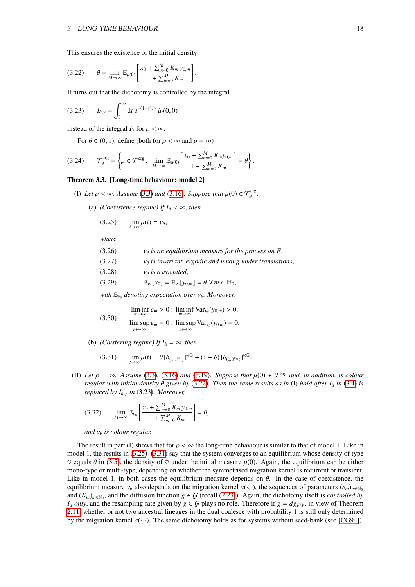<span id="page-18-0"></span>This ensures the existence of the initial density

$$
(3.22) \qquad \theta = \lim_{M \to \infty} \mathbb{E}_{\mu(0)} \left[ \frac{x_0 + \sum_{m=0}^{M} K_m y_{0,m}}{1 + \sum_{m=0}^{M} K_m} \right].
$$

It turns out that the dichotomy is controlled by the integral

(3.23) 
$$
I_{\hat{a},\gamma} = \int_1^{\infty} dt \ t^{-(1-\gamma)/\gamma} \, \hat{a}_t(0,0)
$$

instead of the integral  $I_{\hat{a}}$  for  $\rho < \infty$ .

<span id="page-18-1"></span>For  $\theta \in (0, 1)$ , define (both for  $\rho < \infty$  and  $\rho = \infty$ )

$$
(3.24) \qquad \mathcal{T}^{\text{erg}}_{\theta} = \left\{ \mu \in \mathcal{T}^{\text{erg}}: \ \lim_{M \rightarrow \infty} \mathbb{E}_{\mu(0)} \left[ \frac{x_0 + \sum_{m=0}^{M} K_m y_{0,m}}{1 + \sum_{m=0}^{M} K_m} \right] = \theta \right\}.
$$

#### <span id="page-18-4"></span>Theorem 3.3. [Long-time behaviour: model 2]

- (I) Let  $\rho < \infty$ . Assume [\(3.3\)](#page-16-6) and [\(3.16\)](#page-17-1). Suppose that  $\mu(0) \in \mathcal{T}_{\theta}^{\text{erg}}$ .
	- (a) *(Coexistence regime)* If  $I_a < \infty$ *, then*

<span id="page-18-2"></span>
$$
(3.25) \qquad \lim_{t\to\infty}\mu(t)=\nu_\theta,
$$

*where*

| (3.26) | $v_{\theta}$ is an equilibrium measure for the process on E,                                                    |
|--------|-----------------------------------------------------------------------------------------------------------------|
| (3.27) | $v_{\theta}$ is invariant, ergodic and mixing under translations.                                               |
| (3.28) | $v_{\theta}$ is associated,                                                                                     |
| (3.29) | $\mathbb{E}_{\nu_{\theta}}[x_0] = \mathbb{E}_{\nu_{\theta}}[y_{0,m}] = \theta \ \forall \, m \in \mathbb{N}_0,$ |
|        |                                                                                                                 |

<span id="page-18-5"></span>*with*  $\mathbb{E}_{\nu_{\theta}}$  denoting expectation over  $\nu_{\theta}$ . Moreover,

(3.30) 
$$
\liminf_{m \to \infty} e_m > 0: \liminf_{m \to \infty} \text{Var}_{\nu_\theta}(y_{0,m}) > 0,
$$

$$
\limsup_{m \to \infty} e_m = 0: \limsup_{m \to \infty} \text{Var}_{\nu_\theta}(y_{0,m}) = 0.
$$

(b) *(Clustering regime)* If  $I_{\hat{a}} = \infty$ *, then* 

<span id="page-18-3"></span>
$$
(3.31) \qquad \lim_{t \to \infty} \mu(t) = \theta \left[ \delta_{(1,1^{\mathbb{N}_0})} \right]^{\otimes \mathbb{G}} + (1 - \theta) \left[ \delta_{(0,0^{\mathbb{N}_0})} \right]^{\otimes \mathbb{G}}
$$

(II) Let  $\rho = \infty$ *. Assume* [\(3.3\)](#page-16-6), [\(3.16\)](#page-17-1) and [\(3.19\)](#page-17-2)*. Suppose that*  $\mu(0) \in \mathcal{T}^{\text{erg}}$  and, in addition, is colour *regular with initial density* <sup>θ</sup> *given by* [\(3.22\)](#page-18-0)*. Then the same results as in* (I) *hold after I<sup>a</sup>*<sup>ˆ</sup> *in* [\(3.4\)](#page-16-5) *is replaced by I<sub>a</sub>*<sup>γ</sup> *in* [\(3.23\)](#page-18-1)*. Moreover,* 

(3.32) 
$$
\lim_{M \to \infty} \mathbb{E}_{\nu_{\theta}} \left[ \frac{x_0 + \sum_{m=0}^{M} K_m y_{0,m}}{1 + \sum_{m=0}^{M} K_m} \right] = \theta,
$$

*and*  $v_{\theta}$  *is colour regular.* 

The result in part (I) shows that for  $\rho < \infty$  the long-time behaviour is similar to that of model 1. Like in model 1, the results in  $(3.25)$ – $(3.31)$  say that the system converges to an equilibrium whose density of type  $\heartsuit$  equals  $\theta$  in [\(3.5\)](#page-16-4), the density of  $\heartsuit$  under the initial measure  $\mu(0)$ . Again, the equilibrium can be either mono-type or multi-type, depending on whether the symmetrised migration kernel is recurrent or transient. Like in model 1, in both cases the equilibrium measure depends on  $\theta$ . In the case of coexistence, the equilibrium measure  $v_{\theta}$  also depends on the migration kernel  $a(\cdot, \cdot)$ , the sequences of parameters  $(e_m)_{m \in \mathbb{N}_0}$ and  $(K_m)_{m \in \mathbb{N}_0}$ , and the diffusion function  $g \in \mathcal{G}$  (recall [\(2.23\)](#page-9-1)). Again, the dichotomy itself is *controlled by*  $I_{\hat{a}}$  *only*, and the resampling rate given by  $g \in \mathcal{G}$  plays no role. Therefore if  $g = dg_{FW}$ , in view of Theorem [2.11,](#page-14-2) whether or not two ancestral lineages in the dual coalesce with probability 1 is still only determined by the migration kernel  $a(\cdot, \cdot)$ . The same dichotomy holds as for systems without seed-bank (see [\[CG94\]](#page-71-9)).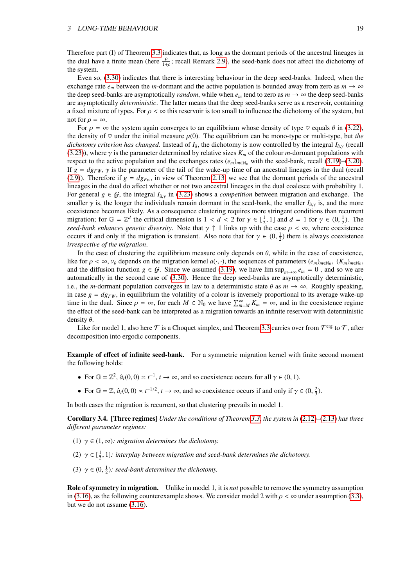Therefore part (I) of Theorem [3.3](#page-18-4) indicates that, as long as the dormant periods of the ancestral lineages in the dual have a finite mean (here  $\frac{\rho}{1+\rho}$ ; recall Remark [2.9\)](#page-13-4), the seed-bank does not affect the dichotomy of the system the system.

Even so, [\(3.30\)](#page-18-5) indicates that there is interesting behaviour in the deep seed-banks. Indeed, when the exchange rate  $e_m$  between the *m*-dormant and the active population is bounded away from zero as  $m \to \infty$ the deep seed-banks are asymptotically *random*, while when  $e_m$  tend to zero as  $m \to \infty$  the deep seed-banks are asymptotically *deterministic*. The latter means that the deep seed-banks serve as a reservoir, containing a fixed mixture of types. For  $\rho < \infty$  this reservoir is too small to influence the dichotomy of the system, but not for  $\rho = \infty$ .

For  $\rho = \infty$  the system again converges to an equilibrium whose density of type  $\heartsuit$  equals  $\theta$  in [\(3.22\)](#page-18-0), the density of  $\heartsuit$  under the initial measure  $\mu(0)$ . The equilibrium can be mono-type or multi-type, but *the dichotomy criterion has changed.* Instead of  $I_{\hat{a}}$ , the dichotomy is now controlled by the integral  $I_{\hat{a},\gamma}$  (recall  $(2,22)$ ) where  $\chi_i$  is the negregated determined by relative sizes  $K$ , of the solow  $m$  derm [\(3.23\)](#page-18-1)), where  $\gamma$  is the parameter determined by relative sizes  $K_m$  of the colour *m*-dormant populations with respect to the active population and the exchanges rates  $(e_m)_{m \in \mathbb{N}_0}$  with the seed-bank, recall [\(3.19\)](#page-17-2)–[\(3.20\)](#page-17-3). If  $g = dg_{FW}$ ,  $\gamma$  is the parameter of the tail of the wake-up time of an ancestral lineages in the dual (recall [\(2.9\)](#page-13-4)). Therefore if  $g = dg_{Fw}$ , in view of Theorem [2.13,](#page-15-1) we see that the dormant periods of the ancestral lineages in the dual do affect whether or not two ancestral lineages in the dual coalesce with probability 1. For general  $g \in \mathcal{G}$ , the integral *I*<sub>*a*</sub><sup> $\chi$ </sup> in [\(3.23\)](#page-18-1) shows a *competition* between migration and exchange. The smaller  $\gamma$  is, the longer the individuals remain dormant in the seed-bank, the smaller  $I_{\hat{a},\gamma}$  is, and the more coexistence becomes likely. As a consequence clustering requires more stringent conditions than recurrent migration; for  $\mathbb{G} = \mathbb{Z}^d$  the critical dimension is  $1 < d < 2$  for  $\gamma \in [\frac{1}{2}, 1]$  and  $d = 1$  for  $\gamma \in (0, \frac{1}{2})$ . The *seed-bank enhances genetic diversity.* Note that  $\gamma \uparrow 1$  links up with the case  $\rho < \infty$ , where coexistence occurs if and only if the migration is transient. Also note that for  $\gamma \in (0, \frac{1}{2})$  there is always coexistence<br>irrespective of the migration *irrespective of the migration*.

In the case of clustering the equilibrium measure only depends on  $\theta$ , while in the case of coexistence, like for  $\rho < \infty$ ,  $\nu_{\theta}$  depends on the migration kernel  $a(\cdot, \cdot)$ , the sequences of parameters  $(e_m)_{m \in \mathbb{N}_0}$ ,  $(K_m)_{m \in \mathbb{N}_0}$ ,  $(K_m)_{m \in \mathbb{N}_0}$ ,  $\sigma_{\theta}$  and the diffusion function  $g \in G$ . Since we assumed (3.1 and the diffusion function  $g \in \mathcal{G}$ . Since we assumed [\(3.19\)](#page-17-2), we have  $\limsup_{m\to\infty} e_m = 0$ , and so we are automatically in the second case of [\(3.30\)](#page-18-5). Hence the deep seed-banks are asymptotically deterministic, i.e., the *m*-dormant population converges in law to a deterministic state  $\theta$  as  $m \to \infty$ . Roughly speaking, in case  $g = dg_{FW}$ , in equilibrium the volatility of a colour is inversely proportional to its average wake-up time in the dual. Since  $\rho = \infty$ , for each  $M \in \mathbb{N}_0$  we have  $\sum_{m=M}^{\infty} K_m = \infty$ , and in the coexistence regime<br>the effect of the seed-bank can be interpreted as a migration towards an infinite reservoir with determini the effect of the seed-bank can be interpreted as a migration towards an infinite reservoir with deterministic density  $\theta$ .

Like for model 1, also here  $\tau$  is a Choquet simplex, and Theorem [3.3](#page-18-4) carries over from  $\tau$ <sup>erg</sup> to  $\tau$ , after decomposition into ergodic components.

Example of effect of infinite seed-bank. For a symmetric migration kernel with finite second moment the following holds:

- For  $\mathbb{G} = \mathbb{Z}^2$ ,  $\hat{a}_t(0,0) \times t^{-1}$ ,  $t \to \infty$ , and so coexistence occurs for all  $\gamma \in (0,1)$ .
- For  $\mathbb{G} = \mathbb{Z}$ ,  $\hat{a}_t(0,0) \times t^{-1/2}$ ,  $t \to \infty$ , and so coexistence occurs if and only if  $\gamma \in (0, \frac{2}{3})$ .

In both cases the migration is recurrent, so that clustering prevails in model 1.

Corollary 3.4. [Three regimes] *Under the conditions of Theorem [3.3,](#page-18-4) the system in* [\(2.12\)](#page-7-1)*–*[\(2.13\)](#page-7-1) *has three di*ff*erent parameter regimes:*

- (1)  $\gamma \in (1, \infty)$ *: migration determines the dichotomy.*
- (2)  $\gamma \in [\frac{1}{2}, 1]$ : interplay between migration and seed-bank determines the dichotomy.
- (3)  $\gamma \in (0, \frac{1}{2})$ : seed-bank determines the dichotomy.

Role of symmetry in migration. Unlike in model 1, it is *not* possible to remove the symmetry assumption in [\(3.16\)](#page-17-1), as the following counterexample shows. We consider model 2 with  $\rho < \infty$  under assumption [\(3.3\)](#page-16-6), but we do not assume [\(3.16\)](#page-17-1).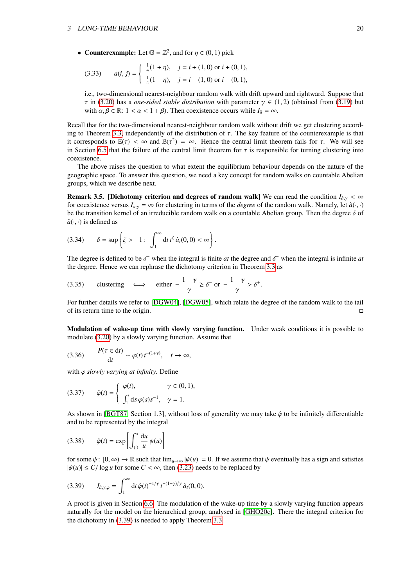• Counterexample: Let  $\mathbb{G} = \mathbb{Z}^2$ , and for  $\eta \in (0, 1)$  pick

(3.33) 
$$
a(i, j) = \begin{cases} \frac{1}{4}(1 + \eta), & j = i + (1, 0) \text{ or } i + (0, 1), \\ \frac{1}{4}(1 - \eta), & j = i - (1, 0) \text{ or } i - (0, 1), \end{cases}
$$

i.e., two-dimensional nearest-neighbour random walk with drift upward and rightward. Suppose that  $\tau$  in [\(3.20\)](#page-17-3) has a *one-sided stable distribution* with parameter  $\gamma \in (1, 2)$  (obtained from [\(3.19\)](#page-17-2) but with  $\alpha, \beta \in \mathbb{R}$ :  $1 < \alpha < 1 + \beta$ ). Then coexistence occurs while  $I_{\hat{a}} = \infty$ .

Recall that for the two-dimensional nearest-neighbour random walk without drift we get clustering accord-ing to Theorem [3.3,](#page-18-4) independently of the distribution of  $\tau$ . The key feature of the counterexample is that it corresponds to  $\mathbb{E}(\tau) < \infty$  and  $\mathbb{E}(\tau^2) = \infty$ . Hence the central limit theorem fails for  $\tau$ . We will see in Section [6.5](#page-55-1) that the failure of the central limit theorem for  $\tau$  is responsible for turning clustering into coexistence.

The above raises the question to what extent the equilibrium behaviour depends on the nature of the geographic space. To answer this question, we need a key concept for random walks on countable Abelian groups, which we describe next.

**Remark 3.5. [Dichotomy criterion and degrees of random walk] We can read the condition**  $I_{\hat{a},\gamma} < \infty$ for coexistence versus  $I_{a,y} = \infty$  for clustering in terms of the *degree* of the random walk. Namely, let  $\hat{a}(\cdot, \cdot)$ be the transition kernel of an irreducible random walk on a countable Abelian group. Then the degree  $\delta$  of  $\hat{a}(\cdot, \cdot)$  is defined as

$$
(3.34) \qquad \delta = \sup \left\{ \zeta > -1 \colon \int_1^\infty \mathrm{d}t \, t^\zeta \, \hat{a}_t(0,0) < \infty \right\}
$$

The degree is defined to be  $\delta^+$  when the integral is finite *at* the degree and  $\delta^-$  when the integral is infinite *at* the degree. Hence we can rephrase the dichotomy criterion in Theorem 3.3 as the degree. Hence we can rephrase the dichotomy criterion in Theorem [3.3](#page-18-4) as

(3.35) clustering 
$$
\iff
$$
 either  $-\frac{1-\gamma}{\gamma} \ge \delta^-$  or  $-\frac{1-\gamma}{\gamma} > \delta^+$ .

For further details we refer to [\[DGW04\]](#page-72-13), [\[DGW05\]](#page-72-14), which relate the degree of the random walk to the tail of its return time to the origin.

Modulation of wake-up time with slowly varying function. Under weak conditions it is possible to modulate [\(3.20\)](#page-17-3) by a slowly varying function. Assume that

$$
(3.36) \qquad \frac{P(\tau \in dt)}{dt} \sim \varphi(t) \, t^{-(1+\gamma)}, \quad t \to \infty,
$$

with  $\phi$  *slowly varying at infinity*. Define

(3.37) 
$$
\hat{\varphi}(t) = \begin{cases} \varphi(t), & \gamma \in (0, 1), \\ \int_1^t ds \, \varphi(s) s^{-1}, & \gamma = 1. \end{cases}
$$

As shown in [\[BGT87,](#page-71-11) Section 1.3], without loss of generality we may take  $\hat{\varphi}$  to be infinitely differentiable and to be represented by the integral

$$
(3.38) \qquad \hat{\varphi}(t) = \exp\left[\int_{\langle \cdot \rangle}^{t} \frac{\mathrm{d}u}{u} \psi(u)\right]
$$

for some  $\psi: [0, \infty) \to \mathbb{R}$  such that  $\lim_{u \to \infty} |\psi(u)| = 0$ . If we assume that  $\psi$  eventually has a sign and satisfies  $|\psi(u)| \le C/\log u$  for some  $C < \infty$ , then [\(3.23\)](#page-18-1) needs to be replaced by

<span id="page-20-0"></span>(3.39) 
$$
I_{\hat{a},\gamma,\varphi} = \int_1^{\infty} dt \,\hat{\varphi}(t)^{-1/\gamma} t^{-(1-\gamma)/\gamma} \,\hat{a}_t(0,0).
$$

A proof is given in Section [6.6.](#page-55-2) The modulation of the wake-up time by a slowly varying function appears naturally for the model on the hierarchical group, analysed in [\[GHO20c\]](#page-72-8). There the integral criterion for the dichotomy in [\(3.39\)](#page-20-0) is needed to apply Theorem [3.3.](#page-18-4)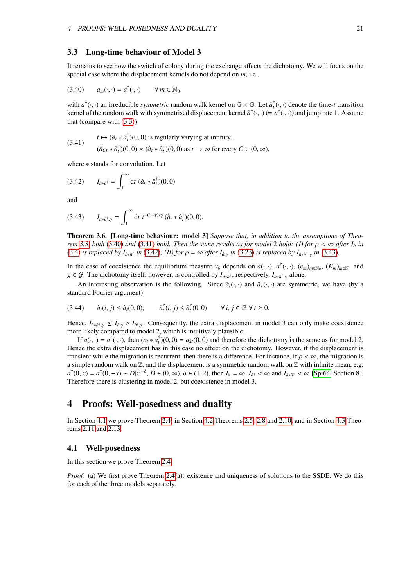#### <span id="page-21-0"></span>3.3 Long-time behaviour of Model 3

<span id="page-21-4"></span>It remains to see how the switch of colony during the exchange affects the dichotomy. We will focus on the special case where the displacement kernels do not depend on *m*, i.e.,

$$
(3.40) \qquad a_m(\cdot,\cdot)=a^{\dagger}(\cdot,\cdot) \qquad \forall \, m \in \mathbb{N}_0,
$$

<span id="page-21-5"></span>with  $a^{\dagger}(\cdot, \cdot)$  an irreducible *symmetric* random walk kernel on  $\mathbb{G} \times \mathbb{G}$ . Let  $\hat{a}^{\dagger}(\cdot, \cdot)$  denote the time-*t* transition kernel of the random walk with symmetrised displacement kernel  $\hat{a}^{\dagger}(\cdot, \cdot)$ kernel of the random walk with symmetrised displacement kernel  $\hat{a}^{\dagger}(\cdot,\cdot)$  (=  $a^{\dagger}(\cdot,\cdot)$ ) and jump rate 1. Assume<br>that (compare with (3.3)) that (compare with [\(3.3\)](#page-16-6))

(3.41) 
$$
t \mapsto (\hat{a}_t * \hat{a}_t^{\dagger})(0,0) \text{ is regularly varying at infinity,}
$$

$$
(\hat{a}_{Ct} * \hat{a}_t^{\dagger})(0,0) \times (\hat{a}_t * \hat{a}_t^{\dagger})(0,0) \text{ as } t \to \infty \text{ for every } C \in (0,\infty),
$$

<span id="page-21-6"></span>where ∗ stands for convolution. Let

$$
(3.42) \t I_{\hat{a}*\hat{a}^\dagger} = \int_1^\infty dt \; (\hat{a}_t * \hat{a}_t^\dagger)(0,0)
$$

<span id="page-21-7"></span>and

(3.43) 
$$
I_{\hat{a}*\hat{a}^\dagger,\gamma} = \int_1^\infty dt \ t^{-(1-\gamma)/\gamma} (\hat{a}_t*\hat{a}_t^\dagger)(0,0).
$$

<span id="page-21-3"></span>Theorem 3.6. [Long-time behaviour: model 3] *Suppose that, in addition to the assumptions of Theorem* [3.3,](#page-18-4) *both* [\(3.40\)](#page-21-4) *and* [\(3.41\)](#page-21-5) *hold. Then the same results as for model* 2 *hold:* (I) for  $\rho < \infty$  after  $I_{\hat{a}}$  *in*<br>(3.4) is replaced by L,  $\ldots$  in (3.42); (II) for  $\rho = \infty$  after L, in (3.23) is replaced by [\(3.4\)](#page-16-5) *is replaced by*  $I_{\hat{a}*\hat{a}^{\dagger}}$  *<i>in* [\(3.42\)](#page-21-6); (*II) for*  $\rho = \infty$  *after*  $I_{\hat{a},\gamma}$  *in* [\(3.23\)](#page-18-1) *is replaced by*  $I_{\hat{a}*\hat{a}^{\dagger},\gamma}$  *in* [\(3.43\)](#page-21-7).

In the case of coexistence the equilibrium measure  $v_{\theta}$  depends on  $a(\cdot, \cdot)$ ,  $a^{\dagger}(\cdot, \cdot)$ ,  $(e_m)_{m \in \mathbb{N}_0}$ ,  $(K_m)_{m \in \mathbb{N}_0}$  and  $a \in G$ . The dichotomy itself however is controlled by  $L_{\theta}$ , respectively  $L_{\theta}$  $g \in \mathcal{G}$ . The dichotomy itself, however, is controlled by  $I_{\hat{a} * \hat{a}^{\dagger}}$ , respectively,  $I_{\hat{a} * \hat{a}^{\dagger}, \gamma}$  alone.

An interesting observation is the following. Since  $\hat{a}_t(\cdot, \cdot)$  and  $\hat{a}_t^{\dagger}(\cdot, \cdot)$  are symmetric, we have (by a *dard Equrier argument*) standard Fourier argument)

$$
(3.44) \qquad \hat{a}_t(i,j) \leq \hat{a}_t(0,0), \qquad \hat{a}_t^{\dagger}(i,j) \leq \hat{a}_t^{\dagger}(0,0) \qquad \forall \, i,j \in \mathbb{G} \,\,\forall \, t \geq 0.
$$

Hence,  $I_{\hat{a}*\hat{a}^{\dagger},\gamma} \leq I_{\hat{a},\gamma} \wedge I_{\hat{a}^{\dagger},\gamma}$ . Consequently, the extra displacement in model 3 can only make coexistence more likely compared to model 2, which is intuitively playsible. more likely compared to model 2, which is intuitively plausible.

If  $a(\cdot, \cdot) = a^{\dagger}(\cdot, \cdot)$ , then  $(a_t * a_t^{\dagger})(0, 0) = a_{2t}(0, 0)$  and therefore the dichotomy is the same as for model 2. Hence the extra displacement has in this case no effect on the dichotomy. However, if the displacement is transient while the migration is recurrent, then there is a difference. For instance, if  $\rho < \infty$ , the migration is a simple random walk on  $\mathbb{Z}$ , and the displacement is a symmetric random walk on  $\mathbb{Z}$  with infinite mean, e.g.  $a^{\dagger}(0, x) = a^{\dagger}(0, -x) \sim D|x|^{-\delta}, D \in (0, \infty), \delta \in (1, 2),$  then  $I_a = \infty, I_{\hat{a}^{\dagger}} < \infty$  and  $I_{\hat{a}^*\hat{a}^{\dagger}} < \infty$  [\[Spi64,](#page-73-3) Section 8]. Therefore there is clustering in model 2, but coexistence in model 3.

## <span id="page-21-1"></span>4 Proofs: Well-posedness and duality

In Section [4.1](#page-21-2) we prove Theorem [2.4,](#page-10-1) in Section [4.2](#page-23-0) Theorems [2.5,](#page-12-0) [2.8](#page-13-0) and [2.10,](#page-14-1) and in Section [4.3](#page-24-0) Theorems [2.11](#page-14-2) and [2.13.](#page-15-1)

#### <span id="page-21-2"></span>4.1 Well-posedness

In this section we prove Theorem [2.4.](#page-10-1)

*Proof.* (a) We first prove Theorem [2.4\(](#page-10-1)a): existence and uniqueness of solutions to the SSDE. We do this for each of the three models separately.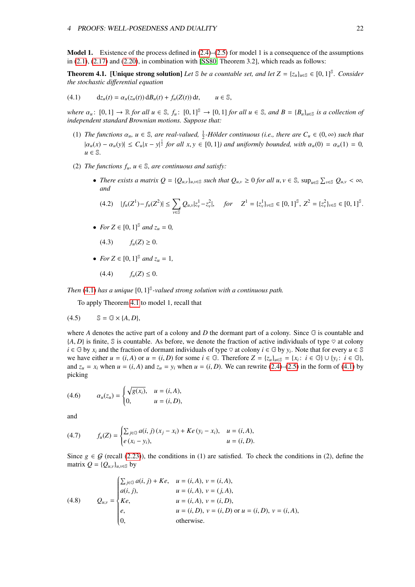**Model 1.** Existence of the process defined in  $(2.4)$ – $(2.5)$  for model 1 is a consequence of the assumptions in  $(2.1)$ ,  $(2.17)$  and  $(2.20)$ , in combination with [\[SS80,](#page-73-4) Theorem 3.2], which reads as follows:

<span id="page-22-1"></span><span id="page-22-0"></span>**Theorem 4.1.** [Unique strong solution] *Let*  $\mathbb{S}$  *be a countable set, and let*  $Z = \{z_u\}_{u \in \mathbb{S}} \in [0,1]^{\mathbb{S}}$ *. Consider*<br>the stochastic differential equation *the stochastic di*ff*erential equation*

(4.1) 
$$
d_{\mathcal{Z}_{u}}(t) = \alpha_{u}(z_{u}(t)) dB_{u}(t) + f_{u}(Z(t)) dt, \qquad u \in \mathbb{S},
$$

*where*  $\alpha_u$ :  $[0, 1] \to \mathbb{R}$  *for all*  $u \in \mathbb{S}$ ,  $f_u$ :  $[0, 1] \mathbb{S} \to [0, 1]$  *for all*  $u \in \mathbb{S}$ *, and*  $B = \{B_u\}_{u \in \mathbb{S}}$  *is a collection of independent standard Brownian motions. Suppose that:*

- (1) *The functions*  $\alpha_u$ ,  $u \in \mathbb{S}$ , are real-valued,  $\frac{1}{2}$ -Hölder continuous (i.e., there are  $C_u \in (0, \infty)$  such that  $|a_u(x) - a_u(y)| \le C_u |x - y|^{\frac{1}{2}}$  *for all x,y*  $\in [0, 1]$ *) and uniformly bounded, with*  $\alpha_u(0) = \alpha_u(1) = 0$ *,*  $u \in \mathbb{S}$ *u* ∈ S*.*
- (2) *The functions*  $f_u$ ,  $u \in \mathbb{S}$ , are continuous and satisfy:
	- There exists a matrix  $Q = \{Q_{u,v}\}_{u,v \in \mathbb{S}}$  such that  $Q_{u,v} \ge 0$  for all  $u, v \in \mathbb{S}$ ,  $\sup_{u \in \mathbb{S}} \sum_{v \in \mathbb{S}} Q_{u,v} < \infty$ , *and*

$$
(4.2) \quad |f_u(Z^1) - f_u(Z^2)| \le \sum_{v \in \mathbb{S}} Q_{u,v} |z_v^1 - z_v^2|, \quad \text{for} \quad Z^1 = \{z_v^1\}_{v \in \mathbb{S}} \in [0,1]^{\mathbb{S}}, \ Z^2 = \{z_v^2\}_{v \in \mathbb{S}} \in [0,1]^{\mathbb{S}}.
$$

- *For*  $Z \in [0, 1]^S$  *and*  $z_u = 0$ *,* 
	- (4.3)  $f_u(Z) \ge 0$ .
- *For*  $Z \in [0, 1]^{\mathbb{S}}$  *and*  $z_u = 1$ *,*

$$
(4.4) \t f_u(Z) \leq 0.
$$

*Then* [\(4.1\)](#page-22-0) *has a unique* [0, 1]<sup>§</sup>-valued strong solution with a continuous path.

To apply Theorem [4.1](#page-22-1) to model 1, recall that

$$
(4.5) \qquad \mathbb{S} = \mathbb{G} \times \{A, D\},
$$

where *A* denotes the active part of a colony and *D* the dormant part of a colony. Since G is countable and  ${A, D}$  is finite, S is countable. As before, we denote the fraction of active individuals of type  $\heartsuit$  at colony  $i \in \mathbb{G}$  by  $x_i$  and the fraction of dormant individuals of type  $\heartsuit$  at colony  $i \in \mathbb{G}$  by  $y_i$ . Note that for every  $u \in \mathbb{S}$ we have either  $u = (i, A)$  or  $u = (i, D)$  for some  $i \in \mathbb{G}$ . Therefore  $Z = \{z_u\}_{u \in \mathbb{S}} = \{x_i : i \in \mathbb{G}\} \cup \{y_i : i \in \mathbb{G}\}$ <br>and  $z = r$ , when  $u = (i, A)$  and  $z = v$ , when  $u = (i, D)$ . We can rewrite  $(2A)$ – $(2.5)$  in the form of and  $z_u = x_i$  when  $u = (i, A)$  and  $z_u = y_i$  when  $u = (i, D)$ . We can rewrite [\(2.4\)](#page-6-0)–[\(2.5\)](#page-6-0) in the form of [\(4.1\)](#page-22-0) by picking

(4.6) 
$$
\alpha_u(z_u) = \begin{cases} \sqrt{g(x_i)}, & u = (i, A), \\ 0, & u = (i, D), \end{cases}
$$

and

(4.7) 
$$
f_u(Z) = \begin{cases} \sum_{j \in \mathbb{G}} a(i, j) (x_j - x_i) + Ke (y_i - x_i), & u = (i, A), \\ e (x_i - y_i), & u = (i, D). \end{cases}
$$

Since  $g \in \mathcal{G}$  (recall [\(2.23\)](#page-9-1)), the conditions in (1) are satisfied. To check the conditions in (2), define the matrix  $Q = \{Q_{u,v}\}_{u,v \in \mathbb{S}}$  by

(4.8) 
$$
Q_{u,v} = \begin{cases} \sum_{j \in \mathbb{G}} a(i,j) + Ke, & u = (i,A), v = (i,A), \\ a(i,j), & u = (i,A), v = (j,A), \\ Ke, & u = (i,A), v = (i,D), \\ e, & u = (i,D), v = (i,D) \text{ or } u = (i,D), v = (i,A), \\ 0, & \text{otherwise.} \end{cases}
$$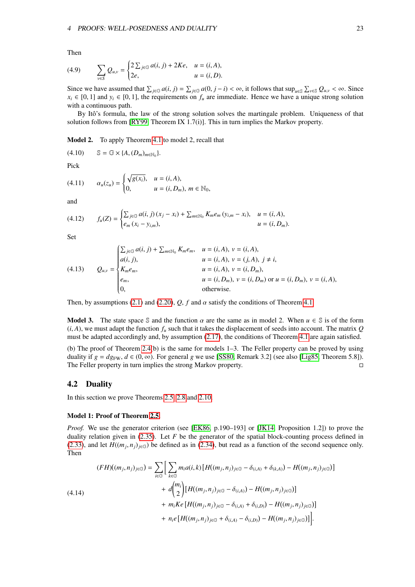Then

(4.9) 
$$
\sum_{v \in S} Q_{u,v} = \begin{cases} 2 \sum_{j \in \mathbb{G}} a(i,j) + 2Ke, & u = (i, A), \\ 2e, & u = (i, D). \end{cases}
$$

Since we have assumed that  $\sum_{j\in\mathbb{G}} a(i, j) = \sum_{j\in\mathbb{G}} a(0, j - i) < \infty$ , it follows that  $\sup_{u\in\mathbb{S}} \sum_{v\in\mathbb{S}} Q_{u,v} < \infty$ . Since  $v \in [0, 1]$  and  $v \in [0, 1]$  the requirements on f are immediate. Hence we have a unique s  $x_i \in [0, 1]$  and  $y_i \in [0, 1]$ , the requirements on  $f_u$  are immediate. Hence we have a unique strong solution with a continuous path.

By Itô's formula, the law of the strong solution solves the martingale problem. Uniqueness of that solution follows from [\[RY99,](#page-73-5) Theorem IX 1.7(i)]. This in turn implies the Markov property.

Model 2. To apply Theorem [4.1](#page-22-1) to model 2, recall that

(4.10)  $\mathbb{S} = \mathbb{G} \times \{A, (D_m)_{m \in \mathbb{N}_0}\}.$ 

Pick

(4.11) 
$$
\alpha_u(z_u) = \begin{cases} \sqrt{g(x_i)}, & u = (i, A), \\ 0, & u = (i, D_m), m \in \mathbb{N}_0, \end{cases}
$$

and

$$
(4.12) \t f_u(Z) = \begin{cases} \sum_{j \in \mathbb{G}} a(i,j) (x_j - x_i) + \sum_{m \in \mathbb{N}_0} K_m e_m (y_{i,m} - x_i), & u = (i, A), \\ e_m (x_i - y_{i,m}), & u = (i, D_m). \end{cases}
$$

Set

(4.13) 
$$
Q_{u,v} = \begin{cases} \sum_{j \in \mathbb{G}} a(i,j) + \sum_{m \in \mathbb{N}_0} K_m e_m, & u = (i, A), v = (i, A), \\ a(i,j), & u = (i, A), v = (j, A), j \neq i, \\ K_m e_m, & u = (i, A), v = (i, D_m), \\ e_m, & u = (i, D_m), v = (i, D_m) \text{ or } u = (i, D_m), v = (i, A), \\ 0, & \text{otherwise.} \end{cases}
$$

Then, by assumptions [\(2.1\)](#page-5-2) and [\(2.20\)](#page-8-3),  $Q$ ,  $f$  and  $\alpha$  satisfy the conditions of Theorem [4.1.](#page-22-1)

**Model 3.** The state space S and the function  $\alpha$  are the same as in model 2. When  $u \in S$  is of the form  $(i, A)$ , we must adapt the function  $f_u$  such that it takes the displacement of seeds into account. The matrix  $Q$ must be adapted accordingly and, by assumption [\(2.17\)](#page-8-5), the conditions of Theorem [4.1](#page-22-1) are again satisfied.

(b) The proof of Theorem [2.4\(](#page-10-1)b) is the same for models 1–3. The Feller property can be proved by using duality if  $g = dg_{\text{FW}}, d \in (0, \infty)$ . For general *g* we use [\[SS80,](#page-73-4) Remark 3.2] (see also [\[Lig85,](#page-73-2) Theorem 5.8]).<br>The Feller property in turn implies the strong Markov property. The Feller property in turn implies the strong Markov property.

#### <span id="page-23-0"></span>4.2 Duality

In this section we prove Theorems [2.5,](#page-12-0) [2.8](#page-13-0) and [2.10.](#page-14-1)

#### Model 1: Proof of Theorem [2.5.](#page-12-0)

*Proof.* We use the generator criterion (see [\[EK86,](#page-72-10) p.190–193] or [\[JK14,](#page-72-15) Proposition 1.2]) to prove the duality relation given in [\(2.35\)](#page-12-3). Let *F* be the generator of the spatial block-counting process defined in [\(2.33\)](#page-11-2), and let  $H((m_j, n_j)_{j \in \mathbb{G}})$  be defined as in [\(2.34\)](#page-12-1), but read as a function of the second sequence only.<br>Then Then

$$
(F H)((m_j, n_j)_{j \in \mathbb{G}}) = \sum_{i \in \mathbb{G}} \Big[ \sum_{k \in \mathbb{G}} m_i a(i, k) \left[ H((m_j, n_j)_{j \in \mathbb{G}} - \delta_{(i, A)} + \delta_{(k, A)}) - H((m_j, n_j)_{j \in \mathbb{G}}) \right] + d \binom{m_i}{2} \left[ H((m_j, n_j)_{j \in \mathbb{G}} - \delta_{(i, A)}) - H((m_j, n_j)_{j \in \mathbb{G}}) \right] + m_i K e \left[ H((m_j, n_j)_{j \in \mathbb{G}} - \delta_{(i, A)} + \delta_{(i, D)}) - H((m_j, n_j)_{j \in \mathbb{G}}) \right] + n_i e \left[ H((m_j, n_j)_{j \in \mathbb{G}} + \delta_{(i, A)} - \delta_{(i, D)}) - H((m_j, n_j)_{j \in \mathbb{G}}) \right].
$$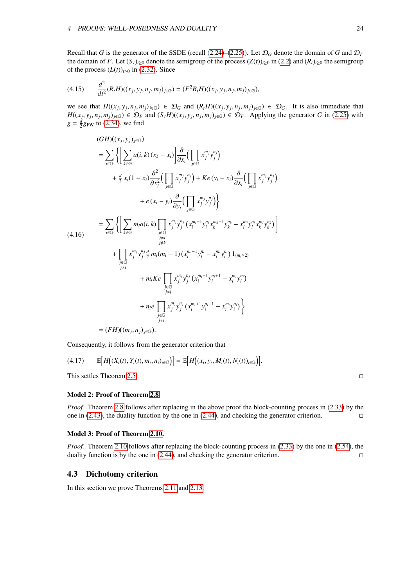Recall that *G* is the generator of the SSDE (recall [\(2.24\)](#page-9-2)–[\(2.25\)](#page-9-3)). Let  $\mathcal{D}_G$  denote the domain of *G* and  $\mathcal{D}_F$ the domain of *F*. Let  $(S_t)_{t\geq0}$  denote the semigroup of the process  $(Z(t))_{t\geq0}$  in [\(2.2\)](#page-6-4) and  $(R_t)_{t\geq0}$  the semigroup of the process  $(L(t))_{t\geq0}$  in [\(2.32\)](#page-11-3). Since

$$
(4.15) \qquad \frac{d^2}{dt^2}(R_tH)((x_j, y_j, n_j, m_j)_{j \in \mathbb{G}}) = (F^2R_tH)((x_j, y_j, n_j, m_j)_{j \in \mathbb{G}}),
$$

we see that  $H((x_j, y_j, n_j, m_j)_{j \in \mathbb{G}}) \in \mathcal{D}_G$  and  $(R_i H)((x_j, y_j, n_j, m_j)_{j \in \mathbb{G}}) \in \mathcal{D}_G$ . It is also immediate that  $H((x_j, y_j, n_j, m_j)_{j \in \mathbb{G}}) \in \mathcal{D}_G$ . The subsequently  $H((x_j, y_j, n_j, m_j)_{j \in \mathbb{G}}) \in \mathcal{D}_G$ . Applying  $H((x_j, y_j, n_j, m_j)_{j \in \mathbb{G}}) \in \mathcal{D}_F$  and  $(S_t H)((x_j, y_j, n_j, m_j)_{j \in \mathbb{G}}) \in \mathcal{D}_F$ . Applying the generator G in [\(2.25\)](#page-9-3) with  $a = \frac{d}{dx}$  and  $(2.34)$  we find  $g = \frac{d}{2}g_{\text{FW}}$  to [\(2.34\)](#page-12-1), we find

$$
(GH)((x_j, y_j)_{j \in G})
$$
\n
$$
= \sum_{i \in G} \left\{ \left[ \sum_{k \in G} a(i,k) (x_k - x_i) \right] \frac{\partial}{\partial x_i} \left( \prod_{j \in G} x_j^{m_j} y_j^{n_j} \right) \right.
$$
\n
$$
+ \frac{d}{2} x_i (1 - x_i) \frac{\partial^2}{\partial x_i^2} \left( \prod_{j \in G} x_j^{m_j} y_j^{n_j} \right) + Ke (y_i - x_i) \frac{\partial}{\partial x_i} \left( \prod_{j \in G} x_j^{m_j} y_j^{n_j} \right) \right.
$$
\n
$$
+ e (x_i - y_i) \frac{\partial}{\partial y_i} \left( \prod_{j \in G} x_j^{m_j} y_j^{n_j} \right) \right\}
$$
\n
$$
= \sum_{i \in G} \left\{ \left[ \sum_{k \in G} m_i a(i,k) \prod_{\substack{j \in G \\ j \neq i}} x_j^{m_j} y_j^{n_j} (x_i^{m_i - 1} y_i^{n_i} x_k^{m_k + 1} y_k^{n_k} - x_i^{m_i} y_i^{n_i} x_k^{m_i} y_k^{n_k} \right] \right\}
$$
\n
$$
+ \prod_{\substack{j \in G \\ j \neq i}} x_j^{m_j} y_j^{n_j} \frac{d}{2} m_i (m_i - 1) (x_i^{m_i - 1} y_i^{n_i} - x_i^{m_i} y_i^{n_i}) 1_{\{m_i \geq 2\}}
$$
\n
$$
+ m_i K e \prod_{\substack{j \in G \\ j \neq i}} x_j^{m_j} y_j^{n_j} (x_i^{m_i - 1} y_i^{n_i + 1} - x_i^{m_i} y_i^{n_i})
$$
\n
$$
+ n_i e \prod_{\substack{j \in G \\ j \neq i}} x_j^{m_j} y_j^{n_j} (x_i^{m_i + 1} y_i^{n_i - 1} - x_i^{m_i} y_i^{n_i}) \right\}
$$
\n
$$
= (FH)((m_j, n_j)_{j \in G}).
$$

Consequently, it follows from the generator criterion that

$$
(4.17) \qquad \mathbb{E}\Big[H\big((X_i(t),Y_i(t),m_i,n_i)_{i\in\mathbb{G}}\big)\Big]=\mathbb{E}\Big[H\big((x_i,y_i,M_i(t),N_i(t))_{i\in\mathbb{G}}\big)\Big].
$$

This settles Theorem [2.5.](#page-12-0)

Model 2: Proof of Theorem [2.8.](#page-13-0)

*Proof.* Theorem [2.8](#page-13-0) follows after replacing in the above proof the block-counting process in [\(2.33\)](#page-11-2) by the one in [\(2.43\)](#page-13-5), the duality function by the one in [\(2.44\)](#page-13-6), and checking the generator criterion.  $\square$ 

#### Model 3: Proof of Theorem [2.10.](#page-14-1)

*Proof.* Theorem [2.10](#page-14-1) follows after replacing the block-counting process in [\(2.33\)](#page-11-2) by the one in [\(2.54\)](#page-14-4), the duality function is by the one in  $(2.44)$ , and checking the generator criterion.

## <span id="page-24-0"></span>4.3 Dichotomy criterion

In this section we prove Theorems [2.11](#page-14-2) and [2.13.](#page-15-1)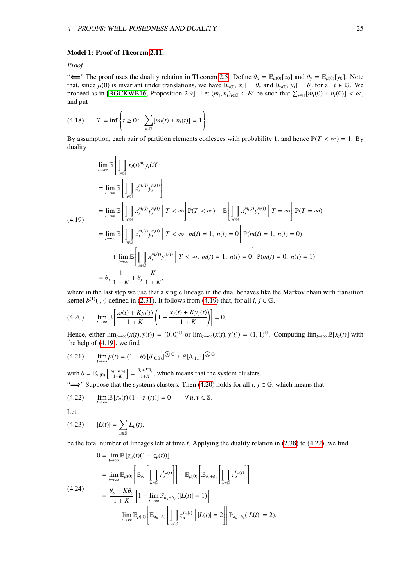#### Model 1: Proof of Theorem [2.11.](#page-14-2)

#### *Proof.*

" $\leftarrow$ " The proof uses the duality relation in Theorem [2.5.](#page-12-0) Define  $\theta_x = \mathbb{E}_{\mu(0)}[x_0]$  and  $\theta_y = \mathbb{E}_{\mu(0)}[y_0]$ . Note that, since  $\mu(0)$  is invariant under translations, we have  $\mathbb{E}_{\mu(0)}[x_i] = \theta_x$  and  $\mathbb{E}_{\mu(0)}[y_i] = \theta_y$  for all  $i \in \mathbb{G}$ . We proceed as in [\[BGCKWB16,](#page-71-1) Proposition 2.9]. Let  $(m_i, n_i)_{i \in \mathbb{G}} \in E'$  be such that  $\sum_{i \in \mathbb{G}} [m_i(0) + n_i(0)] < \infty$ , and put

(4.18) 
$$
T = \inf \left\{ t \ge 0 : \sum_{i \in \mathbb{G}} [m_i(t) + n_i(t)] = 1 \right\}
$$

<span id="page-25-0"></span>By assumption, each pair of partition elements coalesces with probability 1, and hence  $\mathbb{P}(T < \infty) = 1$ . By duality

$$
\lim_{t \to \infty} \mathbb{E} \left[ \prod_{i \in \mathbb{G}} x_i(t)^{m_i} y_i(t)^{n_i} \right]
$$
\n
$$
= \lim_{t \to \infty} \mathbb{E} \left[ \prod_{i \in \mathbb{G}} x_i^{m_i(t)} y_i^{n_i(t)} \right]
$$
\n
$$
= \lim_{t \to \infty} \mathbb{E} \left[ \prod_{i \in \mathbb{G}} x_i^{m_i(t)} y_i^{n_i(t)} \middle| T < \infty \right] \mathbb{P}(T < \infty) + \mathbb{E} \left[ \prod_{i \in \mathbb{G}} x_i^{m_i(t)} y_i^{n_i(t)} \middle| T = \infty \right] \mathbb{P}(T = \infty)
$$
\n
$$
= \lim_{t \to \infty} \mathbb{E} \left[ \prod_{i \in \mathbb{G}} x_i^{m_i(t)} y_i^{n_i(t)} \middle| T < \infty, \ m(t) = 1, \ n(t) = 0 \right] \mathbb{P}(m(t) = 1, \ n(t) = 0)
$$
\n
$$
+ \lim_{t \to \infty} \mathbb{E} \left[ \prod_{i \in \mathbb{G}} x_i^{m_i(t)} y_i^{n_i(t)} \middle| T < \infty, \ m(t) = 1, \ n(t) = 0 \right] \mathbb{P}(m(t) = 0, \ n(t) = 1)
$$
\n
$$
= \theta_x \frac{1}{1 + K} + \theta_y \frac{K}{1 + K},
$$

where in the last step we use that a single lineage in the dual behaves like the Markov chain with transition kernel  $b^{(1)}(\cdot, \cdot)$  defined in [\(2.31\)](#page-11-0). It follows from [\(4.19\)](#page-25-0) that, for all *i*,  $j \in \mathbb{G}$ ,

<span id="page-25-1"></span>
$$
(4.20) \qquad \lim_{t \to \infty} \mathbb{E}\left[\frac{x_i(t) + Ky_i(t)}{1 + K}\left(1 - \frac{x_j(t) + Ky_j(t)}{1 + K}\right)\right] = 0.
$$

Hence, either  $\lim_{t\to\infty}(x(t), y(t)) = (0, 0)^{\mathbb{G}}$  or  $\lim_{t\to\infty}(x(t), y(t)) = (1, 1)^{\mathbb{G}}$ . Computing  $\lim_{t\to\infty} \mathbb{E}[x_i(t)]$  with the help of [\(4.19\)](#page-25-0), we find

$$
(4.21) \qquad \lim_{t \to \infty} \mu(t) = (1 - \theta) \left[ \delta_{(0,0)} \right]^{\textcircled{\mathbb{S}}} + \theta \left[ \delta_{(1,1)} \right]^{\textcircled{\mathbb{S}}}
$$

with  $\theta = \mathbb{E}_{\mu(0)} \left[ \frac{x_0 + Ky_0}{1+K} \right] = \frac{\theta_x + K\theta_y}{1+K}$ , which means that the system clusters. " $\implies$ " Suppose that the systems clusters. Then [\(4.20\)](#page-25-1) holds for all *i*, *j*  $\in \mathbb{G}$ , which means that

<span id="page-25-2"></span>
$$
(4.22) \qquad \lim_{t\to\infty} \mathbb{E} \left[ z_u(t) \left( 1 - z_v(t) \right) \right] = 0 \qquad \forall \, u, v \in \mathbb{S}.
$$

Let

$$
(4.23) \qquad |L(t)| = \sum_{u \in \mathbb{S}} L_u(t),
$$

be the total number of lineages left at time *t*. Applying the duality relation in [\(2.38\)](#page-12-4) to [\(4.22\)](#page-25-2), we find

<span id="page-25-3"></span>
$$
0 = \lim_{t \to \infty} \mathbb{E} [z_u(t)(1 - z_v(t))]
$$
  
\n
$$
= \lim_{t \to \infty} \mathbb{E}_{\mu(0)} \left[ \mathbb{E}_{\delta_u} \left[ \prod_{u \in \mathbb{S}} z_u^{L_u(t)} \right] \right] - \mathbb{E}_{\mu(0)} \left[ \mathbb{E}_{\delta_u + \delta_v} \left[ \prod_{u \in \mathbb{S}} z_u^{L_u(t)} \right] \right]
$$
  
\n(4.24)  
\n
$$
= \frac{\theta_x + K\theta_y}{1 + K} \left[ 1 - \lim_{t \to \infty} \mathbb{P}_{\delta_u + \delta_v} (|L(t)| = 1) \right]
$$
  
\n
$$
- \lim_{t \to \infty} \mathbb{E}_{\mu(0)} \left[ \mathbb{E}_{\delta_u + \delta_v} \left[ \prod_{u \in \mathbb{S}} z_u^{L_u(t)} \right] |L(t)| = 2 \right] \left[ \mathbb{P}_{\delta_u + \delta_v} (|L(t)| = 2) \right].
$$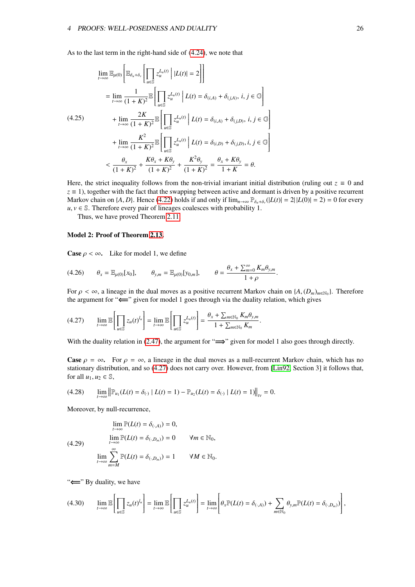$\overline{a}$ 

 $\overline{a}$ 

As to the last term in the right-hand side of [\(4.24\)](#page-25-3), we note that

$$
\lim_{t \to \infty} \mathbb{E}_{\mu(0)} \left[ \mathbb{E}_{\delta_u + \delta_v} \left[ \prod_{u \in \mathbb{S}} z_u^{L_u(t)} \middle| |L(t)| = 2 \right] \right]
$$
\n
$$
= \lim_{t \to \infty} \frac{1}{(1 + K)^2} \mathbb{E} \left[ \prod_{u \in \mathbb{S}} z_u^{L_u(t)} \middle| L(t) = \delta_{(i,A)} + \delta_{(j,A)}, i, j \in \mathbb{G} \right]
$$
\n
$$
+ \lim_{t \to \infty} \frac{2K}{(1 + K)^2} \mathbb{E} \left[ \prod_{u \in \mathbb{S}} z_u^{L_u(t)} \middle| L(t) = \delta_{(i,A)} + \delta_{(j,D)}, i, j \in \mathbb{G} \right]
$$
\n
$$
+ \lim_{t \to \infty} \frac{K^2}{(1 + K)^2} \mathbb{E} \left[ \prod_{u \in \mathbb{S}} z_u^{L_u(t)} \middle| L(t) = \delta_{(i,D)} + \delta_{(j,D)}, i, j \in \mathbb{G} \right]
$$
\n
$$
< \frac{\theta_x}{(1 + K)^2} + \frac{K\theta_x + K\theta_y}{(1 + K)^2} + \frac{K^2\theta_y}{(1 + K)^2} = \frac{\theta_x + K\theta_y}{1 + K} = \theta.
$$

Here, the strict inequality follows from the non-trivial invariant initial distribution (ruling out  $z \equiv 0$  and  $z \equiv 1$ ), together with the fact that the swapping between active and dormant is driven by a positive recurrent Markov chain on {*A*, *D*}. Hence [\(4.22\)](#page-25-2) holds if and only if  $\lim_{n\to\infty} P_{\delta_n+\delta_y}(|L(t)| = 2||L(0)| = 2) = 0$  for every  $\mu, \nu \in \mathbb{S}$ . Therefore every pair of lineages coalesces with probability 1  $u, v \in \mathbb{S}$ . Therefore every pair of lineages coalesces with probability 1.

Thus, we have proved Theorem [2.11.](#page-14-2)

#### Model 2: Proof of Theorem [2.13.](#page-15-1)

**Case**  $\rho < \infty$ . Like for model 1, we define

(4.26) 
$$
\theta_x = \mathbb{E}_{\mu(0)}[x_0], \qquad \theta_{y,m} = \mathbb{E}_{\mu(0)}[y_{0,m}], \qquad \theta = \frac{\theta_x + \sum_{m=0}^{\infty} K_m \theta_{y,m}}{1 + \rho}.
$$

For  $\rho < \infty$ , a lineage in the dual moves as a positive recurrent Markov chain on  $\{A, (D_m)_{m \in \mathbb{N}_0}\}$ . Therefore the argument for "⇐=" given for model 1 goes through via the duality relation, which gives

<span id="page-26-0"></span>
$$
(4.27) \qquad \lim_{t \to \infty} \mathbb{E}\left[\prod_{u \in \mathbb{S}} z_u(t)^{l_u}\right] = \lim_{t \to \infty} \mathbb{E}\left[\prod_{u \in \mathbb{S}} z_u^{L_u(t)}\right] = \frac{\theta_x + \sum_{m \in \mathbb{N}_0} K_m \theta_{y,m}}{1 + \sum_{m \in \mathbb{N}_0} K_m}
$$

With the duality relation in [\(2.47\)](#page-13-7), the argument for " $\implies$ " given for model 1 also goes through directly.

**Case**  $\rho = \infty$ . For  $\rho = \infty$ , a lineage in the dual moves as a null-recurrent Markov chain, which has no stationary distribution, and so [\(4.27\)](#page-26-0) does not carry over. However, from [\[Lin92,](#page-73-6) Section 3] it follows that, for all  $u_1, u_2 \in \mathbb{S}$ ,

$$
(4.28) \qquad \lim_{t\to\infty}\left\|\mathbb{P}_{u_1}(L(t)=\delta_{(\cdot)}\mid L(t)=1)-\mathbb{P}_{u_2}(L(t)=\delta_{(\cdot)}\mid L(t)=1)\right\|_{\mathbb{I}_V}=0.
$$

<span id="page-26-1"></span>Moreover, by null-recurrence,

(4.29)  
\n
$$
\lim_{t \to \infty} \mathbb{P}(L(t) = \delta_{(\cdot,A)}) = 0,
$$
\n
$$
\lim_{t \to \infty} \mathbb{P}(L(t) = \delta_{(\cdot,D_m)}) = 0 \qquad \forall m \in \mathbb{N}_0,
$$
\n
$$
\lim_{t \to \infty} \sum_{m=M}^{\infty} \mathbb{P}(L(t) = \delta_{(\cdot,D_m)}) = 1 \qquad \forall M \in \mathbb{N}_0.
$$

<span id="page-26-2"></span>"⇐=" By duality, we have

$$
(4.30) \qquad \lim_{t\to\infty}\mathbb{E}\left[\prod_{u\in\mathbb{S}}z_u(t)^{l_u}\right]=\lim_{t\to\infty}\mathbb{E}\left[\prod_{u\in\mathbb{S}}z_u^{L_u(t)}\right]=\lim_{t\to\infty}\left[\theta_x\mathbb{P}(L(t)=\delta_{(\cdot,A)})+\sum_{m\in\mathbb{N}_0}\theta_{y,m}\mathbb{P}(L(t)=\delta_{(\cdot,D_m)})\right],
$$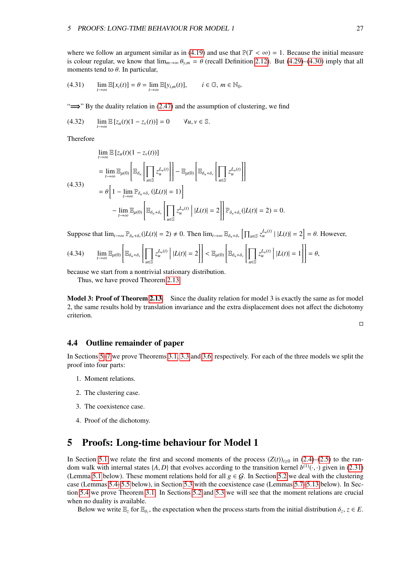where we follow an argument similar as in [\(4.19\)](#page-25-0) and use that  $P(T < \infty) = 1$ . Because the initial measure is colour regular, we know that  $\lim_{m\to\infty} \theta_{v,m} = \theta$  (recall Definition [2.12\)](#page-15-2). But [\(4.29\)](#page-26-1)–[\(4.30\)](#page-26-2) imply that all moments tend to  $\theta$ . In particular,

(4.31) 
$$
\lim_{t\to\infty}\mathbb{E}[x_i(t)] = \theta = \lim_{t\to\infty}\mathbb{E}[y_{i,m}(t)], \qquad i \in \mathbb{G}, m \in \mathbb{N}_0.
$$

"=⇒" By the duality relation in [\(2.47\)](#page-13-7) and the assumption of clustering, we find

$$
(4.32) \qquad \lim_{t\to\infty} \mathbb{E} \left[ z_u(t)(1-z_v(t)) \right] = 0 \qquad \forall u, v \in \mathbb{S}.
$$

Therefore

$$
\lim_{t \to \infty} \mathbb{E} \left[ z_u(t) (1 - z_v(t)) \right]
$$
\n
$$
= \lim_{t \to \infty} \mathbb{E}_{\mu(0)} \left[ \mathbb{E}_{\delta_u} \left[ \prod_{u \in \mathbb{S}} z_u^{L_u(t)} \right] \right] - \mathbb{E}_{\mu(0)} \left[ \mathbb{E}_{\delta_u + \delta_v} \left[ \prod_{u \in \mathbb{S}} z_u^{L_u(t)} \right] \right]
$$
\n
$$
(4.33)
$$
\n
$$
= \theta \left[ 1 - \lim_{t \to \infty} \mathbb{P}_{\delta_u + \delta_v} \left( |L(t)| = 1 \right) \right]
$$
\n
$$
- \lim_{t \to \infty} \mathbb{E}_{\mu(0)} \left[ \mathbb{E}_{\delta_u + \delta_v} \left[ \prod_{u \in \mathbb{S}} z_u^{L_u(t)} \right] |L(t)| = 2 \right] \right] \mathbb{P}_{\delta_u + \delta_v} (|L(t)| = 2) = 0.
$$

Suppose that  $\lim_{t\to\infty} \mathbb{P}_{\delta_u+\delta_v}(|L(t)| = 2) \neq 0$ . Then  $\lim_{t\to\infty} \mathbb{E}_{\delta_u+\delta_v}[\prod_{u\in\mathbb{S}} z_u^{L_u(t)} | |L(t)| = 2] = \theta$ . However,

$$
(4.34) \qquad \lim_{t\to\infty} \mathbb{E}_{\mu(0)}\left[\mathbb{E}_{\delta_u+\delta_v}\left[\prod_{u\in\mathbb{S}}z_u^{L_u(t)}\,\bigg\vert\, |L(t)|=2\right]\right] < \mathbb{E}_{\mu(0)}\left[\mathbb{E}_{\delta_u+\delta_v}\left[\prod_{u\in\mathbb{S}}z_u^{L_u(t)}\,\bigg\vert\, |L(t)|=1\right]\right]=\theta,
$$

because we start from a nontrivial stationary distribution.

Thus, we have proved Theorem [2.13.](#page-15-1)

Model 3: Proof of Theorem [2.13.](#page-15-1) Since the duality relation for model 3 is exactly the same as for model 2, the same results hold by translation invariance and the extra displacement does not affect the dichotomy criterion.

 $\Box$ 

#### <span id="page-27-0"></span>4.4 Outline remainder of paper

In Sections [5](#page-27-1)[–7](#page-56-0) we prove Theorems [3.1,](#page-16-1) [3.3](#page-18-4) and [3.6,](#page-21-3) respectively. For each of the three models we split the proof into four parts:

- 1. Moment relations.
- 2. The clustering case.
- 3. The coexistence case.
- 4. Proof of the dichotomy.

## <span id="page-27-1"></span>5 Proofs: Long-time behaviour for Model 1

In Section [5.1](#page-28-0) we relate the first and second moments of the process  $(Z(t))_{t\geq0}$  in [\(2.4\)](#page-6-0)–[\(2.5\)](#page-6-0) to the random walk with internal states  $\{A, D\}$  that evolves according to the transition kernel  $b^{(1)}(\cdot, \cdot)$  given in [\(2.31\)](#page-11-0) (Lemma 5.1 helow). These moment relations hold for all  $a \in G$ . In Section 5.2 we deal with the clusteri (Lemma [5.1](#page-28-1) below). These moment relations hold for all  $g \in G$ . In Section [5.2](#page-29-0) we deal with the clustering case (Lemmas [5.4–](#page-30-1)[5.5](#page-33-0) below), in Section [5.3](#page-35-0) with the coexistence case (Lemmas [5.7](#page-36-0)[–5.13](#page-42-0) below). In Section [5.4](#page-43-0) we prove Theorem [3.1.](#page-16-1) In Sections [5.2](#page-29-0) and [5.3](#page-35-0) we will see that the moment relations are crucial when no duality is available.

Below we write  $\mathbb{E}_z$  for  $\mathbb{E}_{\delta_z}$ , the expectation when the process starts from the initial distribution  $\delta_z$ ,  $z \in E$ .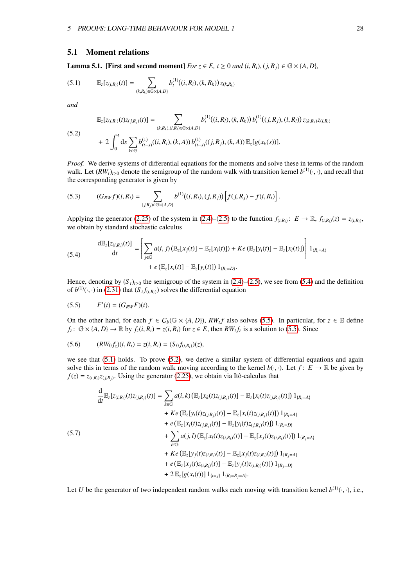#### <span id="page-28-0"></span>5.1 Moment relations

<span id="page-28-4"></span><span id="page-28-1"></span>**Lemma 5.1.** [First and second moment] *For*  $z \in E$ ,  $t \ge 0$  *and*  $(i, R_i)$ ,  $(j, R_j) \in \mathbb{G} \times \{A, D\}$ *,* 

$$
(5.1) \t\t\t\mathbb{E}_{z}[z_{(i,R_i)}(t)] = \sum_{(k,R_k)\in\mathbb{G}\times\{A,D\}} b_t^{(1)}((i,R_i),(k,R_k)) z_{(k,R_k)}
$$

<span id="page-28-5"></span>*and*

$$
\mathbb{E}_{z}[z_{(i,R_i)}(t)z_{(j,R_j)}(t)] = \sum_{(k,R_k),(l,R_i) \in \mathbb{G} \times \{A,D\}} b_t^{(1)}((i,R_i),(k,R_k)) b_t^{(1)}((j,R_j),(l,R_l)) z_{(k,R_k)} z_{(l,R_l)} \n+ 2 \int_0^t ds \sum_{k \in \mathbb{G}} b_{(t-s)}^{(1)}((i,R_i),(k,A)) b_{(t-s)}^{(1)}((j,R_j),(k,A)) \mathbb{E}_{z}[g(x_k(s))].
$$

*Proof.* We derive systems of differential equations for the moments and solve these in terms of the random walk. Let  $(RW_t)_{t\geq0}$  denote the semigroup of the random walk with transition kernel  $b^{(1)}(\cdot, \cdot)$ , and recall that the corresponding generator is given by the corresponding generator is given by

(5.3) 
$$
(G_{RW}f)(i, R_i) = \sum_{(j, R_j) \in \mathbb{G} \times \{A, D\}} b^{(1)}((i, R_i), (j, R_j)) \Big[ f(j, R_j) - f(i, R_i) \Big].
$$

<span id="page-28-2"></span>Applying the generator [\(2.25\)](#page-9-3) of the system in [\(2.4\)](#page-6-0)–[\(2.5\)](#page-6-0) to the function  $f_{(i,R_i)}$ :  $E \to \mathbb{R}$ ,  $f_{(i,R_i)}(z) = z_{(i,R_i)}$ , we obtain by standard stochastic calculus

(5.4) 
$$
\frac{d\mathbb{E}_{z}[z_{(i,R_{i})}(t)]}{dt} = \left[\sum_{j\in\mathbb{G}} a(i,j) \left(\mathbb{E}_{z}[x_{j}(t)] - \mathbb{E}_{z}[x_{i}(t)]\right) + Ke\left(\mathbb{E}_{z}[y_{i}(t)] - \mathbb{E}_{z}[x_{i}(t)]\right)\right]1_{(R_{i}=A)} + e\left(\mathbb{E}_{z}[x_{i}(t)] - \mathbb{E}_{z}[y_{i}(t)]\right)1_{(R_{i}=D)}.
$$

<span id="page-28-3"></span>Hence, denoting by  $(S_t)_{t\geq0}$  the semigroup of the system in [\(2.4\)](#page-6-0)–[\(2.5\)](#page-6-0), we see from [\(5.4\)](#page-28-2) and the definition of  $b^{(1)}(\cdot, \cdot)$  in [\(2.31\)](#page-11-0) that  $(S_t f_{(i,R_i)})$  solves the differential equation

$$
(5.5) \qquad F'(t) = (G_{RW}F)(t).
$$

On the other hand, for each *f* ∈  $C_b$ ( $\mathbb{G} \times \{A, D\}$ ),  $RW_t$  also solves [\(5.5\)](#page-28-3). In particular, for *z* ∈ E define *f*  $\cdot$   $\mathbb{G} \times \{A, D\} \rightarrow \mathbb{R}$  by *f* (*i*, *R*) = *z*(*i*, *R*) for *z* ∈ *E* then *RW f* is a s  $f_z: \mathbb{G} \times \{A, D\} \to \mathbb{R}$  by  $f_z(i, R_i) = z(i, R_i)$  for  $z \in E$ , then  $RW_t f_z$  is a solution to [\(5.5\)](#page-28-3). Since

(5.6) 
$$
(RW_0f_z)(i, R_i) = z(i, R_i) = (S_0f_{(i, R_i)})(z),
$$

we see that  $(5.1)$  holds. To prove  $(5.2)$ , we derive a similar system of differential equations and again solve this in terms of the random walk moving according to the kernel  $b(\cdot, \cdot)$ . Let  $f: E \to \mathbb{R}$  be given by  $f(z) = z_{(i,R_i)}z_{(j,R_j)}$ . Using the generator [\(2.25\)](#page-9-3), we obtain via Itô-calculus that

<span id="page-28-6"></span>
$$
\frac{d}{dt} \mathbb{E}_{z}[z_{(i,R_i)}(t)z_{(j,R_j)}(t)] = \sum_{k \in \mathbb{G}} a(i,k) \left( \mathbb{E}_{z}[x_k(t)z_{(j,R_j)}(t)] - \mathbb{E}_{z}[x_i(t)z_{(j,R_j)}(t)] \right) 1_{\{R_i = A\}}
$$
\n
$$
+ Ke \left( \mathbb{E}_{z}[y_i(t)z_{(j,R_j)}(t)] - \mathbb{E}_{z}[x_i(t)z_{(j,R_j)}(t)] \right) 1_{\{R_i = A\}}
$$
\n
$$
+ e \left( \mathbb{E}_{z}[x_i(t)z_{(j,R_j)}(t)] - \mathbb{E}_{z}[y_i(t)z_{(j,R_j)}(t)] \right) 1_{\{R_i = D\}}
$$
\n(5.7)\n
$$
+ \sum_{l \in \mathbb{G}} a(j,l) \left( \mathbb{E}_{z}[x_l(t)z_{(i,R_i)}(t)] - \mathbb{E}_{z}[x_j(t)z_{(i,R_i)}(t)] \right) 1_{\{R_j = A\}}
$$
\n
$$
+ Ke \left( \mathbb{E}_{z}[y_j(t)z_{(i,R_i)}(t)] - \mathbb{E}_{z}[y_j(t)z_{(i,R_i)}(t)] \right) 1_{\{R_j = A\}}
$$
\n
$$
+ e \left( \mathbb{E}_{z}[x_j(t)z_{(i,R_i)}(t)] - \mathbb{E}_{z}[y_j(t)z_{(i,R_i)}(t)] \right) 1_{\{R_j = D\}}
$$
\n
$$
+ 2 \mathbb{E}_{z}[g(x_i(t))] 1_{\{i = j\}} 1_{\{R_i = R_j = A\}}.
$$

Let *U* be the generator of two independent random walks each moving with transition kernel  $b^{(1)}(\cdot, \cdot)$ , i.e.,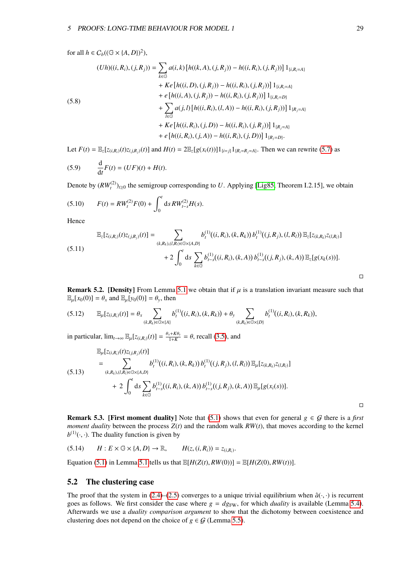for all  $h \in C_b((\mathbb{G} \times \{A, D\})^2)$ ,

(5.8)  
\n
$$
(Uh)((i, R_i), (j, R_j)) = \sum_{k \in \mathbb{G}} a(i,k) [h((k, A), (j, R_j)) - h((i, R_i), (j, R_j))] 1_{\{i, R_i = A\}}
$$
\n
$$
+ Ke [h((i, D), (j, R_j)) - h((i, R_i), (j, R_j))] 1_{\{i, R_i = A\}}
$$
\n
$$
+ e [h((i, A), (j, R_j)) - h((i, R_i), (j, R_j))] 1_{\{i, R_i = D\}}
$$
\n
$$
+ \sum_{l \in \mathbb{G}} a(j, l) [h((i, R_i), (l, A)) - h((i, R_i), (j, R_j))] 1_{\{R_j = A\}}
$$
\n
$$
+ Ke [h((i, R_i), (j, D)) - h((i, R_i), (j, R_j))] 1_{\{R_j = D\}}.
$$

Let  $F(t) = \mathbb{E}_{z}[z_{(i,R_i)}(t)z_{(j,R_i)}(t)]$  and  $H(t) = 2\mathbb{E}_{z}[g(x_i(t))]1_{\{i=j\}}1_{\{R_i = R_j = A\}}$ . Then we can rewrite [\(5.7\)](#page-28-6) as

(5.9) 
$$
\frac{d}{dt}F(t) = (UF)(t) + H(t).
$$

Denote by  $(RW_t^{(2)})_{t\geq0}$  the semigroup corresponding to *U*. Applying [\[Lig85,](#page-73-2) Theorem I.2.15], we obtain

(5.10) 
$$
F(t) = RW_t^{(2)}F(0) + \int_0^t ds RW_{t-s}^{(2)}H(s).
$$

Hence

$$
\mathbb{E}_{z}[z_{(i,R_i)}(t)z_{(j,R_j)}(t)] = \sum_{(k,R_k),(l,R_i)\in\mathbb{G}\times\{A,D\}} b_t^{(1)}((i,R_i),(k,R_k)) b_t^{(1)}((j,R_j),(l,R_l)) \mathbb{E}_{z}[z_{(k,R_k)}z_{(l,R_l)}] + 2\int_0^t ds \sum_{k\in\mathbb{G}} b_{t-s}^{(1)}((i,R_i),(k,A)) b_{t-s}^{(1)}((j,R_j),(k,A)) \mathbb{E}_{z}[g(x_k(s))].
$$

<span id="page-29-1"></span>**Remark 5.2. [Density]** From Lemma [5.1](#page-28-1) we obtain that if  $\mu$  is a translation invariant measure such that  $\mathbb{E}_{\mu}[x_0(0)] = \theta_x$  and  $\mathbb{E}_{\mu}[y_0(0)] = \theta_y$ , then

$$
(5.12) \t\t\t\t\mathbb{E}_{\mu}[z_{(i,R_i)}(t)] = \theta_x \sum_{(k,R_k) \in \mathbb{G} \times \{A\}} b_t^{(1)}((i,R_i),(k,R_k)) + \theta_y \sum_{(k,R_k) \in \mathbb{G} \times \{D\}} b_t^{(1)}((i,R_i),(k,R_k)),
$$

in particular,  $\lim_{t\to\infty} \mathbb{E}_{\mu}[z_{(i,R_i)}(t)] = \frac{\theta_x + K\theta_y}{1+K} = \theta$ , recall [\(3.5\)](#page-16-4), and

$$
\mathbb{E}_{\mu}[z_{(i,R_i)}(t)z_{(j,R_j)}(t)]
$$
\n
$$
= \sum_{(k,R_k),(l,R_i)\in\mathbb{G}\times\{A,D\}} b_i^{(1)}((i,R_i),(k,R_k)) b_i^{(1)}((j,R_j),(l,R_l)) \mathbb{E}_{\mu}[z_{(k,R_k)}z_{(l,R_l)}]
$$
\n
$$
+ 2 \int_0^t ds \sum_{k\in\mathbb{G}} b_{t-s}^{(1)}((i,R_i),(k,A)) b_{t-s}^{(1)}((j,R_j),(k,A)) \mathbb{E}_{\mu}[g(x_i(s))].
$$

**Remark 5.3.** [First moment duality] Note that [\(5.1\)](#page-28-4) shows that even for general  $g \in G$  there is a *first moment duality* between the process *<sup>Z</sup>*(*t*) and the random walk *RW*(*t*), that moves according to the kernel  $b^{(1)}(\cdot, \cdot)$ . The duality function is given by

$$
(5.14) \qquad H: E \times \mathbb{G} \times \{A, D\} \to \mathbb{R}, \qquad H(z, (i, R_i)) = z_{(i, R_i)}.
$$

Equation [\(5.1\)](#page-28-4) in Lemma [5.1](#page-28-1) tells us that  $\mathbb{E}[H(Z(t), RW(0))] = \mathbb{E}[H(Z(0), RW(t))].$ 

#### <span id="page-29-0"></span>5.2 The clustering case

The proof that the system in [\(2.4\)](#page-6-0)–[\(2.5\)](#page-6-0) converges to a unique trivial equilibrium when  $\hat{a}(\cdot, \cdot)$  is recurrent goes as follows. We first consider the case where  $g = dg_{FW}$ , for which *duality* is available (Lemma [5.4\)](#page-30-1). Afterwards we use a *duality comparison argument* to show that the dichotomy between coexistence and clustering does not depend on the choice of  $g \in \mathcal{G}$  (Lemma [5.5\)](#page-33-0).

 $\Box$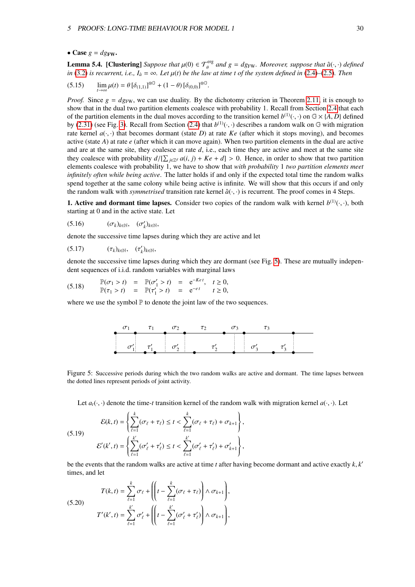#### • Case  $g = dg$ FW.

<span id="page-30-1"></span>**Lemma 5.4.** [Clustering] *Suppose that*  $\mu(0) \in \mathcal{T}_{\theta}^{\text{erg}}$  and  $g = dg_{\text{FW}}$ *. Moreover, suppose that*  $\hat{a}(\cdot, \cdot)$  *defined* in (3.2) is recurrent i.e.  $I_2 = \infty$ , Let  $\mu(t)$  be the law at time t of the system define *in* [\(3.2\)](#page-16-7) *is recurrent, i.e.,*  $I_{\hat{a}} = \infty$ *. Let*  $\mu(t)$  *be the law at time t of the system defined in* [\(2.4\)](#page-6-0)–[\(2.5\)](#page-6-0)*. Then* 

$$
(5.15) \qquad \lim_{t \to \infty} \mu(t) = \theta \left[ \delta_{(1,1)} \right]^{\otimes \mathbb{G}} + (1 - \theta) \left[ \delta_{(0,0)} \right]^{\otimes \mathbb{G}}
$$

*Proof.* Since  $g = dg_{FW}$ , we can use duality. By the dichotomy criterion in Theorem [2.11,](#page-14-2) it is enough to show that in the dual two partition elements coalesce with probability 1. Recall from Section [2.4](#page-10-0) that each of the partition elements in the dual moves according to the transition kernel  $b^{(1)}(\cdot, \cdot)$  on  $\mathbb{G} \times \{A, D\}$  defined<br>by (2.31) (see Fig. 3). Recall from Section (2.4) that  $b^{(1)}(\cdot, \cdot)$  describes a random walk on  $\math$ by [\(2.31\)](#page-11-0) (see Fig. [3\)](#page-10-4). Recall from Section [\(2.4\)](#page-10-0) that  $b^{(1)}(\cdot, \cdot)$  describes a random walk on G with migration rate kernel  $a(\cdot, \cdot)$  that becomes dormant (state *D*) at rate *Ke* (after which it stops moving), and becom rate kernel  $a(\cdot, \cdot)$  that becomes dormant (state *D*) at rate *Ke* (after which it stops moving), and becomes active (state *A*) at rate *e* (after which it can move again). When two partition elements in the dual are active and are at the same site, they coalesce at rate *d*, i.e., each time they are active and meet at the same site they coalesce with probability  $d/[\sum_{j\in\mathbb{Z}^d}a(i,j) + Ke + d] > 0$ . Hence, in order to show that two partition elements coalesce with probability 1, we have to show that *with probability* 1 two partition elements meet elements coalesce with probability 1, we have to show that *with probability* 1 *two partition elements meet infinitely often while being active*. The latter holds if and only if the expected total time the random walks spend together at the same colony while being active is infinite. We will show that this occurs if and only the random walk with *symmetrised* transition rate kernel  $\hat{a}(\cdot, \cdot)$  is recurrent. The proof comes in 4 Steps.

<span id="page-30-4"></span>**1. Active and dormant time lapses.** Consider two copies of the random walk with kernel  $b^{(1)}(\cdot, \cdot)$ , both starting at 0 and in the active state. Let starting at 0 and in the active state. Let

(5.16)  $(\sigma_k)_{k \in \mathbb{N}}, \quad (\sigma'_k)_{k \in \mathbb{N}},$ 

denote the successive time lapses during which they are active and let

(5.17)  $(\tau_k)_{k \in \mathbb{N}}, \quad (\tau'_k)_{k \in \mathbb{N}},$ 

denote the successive time lapses during which they are dormant (see Fig. [5\)](#page-30-0). These are mutually independent sequences of i.i.d. random variables with marginal laws

(5.18)  $\mathbb{P}(\sigma_1 > t) = \mathbb{P}(\sigma'_1 > t) = e^{-Ket}, \quad t \ge 0,$ <br>  $\mathbb{P}(\tau_1 > t) = \mathbb{P}(\tau' > t) = e^{-et}, \quad t > 0,$  $\mathbb{P}(\tau_1 > t) = \mathbb{P}(\tau_1' > t) = e^{-e t} \quad t \ge 0,$ 

<span id="page-30-0"></span>where we use the symbol  $\mathbb P$  to denote the joint law of the two sequences.

<span id="page-30-5"></span><span id="page-30-2"></span>

Figure 5: Successive periods during which the two random walks are active and dormant. The time lapses between the dotted lines represent periods of joint activity.

Let  $a_t(\cdot, \cdot)$  denote the time-*t* transition kernel of the random walk with migration kernel  $a(\cdot, \cdot)$ . Let

(5.19) 
$$
\mathcal{E}(k, t) = \left\{ \sum_{\ell=1}^{k} (\sigma_{\ell} + \tau_{\ell}) \le t < \sum_{\ell=1}^{k} (\sigma_{\ell} + \tau_{\ell}) + \sigma_{k+1} \right\},
$$

$$
\mathcal{E}'(k', t) = \left\{ \sum_{\ell=1}^{k'} (\sigma'_{\ell} + \tau'_{\ell}) \le t < \sum_{\ell=1}^{k'} (\sigma'_{\ell} + \tau'_{\ell}) + \sigma'_{k+1} \right\},
$$

<span id="page-30-3"></span>be the events that the random walks are active at time *t* after having become dormant and active exactly  $k$ ,  $k'$  times and let times, and let

(5.20) 
$$
T(k,t) = \sum_{\ell=1}^k \sigma_{\ell} + \left( \left( t - \sum_{\ell=1}^k (\sigma_{\ell} + \tau_{\ell}) \right) \wedge \sigma_{k+1} \right),
$$

$$
T'(k',t) = \sum_{\ell=1}^{k'} \sigma'_{\ell} + \left( \left( t - \sum_{\ell=1}^{k'} (\sigma'_{\ell} + \tau'_{\ell}) \right) \wedge \sigma_{k+1} \right),
$$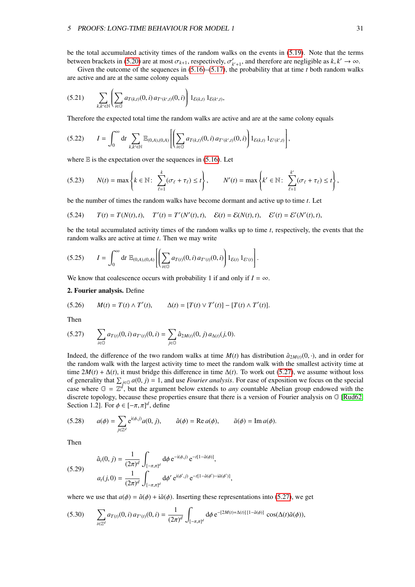be the total accumulated activity times of the random walks on the events in [\(5.19\)](#page-30-2). Note that the terms between brackets in [\(5.20\)](#page-30-3) are at most  $\sigma_{k+1}$ , respectively,  $\sigma'_{k+1}$ , and therefore are negligible as  $k, k' \to \infty$ .<br>Given the outcome of the sequences in (5.16)–(5.17), the probability that at time *t* both random wa

Given the outcome of the sequences in  $(5.16)$ – $(5.17)$ , the probability that at time *t* both random walks are active and are at the same colony equals

$$
(5.21) \qquad \sum_{k,k'\in\mathbb{N}}\left(\sum_{i\in\mathbb{G}}a_{T(k,t)}(0,i)\,a_{T'(k',t)}(0,i)\right)1_{\mathcal{E}(k,t)}\,1_{\mathcal{E}(k',t)},
$$

Therefore the expected total time the random walks are active and are at the same colony equals

$$
(5.22) \tI = \int_0^\infty dt \sum_{k,k' \in \mathbb{N}} \mathbb{E}_{(0,A),(0,A)} \left[ \left( \sum_{i \in \mathbb{G}} a_{T(k,t)}(0,i) a_{T'(k',t)}(0,i) \right) 1_{\mathcal{E}(k,t)} 1_{\mathcal{E}'(k',t)} \right],
$$

where  $E$  is the expectation over the sequences in [\(5.16\)](#page-30-4). Let

$$
(5.23) \qquad N(t) = \max\left\{k \in \mathbb{N}: \sum_{\ell=1}^k (\sigma_\ell + \tau_\ell) \leq t\right\}, \qquad N'(t) = \max\left\{k' \in \mathbb{N}: \sum_{\ell=1}^{k'} (\sigma_\ell + \tau_\ell) \leq t\right\},\
$$

be the number of times the random walks have become dormant and active up to time *t*. Let

(5.24) 
$$
T(t) = T(N(t), t), \quad T'(t) = T'(N'(t), t), \quad \mathcal{E}(t) = \mathcal{E}(N(t), t), \quad \mathcal{E}'(t) = \mathcal{E}'(N'(t), t),
$$

<span id="page-31-1"></span>be the total accumulated activity times of the random walks up to time *t*, respectively, the events that the random walks are active at time *t*. Then we may write

$$
(5.25) \tI = \int_0^\infty dt \ \mathbb{E}_{(0,A),(0,A)} \left[ \left( \sum_{i \in \mathbb{G}} a_{T(i)}(0,i) a_{T'(i)}(0,i) \right) 1_{\mathcal{E}(t)} 1_{\mathcal{E}'(t)} \right].
$$

We know that coalescence occurs with probability 1 if and only if  $I = \infty$ .

#### 2. Fourier analysis. Define

(5.26) 
$$
M(t) = T(t) \wedge T'(t), \qquad \Delta(t) = [T(t) \vee T'(t)] - [T(t) \wedge T'(t)].
$$

<span id="page-31-0"></span>Then

$$
(5.27) \qquad \sum_{i\in\mathbb{G}} a_{T(i)}(0,i) \, a_{T'(i)}(0,i) = \sum_{j\in\mathbb{G}} \hat{a}_{2M(t)}(0,j) \, a_{\Delta(t)}(j,0).
$$

Indeed, the difference of the two random walks at time  $M(t)$  has distribution  $\hat{a}_{2M(t)}(0, \cdot)$ , and in order for the random walk with the largest activity time to meet the random walk with the smallest activity time at time  $2M(t) + \Delta(t)$ , it must bridge this difference in time  $\Delta(t)$ . To work out [\(5.27\)](#page-31-0), we assume without loss of generality that  $\sum_{j\in\mathbb{G}} a(0, j) = 1$ , and use *Fourier analysis*. For ease of exposition we focus on the special case where  $\mathbb{G} - \mathbb{Z}^d$  but the argument below extends to *any* countable. Abelian group endowed case where  $G = \overline{\mathbb{Z}}^d$ , but the argument below extends to *any* countable Abelian group endowed with the discrete topology, because these properties ensure that there is a version of Fourier analysis on G [\[Rud62,](#page-73-7) Section 1.2]. For  $\phi \in [-\pi, \pi]^d$ , define

(5.28) 
$$
a(\phi) = \sum_{j \in \mathbb{Z}^d} e^{i(\phi, j)} a(0, j), \qquad \hat{a}(\phi) = \text{Re } a(\phi), \qquad \tilde{a}(\phi) = \text{Im } a(\phi).
$$

<span id="page-31-2"></span>Then

(5.29) 
$$
\hat{a}_t(0, j) = \frac{1}{(2\pi)^d} \int_{[-\pi, \pi]^d} d\phi \, e^{-i(\phi, j)} \, e^{-t[1 - \hat{a}(\phi)]},
$$

$$
a_t(j, 0) = \frac{1}{(2\pi)^d} \int_{[-\pi, \pi]^d} d\phi' \, e^{i(\phi', j)} \, e^{-t[1 - \hat{a}(\phi') - i\tilde{a}(\phi')]},
$$

where we use that  $a(\phi) = \hat{a}(\phi) + i\tilde{a}(\phi)$ . Inserting these representations into [\(5.27\)](#page-31-0), we get

$$
(5.30) \qquad \sum_{i\in\mathbb{Z}^d} a_{T(i)}(0,i) \, a_{T'(i)}(0,i) = \frac{1}{(2\pi)^d} \int_{[-\pi,\pi]^d} \mathrm{d}\phi \, \mathrm{e}^{-[2M(t)+\Delta(t)][1-\hat{a}(\phi)]} \, \cos(\Delta(t)\tilde{a}(\phi)),
$$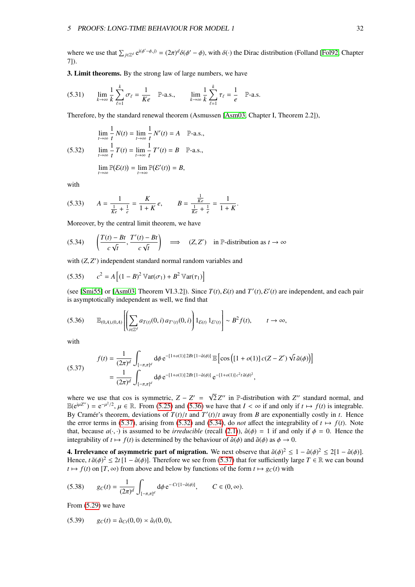where we use that  $\sum_{j\in\mathbb{Z}^d} e^{i(\phi'-\phi,j)} = (2\pi)^d \delta(\phi'-\phi)$ , with  $\delta(\cdot)$  the Dirac distribution (Folland [\[Fol92,](#page-72-16) Chapter 71) 7]).

3. Limit theorems. By the strong law of large numbers, we have

$$
(5.31) \qquad \lim_{k \to \infty} \frac{1}{k} \sum_{\ell=1}^{k} \sigma_{\ell} = \frac{1}{Ke} \quad \mathbb{P}\text{-a.s.,} \qquad \lim_{k \to \infty} \frac{1}{k} \sum_{\ell=1}^{k} \tau_{\ell} = \frac{1}{e} \quad \mathbb{P}\text{-a.s.}
$$

Therefore, by the standard renewal theorem (Asmussen [\[Asm03,](#page-71-12) Chapter I, Theorem 2.2]),

(5.32) 
$$
\lim_{t \to \infty} \frac{1}{t} N(t) = \lim_{t \to \infty} \frac{1}{t} N'(t) = A \quad \mathbb{P}\text{-a.s.},
$$

$$
\lim_{t \to \infty} \frac{1}{t} T(t) = \lim_{t \to \infty} \frac{1}{t} T'(t) = B \quad \mathbb{P}\text{-a.s.},
$$

<span id="page-32-3"></span><span id="page-32-2"></span>
$$
\lim_{t\to\infty}\mathbb{P}(\mathcal{E}(t))=\lim_{t\to\infty}\mathbb{P}(\mathcal{E}'(t))=B,
$$

with

(5.33) 
$$
A = \frac{1}{\frac{1}{Ke} + \frac{1}{e}} = \frac{K}{1 + K} e, \qquad B = \frac{\frac{1}{Ke}}{\frac{1}{Ke} + \frac{1}{e}} = \frac{1}{1 + K}.
$$

Moreover, by the central limit theorem, we have

$$
(5.34) \qquad \left(\frac{T(t) - Bt}{c\sqrt{t}}, \frac{T'(t) - Bt}{c\sqrt{t}}\right) \quad \Longrightarrow \quad (Z, Z') \quad \text{in } \mathbb{P}\text{-distribution as } t \to \infty
$$

with  $(Z, Z')$  independent standard normal random variables and

(5.35) 
$$
c^{2} = A \left[ (1 - B)^{2} \mathbb{V}ar(\sigma_{1}) + B^{2} \mathbb{V}ar(\tau_{1}) \right]
$$

<span id="page-32-0"></span>(see [\[Smi55\]](#page-73-8) or [\[Asm03,](#page-71-12) Theorem VI.3.2]). Since  $T(t)$ ,  $\mathcal{E}(t)$  and  $T'(t)$ ,  $\mathcal{E}'(t)$  are independent, and each pair<br>is asymptotically independent as well, we find that is asymptotically independent as well, we find that

$$
(5.36) \qquad \mathbb{E}_{(0,A),(0,A)}\left[\left(\sum_{i\in\mathbb{Z}^d}a_{T(i)}(0,i)\,a_{T'(i)}(0,i)\right)1_{\mathcal{E}(t)}1_{\mathcal{E}'(t)}\right]\sim B^2f(t), \qquad t\to\infty,
$$

<span id="page-32-1"></span>with

(5.37) 
$$
f(t) = \frac{1}{(2\pi)^d} \int_{[-\pi,\pi]^d} d\phi \, e^{-[1+o(1)]\,2Bt\,[1-\hat{a}(\phi)]} \mathbb{E}\left[\cos\left([1+o(1)]\,c(Z-Z')\,\sqrt{t}\,\tilde{a}(\phi)\right)\right]
$$

$$
= \frac{1}{(2\pi)^d} \int_{[-\pi,\pi]^d} d\phi \, e^{-[1+o(1)]\,2Bt\,[1-\hat{a}(\phi)]} \, e^{-[1+o(1)]\,c^2t\,\tilde{a}(\phi)^2},
$$

where we use that cos is symmetric,  $Z - Z' = \sqrt{Q}$  $\overline{2}Z''$  in P-distribution with  $Z''$  standard normal, and  $\mathbb{E}(e^{i\mu Z'}) = e^{-\mu^2/2}, \mu \in \mathbb{R}$ . From [\(5.25\)](#page-31-1) and [\(5.36\)](#page-32-0) we have that  $I < \infty$  if and only if  $t \mapsto f(t)$  is integrable.<br>By Cramér's theorem, deviations of  $T(t)/t$  and  $T'(t)/t$  away from *R* are exponentially costly in t. H By Cramer's theorem, deviations of  $T(t)/t$  and  $T'(t)/t$  away from *B* are exponentially costly in *t*. Hence the error terms in (5.37) arising from (5.32) and (5.34) do *not* affect the integrability of  $t \mapsto f(t)$ . Note the error terms in [\(5.37\)](#page-32-1), arising from [\(5.32\)](#page-32-2) and [\(5.34\)](#page-32-3), do *not* affect the integrability of  $t \mapsto f(t)$ . Note that, because  $a(\cdot, \cdot)$  is assumed to be *irreducible* (recall [\(2.1\)](#page-5-2)),  $\hat{a}(\phi) = 1$  if and only if  $\phi = 0$ . Hence the integrability of  $t \mapsto f(t)$  is determined by the behaviour of  $\hat{a}(\phi)$  and  $\tilde{a}(\phi)$  as  $\phi \to 0$ .

**4. Irrelevance of asymmetric part of migration.** We next observe that  $\tilde{a}(\phi)^2 \le 1 - \hat{a}(\phi)^2 \le 2[1 - \hat{a}(\phi)]$ .<br>Hence  $t \tilde{a}(\phi)^2 < 2t[1 - \hat{a}(\phi)]$ . Therefore we see from (5.37) that for sufficiently large  $T \in \mathbb{R}$  we Hence,  $t \tilde{a}(\phi)^2 \le 2t [1 - \hat{a}(\phi)]$ . Therefore we see from [\(5.37\)](#page-32-1) that for sufficiently large  $T \in \mathbb{R}$  we can bound  $t \mapsto f(t)$  on  $[T \infty)$  from above and below by functions of the form  $t \mapsto a \tilde{a}(t)$  with  $t \mapsto f(t)$  on  $[T, \infty)$  from above and below by functions of the form  $t \mapsto g_C(t)$  with

<span id="page-32-4"></span>
$$
(5.38) \t g_C(t) = \frac{1}{(2\pi)^d} \int_{[-\pi,\pi]^d} d\phi \, e^{-Ct \, [1-\hat{a}(\phi)]}, \t C \in (0,\infty).
$$

<span id="page-32-5"></span>From [\(5.29\)](#page-31-2) we have

$$
(5.39) \t gC(t) = \hat{a}_{Ct}(0,0) \approx \hat{a}_t(0,0),
$$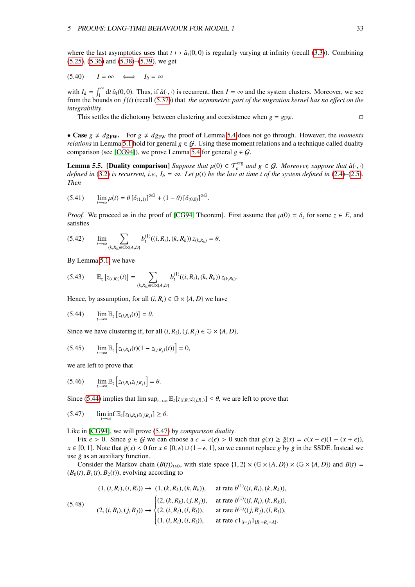where the last asymptotics uses that  $t \mapsto \hat{a}(0, 0)$  is regularly varying at infinity (recall [\(3.3\)](#page-16-6)). Combining [\(5.25\)](#page-31-1), [\(5.36\)](#page-32-0) and [\(5.38\)](#page-32-4)–[\(5.39\)](#page-32-5), we get

$$
(5.40) \tI = \infty \t\iff I_{\hat{a}} = \infty
$$

with  $I_{\hat{a}} = \int_{1}^{\infty} dt \, \hat{a}_t(0,0)$ . Thus, if  $\hat{a}(\cdot,\cdot)$  is recurrent, then  $I = \infty$  and the system clusters. Moreover, we see from the bounds on *f*(*t*) (recall [\(5.37\)](#page-32-1)) that *the asymmetric part of the migration kernel has no e*ff*ect on the integrability*.

This settles the dichotomy between clustering and coexistence when  $g = g_{\text{FW}}$ .

• Case  $g \neq dg_{\text{FW}}$ . For  $g \neq dg_{\text{FW}}$  the proof of Lemma [5.4](#page-30-1) does not go through. However, the *moments relations* in Lemma [5.1](#page-28-1) hold for general  $g \in \mathcal{G}$ . Using these moment relations and a technique called duality comparison (see [\[CG94\]](#page-71-9)), we prove Lemma [5.4](#page-30-1) for general  $g \in \mathcal{G}$ .

<span id="page-33-0"></span>**Lemma 5.5. [Duality comparison]** *Suppose that*  $\mu(0) \in \mathcal{T}_{\theta}^{\text{erg}}$  and  $g \in \mathcal{G}$ *. Moreover, suppose that*  $\hat{a}(\cdot, \cdot)$  defined in (3.2) is recurrent i.e.  $L = \infty$ . Let  $\mu(t)$  be the low at time t of the system de *defined in* [\(3.2\)](#page-16-7) *is recurrent, i.e.,*  $I_{\hat{a}} = \infty$ *. Let*  $\mu(t)$  *be the law at time t of the system defined in* [\(2.4\)](#page-6-0)–[\(2.5\)](#page-6-0)*. Then Then*

$$
(5.41) \qquad \lim_{t \to \infty} \mu(t) = \theta \left[ \delta_{(1,1)} \right]^{\otimes \mathbb{G}} + (1 - \theta) \left[ \delta_{(0,0)} \right]^{\otimes \mathbb{G}}.
$$

*Proof.* We proceed as in the proof of [\[CG94,](#page-71-9) Theorem]. First assume that  $\mu(0) = \delta_z$  for some  $z \in E$ , and satisfies

$$
(5.42) \qquad \lim_{t\to\infty}\sum_{(k,R_k)\in\mathbb{G}\times\{A,D\}}b_t^{(1)}((i,R_i),(k,R_k))\,z_{(k,R_k)}=\theta.
$$

By Lemma [5.1,](#page-28-1) we have

$$
(5.43) \qquad \mathbb{E}_{z}\left[z_{(i,R_i)}(t)\right]=\sum_{(k,R_k)\in\mathbb{G}\times\{A,D\}}b_i^{(1)}((i,R_i),(k,R_k))\,z_{(k,R_k)}.
$$

<span id="page-33-1"></span>Hence, by assumption, for all  $(i, R_i) \in \mathbb{G} \times \{A, D\}$  we have

$$
(5.44) \qquad \lim_{t\to\infty}\mathbb{E}_z\left[z_{(i,R_i)}(t)\right]=\theta.
$$

Since we have clustering if, for all  $(i, R_i)$ ,  $(j, R_j) \in \mathbb{G} \times \{A, D\}$ ,

$$
(5.45) \qquad \lim_{t \to \infty} \mathbb{E}_z \left[ z_{(i,R_i)}(t) (1 - z_{(j,R_j)}(t)) \right] = 0,
$$

<span id="page-33-3"></span>we are left to prove that

<span id="page-33-2"></span>
$$
(5.46) \qquad \lim_{t\to\infty}\mathbb{E}_z\left[z_{(i,R_i)}z_{(j,R_j)}\right]=\theta.
$$

Since [\(5.44\)](#page-33-1) implies that  $\limsup_{t\to\infty} \mathbb{E}_{z}[z_{(i,R_i)}z_{(i,R_i)}] \leq \theta$ , we are left to prove that

$$
(5.47) \qquad \liminf_{t\to\infty} \mathbb{E}_{z}[z_{(i,R_i)}z_{(j,R_j)}] \geq \theta.
$$

Like in [\[CG94\]](#page-71-9), we will prove [\(5.47\)](#page-33-2) by *comparison duality*.

Fix  $\epsilon > 0$ . Since  $g \in \mathcal{G}$  we can choose a  $c = c(\epsilon) > 0$  such that  $g(x) \ge \tilde{g}(x) = c(x - \epsilon)(1 - (x + \epsilon))$ , *x* ∈ [0, 1]. Note that  $\tilde{g}(x)$  < 0 for  $x \in [0, \epsilon) \cup (1 - \epsilon, 1]$ , so we cannot replace *g* by  $\tilde{g}$  in the SSDE. Instead we use  $\tilde{g}$  as an auxiliary function.

Consider the Markov chain  $(B(t))_{t\geq0}$ , with state space  $\{1, 2\} \times (\mathbb{G} \times \{A, D\}) \times (\mathbb{G} \times \{A, D\})$  and  $B(t) =$  $(B_0(t), B_1(t), B_2(t))$ , evolving according to

$$
(1, (i, R_i), (i, R_i)) \rightarrow (1, (k, R_k), (k, R_k)), \quad \text{at rate } b^{(1)}((i, R_i), (k, R_k)),
$$
\n
$$
(5.48) \qquad (2, (i, R_i), (j, R_j)) \rightarrow \begin{cases} (2, (k, R_k), (j, R_j)), & \text{at rate } b^{(1)}((i, R_i), (k, R_k)), \\ (2, (i, R_i), (j, R_j)) & \text{at rate } b^{(1)}((j, R_j), (l, R_l)), \\ (1, (i, R_i), (i, R_i)), & \text{at rate } c1_{\{i=j\}}1_{\{R_i = R_j = A\}}.\end{cases}
$$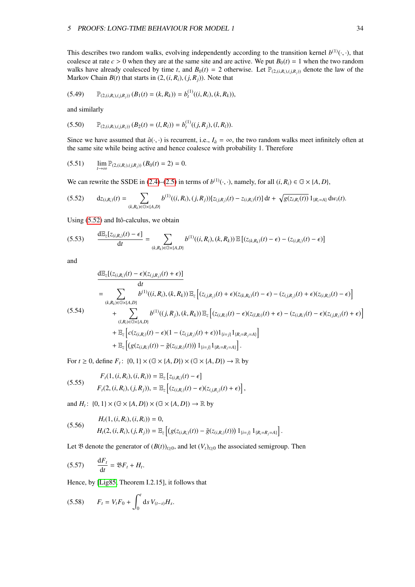This describes two random walks, evolving independently according to the transition kernel  $b^{(1)}(\cdot, \cdot)$ , that coalesce at rate  $c > 0$  when they are at the same site and are active. We put  $B_0(t) = 1$  when the two random coalesce at rate  $c > 0$  when they are at the same site and are active. We put  $B_0(t) = 1$  when the two random walks have already coalesced by time *t*, and  $B_0(t) = 2$  otherwise. Let  $\mathbb{P}_{(2,(i,R_i),(i,R_j))}$  denote the law of the Markov Chain  $B(t)$  that starts in  $(2, (i, R_i), (j, R_j))$ . Note that

$$
(5.49) \qquad \mathbb{P}_{(2,(i,R_i),(j,R_j))} (B_1(t)=(k,R_k))=b_t^{(1)}((i,R_i),(k,R_k)),
$$

and similarly

$$
(5.50) \qquad \mathbb{P}_{(2,(i,R_i),(j,R_j))} (B_2(t) = (l,R_l)) = b_l^{(1)}((j,R_j),(l,R_l)).
$$

<span id="page-34-1"></span>Since we have assumed that  $\hat{a}(\cdot, \cdot)$  is recurrent, i.e.,  $I_{\hat{a}} = \infty$ , the two random walks meet infinitely often at the same site while being active and hence coalesce with probability 1. Therefore

$$
(5.51) \qquad \lim_{t\to\infty} \mathbb{P}_{(2,(i,R_i),(j,R_j))} (B_0(t) = 2) = 0.
$$

<span id="page-34-0"></span>We can rewrite the SSDE in [\(2.4\)](#page-6-0)–[\(2.5\)](#page-6-0) in terms of  $b^{(1)}(\cdot, \cdot)$ , namely, for all  $(i, R_i) \in \mathbb{G} \times \{A, D\}$ ,

$$
(5.52) \t d z_{(i,R_i)}(t) = \sum_{(k,R_k) \in \mathbb{G} \times \{A,D\}} b^{(1)}((i,R_i),(j,R_j))[z_{(j,R_j)}(t) - z_{(i,R_i)}(t)] dt + \sqrt{g(z_{i,R_i}(t))} 1_{\{R_i = A\}} dw_i(t).
$$

Using  $(5.52)$  and Itô-calculus, we obtain

$$
(5.53) \qquad \frac{\mathrm{d}\mathbb{E}_{z}[z_{(i,R_i)}(t)-\epsilon]}{\mathrm{d}t}=\sum_{(k,R_k)\in\mathbb{G}\times\{A,D\}}b^{(1)}((i,R_i),(k,R_k))\,\mathbb{E}\left[(z_{(k,R_k)}(t)-\epsilon)-\left(z_{(i,R_i)}(t)-\epsilon\right)\right]
$$

and

$$
\frac{d\mathbb{E}_{z}[(z_{(i,R_{i})}(t) - \epsilon)(z_{(j,R_{j})}(t) + \epsilon)]}{dt}
$$
\n
$$
= \sum_{(k,R_{k}) \in \mathbb{G} \times \{A,D\}} b^{(1)}((i,R_{i}), (k,R_{k})) \mathbb{E}_{z} [(z_{(j,R_{j})}(t) + \epsilon)(z_{(k,R_{k})}(t) - \epsilon) - (z_{(j,R_{j})}(t) + \epsilon)(z_{(i,R_{i})}(t) - \epsilon)]
$$
\n(5.54)\n
$$
+ \sum_{(l,R_{l}) \in \mathbb{G} \times \{A,D\}} b^{(1)}((j,R_{j}), (k,R_{k})) \mathbb{E}_{z} [(z_{(i,R_{i})}(t) - \epsilon)(z_{(l,R_{i})}(t) + \epsilon) - (z_{(i,R_{i})}(t) - \epsilon)(z_{(j,R_{j})}(t) + \epsilon)]
$$
\n
$$
+ \mathbb{E}_{z} [c(z_{(i,R_{i})}(t) - \epsilon)(1 - (z_{(j,R_{j})}(t) + \epsilon))1_{\{i=j\}}1_{\{R_{i} = R_{j} = A\}}]
$$
\n
$$
+ \mathbb{E}_{z} [(g(z_{(i,R_{i})}(t)) - \tilde{g}(z_{(i,R_{i})}(t)))1_{\{i=j\}}1_{\{R_{i} = R_{j} = A\}}].
$$

For  $t \ge 0$ , define  $F_t$ :  $\{0, 1\} \times (\mathbb{G} \times \{A, D\}) \times (\mathbb{G} \times \{A, D\}) \to \mathbb{R}$  by

(5.55) 
$$
F_t(1,(i,R_i),(i,R_i)) = \mathbb{E}_z [z_{(i,R_i)}(t) - \epsilon] F_t(2,(i,R_i),(j,R_j)) = \mathbb{E}_z [ (z_{(i,R_i)}(t) - \epsilon) (z_{(j,R_j)}(t) + \epsilon) ],
$$

and  $H_t$ :  $\{0, 1\} \times (\mathbb{G} \times \{A, D\}) \times (\mathbb{G} \times \{A, D\}) \to \mathbb{R}$  by

(5.56) 
$$
H_t(1,(i,R_i),(i,R_i)) = 0,
$$
  
\n
$$
H_t(2,(i,R_i),(j,R_j)) = \mathbb{E}_z \left[ \left( g(z_{(i,R_i)}(t)) - \tilde{g}(z_{(i,R_i)}(t)) \right) 1_{\{i=j\}} 1_{\{R_i = R_j = A\}} \right].
$$

Let  $\mathfrak B$  denote the generator of  $(B(t))_{t\geq0}$ , and let  $(V_t)_{t\geq0}$  the associated semigroup. Then

$$
(5.57) \qquad \frac{\mathrm{d}F_t}{\mathrm{d}t} = \mathfrak{B}F_t + H_t.
$$

Hence, by [\[Lig85,](#page-73-2) Theorem I.2.15], it follows that

$$
(5.58) \tF_t = V_t F_0 + \int_0^t \mathrm{d} s \, V_{(t-s)} H_s.
$$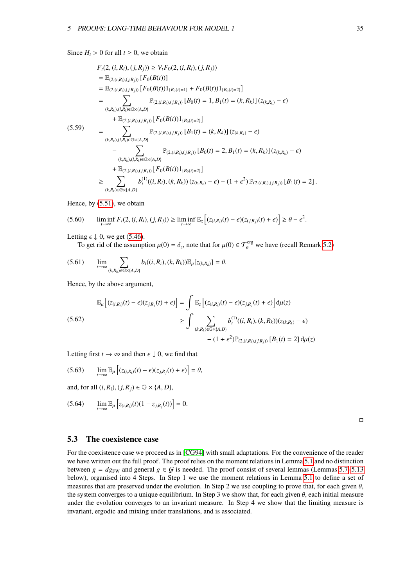Since  $H_t > 0$  for all  $t \geq 0$ , we obtain

$$
F_{t}(2,(i,R_{i}),(j,R_{j})) \geq V_{t}F_{0}(2,(i,R_{i}),(j,R_{j}))
$$
\n
$$
= \mathbb{E}_{(2,(i,R_{i}),(j,R_{j}))}[F_{0}(B(t))]
$$
\n
$$
= \mathbb{E}_{(2,(i,R_{i}),(j,R_{j}))}[F_{0}(B(t))]_{\{B_{0}(t)=1\}} + F_{0}(B(t))1_{\{B_{0}(t)=2\}}]
$$
\n
$$
= \sum_{(k,R_{k}),(l,R_{i}) \in \mathbb{G} \times \{A,D\}} \mathbb{P}_{(2,(i,R_{i}),(j,R_{j}))}[B_{0}(t) = 1, B_{1}(t) = (k,R_{k})](z_{(k,R_{k})} - \epsilon)
$$
\n
$$
+ \mathbb{E}_{(2,(i,R_{i}),(j,R_{j}))}[F_{0}(B(t))1_{\{B_{0}(t)=2\}}]
$$
\n(5.59)\n
$$
= \sum_{(k,R_{k}),(l,R_{i}) \in \mathbb{G} \times \{A,D\}} \mathbb{P}_{(2,(i,R_{i}),(j,R_{j}))}[B_{1}(t) = (k,R_{k})](z_{(k,R_{k})} - \epsilon)
$$
\n
$$
- \sum_{(k,R_{k}),(l,R_{i}) \in \mathbb{G} \times \{A,D\}} \mathbb{P}_{(2,(i,R_{i}),(j,R_{j}))}[B_{0}(t) = 2, B_{1}(t) = (k,R_{k})](z_{(k,R_{k})} - \epsilon)
$$
\n
$$
+ \mathbb{E}_{(2,(i,R_{i}),(j,R_{j}))}[F_{0}(B(t))1_{\{B_{0}(t)=2\}}]
$$
\n
$$
\geq \sum_{(k,R_{k}) \in \mathbb{G} \times \{A,D\}} b_{t}^{(1)}((i,R_{i}),(k,R_{k})) (z_{(k,R_{k})} - \epsilon) - (1 + \epsilon^{2}) \mathbb{P}_{(2,(i,R_{i}),(j,R_{j}))}[B_{1}(t) = 2].
$$

Hence, by [\(5.51\)](#page-34-1), we obtain

$$
(5.60) \qquad \liminf_{t \to \infty} F_t(2, (i, R_i), (j, R_j)) \ge \liminf_{t \to \infty} \mathbb{E}_z \left[ (z_{(i, R_i)}(t) - \epsilon)(z_{(j, R_j)}(t) + \epsilon) \right] \ge \theta - \epsilon^2
$$

Letting  $\epsilon \downarrow 0$ , we get [\(5.46\)](#page-33-3).

To get rid of the assumption  $\mu(0) = \delta_z$ , note that for  $\mu(0) \in \mathcal{T}_{\theta}^{\text{erg}}$  we have (recall Remark [5.2\)](#page-29-1)

$$
(5.61) \qquad \lim_{t\to\infty}\sum_{(k,R_k)\in\mathbb{G}\times\{A,D\}}b_t((i,R_i),(k,R_k))\mathbb{E}_{\mu}[z_{(k,R_k)}]=\theta.
$$

Hence, by the above argument,

$$
\mathbb{E}_{\mu}\left[\left(z_{(i,R_i)}(t) - \epsilon\right)\left(z_{j,R_j}(t) + \epsilon\right)\right] = \int \mathbb{E}_{z}\left[\left(z_{(i,R_i)}(t) - \epsilon\right)\left(z_{j,R_j}(t) + \epsilon\right)\right]d\mu(z)
$$
\n
$$
\geq \int \sum_{(k,R_k)\in\mathbb{G}\times\{A,D\}} b_t^{(1)}((i,R_i),(k,R_k))\left(z_{(k,R_k)} - \epsilon\right)
$$
\n
$$
- \left(1 + \epsilon^2\right)\mathbb{P}_{(2,(i,R_i),(j,R_j))}\left[B_1(t) = 2\right]d\mu(z)
$$

Letting first  $t \to \infty$  and then  $\epsilon \downarrow 0$ , we find that

$$
(5.63) \qquad \lim_{t\to\infty} \mathbb{E}_{\mu} \left[ (z_{(i,R_i)}(t) - \epsilon)(z_{j,R_j}(t) + \epsilon) \right] = \theta,
$$

and, for all  $(i, R_i)$ ,  $(j, R_j) \in \mathbb{G} \times \{A, D\}$ ,

$$
(5.64) \qquad \lim_{t \to \infty} \mathbb{E}_{\mu} \left[ z_{(i,R_i)}(t) (1 - z_{j,R_j}(t)) \right] = 0.
$$

 $\Box$ 

#### <span id="page-35-0"></span>5.3 The coexistence case

For the coexistence case we proceed as in [\[CG94\]](#page-71-9) with small adaptations. For the convenience of the reader we have written out the full proof. The proof relies on the moment relations in Lemma [5.1](#page-28-1) and no distinction between  $g = dg_{FW}$  and general  $g \in G$  is needed. The proof consist of several lemmas (Lemmas [5.7](#page-36-0)[–5.13](#page-42-0)) below), organised into 4 Steps. In Step 1 we use the moment relations in Lemma [5.1](#page-28-1) to define a set of measures that are preserved under the evolution. In Step 2 we use coupling to prove that, for each given  $\theta$ , the system converges to a unique equilibrium. In Step 3 we show that, for each given  $\theta$ , each initial measure under the evolution converges to an invariant measure. In Step 4 we show that the limiting measure is invariant, ergodic and mixing under translations, and is associated.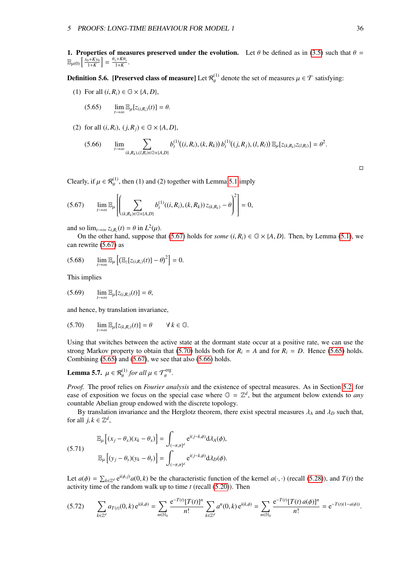1. Properties of measures preserved under the evolution. Let  $\theta$  be defined as in [\(3.5\)](#page-16-0) such that  $\theta =$  $\mathbb{E}_{\mu(0)}\left[\frac{x_0+Ky_0}{1+K}\right]=\frac{\theta_x+K\theta_y}{1+K}.$ 

**Definition 5.6.** [Preserved class of measure] Let  $\mathcal{R}_{\theta}^{(1)}$  denote the set of measures  $\mu \in \mathcal{T}$  satisfying:

(1) For all  $(i, R_i) \in \mathbb{G} \times \{A, D\}$ ,

<span id="page-36-3"></span><span id="page-36-2"></span>
$$
(5.65) \qquad \lim_{t\to\infty} \mathbb{E}_{\mu}[z_{(i,R_i)}(t)] = \theta.
$$

(2) for all  $(i, R_i)$ ,  $(j, R_j) \in \mathbb{G} \times \{A, D\}$ ,

$$
(5.66) \qquad \lim_{t\to\infty}\sum_{(k,R_k),(l,R_l)\in\mathbb{G}\times\{A,D\}}b_t^{(1)}((i,R_i),(k,R_k))\,b_t^{(1)}((j,R_j),(l,R_l))\,\mathbb{E}_{\mu}[z_{(k,R_k)}z_{(l,R_l)}]=\theta^2.
$$

Clearly, if  $\mu \in \mathcal{R}_{\theta}^{(1)}$ , then (1) and (2) together with Lemma [5.1](#page-28-0) imply

$$
(5.67) \qquad \lim_{t\to\infty} \mathbb{E}_{\mu} \left[ \left( \sum_{(k,R_k)\in\mathbb{G}\times\{A,D\}} b_t^{(1)}((i,R_i),(k,R_k)) z_{(k,R_k)} - \theta \right)^2 \right] = 0,
$$

and so  $\lim_{t\to\infty} z_{i,R_i}(t) = \theta$  in  $L^2(\mu)$ .<br>On the other hand, suppose the

On the other hand, suppose that [\(5.67\)](#page-36-0) holds for *some*  $(i, R_i) \in \mathbb{G} \times \{A, D\}$ . Then, by Lemma [\(5.1\)](#page-28-0), we can rewrite [\(5.67\)](#page-36-0) as

$$
(5.68) \qquad \lim_{t\to\infty} \mathbb{E}_{\mu}\left[ \left( \mathbb{E}_{z}[z_{(i,R_{i})}(t)] - \theta \right)^{2} \right] = 0.
$$

This implies

$$
(5.69) \qquad \lim_{t\to\infty} \mathbb{E}_{\mu}[z_{(i,R_i)}(t)] = \theta,
$$

<span id="page-36-1"></span>and hence, by translation invariance,

$$
(5.70) \qquad \lim_{t\to\infty} \mathbb{E}_{\mu}[z_{(k,R_i)}(t)] = \theta \qquad \forall \, k \in \mathbb{G}.
$$

Using that switches between the active state at the dormant state occur at a positive rate, we can use the strong Markov property to obtain that [\(5.70\)](#page-36-1) holds both for  $R_i = A$  and for  $R_i = D$ . Hence [\(5.65\)](#page-36-2) holds. Combining  $(5.65)$  and  $(5.67)$ , we see that also  $(5.66)$  holds.

<span id="page-36-4"></span>**Lemma 5.7.**  $\mu \in \mathcal{R}_{\theta}^{(1)}$  for all  $\mu \in \mathcal{T}_{\theta}^{\text{erg}}$ .

*Proof.* The proof relies on *Fourier analysis* and the existence of spectral measures. As in Section [5.2,](#page-29-0) for ease of exposition we focus on the special case where  $G = \mathbb{Z}^d$ , but the argument below extends to *any* countable Abelian group endowed with the discrete topology.

<span id="page-36-5"></span>By translation invariance and the Herglotz theorem, there exist spectral measures  $\lambda_A$  and  $\lambda_D$  such that, for all  $j, k \in \mathbb{Z}^d$ ,

(5.71) 
$$
\mathbb{E}_{\mu}\left[(x_{j}-\theta_{x})(x_{k}-\theta_{x})\right]=\int_{(-\pi,\pi]^{d}}e^{i(j-k,\phi)}d\lambda_{A}(\phi),
$$

$$
\mathbb{E}_{\mu}\left[(y_{j}-\theta_{y})(y_{k}-\theta_{y})\right]=\int_{(-\pi,\pi]^{d}}e^{i(j-k,\phi)}d\lambda_{D}(\phi).
$$

Let  $a(\phi) = \sum_{k \in \mathbb{Z}^d} e^{i(\phi, j)} a(0, k)$  be the characteristic function of the kernel  $a(\cdot, \cdot)$  (recall [\(5.28\)](#page-31-0)), and *T*(*t*) the activity time of the random walk up to time *t* (recall (5.20)). Then activity time of the random walk up to time *t* (recall [\(5.20\)](#page-30-0)). Then

$$
(5.72) \qquad \sum_{k \in \mathbb{Z}^d} a_{T(t)}(0,k) \, \mathrm{e}^{\mathrm{i}(k,\phi)} = \sum_{n \in \mathbb{N}_0} \frac{\mathrm{e}^{-T(t)} [T(t)]^n}{n!} \sum_{k \in \mathbb{Z}^d} a^n(0,k) \, \mathrm{e}^{\mathrm{i}(k,\phi)} = \sum_{n \in \mathbb{N}_0} \frac{\mathrm{e}^{-T(t)} [T(t) \, a(\phi)]^n}{n!} = \mathrm{e}^{-T(t)(1-a(\phi))}.
$$

<span id="page-36-0"></span> $\Box$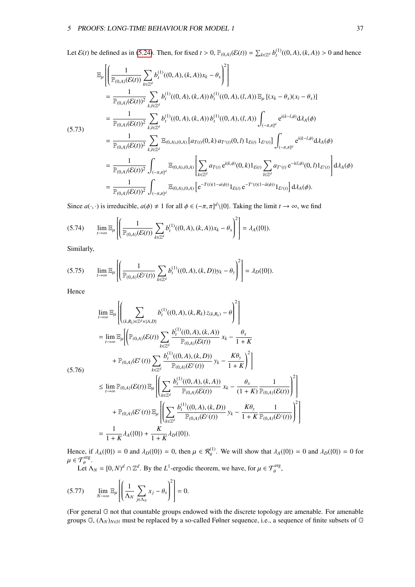<span id="page-37-0"></span>Let  $\mathcal{E}(t)$  be defined as in [\(5.24\)](#page-31-1). Then, for fixed  $t > 0$ ,  $\mathbb{P}_{(0,A)}(\mathcal{E}(t)) = \sum_{k \in \mathbb{Z}^d} b_t^{(1)}((0,A),(k,A)) > 0$  and hence

$$
\mathbb{E}_{\mu}\left[\left(\frac{1}{\mathbb{P}_{(0,A)}(\mathcal{E}(t))}\sum_{k\in\mathbb{Z}^{d}}b_{t}^{(1)}((0,A),(k,A))x_{k}-\theta_{x}\right)^{2}\right] \n= \frac{1}{\mathbb{P}_{(0,A)}(\mathcal{E}(t))^{2}}\sum_{k,l\in\mathbb{Z}^{d}}b_{t}^{(1)}((0,A),(k,A))b_{t}^{(1)}((0,A),(l,A))\mathbb{E}_{\mu}[(x_{k}-\theta_{x})(x_{l}-\theta_{x})]
$$
\n
$$
= \frac{1}{\mathbb{P}_{(0,A)}(\mathcal{E}(t))^{2}}\sum_{k,l\in\mathbb{Z}^{d}}b_{t}^{(1)}((0,A),(k,A))b_{t}^{(1)}((0,A),(l,A))\int_{(-\pi,\pi]^{d}}e^{i(k-l,\phi)}d\lambda_{A}(\phi)
$$
\n(5.73)\n
$$
= \frac{1}{\mathbb{P}_{(0,A)}(\mathcal{E}(t))^{2}}\sum_{k,l\in\mathbb{Z}^{d}}\mathbb{E}_{(0,A),(0,A)}[a_{T(t)}(0,k)a_{T'(t)}(0,l)1_{\mathcal{E}(t)}1_{\mathcal{E}'(t)}]\int_{(-\pi,\pi]^{d}}e^{i(k-l,\phi)}d\lambda_{A}(\phi)
$$
\n
$$
= \frac{1}{\mathbb{P}_{(0,A)}(\mathcal{E}(t))^{2}}\int_{(-\pi,\pi]^{d}}\mathbb{E}_{(0,A),(0,A)}\left[\sum_{k\in\mathbb{Z}^{d}}a_{T(t)}e^{i(k,\phi)}(0,k)1_{\mathcal{E}(t)}\sum_{l\in\mathbb{Z}^{d}}a_{T'(t)}e^{-i(l,\phi)}(0,l)1_{\mathcal{E}'(t)}\right]d\lambda_{A}(\phi)
$$
\n
$$
= \frac{1}{\mathbb{P}_{(0,A)}(\mathcal{E}(t))^{2}}\int_{(-\pi,\pi]^{d}}\mathbb{E}_{(0,A),(0,A)}\left[e^{-T(t)(1-a(\phi))}1_{\mathcal{E}(t)}e^{-T'(t)(1-\tilde{a}(\phi))}1_{\mathcal{E}'(t)}\right]d\lambda_{A}(\phi).
$$

Since  $a(\cdot, \cdot)$  is irreducible,  $a(\phi) \neq 1$  for all  $\phi \in (-\pi, \pi]^d \setminus \{0\}$ . Taking the limit  $t \to \infty$ , we find

$$
(5.74) \qquad \lim_{t\to\infty} \mathbb{E}_{\mu}\left[\left(\frac{1}{\mathbb{P}_{(0,A)}(\mathcal{E}(t))}\sum_{k\in\mathbb{Z}^d} b_t^{(1)}((0,A),(k,A))x_k-\theta_x\right)^2\right]=\lambda_A(\{0\}).
$$

Similarly,

$$
(5.75) \qquad \lim_{t \to \infty} \mathbb{E}_{\mu} \left[ \left( \frac{1}{\mathbb{P}_{(0,A)}(\mathcal{E}^c(t))} \sum_{k \in \mathbb{Z}^d} b_t^{(1)}((0,A),(k,D)) y_k - \theta_y \right)^2 \right] = \lambda_D(\{0\}).
$$

Hence

$$
\lim_{t \to \infty} \mathbb{E}_{\mu} \left[ \left( \sum_{(k,R_k) \in \mathbb{Z}^d \times \{A,D\}} b_t^{(1)}((0,A),(k,R_k) z_{(k,R_k)} - \theta) \right]^2 \right]
$$
\n
$$
= \lim_{t \to \infty} \mathbb{E}_{\mu} \left[ \left( \mathbb{P}_{(0,A)}(\mathcal{E}(t)) \sum_{k \in \mathbb{Z}^d} \frac{b_t^{(1)}((0,A),(k,A))}{\mathbb{P}_{(0,A)}(\mathcal{E}(t))} x_k - \frac{\theta_x}{1+K} + \mathbb{P}_{(0,A)}(\mathcal{E}^c(t)) \sum_{k \in \mathbb{Z}^d} \frac{b_t^{(1)}((0,A),(k,D))}{\mathbb{P}_{(0,A)}(\mathcal{E}^c(t))} y_k - \frac{K\theta_y}{1+K} \right)^2 \right]
$$
\n
$$
\leq \lim_{t \to \infty} \mathbb{P}_{(0,A)}(\mathcal{E}(t)) \mathbb{E}_{\mu} \left[ \left( \sum_{k \in \mathbb{Z}^d} \frac{b_t^{(1)}((0,A),(k,A))}{\mathbb{P}_{(0,A)}(\mathcal{E}(t))} x_k - \frac{\theta_x}{(1+K)} \frac{1}{\mathbb{P}_{(0,A)}(\mathcal{E}(t))} \right)^2 \right]
$$
\n
$$
+ \mathbb{P}_{(0,A)}(\mathcal{E}^c(t)) \mathbb{E}_{\mu} \left[ \left( \sum_{k \in \mathbb{Z}^d} \frac{b_t^{(1)}((0,A),(k,D))}{\mathbb{P}_{(0,A)}(\mathcal{E}^c(t))} y_k - \frac{K\theta_y}{1+K} \frac{1}{\mathbb{P}_{(0,A)}(\mathcal{E}^c(t))} \right)^2 \right]
$$
\n
$$
= \frac{1}{1+K} \lambda_A(\{0\}) + \frac{K}{1+K} \lambda_D(\{0\}).
$$

Hence, if  $\lambda_A(\{0\}) = 0$  and  $\lambda_D(\{0\}) = 0$ , then  $\mu \in \mathcal{R}_{\theta}^{(1)}$ . We will show that  $\lambda_A(\{0\}) = 0$  and  $\lambda_D(\{0\}) = 0$  for  $\mu \in \mathcal{T}_{\theta}^{\text{erg}}.$ <br>Let  $\Lambda$ 

Let  $\Lambda_N = [0, N)^d \cap \mathbb{Z}^d$ . By the *L*<sup>1</sup>-ergodic theorem, we have, for  $\mu \in \mathcal{T}_{\theta}^{\text{erg}}$ ,

$$
(5.77) \qquad \lim_{N \to \infty} \mathbb{E}_{\mu} \left[ \left( \frac{1}{\Lambda_N} \sum_{j \in \Lambda_N} x_j - \theta_x \right)^2 \right] = 0.
$$

(For general G not that countable groups endowed with the discrete topology are amenable. For amenable groups G, (Λ*N*)*N*∈<sup>N</sup> must be replaced by a so-called Følner sequence, i.e., a sequence of finite subsets of G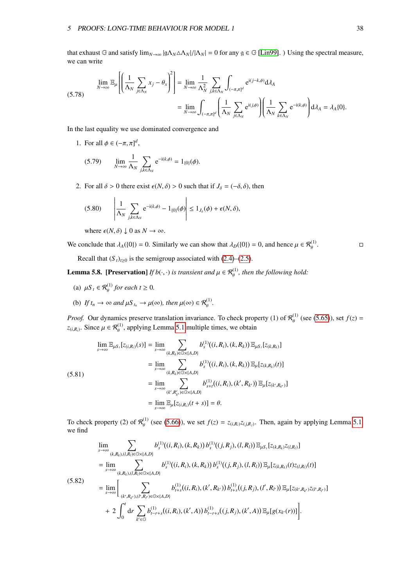<span id="page-38-2"></span>that exhaust G and satisfy  $\lim_{N\to\infty}$   $|g\Lambda_N\Delta\Lambda_N|/|\Lambda_N| = 0$  for any  $g \in \mathbb{G}$  [\[Lin99\]](#page-73-0). ) Using the spectral measure, we can write

$$
\lim_{N \to \infty} \mathbb{E}_{\mu} \left[ \left( \frac{1}{\Lambda_N} \sum_{j \in \Lambda_N} x_j - \theta_x \right)^2 \right] = \lim_{N \to \infty} \frac{1}{\Lambda_N^2} \sum_{j,k \in \Lambda_N} \int_{(-\pi,\pi]^d} e^{i(j-k,\phi)} d\lambda_A
$$
\n
$$
= \lim_{N \to \infty} \int_{(-\pi,\pi]^d} \left( \frac{1}{\Lambda_N} \sum_{j \in \Lambda_N} e^{i(j,\phi)} \right) \left( \frac{1}{\Lambda_N} \sum_{k \in \Lambda_N} e^{-i(k,\phi)} \right) d\lambda_A = \lambda_A \{0\}.
$$

In the last equality we use dominated convergence and

1. For all  $\phi \in (-\pi, \pi]^d$ ,

(5.79) 
$$
\lim_{N \to \infty} \frac{1}{\Lambda_N} \sum_{j,k \in \Lambda_N} e^{-i(k,\phi)} = 1_{\{0\}}(\phi).
$$

2. For all  $\delta > 0$  there exist  $\epsilon(N, \delta) > 0$  such that if  $J_{\delta} = (-\delta, \delta)$ , then

$$
(5.80) \qquad \left|\frac{1}{\Lambda_N}\sum_{j,k\in\Lambda_N}e^{-i(k,\phi)}-1_{\{0\}}(\phi)\right|\leq 1_{J_\delta}(\phi)+\epsilon(N,\delta),
$$

where  $\epsilon(N, \delta) \downarrow 0$  as  $N \to \infty$ .

We conclude that  $\lambda_A(\{0\}) = 0$ . Similarly we can show that  $\lambda_D(\{0\}) = 0$ , and hence  $\mu \in \mathcal{R}_{\theta}^{(1)}$ . .

Recall that  $(S_t)_{t\geq0}$  is the semigroup associated with [\(2.4\)](#page-6-0)–[\(2.5\)](#page-6-0).

<span id="page-38-1"></span>**Lemma 5.8.** [Preservation] *If b*( $\cdot$ ,  $\cdot$ ) *is transient and*  $\mu \in \mathcal{R}_{\theta}^{(1)}$ , *then the following hold:* 

- (a)  $\mu S_t \in \mathcal{R}_{\theta}^{(1)}$  for each  $t \geq 0$ .
- <span id="page-38-0"></span>(b) If  $t_n \to \infty$  and  $\mu S_{t_n} \to \mu(\infty)$ , then  $\mu(\infty) \in \mathcal{R}_{\theta}^{(1)}$ .

*Proof.* Our dynamics preserve translation invariance. To check property (1) of  $\mathcal{R}_{\theta}^{(1)}$  $f_{\theta}^{(1)}$  (see [\(5.65\)](#page-36-2)), set  $f(z) =$  $z_{(i,R_i)}$ . Since  $\mu \in \mathcal{R}_{\theta}^{(1)}$ , applying Lemma [5.1](#page-28-0) multiple times, we obtain

$$
\lim_{s \to \infty} \mathbb{E}_{\mu S_t}[z_{(i,R_i)}(s)] = \lim_{s \to \infty} \sum_{(k,R_k) \in \mathbb{G} \times \{A,D\}} b_s^{(1)}((i,R_i),(k,R_k)) \mathbb{E}_{\mu S_t}[z_{(k,R_k)}]
$$
\n
$$
= \lim_{s \to \infty} \sum_{(k,R_k) \in \mathbb{G} \times \{A,D\}} b_s^{(1)}((i,R_i),(k,R_k)) \mathbb{E}_{\mu}[z_{(k,R_k)}(t)]
$$
\n(5.81)\n
$$
= \lim_{s \to \infty} \sum_{(k',R'_{k'}) \in \mathbb{G} \times \{A,D\}} b_{s+t}^{(1)}((i,R_i),(k',R_{k'})) \mathbb{E}_{\mu}[z_{(k',R_{k'})}]
$$
\n
$$
= \lim_{s \to \infty} \mathbb{E}_{\mu}[z_{(i,R_i)}(t+s)] = \theta.
$$

To check property (2) of  $\mathcal{R}_{\theta}^{(1)}$  (see [\(5.66\)](#page-36-3)), we set  $f(z) = z_{(i,R_i)}z_{(j,R_j)}$ . Then, again by applying Lemma [5.1,](#page-28-0) we find

$$
\lim_{s \to \infty} \sum_{(k,R_k),(l,R_l) \in \mathbb{G} \times \{A,D\}} b_s^{(1)}((i,R_i),(k,R_k)) b_s^{(1)}((j,R_j),(l,R_l)) \mathbb{E}_{\mu S_t}[z_{(k,R_k)}z_{(l,R_l)}]
$$
\n
$$
= \lim_{s \to \infty} \sum_{(k,R_k),(l,R_l) \in \mathbb{G} \times \{A,D\}} b_s^{(1)}((i,R_i),(k,R_k)) b_s^{(1)}((j,R_j),(l,R_l)) \mathbb{E}_{\mu}[z_{(k,R_k)}(t)z_{(l,R_l)}(t)]
$$
\n(5.82)\n
$$
= \lim_{s \to \infty} \left[ \sum_{(k',R_{k'}),(l',R_l') \in \mathbb{G} \times \{A,D\}} b_{t+s}^{(1)}((i,R_i),(k',R_{k'})) b_{t+s}^{(1)}((j,R_j),(l',R_l')) \mathbb{E}_{\mu}[z_{(k',R_{k'})}z_{(l',R_{l'})}]
$$
\n
$$
+ 2 \int_0^t dr \sum_{k' \in \mathbb{G}} b_{t-r+s}^{(1)}((i,R_i),(k',A)) b_{t-r+s}^{(1)}((j,R_j),(k',A)) \mathbb{E}_{\mu}[g(x_{k'}(r))]
$$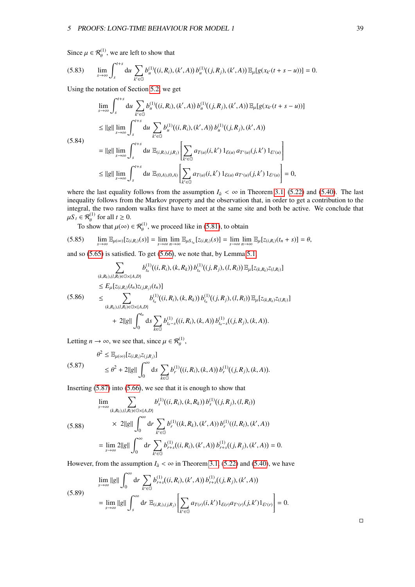Since  $\mu \in \mathcal{R}_{\theta}^{(1)}$ , we are left to show that

$$
(5.83) \qquad \lim_{s\to\infty}\int_s^{t+s} \mathrm{d}u \sum_{k'\in\mathbb{G}} b_u^{(1)}((i,R_i),(k',A))\,b_u^{(1)}((j,R_j),(k',A))\,\mathbb{E}_{\mu}[g(x_{k'}(t+s-u))] = 0.
$$

Using the notation of Section [5.2,](#page-29-0) we get

$$
\lim_{s \to \infty} \int_{s}^{t+s} du \sum_{k' \in \mathbb{G}} b_{u}^{(1)}((i, R_{i}), (k', A)) b_{u}^{(1)}((j, R_{j}), (k', A)) \mathbb{E}_{\mu}[g(x_{k'}(t+s-u))]
$$
\n
$$
\leq ||g|| \lim_{s \to \infty} \int_{s}^{t+s} du \sum_{k' \in \mathbb{G}} b_{u}^{(1)}((i, R_{i}), (k', A)) b_{u}^{(1)}((j, R_{j}), (k', A))
$$
\n(5.84)\n
$$
= ||g|| \lim_{s \to \infty} \int_{s}^{t+s} du \mathbb{E}_{(i, R_{i}), (j, R_{j})} \left[ \sum_{k' \in \mathbb{G}} a_{T(u)}(i, k') 1_{\mathcal{E}(u)} a_{T'(u)}(j, k') 1_{\mathcal{E}'(u)} \right]
$$
\n
$$
\leq ||g|| \lim_{s \to \infty} \int_{s}^{t+s} du \mathbb{E}_{(0, A), (0, A)} \left[ \sum_{k' \in \mathbb{G}} a_{T(u)}(i, k') 1_{\mathcal{E}(u)} a_{T'(u)}(j, k') 1_{\mathcal{E}'(u)} \right] = 0,
$$

where the last equality follows from the assumption  $I_a < \infty$  in Theorem [3.1,](#page-16-1) [\(5.22\)](#page-31-2) and [\(5.40\)](#page-33-0). The last inequality follows from the Markov property and the observation that, in order to get a contribution to the integral, the two random walks first have to meet at the same site and both be active. We conclude that  $\mu S_t \in \mathcal{R}_{\theta}^{(1)}$  for all  $t \geq 0$ .

To show that  $\mu(\infty) \in \mathcal{R}_{\theta}^{(1)}$ , we proceed like in [\(5.81\)](#page-38-0), to obtain

$$
(5.85) \qquad \lim_{s\to\infty}\mathbb{E}_{\mu(\infty)}[z_{(i,R_i)}(s)]=\lim_{s\to\infty}\lim_{n\to\infty}\mathbb{E}_{\mu S_{t_n}}[z_{(i,R_i)}(s)]=\lim_{s\to\infty}\lim_{n\to\infty}\mathbb{E}_{\mu}[z_{(i,R_i)}(t_n+s)]=\theta,
$$

and so [\(5.65\)](#page-36-2) is satisfied. To get [\(5.66\)](#page-36-3), we note that, by Lemma [5.1,](#page-28-0)

$$
\sum_{(k,R_k),(l,R_l)\in\mathbb{G}\times\{A,D\}} b_{t_n}^{(1)}((i,R_i),(k,R_k)) b_{t_n}^{(1)}((j,R_j),(l,R_l)) \mathbb{E}_{\mu}[z_{(k,R_k)}z_{(l,R_l)}]
$$
\n
$$
\leq E_{\mu}[z_{(i,R_i)}(t_n)z_{(j,R_j)}(t_n)]
$$
\n(5.86)\n
$$
\leq \sum_{(k,R_k),(l,R_l)\in\mathbb{G}\times\{A,D\}} b_{t_n}^{(1)}((i,R_i),(k,R_k)) b_{t_n}^{(1)}((j,R_j),(l,R_l)) \mathbb{E}_{\mu}[z_{(k,R_k)}z_{(l,R_l)}]
$$
\n
$$
+ 2||g|| \int_0^{t_n} ds \sum_{k\in\mathbb{G}} b_{t_n-s}^{(1)}((i,R_i),(k,A)) b_{t_n-s}^{(1)}((j,R_j),(k,A)).
$$

<span id="page-39-0"></span>Letting  $n \to \infty$ , we see that, since  $\mu \in \mathcal{R}_{\theta}^{(1)}$ ,

$$
\theta^2 \leq \mathbb{E}_{\mu(\infty)}[z_{(i,R_i)}z_{(j,R_j)}]
$$
  
(5.87)  

$$
\leq \theta^2 + 2||g||\int_0^\infty ds \sum_{k \in \mathbb{G}} b_r^{(1)}((i,R_i),(k,A)) b_r^{(1)}((j,R_j),(k,A)).
$$

Inserting  $(5.87)$  into  $(5.66)$ , we see that it is enough to show that

$$
\lim_{s \to \infty} \sum_{(k,R_k),(l,R_l) \in \mathbb{G} \times \{A,D\}} b_s^{(1)}((i,R_i),(k,R_k)) b_s^{(1)}((j,R_j),(l,R_l))
$$
\n
$$
\times 2||g|| \int_0^\infty dr \sum_{k' \in \mathbb{G}} b_r^{(1)}((k,R_k),(k',A)) b_r^{(1)}((l,R_l),(k',A))
$$
\n
$$
= \lim_{s \to \infty} 2||g|| \int_0^\infty dr \sum_{k' \in \mathbb{G}} b_{r+s}^{(1)}((i,R_i),(k',A)) b_{r+s}^{(1)}((j,R_j),(k',A)) = 0.
$$

However, from the assumption  $I_a < \infty$  in Theorem [3.1,](#page-16-1) [\(5.22\)](#page-31-2) and [\(5.40\)](#page-33-0), we have

(5.89)  
\n
$$
\lim_{s \to \infty} ||g|| \int_0^{\infty} dr \sum_{k' \in \mathbb{G}} b_{r+s}^{(1)}((i, R_i), (k', A)) b_{r+s}^{(1)}((j, R_j), (k', A))
$$
\n
$$
= \lim_{s \to \infty} ||g|| \int_s^{\infty} dr \mathbb{E}_{(i, R_i), (j, R_j)} \left[ \sum_{k' \in \mathbb{G}} a_{T(r)}(i, k') 1_{\mathcal{E}(r)} a_{T'(r)}(j, k') 1_{\mathcal{E}'(r)} \right] = 0.
$$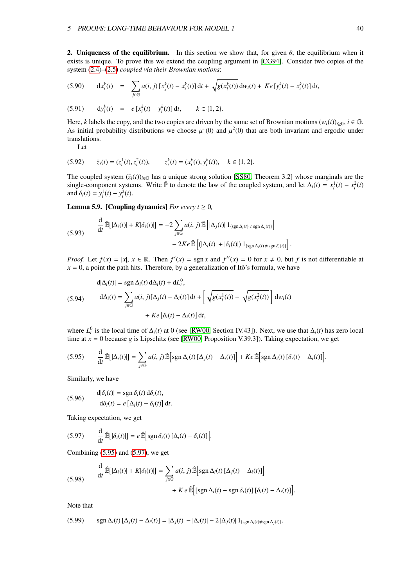2. Uniqueness of the equilibrium. In this section we show that, for given  $\theta$ , the equilibrium when it exists is unique. To prove this we extend the coupling argument in [\[CG94\]](#page-71-0). Consider two copies of the system [\(2.4\)](#page-6-0)–[\(2.5\)](#page-6-0) *coupled via their Brownian motions*:

<span id="page-40-6"></span>
$$
(5.90) \quad dx_i^k(t) = \sum_{j \in \mathbb{G}} a(i,j) \left[ x_j^k(t) - x_i^k(t) \right] dt + \sqrt{g(x_i^k(t))} \, dw_i(t) + Ke \left[ y_i^k(t) - x_i^k(t) \right] dt,
$$

(5.91) 
$$
dy_i^k(t) = e[x_i^k(t) - y_i^k(t)] dt, \quad k \in \{1, 2\}.
$$

Here, *k* labels the copy, and the two copies are driven by the same set of Brownian motions  $(w_i(t))_{i\geq 0}$ ,  $i \in \mathbb{G}$ . As initial probability distributions we choose  $\mu^1(0)$  and  $\mu^2(0)$  that are both invariant and ergodic under translations translations.

<span id="page-40-5"></span>Let

(5.92) 
$$
\bar{z}_i(t) = (z_i^1(t), z_i^2(t)), \qquad z_i^k(t) = (x_i^k(t), y_i^k(t)), \quad k \in \{1, 2\}.
$$

The coupled system  $(\bar{z}_i(t))_{i\in\mathbb{G}}$  has a unique strong solution [\[SS80,](#page-73-1) Theorem 3.2] whose marginals are the single-component systems. Write  $\hat{P}$  to denote the law of the coupled system, and let  $\Delta_i(t) = x_i^1(t) - x_i^2(t)$ and  $\delta_i(t) = y_i^1(t) - y_i^2(t)$ .

<span id="page-40-3"></span>**Lemma 5.9.** [Coupling dynamics] *For every t*  $\geq 0$ *,* 

<span id="page-40-4"></span>
$$
\frac{\mathrm{d}}{\mathrm{d}t} \widehat{\mathbb{E}}\big[|\Delta_i(t)| + K|\delta_i(t)|\big] = -2 \sum_{j \in \mathbb{G}} a(i,j) \widehat{\mathbb{E}}\Big[|\Delta_j(t)| \, 1_{\{\text{sgn}\,\Delta_i(t) \neq \text{sgn}\,\Delta_j(t)\}}\Big] \n- 2Ke \widehat{\mathbb{E}}\Big[\big(|\Delta_i(t)| + |\delta_i(t)|\big) \, 1_{\{\text{sgn}\,\Delta_i(t) \neq \text{sgn}\,\delta_i(t)\}}\Big]
$$

*Proof.* Let  $f(x) = |x|, x \in \mathbb{R}$ . Then  $f'(x) = \text{sgn } x$  and  $f''(x) = 0$  for  $x \neq 0$ , but *f* is not differentiable at  $x = 0$ , a point the path hits. Therefore, by a generalization of Itô's formula, we have

<span id="page-40-7"></span>(5.94) 
$$
d|\Delta_i(t)| = sgn \Delta_i(t) d\Delta_i(t) + dL_t^0,
$$

$$
d\Delta_i(t) = \sum_{j \in \mathbb{G}} a(i, j)[\Delta_j(t) - \Delta_i(t)] dt + \left[\sqrt{g(x_i^1(t))} - \sqrt{g(x_i^2(t))}\right] dw_i(t)
$$

$$
+ Ke\left[\delta_i(t) - \Delta_i(t)\right] dt,
$$

where  $L_t^0$  is the local time of  $\Delta_i(t)$  at 0 (see [\[RW00,](#page-73-2) Section IV.43]). Next, we use that  $\Delta_i(t)$  has zero local time at *x* = 0 because *g* is Lipschitz (see [\[RW00,](#page-73-2) Proposition V.39.3]). Taking expectation, we get

<span id="page-40-0"></span>
$$
(5.95) \qquad \frac{\mathrm{d}}{\mathrm{d}t} \,\hat{\mathbb{E}}\big[|\Delta_i(t)|\big] = \sum_{j\in\mathbb{G}} a(i,j) \,\hat{\mathbb{E}}\big[\mathrm{sgn}\,\Delta_i(t)\,[\Delta_j(t)-\Delta_i(t)]\big] + Ke\,\hat{\mathbb{E}}\big[\mathrm{sgn}\,\Delta_i(t)\,[\delta_i(t)-\Delta_i(t)]\big].
$$

Similarly, we have

(5.96) 
$$
d|\delta_i(t)| = \operatorname{sgn} \delta_i(t) d\delta_i(t),
$$

$$
d\delta_i(t) = e [\Delta_i(t) - \delta_i(t)] dt.
$$

<span id="page-40-1"></span>Taking expectation, we get

$$
(5.97) \qquad \frac{\mathrm{d}}{\mathrm{d}t} \,\hat{\mathbb{E}}\big[|\delta_i(t)|\big] = e \,\hat{\mathbb{E}}\big[\mathrm{sgn}\,\delta_i(t)\,[\Delta_i(t)-\delta_i(t)]\big]
$$

<span id="page-40-2"></span>Combining [\(5.95\)](#page-40-0) and [\(5.97\)](#page-40-1), we get

(5.98) 
$$
\frac{d}{dt} \hat{\mathbb{E}}[|\Delta_i(t)| + K|\delta_i(t)|] = \sum_{j \in \mathbb{G}} a(i, j) \hat{\mathbb{E}}\Big[\text{sgn}\,\Delta_i(t) \,[\Delta_j(t) - \Delta_i(t)]\Big] + K e \hat{\mathbb{E}}\Big[\text{[sgn}\,\Delta_i(t) - \text{sgn}\,\delta_i(t)\big] \,[\delta_i(t) - \Delta_i(t)]\Big].
$$

Note that

$$
(5.99) \quad \operatorname{sgn} \Delta_i(t) \left[ \Delta_j(t) - \Delta_i(t) \right] = |\Delta_j(t)| - |\Delta_i(t)| - 2 |\Delta_j(t)| 1_{\{\operatorname{sgn} \Delta_i(t) \neq \operatorname{sgn} \Delta_j(t)\}}.
$$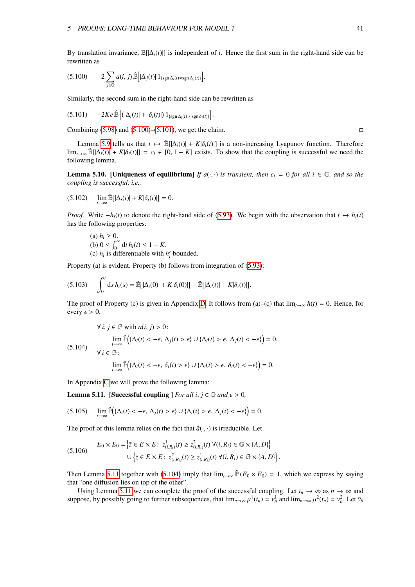<span id="page-41-0"></span>By translation invariance,  $\mathbb{E}[\Delta_i(t)]$  is independent of *i*. Hence the first sum in the right-hand side can be rewritten as

$$
(5.100) \t-2\sum_{j\in\mathbb{G}}a(i,j)\hat{\mathbb{E}}\big[\vert\Delta_j(t)\vert 1_{\{\operatorname{sgn}\Delta_i(t)\neq\operatorname{sgn}\Delta_j(t)\}}\big].
$$

Similarly, the second sum in the right-hand side can be rewritten as

$$
(5.101) \qquad -2Ke \widehat{\mathbb{E}} \left[ \left( |\Delta_i(t)| + |\delta_i(t)| \right) 1_{\{\text{sgn }\Delta_i(t) \neq \text{sgn }\delta_i(t)\}} \right]
$$

Combining  $(5.98)$  and  $(5.100)$ – $(5.101)$ , we get the claim.

Lemma [5.9](#page-40-3) tells us that *t*  $\mapsto \hat{\mathbb{E}}[|\Delta_i(t)| + K|\delta_i(t)|]$  is a non-increasing Lyapunov function. Therefore lim<sub>*t*→∞</sub>  $\hat{\mathbb{E}}[|\Delta_i(t)| + K|\delta_i(t)|] = c_i \in [0, 1 + K]$  exists. To show that the coupling is successful we need the following lemma.

<span id="page-41-4"></span>**Lemma 5.10. [Uniqueness of equilibrium]** *If*  $a(\cdot, \cdot)$  *is transient, then*  $c_i = 0$  *for all*  $i \in \mathbb{G}$ *, and so the coupling is successful, i.e.,*

$$
(5.102) \qquad \lim_{t\to\infty}\widehat{\mathbb{E}}[|\Delta_i(t)|+K|\delta_i(t)|]=0.
$$

*Proof.* Write  $-h_i(t)$  to denote the right-hand side of [\(5.93\)](#page-40-4). We begin with the observation that  $t \mapsto h_i(t)$ has the following properties:

\n- (a) 
$$
h_i \geq 0
$$
.
\n- (b)  $0 \leq \int_0^\infty dt \, h_i(t) \leq 1 + K$ .
\n- (c)  $h_i$  is differentiable with  $h'_i$  bounded.
\n

Property (a) is evident. Property (b) follows from integration of [\(5.93\)](#page-40-4):

$$
(5.103) \qquad \int_0^t \mathrm{d} s \, h_i(s) = \hat{\mathbb{E}}[|\Delta_i(0)| + K|\delta_i(0)|] - \hat{\mathbb{E}}[|\Delta_i(t)| + K|\delta_i(t)|].
$$

<span id="page-41-3"></span>The proof of Property (c) is given in Appendix [D.](#page-69-0) It follows from (a)–(c) that  $\lim_{t\to\infty} h(t) = 0$ . Hence, for every  $\epsilon > 0$ ,

$$
\forall i, j \in \mathbb{G} \text{ with } a(i, j) > 0:
$$
  
\n
$$
\lim_{t \to \infty} \hat{\mathbb{P}}\Big(\{\Delta_i(t) < -\epsilon, \Delta_j(t) > \epsilon\} \cup \{\Delta_i(t) > \epsilon, \Delta_j(t) < -\epsilon\}\Big) = 0,
$$
\n
$$
\forall i \in \mathbb{G}:
$$

<span id="page-41-6"></span>
$$
\lim_{t\to\infty}\widehat{\mathbb{P}}\Big(\{\Delta_i(t)<-\epsilon,\,\delta_i(t)>\epsilon\}\cup\{\Delta_i(t)>\epsilon,\,\delta_i(t)<-\epsilon\}\Big)=0.
$$

In Appendix [C](#page-65-0) we will prove the following lemma:

<span id="page-41-2"></span>**Lemma 5.11.** [Successful coupling ] *For all i, j*  $\in$  *G and*  $\epsilon$  > 0*,* 

$$
(5.105) \qquad \lim_{t\to\infty}\widehat{\mathbb{P}}\Big(\{\Delta_i(t) < -\epsilon,\ \Delta_j(t) > \epsilon\}\cup\{\Delta_i(t) > \epsilon,\ \Delta_j(t) < -\epsilon\}\Big) = 0.
$$

The proof of this lemma relies on the fact that  $\hat{a}(\cdot, \cdot)$  is irreducible. Let

$$
(5.106) \quad E_0 \times E_0 = \left\{ \overline{z} \in E \times E : z^1_{(i,R_i)}(t) \ge z^2_{(i,R_i)}(t) \,\,\forall (i,R_i) \in \mathbb{G} \times \{A,D\} \right\}
$$
\n
$$
\cup \left\{ \overline{z} \in E \times E : z^2_{(i,R_i)}(t) \ge z^1_{(i,R_i)}(t) \,\,\forall (i,R_i) \in \mathbb{G} \times \{A,D\} \right\}
$$

Then Lemma [5.11](#page-41-2) together with [\(5.104\)](#page-41-3) imply that  $\lim_{t\to\infty} \hat{P}(E_0 \times E_0) = 1$ , which we express by saying that "one diffusion lies on top of the other".

Using Lemma [5.11](#page-41-2) we can complete the proof of the successful coupling. Let  $t_n \to \infty$  as  $n \to \infty$  and suppose, by possibly going to further subsequences, that  $\lim_{n\to\infty} \mu^1(t_n) = v_\theta^1$  and  $\lim_{n\to\infty} \mu^2(t_n) = v_\theta^2$ . Let  $\bar{v}_\theta$ 

<span id="page-41-5"></span><span id="page-41-1"></span>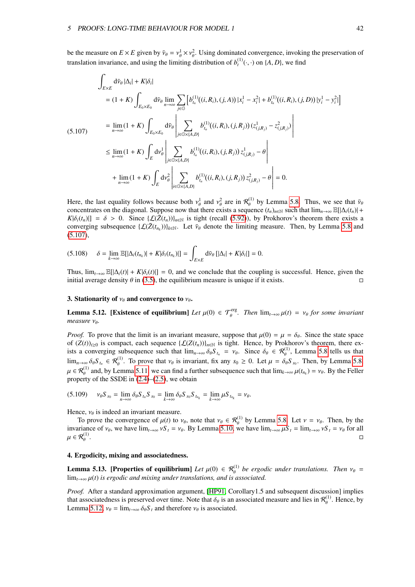<span id="page-42-0"></span>be the measure on  $E \times E$  given by  $\bar{v}_{\theta} = v_{\theta}^1 \times v_{\theta}^2$ . Using dominated convergence, invoking the preservation of tensile involving and wing the limiting distribution of  $h^{(1)}(x)$  on  $(A, D)$  we find translation invariance, and using the limiting distribution of  $b_t^{(1)}(\cdot, \cdot)$  on  $\{A, D\}$ , we find

$$
\int_{E\times E} d\bar{v}_{\theta} |\Delta_{i}| + K|\delta_{i}|
$$
\n
$$
= (1 + K) \int_{E_{0}\times E_{0}} d\bar{v}_{\theta} \lim_{n \to \infty} \sum_{j \in G} \left[ b_{i_{n}}^{(1)}((i, R_{i}), (j, A)) |x_{i}^{1} - x_{i}^{2}| + b_{i_{n}}^{(1)}((i, R_{i}), (j, D)) |y_{i}^{1} - y_{i}^{2}| \right]
$$
\n
$$
= \lim_{n \to \infty} (1 + K) \int_{E_{0}\times E_{0}} d\bar{v}_{\theta} \left| \sum_{j \in G \times \{A, D\}} b_{i_{n}}^{(1)}((i, R_{i}), (j, R_{j})) (z_{(j, R_{j})}^{1} - z_{(j, R_{j})}^{2}) \right|
$$
\n
$$
\leq \lim_{n \to \infty} (1 + K) \int_{E} d\nu_{\theta}^{1} \left| \sum_{j \in G \times \{A, D\}} b_{i_{n}}^{(1)}((i, R_{i}), (j, R_{j})) z_{(j, R_{j})}^{1} - \theta \right|
$$
\n
$$
+ \lim_{n \to \infty} (1 + K) \int_{E} d\nu_{\theta}^{2} \left| \sum_{i \in G \times \{A, D\}} b_{i_{n}}^{(1)}((i, R_{i}), (j, R_{j})) z_{(j, R_{j})}^{2} - \theta \right| = 0.
$$

Here, the last equality follows because both  $v_\theta^1$  and  $v_\theta^2$  are in  $\mathcal{R}_\theta^{(1)}$  by Lemma [5.8.](#page-38-1) Thus, we see that  $\bar{v}_\theta$  concentrates on the diagonal. Suppose now that there exists a sequence  $(t)$  as such that  $\lim$ concentrates on the diagonal. Suppose now that there exists a sequence  $(t_n)_{n\in\mathbb{N}}$  such that  $\lim_{n\to\infty} \mathbb{E}[|\Delta_i(t_n)|+$  $K|\delta_i(t_n)| = \delta > 0$ . Since  $\{\mathcal{L}(\bar{Z}(t_n))\}_{n \in \mathbb{N}}$  is tight (recall [\(5.92\)](#page-40-5)), by Prokhorov's theorem there exists a converging subsequence  $\{\mathcal{L}(\bar{Z}(t_{n_k}))\}_{k \in \mathbb{N}}$ . Let  $\bar{v}_\theta$  denote the limiting measure. Then, by Lemma [5.8](#page-38-1) and  $(5.107)$ [\(5.107\)](#page-42-0),

$$
(5.108) \quad \delta = \lim_{k \to \infty} \mathbb{E}[|\Delta_i(t_{n_k})| + K|\delta_i(t_{n_k})|] = \int_{E \times E} d\bar{\nu}_{\theta} [|\Delta_i| + K|\delta_i|] = 0.
$$

Thus,  $\lim_{t\to\infty}$  E[| $\Delta_i(t)$ | + *K*| $\delta_i(t)$ |] = 0, and we conclude that the coupling is successful. Hence, given the initial average density  $\theta$  in (3.5) the equilibrium measure is unique if it exists initial average density  $\theta$  in [\(3.5\)](#page-16-0), the equilibrium measure is unique if it exists.

#### 3. Stationarity of  $v_{\theta}$  and convergence to  $v_{\theta}$ .

<span id="page-42-1"></span>**Lemma 5.12.** [Existence of equilibrium] *Let*  $\mu(0) \in \mathcal{T}_{\theta}^{\text{erg}}$ . *Then*  $\lim_{t \to \infty} \mu(t) = v_{\theta}$  for some invariant *measure* ν<sub>θ</sub>.

*Proof.* To prove that the limit is an invariant measure, suppose that  $\mu(0) = \mu = \delta_{\theta}$ . Since the state space of  $(Z(t))_{t\geq0}$  is compact, each sequence  $\{\mathcal{L}(Z(t_n))\}_{n\in\mathbb{N}}$  is tight. Hence, by Prokhorov's theorem, there exists a converging subsequence such that  $\lim_{n\to\infty} \delta_\theta S_{t_n} = v_\theta$ . Since  $\delta_\theta \in \mathcal{R}_\theta^{(1)}$ , Lemma [5.8](#page-38-1) tells us that  $\lim_{n\to\infty} S_n = \mathcal{R}_\theta^{(1)}$ . Then hy Lemma 5.8  $\lim_{n\to\infty} \delta_\theta S_{t_n} \in \mathcal{R}_{\theta}^{(1)}$ . To prove that  $v_\theta$  is invariant, fix any  $s_0 \ge 0$ . Let  $\mu = \delta_\theta S_{s_0}$ . Then, by Lemma [5.8,](#page-38-1)  $\mu \in \mathcal{R}_{\theta}^{(1)}$  and, by Lemma [5.11,](#page-41-2) we can find a further subsequence such that  $\lim_{k \to \infty} \mu(t_{n_k}) = v_{\theta}$ . By the Feller property of the SSDE in  $(2.4)$ – $(2.5)$ , we obtain

$$
(5.109) \qquad v_{\theta}S_{s_0}=\lim_{n\to\infty}\delta_{\theta}S_{t_n}S_{s_0}=\lim_{k\to\infty}\delta_{\theta}S_{s_0}S_{t_{n_k}}=\lim_{k\to\infty}\mu S_{t_{n_k}}=v_{\theta}.
$$

Hence,  $v_{\theta}$  is indeed an invariant measure.

To prove the convergence of  $\mu(t)$  to  $\nu_{\theta}$ , note that  $\nu_{\theta} \in \mathcal{R}_{\theta}^{(1)}$  by Lemma [5.8.](#page-38-1) Let  $\nu = \nu_{\theta}$ . Then, by the priance of  $\nu_{\theta}$ , we have  $\lim_{\theta \to 0^+} \nu_{\theta}^C = \nu_{\theta}$  for all invariance of  $v_\theta$ , we have  $\lim_{t\to\infty} vS_t = v_\theta$ . By Lemma [5.10,](#page-41-4) we have  $\lim_{t\to\infty} \mu S_t = \lim_{t\to\infty} vS_t = v_\theta$  for all  $\mu \in \mathcal{R}^{(1)}_\theta$ .  $\mu \in \mathcal{R}^{(1)}_{\rho}$ .

#### 4. Ergodicity, mixing and associatedness.

<span id="page-42-2"></span>**Lemma 5.13. [Properties of equilibrium]** Let  $\mu(0) \in \mathcal{R}_{\theta}^{(1)}$  be ergodic under translations. Then  $v_{\theta} =$ <br>limed this ergodic and mixing under translations, and is associated.  $\lim_{t\to\infty}\mu(t)$  *is ergodic and mixing under translations, and is associated.* 

*Proof.* After a standard approximation argument, [\[HP91,](#page-72-0) Corollary1.5 and subsequent discussion] implies that associatedness is preserved over time. Note that  $\delta_{\theta}$  is an associated measure and lies in  $\mathcal{R}_{\theta}^{(1)}$  $\theta_{\theta}^{(1)}$ . Hence, by Lemma [5.12,](#page-42-1)  $v_\theta = \lim_{t \to \infty} \delta_\theta S_t$  and therefore  $v_\theta$  is associated.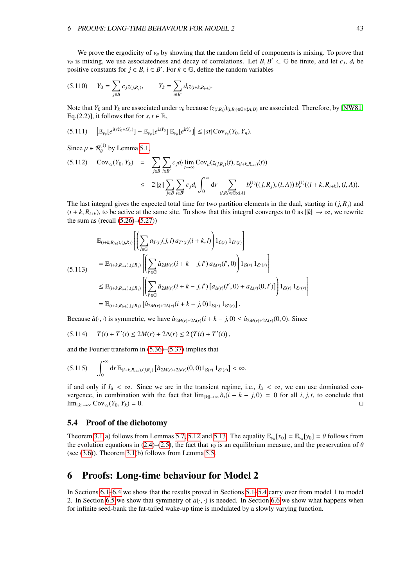We prove the ergodicity of  $v_{\theta}$  by showing that the random field of components is mixing. To prove that  $v_{\theta}$  is mixing, we use associatedness and decay of correlations. Let *B*,  $B' \subset \mathbb{G}$  be finite, and let  $c_j$ ,  $d_i$  be positive constants for  $i \in B$ ,  $i \in B'$ . For  $k \in \mathbb{G}$ , define the random variables positive constants for  $j \in B$ ,  $i \in B'$ . For  $k \in \mathbb{G}$ , define the random variables

$$
(5.110) \t Y_0 = \sum_{j \in B} c_j z_{(j,R_j)}, \t Y_k = \sum_{i \in B'} d_i z_{(i+k,R_{i+k})}.
$$

Note that  $Y_0$  and  $Y_k$  are associated under  $v_\theta$  because  $(z_{(i,R_i)})_{(i,R_i)\in\mathbb{G}\times\{A,D\}}$  are associated. Therefore, by [\[NW81,](#page-73-3) Eq.(2.2)], it follows that for  $s, t \in \mathbb{R}$ ,

$$
(5.111) \qquad \left| \mathbb{E}_{\nu_{\theta}}[e^{i(sY_0 + tY_n)}] - \mathbb{E}_{\nu_{\theta}}[e^{isY_0}] \, \mathbb{E}_{\nu_{\theta}}[e^{itY_n}] \right| \leq |st| \, \text{Cov}_{\nu_{\theta}}(Y_0, Y_n).
$$

Since  $\mu \in \mathcal{R}_{\theta}^{(1)}$  by Lemma [5.1,](#page-28-0)

$$
(5.112) \quad \text{Cov}_{\nu_{\theta}}(Y_0, Y_k) = \sum_{j \in B} \sum_{i \in B'} c_j d_i \lim_{t \to \infty} \text{Cov}_{\mu}(z_{(j,R_j)}(t), z_{(i+k,R_{i+k})}(t))
$$
  
 
$$
\leq 2||g|| \sum_{j \in B} \sum_{i \in B'} c_j d_i \int_0^{\infty} dr \sum_{(l,R_l) \in \mathbb{G} \times \{A\}} b_r^{(1)}((j,R_j),(l,A)) b_r^{(1)}((i+k,R_{i+k}),(l,A)).
$$

<span id="page-43-1"></span>The last integral gives the expected total time for two partition elements in the dual, starting in  $(j, R<sub>j</sub>)$  and  $(i + k, R_{i+k})$ , to be active at the same site. To show that this integral converges to 0 as  $||k|| \rightarrow \infty$ , we rewrite the sum as (recall  $(5.26)$ – $(5.27)$ )

$$
\mathbb{E}_{(i+k,R_{i+k}),(j,R_{j})}\left[\left(\sum_{l\in\mathbb{G}}a_{T(r)}(j,l)a_{T'(r)}(i+k,l)\right)1_{\mathcal{E}(r)}1_{\mathcal{E}'(r)}\right]
$$
\n
$$
=\mathbb{E}_{(i+k,R_{i+k}),(j,R_{j})}\left[\left(\sum_{l'\in\mathbb{G}}\hat{a}_{2M(r)}(i+k-j,l')a_{\Delta(r)}(l',0)\right)1_{\mathcal{E}(r)}1_{\mathcal{E}'(r)}\right]
$$
\n
$$
\leq\mathbb{E}_{(i+k,R_{i+k}),(j,R_{j})}\left[\left(\sum_{l'\in\mathbb{G}}\hat{a}_{2M(r)}(i+k-j,l')\left[a_{\Delta(r)}(l',0)+a_{\Delta(r)}(0,l')\right]\right)1_{\mathcal{E}(r)}1_{\mathcal{E}'(r)}\right]
$$
\n
$$
=\mathbb{E}_{(i+k,R_{i+k}),(j,R_{j})}\left[\hat{a}_{2M(r)+2\Delta(r)}(i+k-j,0)1_{\mathcal{E}(r)}1_{\mathcal{E}'(r)}\right].
$$

Because  $\hat{a}(\cdot, \cdot)$  is symmetric, we have  $\hat{a}_{2M(r)+2\Delta(r)}(i+k-j, 0) \leq \hat{a}_{2M(r)+2\Delta(r)}(0, 0)$ . Since

$$
(5.114) \tT(t) + T'(t) \le 2M(r) + 2\Delta(r) \le 2(T(t) + T'(t)),
$$

and the Fourier transform in [\(5.36\)](#page-32-0)–[\(5.37\)](#page-32-1) implies that

$$
(5.115)\quad \int_0^\infty\mathrm{d} r\,\mathbb{E}_{(i+k,R_{i+k}),(j,R_j)}\big[\hat{a}_{2M(r)+2\Delta(r)}(0,0)1_{\mathcal{E}(r)}\,1_{\mathcal{E}'(r)}\big]<\infty.
$$

if and only if  $I_a < \infty$ . Since we are in the transient regime, i.e.,  $I_a < \infty$ , we can use dominated convergence, in combination with the fact that  $\lim_{\|k\| \to \infty} \hat{a}_t(i + k - j, 0) = 0$  for all *i*, *j*, *t*, to conclude that  $\lim_{\|k\| \to \infty} C_0 v$ .  $(Y_0, Y_1) = 0$  $\lim_{\|k\|\to\infty} \text{Cov}_{\nu_{\theta}}(Y_0, Y_k) = 0.$  $(Y_0, Y_k) = 0.$ 

# <span id="page-43-0"></span>5.4 Proof of the dichotomy

Theorem [3.1\(](#page-16-1)a) follows from Lemmas [5.7,](#page-36-4) [5.12](#page-42-1) and [5.13.](#page-42-2) The equality  $\mathbb{E}_{\nu_{\theta}}[x_0] = \mathbb{E}_{\nu_{\theta}}[y_0] = \theta$  follows from the evolution equations in (2.4)–(2.5), the fact that  $\nu_{\theta}$  is an equilibrium measure, and the p the evolution equations in [\(2.4\)](#page-6-0)–[\(2.5\)](#page-6-0), the fact that  $\nu_{\theta}$  is an equilibrium measure, and the preservation of  $\theta$ (see  $(3.6)$ ). Theorem  $3.1(b)$  follows from Lemma [5.5.](#page-33-1)

# <span id="page-43-2"></span>6 Proofs: Long-time behaviour for Model 2

In Sections [6.1](#page-44-0)[–6.4](#page-55-0) we show that the results proved in Sections [5.1](#page-28-1)[–5.4](#page-43-0) carry over from model 1 to model 2. In Section [6.5](#page-55-1) we show that symmetry of  $a(\cdot, \cdot)$  is needed. In Section [6.6](#page-55-2) we show what happens when for infinite seed-bank the fat-tailed wake-up time is modulated by a slowly varying function.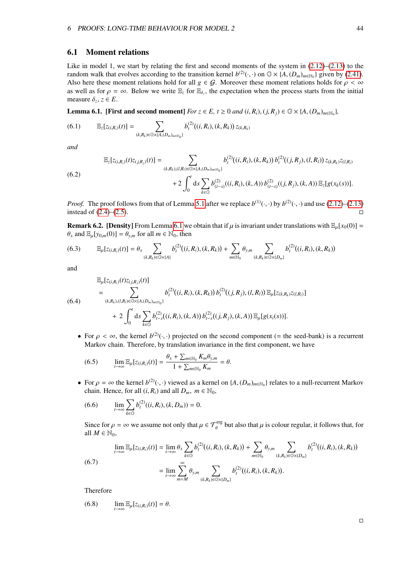## <span id="page-44-0"></span>6.1 Moment relations

Like in model 1, we start by relating the first and second moments of the system in  $(2.12)$ – $(2.13)$  to the random walk that evolves according to the transition kernel  $b^{(2)}(\cdot, \cdot)$  on  $\mathbb{G} \times \{A, (D_m)_{m \in \mathbb{N}_0}\}$  given by [\(2.41\)](#page-13-0). Also here these moment relations hold for all  $g \in G$ . Moreover these moment relations holds for  $\rho < \infty$ as well as for  $\rho = \infty$ . Below we write  $\mathbb{E}_z$  for  $\mathbb{E}_{\delta_z}$ , the expectation when the process starts from the initial measure  $\delta \preceq \epsilon F$ measure  $\delta_z$ ,  $z \in E$ .

<span id="page-44-1"></span>**Lemma 6.1.** [First and second moment]  $For z \in E$ ,  $t \ge 0$  and  $(i, R_i)$ ,  $(j, R_j) \in \mathbb{G} \times \{A, (D_m)_{m \in \mathbb{N}_0}\}\,$ 

(6.1) 
$$
\mathbb{E}_{z}[z_{(i,R_i)}(t)] = \sum_{(k,R_k)\in\mathbb{G}\times\{A,(D_m)_{m\in\mathbb{N}_0}\}} b_t^{(2)}((i,R_i),(k,R_k)) z_{(k,R_k)}
$$

*and*

$$
\mathbb{E}_{z}[z_{(i,R_i)}(t)z_{(j,R_j)}(t)] = \sum_{(k,R_k),(l,R_i) \in \mathbb{G} \times \{A,(D_m)_{m \in \mathbb{N}_0}\}} b_t^{(2)}((i,R_i),(k,R_k)) b_t^{(2)}((j,R_j),(l,R_l)) z_{(k,R_k)} z_{(l,R_l)} + 2 \int_0^t ds \sum_{k \in \mathbb{G}} b_{(t-s)}^{(2)}((i,R_i),(k,A)) b_{(t-s)}^{(2)}((j,R_j),(k,A)) \mathbb{E}_{z}[g(x_k(s))].
$$

*Proof.* The proof follows from that of Lemma [5.1](#page-28-0) after we replace  $b^{(1)}(\cdot, \cdot)$  by  $b^{(2)}(\cdot, \cdot)$  and use [\(2.12\)](#page-7-0)–[\(2.13\)](#page-7-0) instead of (2.4)–(2.5) instead of  $(2.4)$ – $(2.5)$ .

**Remark 6.2.** [Density] From Lemma [6.1](#page-44-1) we obtain that if  $\mu$  is invariant under translations with  $\mathbb{E}_{\mu}[x_0(0)] =$  $\theta$ <sub>x</sub> and  $\mathbb{E}_{u}[y_{0,m}(0)] = \theta_{v,m}$  for all  $m \in \mathbb{N}_0$ , then

$$
(6.3) \qquad \mathbb{E}_{\mu}[z_{(i,R_i)}(t)] = \theta_x \sum_{(k,R_k)\in\mathbb{G}\times\{A\}} b_t^{(2)}((i,R_i),(k,R_k)) + \sum_{m\in\mathbb{N}_0} \theta_{y,m} \sum_{(k,R_k)\in\mathbb{G}\times\{D_m\}} b_t^{(2)}((i,R_i),(k,R_k))
$$

and

$$
\mathbb{E}_{\mu}[z_{(i,R_i)}(t)z_{(j,R_j)}(t)]
$$
\n
$$
= \sum_{(k,R_k),(l,R_i)\in\mathbb{G}\times\{A,(D_m)_{m\in\mathbb{N}_0}\}} b_i^{(2)}((i,R_i),(k,R_k)) b_i^{(2)}((j,R_j),(l,R_l)) \mathbb{E}_{\mu}[z_{(k,R_k)}z_{(l,R_l)}]
$$
\n
$$
+ 2 \int_0^t ds \sum_{k\in\mathbb{G}} b_{t-s}^{(2)}((i,R_i),(k,A)) b_{t-s}^{(2)}((j,R_j),(k,A)) \mathbb{E}_{\mu}[g(x_i(s))].
$$

• For  $\rho < \infty$ , the kernel  $b^{(2)}(\cdot, \cdot)$  projected on the second component (= the seed-bank) is a recurrent<br>Markov chain. Therefore, by translation invariance in the first component, we have Markov chain. Therefore, by translation invariance in the first component, we have

(6.5) 
$$
\lim_{t\to\infty} \mathbb{E}_{\mu}[z_{(i,R_i)}(t)] = \frac{\theta_x + \sum_{m\in\mathbb{N}_0} K_m \theta_{y,m}}{1 + \sum_{m\in\mathbb{N}_0} K_m} = \theta.
$$

• For  $\rho = \infty$  the kernel  $b^{(2)}(\cdot, \cdot)$  viewed as a kernel on  $\{A, (D_m)_{m \in \mathbb{N}_0}\}$  relates to a null-recurrent Markov chain. Hence for all *(i. R.)* and all  $D_m \in \mathbb{N}_0$ chain. Hence, for all  $(i, R_i)$  and all  $D_m$ ,  $m \in \mathbb{N}_0$ ,

(6.6) 
$$
\lim_{t \to \infty} \sum_{k \in \mathbb{G}} b_t^{(2)}((i, R_i), (k, D_m)) = 0.
$$

Since for  $\rho = \infty$  we assume not only that  $\mu \in \mathcal{T}_{\theta}^{\text{erg}}$  but also that  $\mu$  is colour regular, it follows that, for all  $M \in \mathbb{N}_{\theta}$ all  $M \in \mathbb{N}_0$ ,

$$
\lim_{t \to \infty} \mathbb{E}_{\mu}[z_{(i,R_i)}(t)] = \lim_{t \to \infty} \theta_x \sum_{k \in \mathbb{G}} b_t^{(2)}((i,R_i),(k,R_k)) + \sum_{m \in \mathbb{N}_0} \theta_{y,m} \sum_{(k,R_k) \in \mathbb{G} \times \{D_m\}} b_t^{(2)}((i,R_i),(k,R_k))
$$
\n
$$
= \lim_{t \to \infty} \sum_{m=M}^{\infty} \theta_{y,m} \sum_{(k,R_k) \in \mathbb{G} \times \{D_m\}} b_t^{(2)}((i,R_i),(k,R_k)).
$$

<span id="page-44-2"></span>Therefore

$$
(6.8) \qquad \lim_{t\to\infty} \mathbb{E}_{\mu}[z_{(i,R_i)}(t)] = \theta.
$$

 $\Box$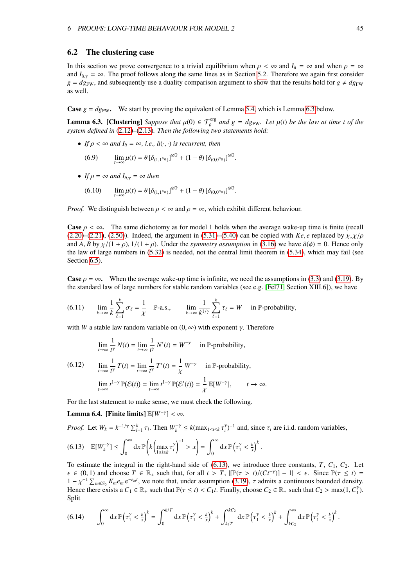### 6.2 The clustering case

In this section we prove convergence to a trivial equilibrium when  $\rho < \infty$  and  $I_{\hat{a}} = \infty$  and when  $\rho = \infty$ and  $I_{\hat{a}\gamma} = \infty$ . The proof follows along the same lines as in Section [5.2.](#page-29-0) Therefore we again first consider  $g = dg_{\text{FW}}$ , and subsequently use a duality comparison argument to show that the results hold for  $g \neq dg_{\text{FW}}$ as well.

**Case**  $g = dg_{\text{FW}}$ . We start by proving the equivalent of Lemma [5.4,](#page-30-1) which is Lemma [6.3](#page-45-0) below.

<span id="page-45-0"></span>**Lemma 6.3. [Clustering]** *Suppose that*  $\mu(0) \in \mathcal{T}_{\text{eff}}^{\text{erg}}$  and  $g = dg_{\text{FW}}$ . Let  $\mu(t)$  be the law at time t of the system defined in (2.12)–(2.13). Then the following two statements hold: system defined in [\(2.12\)](#page-7-0)–[\(2.13\)](#page-7-0). Then the following two statements hold:

• *If*  $\rho < \infty$  *and*  $I_{\hat{a}} = \infty$ *, i.e.,*  $\hat{a}(\cdot, \cdot)$  *is recurrent, then* 

(6.9) 
$$
\lim_{t\to\infty}\mu(t)=\theta\left[\delta_{(1,1^{\mathbb{N}_0})}\right]^{\otimes\mathbb{G}}+(1-\theta)\left[\delta_{(0,0^{\mathbb{N}_0})}\right]^{\otimes\mathbb{G}}.
$$

- *If*  $\rho = \infty$  *and*  $I_{\hat{\theta}y} = \infty$  *then* 
	- (6.10)  $\lim_{t \to \infty} \mu(t) = \theta \left[ \delta_{(1,1^{N_0})} \right]^{\otimes \mathbb{G}} + (1 \theta) \left[ \delta_{(0,0^{N_0})} \right]^{\otimes \mathbb{G}}$

*Proof.* We distinguish between  $\rho < \infty$  and  $\rho = \infty$ , which exhibit different behaviour.

**Case**  $\rho < \infty$ . The same dichotomy as for model 1 holds when the average wake-up time is finite (recall  $(2.20)$ – $(2.21)$ ,  $(2.50)$ ). Indeed, the argument in  $(5.31)$ – $(5.40)$  can be copied with *Ke*, *e* replaced by  $\chi$ ,  $\chi/\rho$ and *A*, *B* by  $\chi/(1+\rho)$ ,  $1/(1+\rho)$ . Under the *symmetry assumption* in [\(3.16\)](#page-17-0) we have  $\tilde{a}(\phi) = 0$ . Hence only the law of large numbers in [\(5.32\)](#page-32-3) is needed, not the central limit theorem in [\(5.34\)](#page-32-4), which may fail (see Section  $6.5$ ).

**Case**  $\rho = \infty$ . When the average wake-up time is infinite, we need the assumptions in [\(3.3\)](#page-16-3) and [\(3.19\)](#page-17-1). By the standard law of large numbers for stable random variables (see e.g. [\[Fel71,](#page-72-1) Section XIII.6]), we have

(6.11) 
$$
\lim_{k \to \infty} \frac{1}{k} \sum_{\ell=1}^{k} \sigma_{\ell} = \frac{1}{\chi} \quad \mathbb{P}\text{-a.s.,} \qquad \lim_{k \to \infty} \frac{1}{k^{1/\gamma}} \sum_{\ell=1}^{k} \tau_{\ell} = W \quad \text{in } \mathbb{P}\text{-probability,}
$$

with *W* a stable law random variable on  $(0, \infty)$  with exponent  $\gamma$ . Therefore

<span id="page-45-2"></span><span id="page-45-1"></span>
$$
\lim_{t \to \infty} \frac{1}{t^{\gamma}} N(t) = \lim_{t \to \infty} \frac{1}{t^{\gamma}} N'(t) = W^{-\gamma} \quad \text{in } \mathbb{P}\text{-probability},
$$

(6.12) 
$$
\lim_{t \to \infty} \frac{1}{t^{\gamma}} T(t) = \lim_{t \to \infty} \frac{1}{t^{\gamma}} T'(t) = \frac{1}{\chi} W^{-\gamma} \text{ in } \mathbb{P}\text{-probability,}
$$

$$
\lim_{t \to \infty} t^{1-\gamma} \mathbb{P}(\mathcal{E}(t)) = \lim_{t \to \infty} t^{1-\gamma} \mathbb{P}(\mathcal{E}'(t)) = \frac{1}{\chi} \mathbb{E}[W^{-\gamma}], \qquad t \to \infty.
$$

For the last statement to make sense, we must check the following.

Lemma 6.4. [Finite limits]  $\mathbb{E}[W^{-\gamma}] < \infty$ .

*Proof.* Let  $W_k = k^{-1/\gamma} \sum_{l=1}^k \tau_l$ . Then  $W_k^{-\gamma} \le k(\max_{1 \le i \le k} \tau_i^{\gamma})^{-1}$  and, since  $\tau_i$  are i.i.d. random variables,

$$
(6.13) \quad \mathbb{E}[W_k^{-\gamma}] \leq \int_0^{\infty} dx \, \mathbb{P}\left(k\left(\max_{1\leq i\leq k} \tau_i^{\gamma}\right)^{-1} > x\right) = \int_0^{\infty} dx \, \mathbb{P}\left(\tau_1^{\gamma} < \frac{k}{x}\right)^k.
$$

To estimate the integral in the right-hand side of  $(6.13)$ , we introduce three constants,  $T$ ,  $C_1$ ,  $C_2$ . Let  $\epsilon \in (0, 1)$  and choose  $T \in \mathbb{R}_+$  such that, for all  $t > T$ ,  $\left[\mathbb{P}(\tau > t)/(Ct^{-\gamma})\right] - 1| < \epsilon$ . Since  $\mathbb{P}(\tau \le t) = 1 - \nu^{-1} \sum_{r \in \mathbb{R}} K e^{-e^{-\epsilon_m t}}$  we note that under assumption (3.19)  $\tau$  admits a continuous bounded den  $1 - \chi^{-1} \sum_{m \in \mathbb{N}_0} K_m e_m e^{-e_m t}$ , we note that, under assumption [\(3.19\)](#page-17-1), τ admits a continuous bounded density.<br>Hence there exists a C, ∈ R such that  $\mathbb{P}(\tau \le t) \le C$ , t Finally choose Ce ∈ R such that Ce > may(1 C<sup>y</sup> Hence there exists a  $C_1 \in \mathbb{R}_+$  such that  $\mathbb{P}(\tau \le t) < C_1 t$ . Finally, choose  $C_2 \in \mathbb{R}_+$  such that  $C_2 > \max(1, C_1^{\gamma})$ . Split

$$
(6.14) \qquad \int_0^\infty dx \, \mathbb{P}\left(\tau_1^\gamma < \tfrac{k}{x}\right)^k = \int_0^{k/T} dx \, \mathbb{P}\left(\tau_1^\gamma < \tfrac{k}{x}\right)^k + \int_{k/T}^{k/C_2} dx \, \mathbb{P}\left(\tau_1^\gamma < \tfrac{k}{x}\right)^k + \int_{kC_2}^\infty dx \, \mathbb{P}\left(\tau_1^\gamma < \tfrac{k}{x}\right)^k.
$$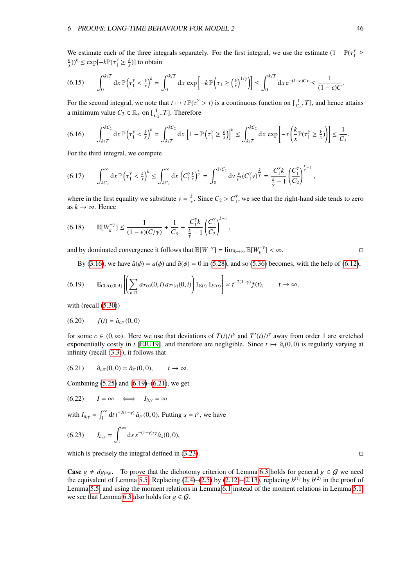We estimate each of the three integrals separately. For the first integral, we use the estimate  $(1 - \mathbb{P}(\tau_1^{\gamma} \ge k))^k \le \alpha \text{erf}^{-1} \mathbb{E} \mathbb{P}(\tau_1^{\gamma} \ge k)$  to obtain  $(\frac{k}{x})^k \le \exp[-k\mathbb{P}(\tau_1^{\gamma} \ge \frac{k}{x})]$  to obtain

$$
(6.15) \qquad \int_0^{k/T} dx \, \mathbb{P}\left(\tau_1^{\gamma} < \frac{k}{x}\right)^k = \int_0^{k/T} dx \, \exp\left[-k \, \mathbb{P}\left(\tau_1 \geq \left(\frac{k}{x}\right)^{1/\gamma}\right)\right] \leq \int_0^{k/T} dx \, e^{-(1-\epsilon)Cx} \leq \frac{1}{(1-\epsilon)C}.
$$

For the second integral, we note that  $t \mapsto t \mathbb{P}(\tau_1^{\gamma} > t)$  is a continuous function on  $[\frac{1}{C_2}, T]$ , and hence attains a minimum value  $C_3 \in \mathbb{R}_+$  on  $\left[\frac{1}{C_2}, T\right]$ . Therefore

$$
(6.16) \qquad \int_{k/T}^{kC_2} dx \, \mathbb{P}\left(\tau_1^{\gamma} < \frac{k}{x}\right)^k = \int_{k/T}^{kC_2} dx \, \left[1 - \mathbb{P}\left(\tau_1^{\gamma} \geq \frac{k}{x}\right)\right]^k \leq \int_{k/T}^{kC_2} dx \, \exp\left[-x\left(\frac{k}{x}\mathbb{P}(\tau_1^{\gamma} \geq \frac{k}{x})\right)\right] \leq \frac{1}{C_3}.
$$

For the third integral, we compute

$$
(6.17) \qquad \int_{kC_2}^{\infty} dx \, \mathbb{P}\left(\tau_1^{\gamma} < \frac{k}{x}\right)^k \leq \int_{kC_2}^{\infty} dx \, \left(C_1^{\gamma} \frac{k}{x}\right)^{\frac{k}{\gamma}} = \int_0^{1/C_2} dv \, \frac{k}{v^2} \left(C_1^{\gamma} v\right)^{\frac{k}{\gamma}} = \frac{C_1^{\gamma} k}{\frac{k}{\gamma} - 1} \left(\frac{C_1^{\gamma}}{C_2}\right)^{\frac{k}{\gamma} - 1},
$$

where in the first equality we substitute  $v = \frac{k}{x}$ . Since  $C_2 > C_1^{\gamma}$ , we see that the right-hand side tends to zero as  $k \to \infty$ . Hence as  $k \rightarrow \infty$ . Hence

$$
(6.18) \qquad \mathbb{E}[W_k^{-\gamma}] \le \frac{1}{(1-\epsilon)(C/\gamma)} + \frac{1}{C_3} + \frac{C_1^{\gamma}k}{\frac{k}{\gamma} - 1} \left(\frac{C_1^{\gamma}}{C_2}\right)^{k-1},
$$

and by dominated convergence it follows that  $\mathbb{E}[W^{-\gamma}] = \lim_{k \to \infty} \mathbb{E}[W_k^{-\gamma}] < \infty$ .

By [\(3.16\)](#page-17-0), we have  $\hat{a}(\phi) = a(\phi)$  and  $\tilde{a}(\phi) = 0$  in [\(5.28\)](#page-31-0), and so [\(5.36\)](#page-32-0) becomes, with the help of [\(6.12\)](#page-45-2),

$$
(6.19) \qquad \mathbb{E}_{(0,A),(0,A)}\left[\left(\sum_{i\in\mathbb{G}}a_{T(t)}(0,i)a_{T'(t)}(0,i)\right)1_{\mathcal{E}(t)}1_{\mathcal{E}'(t)}\right] \asymp t^{-2(1-\gamma)}f(t), \qquad t\to\infty,
$$

with (recall  $(5.30)$ )

$$
(6.20) \t f(t) = \hat{a}_{ct'}(0,0)
$$

<span id="page-46-1"></span>for some  $c \in (0, \infty)$ . Here we use that deviations of  $T(t)/t^{\gamma}$  and  $T'(t)/t^{\gamma}$  away from order 1 are stretched<br>exponentially costly in t [EW101] and therefore are peoligible. Since  $t \mapsto \hat{a}(0, 0)$  is regularly varying exponentially costly in *t* [\[EJU19\]](#page-72-2), and therefore are negligible. Since  $t \mapsto \hat{a}_t(0, 0)$  is regularly varying at infinity (recall [\(3.3\)](#page-16-3)), it follows that

<span id="page-46-2"></span>
$$
(6.21) \qquad \hat{a}_{cr}(0,0) \approx \hat{a}_{r}(0,0), \qquad t \to \infty.
$$

Combining  $(5.25)$  and  $(6.19)$ – $(6.21)$ , we get

$$
(6.22) \qquad I = \infty \qquad \Longleftrightarrow \qquad I_{\hat{a},\gamma} = \infty
$$

with  $I_{\hat{a},\gamma} = \int_1^\infty dt \, t^{-2(1-\gamma)} \, \hat{a}_{t}^{\gamma}(0,0)$ . Putting  $s = t^{\gamma}$ , we have

(6.23) 
$$
I_{\hat{a},\gamma} = \int_1^{\infty} ds \, s^{-(1-\gamma)/\gamma} \hat{a}_s(0,0),
$$

which is precisely the integral defined in  $(3.23)$ .

**Case**  $g \neq dg_{FW}$ . To prove that the dichotomy criterion of Lemma [6.3](#page-45-0) holds for general  $g \in G$  we need the equivalent of Lemma [5.5.](#page-33-1) Replacing  $(2.4)$ – $(2.5)$  by  $(2.12)$ – $(2.13)$ , replacing  $b^{(1)}$  by  $b^{(2)}$  in the proof of Lemma [5.5,](#page-33-1) and using the moment relations in Lemma [6.1](#page-44-1) instead of the moment relations in Lemma [5.1,](#page-28-0) we see that Lemma [6.3](#page-45-0) also holds for  $g \in \mathcal{G}$ .

<span id="page-46-0"></span>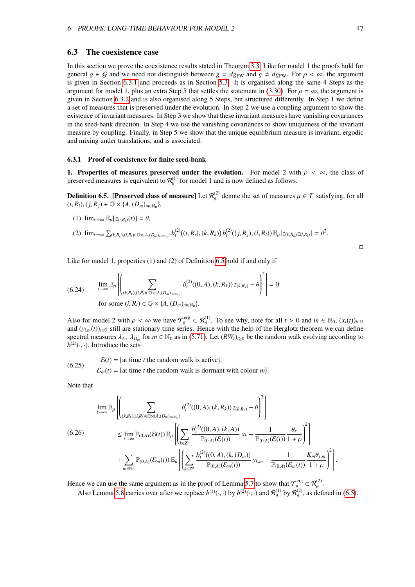### <span id="page-47-4"></span>6.3 The coexistence case

In this section we prove the coexistence results stated in Theorem [3.3.](#page-18-1) Like for model 1 the proofs hold for general  $g \in G$  and we need not distinguish between  $g = dg_{FW}$  and  $g \neq dg_{FW}$ . For  $\rho < \infty$ , the argument is given in Section [6.3.1](#page-47-0) and proceeds as in Section [5.3.](#page-35-0) It is organised along the same 4 Steps as the argument for model 1, plus an extra Step 5 that settles the statement in [\(3.30\)](#page-18-2). For  $\rho = \infty$ , the argument is given in Section [6.3.2](#page-49-0) and is also organised along 5 Steps, but structured differently. In Step 1 we define a set of measures that is preserved under the evolution. In Step 2 we use a coupling argument to show the existence of invariant measures. In Step 3 we show that these invariant measures have vanishing covariances in the seed-bank direction. In Step 4 we use the vanishing covariances to show uniqueness of the invariant measure by coupling. Finally, in Step 5 we show that the unique equilibrium measure is invariant, ergodic and mixing under translations, and is associated.

#### <span id="page-47-0"></span>6.3.1 Proof of coexistence for finite seed-bank

1. Properties of measures preserved under the evolution. For model 2 with  $\rho < \infty$ , the class of preserved measures is equivalent to  $\mathcal{R}_{\theta}^{(1)}$  for model 1 and is now defined as follows.

<span id="page-47-1"></span>**Definition 6.5.** [Preserved class of measure] Let  $\mathcal{R}_{\theta}^{(2)}$  denote the set of measures  $\mu \in \mathcal{T}$  satisfying, for all  $\hat{H}$   $R \cdot \hat{H}$   $\hat{H}$   $R \cdot \hat{H}$   $\hat{H}$   $\hat{H}$   $\hat{H}$   $\hat{H}$   $\hat{H}$   $\hat{H}$   $\hat{H}$   $(i, R_i), (j, R_j) \in \mathbb{G} \times \{A, (D_m)_{m \in \mathbb{N}_0}\},$ 

(1) 
$$
\lim_{t\to\infty} \mathbb{E}_{\mu}[z_{(i,R_i)}(t)] = \theta
$$
,

$$
(2) \ \lim_{t\to\infty}\sum_{(k,R_k),(l,R_l)\in\mathbb{G}\times\{A,(D_m)_{m\in\mathbb{N}_0}\}}b^{(2)}_t((i,R_i),(k,R_k))\,b^{(2)}_t((j,R_j),(l,R_l))\,\mathbb{E}_{\mu}[z_{(k,R_k)}z_{(l,R_l)}]=\theta^2.
$$

Like for model 1, properties (1) and (2) of Definition [6.5](#page-47-1) hold if and only if

(6.24) 
$$
\lim_{t \to \infty} \mathbb{E}_{\mu} \left[ \left( \sum_{(k,R_k),(l,R_l) \in \mathbb{G} \times \{A,(D_m)_{m \in \mathbb{N}_0}\}} b_t^{(2)}((0,A),(k,R_k)) z_{(k,R_k)} - \theta \right)^2 \right] = 0
$$
  
for some  $(i, R_i) \in \mathbb{G} \times \{A,(D_m)_{m \in \mathbb{N}_0}\}.$ 

Also for model 2 with  $\rho < \infty$  we have  $\mathcal{T}_{\theta}^{\text{erg}} \subset \mathcal{R}_{\theta}^{(1)}$ . To see why, note for all  $t > 0$  and  $m \in \mathbb{N}_0$ ,  $(x_i(t))_{i \in \mathbb{G}}$  and  $(y_i(t))_{i \in \mathbb{G}}$  and  $(y_i(t))_{i \in \mathbb{G}}$  and  $(y_i(t))_{i \in \mathbb{G}}$  and  $(x_i(t))_{i \in \mathbb{G}}$ and  $(y_{i,m}(t))_{i\in\mathbb{G}}$  still are stationary time series. Hence with the help of the Herglotz theorem we can define spectral measures  $\lambda_A$ ,  $\lambda_{D_m}$  for  $m \in \mathbb{N}_0$  as in [\(5.71\)](#page-36-5). Let  $(RW_t)_{t \geq 0}$  be the random walk evolving according to  $h^{(2)}(t, \cdot)$ .  $b^{(2)}(\cdot, \cdot)$ . Introduce the sets

<span id="page-47-2"></span>(6.25) 
$$
\mathcal{E}(t) = \{ \text{at time } t \text{ the random walk is active} \},
$$

$$
\mathcal{E}_m(t) = \{ \text{at time } t \text{ the random walk is dominant with colour } m \}.
$$

<span id="page-47-3"></span>Note that

$$
\begin{split} \lim_{t \to \infty} \mathbb{E}_{\mu} \left[ \left( \sum_{(k,R_k),(l,R_l) \in \mathbb{G} \times \{A,(D_m)_{m \in \mathbb{N}_0}\}} b_t^{(2)}((0,A),(k,R_k)) z_{(k,R_k)} - \theta \right)^2 \right] \\ \leq \lim_{t \to \infty} \mathbb{P}_{(0,A)}(\mathcal{E}(t)) \mathbb{E}_{\mu} \left[ \left( \sum_{k \in \mathbb{Z}^d} \frac{b_t^{(2)}((0,A),(k,A))}{\mathbb{P}_{(0,A)}(\mathcal{E}(t))} x_k - \frac{1}{\mathbb{P}_{(0,A)}(\mathcal{E}(t))} \frac{\theta_x}{1+\rho} \right)^2 \right] \\ + \sum_{m \in \mathbb{N}_0} \mathbb{P}_{(0,A)}(\mathcal{E}_m(t)) \mathbb{E}_{\mu} \left[ \left( \sum_{k \in \mathbb{Z}^d} \frac{b_t^{(2)}((0,A),(k,(D_m))}{\mathbb{P}_{(0,A)}(\mathcal{E}_m(t))} y_{k,m} - \frac{1}{\mathbb{P}_{(0,A)}(\mathcal{E}_m(t))} \frac{K_m \theta_{y,m}}{1+\rho} \right)^2 \right]. \end{split}
$$

Hence we can use the same argument as in the proof of Lemma [5.7](#page-36-4) to show that  $\mathcal{T}_{\theta}^{erg} \subset \mathcal{R}_{\theta}^{(2)}$ .

Also Lemma [5.8](#page-38-1) carries over after we replace  $b^{(1)}(\cdot, \cdot)$  by  $b^{(2)}(\cdot, \cdot)$  and  $\mathcal{R}_{\theta}^{(1)}$  by  $\mathcal{R}_{\theta}^{(2)}$ , as defined in [\(6.5\)](#page-47-1).

 $\Box$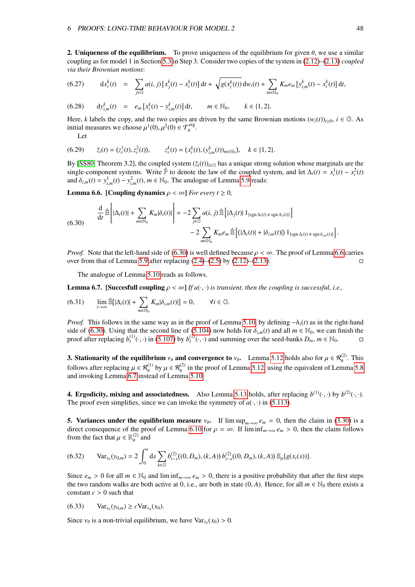**2. Uniqueness of the equilibrium.** To prove uniqueness of the equilibrium for given  $\theta$ , we use a similar coupling as for model 1 in Section [5.3](#page-35-0) in Step 3. Consider two copies of the system in [\(2.12\)](#page-7-0)–[\(2.13\)](#page-7-0) *coupled via their Brownian motions*:

<span id="page-48-3"></span>(6.27) 
$$
dx_i^k(t) = \sum_{j \in \mathbb{G}} a(i, j) [x_j^k(t) - x_i^k(t)] dt + \sqrt{g(x_i^k(t))} dw_i(t) + \sum_{m \in \mathbb{N}_0} K_m e_m [y_{i,m}^k(t) - x_i^k(t)] dt,
$$

(6.28)  $dy_{i,m}^k(t) = e_m[x_i^k(t) - y_{i,m}^k(t)]dt, \qquad m \in \mathbb{N}_0, \qquad k \in \{1, 2\}.$ Here, *k* labels the copy, and the two copies are driven by the same Brownian motions  $(w_i(t))_{t\geq0}$ ,  $i \in \mathbb{G}$ . As initial measures we choose  $\mu^1(0), \mu^2(0) \in \mathcal{T}_{\theta}^{\text{erg}}$ .

<span id="page-48-0"></span>Let

$$
(6.29) \qquad \bar{z}_i(t) = (z_i^1(t), z_i^2(t)), \qquad z_i^k(t) = (x_i^k(t), (y_{i,m}^k(t))_{m \in \mathbb{N}_0}), \quad k \in \{1, 2\}.
$$

By [\[SS80,](#page-73-1) Theorem 3.2], the coupled system  $(\bar{z}_i(t))_{i\in\mathbb{G}}$  has a unique strong solution whose marginals are the single-component systems. Write  $\hat{P}$  to denote the law of the coupled system, and let  $\Delta_i(t) = x_i^1(t) - x_i^2(t)$ and  $\delta_{i,m}(t) = y_{i,m}^1(t) - y_{i,m}^2(t)$ ,  $m \in \mathbb{N}_0$ . The analogue of Lemma [5.9](#page-40-3) reads:

<span id="page-48-1"></span>**Lemma 6.6.** [Coupling dynamics  $\rho < \infty$ ] *For every t*  $\geq 0$ *,* 

$$
\frac{\mathrm{d}}{\mathrm{d}t} \hat{\mathbb{E}} \left[ |\Delta_i(t)| + \sum_{m \in \mathbb{N}_0} K_m | \delta_i(t) | \right] = -2 \sum_{j \in \mathbb{G}} a(i, j) \hat{\mathbb{E}} \left[ |\Delta_j(t)| \mathbf{1}_{\{ \operatorname{sgn} \Delta_i(t) \neq \operatorname{sgn} \Delta_j(t) \}} \right] - 2 \sum_{m \in \mathbb{N}_0} K_m e_m \hat{\mathbb{E}} \left[ (|\Delta_i(t)| + |\delta_{i,m}(t)|) \mathbf{1}_{\{\operatorname{sgn} \Delta_i(t) \neq \operatorname{sgn} \delta_{i,m}(t) \}} \right].
$$

*Proof.* Note that the left-hand side of [\(6.30\)](#page-48-0) is well defined because  $\rho < \infty$ . The proof of Lemma [6.6](#page-48-1) carries over from that of Lemma 5.9 after replacing (2.4)–(2.5) by (2.12)–(2.13). over from that of Lemma [5.9](#page-40-3) after replacing  $(2.4)$ – $(2.5)$  by  $(2.12)$ – $(2.13)$ .

The analogue of Lemma [5.10](#page-41-4) reads as follows.

<span id="page-48-2"></span>**Lemma 6.7.** [Succesfull coupling  $\rho < \infty$ ] *If a*( $\cdot$ , $\cdot$ ) *is transient, then the coupling is successful, i.e.*,

$$
(6.31) \qquad \lim_{t\to\infty}\widehat{\mathbb{E}}[|\Delta_i(t)|+\sum_{m\in\mathbb{N}_0}K_m|\delta_{i,m}(t)|]=0, \qquad \forall i\in\mathbb{G}.
$$

*Proof.* This follows in the same way as in the proof of Lemma [5.10,](#page-41-4) by defining −*h*<sub>*i*</sub>(*t*) as in the right-hand side of [\(6.30\)](#page-48-0). Using that the second line of [\(5.104\)](#page-41-3) now holds for  $\delta_{i,m}(t)$  and all  $m \in \mathbb{N}_0$ , we can finish the proof after replacing  $b_{i}^{(1)}(\cdot, \cdot)$  in (5.107) by  $b_{i}^{(2)}(\cdot, \cdot)$  and summing over the seed-banks proof after replacing  $b_t^{(1)}(\cdot, \cdot)$  in [\(5.107\)](#page-42-0) by  $b_t^{(2)}(\cdot, \cdot)$  and summing over the seed-banks  $D_m$ ,  $m \in \mathbb{N}_0$ .

**3. Stationarity of the equilibrium**  $v_{\theta}$  and convergence to  $v_{\theta}$ . Lemma [5.12](#page-42-1) holds also for  $\mu \in \mathcal{R}_{\theta}^{(2)}$ . This follows after replacing  $\mu \in \mathcal{R}_{\theta}^{(1)}$  by  $\mu \in \mathcal{R}_{\theta}^{(2)}$  in the proof of Lemma [5.12,](#page-42-1) using the equivalent of Lemma [5.8](#page-38-1) and invoking Lemma [6.7](#page-48-2) instead of Lemma [5.10.](#page-41-4)

**4. Ergodicity, mixing and associatedness.** Also Lemma [5.13](#page-42-2) holds, after replacing  $b^{(1)}(\cdot, \cdot)$  by  $b^{(2)}(\cdot, \cdot)$ .<br>The proof even simplifies, since we can invoke the symmetry of  $a(\cdot, \cdot)$  in (5.113). The proof even simplifies, since we can invoke the symmetry of  $a(\cdot, \cdot)$  in [\(5.113\)](#page-43-1).

**5. Variances under the equilibrium measure**  $v_{\theta}$ . If lim sup<sub>*m*→∞  $e_m = 0$ , then the claim in [\(3.30\)](#page-18-2) is a</sub> direct consequence of the proof of Lemma [6.10](#page-51-0) for  $\rho = \infty$ . If  $\liminf_{m \to \infty} e_m > 0$ , then the claim follows from the fact that  $\mu \in \mathbb{R}_{\theta}^{(2)}$  $\frac{d^{(2)}}{d}$  and

$$
(6.32) \quad \text{Var}_{\nu_{\theta}}(y_{0,m}) = 2 \int_0^t ds \sum_{k \in \mathbb{G}} b_{t-s}^{(2)}((0, D_m), (k, A)) b_{t-s}^{(2)}((0, D_m), (k, A)) \mathbb{E}_{\mu}[g(x_i(s))].
$$

Since  $e_m > 0$  for all  $m \in \mathbb{N}_0$  and  $\liminf_{m \to \infty} e_m > 0$ , there is a positive probability that after the first steps the two random walks are both active at 0, i.e., are both in state  $(0, A)$ . Hence, for all  $m \in \mathbb{N}_0$  there exists a constant  $c > 0$  such that

$$
(6.33) \quad \text{Var}_{\nu_{\theta}}(y_{0,m}) \ge c \text{Var}_{\nu_{\theta}}(x_0).
$$

Since  $v_{\theta}$  is a non-trivial equilibrium, we have  $Var_{v_{\theta}}(x_0) > 0$ .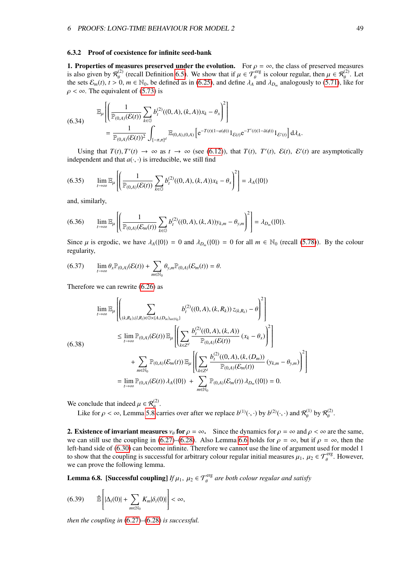#### <span id="page-49-0"></span>6.3.2 Proof of coexistence for infinite seed-bank

**1. Properties of measures preserved under the evolution.** For  $\rho = \infty$ , the class of preserved measures is also given by  $\mathcal{R}_{\theta}^{(2)}$  (recall Definition 6.5). We show that if  $\mu \in \mathcal{T}_{\theta}^{erg}$  is colour regular, then (2) (recall Definition [6.5\)](#page-47-1). We show that if  $\mu \in \mathcal{T}_{\theta}^{\text{erg}}$  is colour regular, then  $\mu \in \mathcal{R}_{\theta}^{(2)}$ . Let  $\theta$   $m \in \mathbb{N}_{\theta}$  be defined as in (6.25) and define  $\lambda_{\theta}$  and  $\lambda_{\theta}$  analogously to (5.71) like fo the sets  $\mathcal{E}_m(t)$ ,  $t > 0$ ,  $m \in \mathbb{N}_0$ , be defined as in [\(6.25\)](#page-47-2), and define  $\lambda_A$  and  $\lambda_{D_m}$  analogously to [\(5.71\)](#page-36-5), like for  $\rho < \infty$ . The equivalent of [\(5.73\)](#page-37-0) is

$$
(6.34) \quad \mathbb{E}_{\mu}\left[\left(\frac{1}{\mathbb{P}_{(0,A)}(\mathcal{E}(t))}\sum_{k\in\mathbb{G}}b_{t}^{(2)}((0,A),(k,A))x_{k}-\theta_{x}\right)^{2}\right] \\ =\frac{1}{\mathbb{P}_{(0,A)}(\mathcal{E}(t))^{2}}\int_{[-\pi,\pi]^{d}}\mathbb{E}_{(0,A),(0,A)}\left[e^{-T(t)(1-a(\phi))}1_{\mathcal{E}(t)}e^{-T'(t)(1-\bar{a}(\phi))}1_{\mathcal{E}'(t)}\right]d\lambda_{A}.
$$

Using that  $T(t)$ ,  $T'(t) \rightarrow \infty$  as  $t \rightarrow \infty$  (see [\(6.12\)](#page-45-2)), that  $T(t)$ ,  $T'(t)$ ,  $\mathcal{E}(t)$ ,  $\mathcal{E}'(t)$  are asymptotically energient and that  $a(t)$ , is irreducible we still find independent and that  $a(\cdot, \cdot)$  is irreducible, we still find

$$
(6.35) \qquad \lim_{t \to \infty} \mathbb{E}_{\mu} \left[ \left( \frac{1}{\mathbb{P}_{(0,A)}(\mathcal{E}(t))} \sum_{k \in \mathbb{G}} b_t^{(2)}((0,A),(k,A))x_k - \theta_x \right)^2 \right] = \lambda_A(\{0\})
$$

and, similarly,

$$
(6.36) \qquad \lim_{t\to\infty} \mathbb{E}_{\mu}\left[\left(\frac{1}{\mathbb{P}_{(0,A)}(\mathcal{E}_m(t))}\sum_{k\in\mathbb{G}}b_t^{(2)}((0,A),(k,A))y_{k,m}-\theta_{y,m}\right)^2\right]=\lambda_{D_m}(\{0\}).
$$

Since  $\mu$  is ergodic, we have  $\lambda_A(\{0\}) = 0$  and  $\lambda_{D_m}(\{0\}) = 0$  for all  $m \in \mathbb{N}_0$  (recall [\(5.78\)](#page-38-2)). By the colour regularity,

$$
(6.37) \qquad \lim_{t\to\infty} \theta_x \mathbb{P}_{(0,A)}(\mathcal{E}(t)) + \sum_{m\in\mathbb{N}_0} \theta_{y,m} \mathbb{P}_{(0,A)}(\mathcal{E}_m(t)) = \theta.
$$

Therefore we can rewrite [\(6.26\)](#page-47-3) as

$$
\lim_{t \to \infty} \mathbb{E}_{\mu} \left[ \left( \sum_{(k,R_k),(l,R_l) \in \mathbb{G} \times \{A,(D_m)_{m \in \mathbb{N}_0}\}} b_{t}^{(2)}((0,A),(k,R_k)) z_{(k,R_k)} - \theta \right)^{2} \right]
$$
\n
$$
\leq \lim_{t \to \infty} \mathbb{P}_{(0,A)}(\mathcal{E}(t)) \mathbb{E}_{\mu} \left[ \left( \sum_{k \in \mathbb{Z}^d} \frac{b_{t}^{(2)}((0,A),(k,A))}{\mathbb{P}_{(0,A)}(\mathcal{E}(t))} (x_k - \theta_x) \right)^{2} \right]
$$
\n
$$
+ \sum_{m \in \mathbb{N}_0} \mathbb{P}_{(0,A)}(\mathcal{E}_{m}(t)) \mathbb{E}_{\mu} \left[ \left( \sum_{k \in \mathbb{Z}^d} \frac{b_{t}^{(2)}((0,A),(k,(D_m))}{\mathbb{P}_{(0,A)}(\mathcal{E}_m(t))} (y_{k,m} - \theta_{y,m}) \right)^{2} \right]
$$
\n
$$
= \lim_{t \to \infty} \mathbb{P}_{(0,A)}(\mathcal{E}(t)) \lambda_{A}(\{0\}) + \sum_{m \in \mathbb{N}_0} \mathbb{P}_{(0,A)}(\mathcal{E}_m(t)) \lambda_{D_m}(\{0\}) = 0.
$$

We conclude that indeed  $\mu \in \mathcal{R}_{\theta}^{(2)}$ .

<span id="page-49-1"></span>Like for  $\rho < \infty$ , Lemma [5.8](#page-38-1) carries over after we replace  $b^{(1)}(\cdot, \cdot)$  by  $b^{(2)}(\cdot, \cdot)$  and  $\mathcal{R}_{\theta}^{(1)}$  by  $\mathcal{R}_{\theta}^{(2)}$ .

**2. Existence of invariant measures**  $v_{\theta}$  for  $\rho = \infty$ . Since the dynamics for  $\rho = \infty$  and  $\rho < \infty$  are the same, we can still use the coupling in [\(6.27\)](#page-48-3)–[\(6.28\)](#page-48-3). Also Lemma [6.6](#page-48-1) holds for  $\rho = \infty$ , but if  $\rho = \infty$ , then the left-hand side of [\(6.30\)](#page-48-0) can become infinite. Therefore we cannot use the line of argument used for model 1 to show that the coupling is successful for arbitrary colour regular initial measures  $\mu_1, \mu_2 \in \mathcal{T}_{\theta}^{\text{erg}}$ . However, we can prove the following lemma.

**Lemma 6.8.** [Successful coupling]  $If \mu_1, \mu_2 \in \mathcal{T}_{\theta}^{\text{erg}}$  are both colour regular and satisfy

$$
(6.39) \qquad \hat{\mathbb{E}}\left[|\Delta_i(0)|+\sum_{m\in\mathbb{N}_0}K_m|\delta_i(0)|\right]<\infty,
$$

*then the coupling in* [\(6.27\)](#page-48-3)*–*[\(6.28\)](#page-48-3) *is successful.*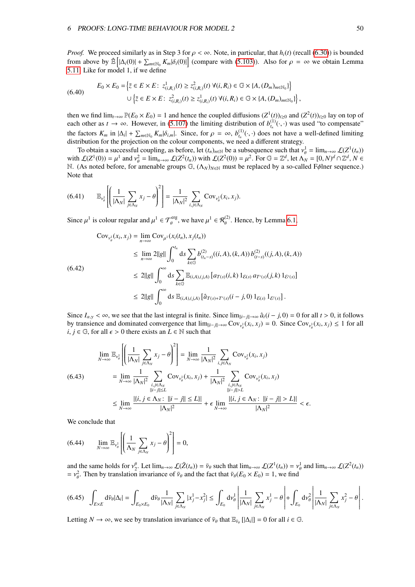<span id="page-50-3"></span>*Proof.* We proceed similarly as in Step 3 for  $\rho < \infty$ . Note, in particular, that  $h_i(t)$  (recall [\(6.30\)](#page-48-0)) is bounded from above by  $\mathbb{E}\left[|\Delta_i(0)| + \sum_{m \in \mathbb{N}_0} K_m|\delta_i(0)|\right]$  (compare with [\(5.103\)](#page-41-5)). Also for  $\rho = \infty$  we obtain Lemma 5.11. Like for model 1, if we define [5.11.](#page-41-2) Like for model 1, if we define

(6.40) 
$$
E_0 \times E_0 = \left\{ \bar{z} \in E \times E : z^1_{(i,R_i)}(t) \geq z^2_{(i,R_i)}(t) \ \forall (i,R_i) \in \mathbb{G} \times \{A,(D_m)_{m \in \mathbb{N}_0}\} \right\}
$$

$$
\cup \left\{ \bar{z} \in E \times E : z^2_{(i,R_i)}(t) \geq z^1_{(i,R_i)}(t) \ \forall (i,R_i) \in \mathbb{G} \times \{A,(D_m)_{m \in \mathbb{N}_0}\} \right\},
$$

then we find  $\lim_{t\to\infty} \mathbb{P}(E_0 \times E_0) = 1$  and hence the coupled diffusions  $(Z^1(t))_{t\geq 0}$  and  $(Z^2(t))_{t\geq 0}$  lay on top of each other as  $t \to \infty$ . However, in [\(5.107\)](#page-42-0) the limiting distribution of  $b_{t_n}^{(1)}(\cdot, \cdot)$  was used "to compensate" the factors  $K_m$  in  $|\Delta_i| + \sum_{m \in \mathbb{N}_0} K_m | \delta_{i,m} |$ . Since, for  $\rho = \infty$ ,  $b_{i_m}^{(1)}(\cdot, \cdot)$  does not have a well-defined limiting distribution for the projection on the colour components, we need a different strategy distribution for the projection on the colour components, we need a different strategy.

To obtain a successful coupling, as before, let  $(t_n)_{n \in \mathbb{N}}$  be a subsequence such that  $v_\theta^1 = \lim_{n \to \infty} \mathcal{L}(Z^1(t_n))$ <br>2.  $f(Z^1(0)) = u^1$  and  $v^2 = \lim_{n \to \infty} f(Z^2(t_n))$  with  $f(Z^2(0)) = u^2$ . For  $\mathbb{G} = \mathbb{Z}^d$  let  $\Lambda_{\mathcal{$ with  $\mathcal{L}(Z^1(0)) = \mu^1$  and  $v_\theta^2 = \lim_{n \to \infty} \mathcal{L}(Z^2(t_n))$  with  $\mathcal{L}(Z^2(0)) = \mu^2$ . For  $\mathbb{G} = \mathbb{Z}^d$ , let  $\Lambda_N = [0, N]^d \cap \mathbb{Z}^d$ ,  $N \in \mathbb{N}$ <br>M. (As noted before, for amenable groups  $\mathbb{G}$ ,  $(\Lambda_N)_{N \to \infty}$  must b N. (As noted before, for amenable groups *₲*, ( $Λ$ <sub>*N*</sub>)*N*∈N must be replaced by a so-called Fφlner sequence.) Note that

$$
(6.41) \qquad \mathbb{E}_{\nu_{\theta}^1}\left[\left(\frac{1}{|\Lambda_N|}\sum_{j\in\Lambda_N}x_j-\theta\right)^2\right]=\frac{1}{|\Lambda_N|^2}\sum_{i,j\in\Lambda_N}\mathrm{Cov}_{\nu_{\theta}^1}(x_i,x_j).
$$

<span id="page-50-1"></span>Since  $\mu^1$  is colour regular and  $\mu^1 \in \mathcal{T}_{\theta}^{\text{erg}}$ , we have  $\mu^1 \in \mathcal{R}_{\theta}^{(2)}$ . Hence, by Lemma [6.1,](#page-44-1)

$$
\begin{split} \text{Cov}_{\nu_{\theta}^{1}}(x_{i}, x_{j}) &= \lim_{n \to \infty} \text{Cov}_{\mu^{1}}(x_{i}(t_{n}), x_{j}(t_{n})) \\ &\leq \lim_{n \to \infty} 2||g|| \int_{0}^{t_{n}} ds \sum_{k \in \mathbb{G}} b_{(t_{n}-s)}^{(2)}((i, A), (k, A)) b_{(t-s)}^{(2)}((j, A), (k, A)) \\ &\leq 2||g|| \int_{0}^{\infty} ds \sum_{k \in \mathbb{G}} \mathbb{E}_{(i, A), (j, A)} \left[ a_{T(s)}(i, k) \mathbbm{1}_{\mathcal{E}(s)} a_{T'(s)}(j, k) \mathbbm{1}_{\mathcal{E}(s)} \right] \\ &\leq 2||g|| \int_{0}^{\infty} ds \mathbb{E}_{(i, A), (j, A)} \left[ \hat{a}_{T(s)+T'(s)}(i-j, 0) \mathbbm{1}_{\mathcal{E}(s)} \mathbbm{1}_{\mathcal{E}(s)} \right]. \end{split}
$$

Since  $I_{\alpha,y} < \infty$ , we see that the last integral is finite. Since  $\lim_{\|i-j\| \to \infty} \hat{a}_t(i-j,0) = 0$  for all  $t > 0$ , it follows by transience and dominated convergence that  $\lim_{\|i-j\| \to \infty} \text{Cov}_{\mathcal{V}^1_\theta}(x_i, x_j) = 0$ . Since  $\text{Cov}_{\mathcal{V}^1_\theta}(x_i, x_j) \le 1$  for all  $i \in \mathbb{R}$  for all  $\epsilon > 0$  there exists an  $I \in \mathbb{N}$  such that *i*,  $j \in \mathbb{G}$ , for all  $\epsilon > 0$  there exists an  $L \in \mathbb{N}$  such that

$$
\lim_{N \to \infty} \mathbb{E}_{\nu_{\theta}^{1}} \left[ \left( \frac{1}{|\Lambda_{N}|} \sum_{j \in \Lambda_{N}} x_{j} - \theta \right)^{2} \right] = \lim_{N \to \infty} \frac{1}{|\Lambda_{N}|^{2}} \sum_{i,j \in \Lambda_{N}} \text{Cov}_{\nu_{\theta}^{1}}(x_{i}, x_{j})
$$
\n
$$
(6.43) \qquad = \lim_{N \to \infty} \frac{1}{|\Lambda_{N}|^{2}} \sum_{\substack{i,j \in \Lambda_{N} \\ ||i-j|| \le L}} \text{Cov}_{\nu_{\theta}^{1}}(x_{i}, x_{j}) + \frac{1}{|\Lambda_{N}|^{2}} \sum_{\substack{i,j \in \Lambda_{N} \\ ||i-j|| > L}} \text{Cov}_{\nu_{\theta}^{1}}(x_{i}, x_{j})
$$
\n
$$
\le \lim_{N \to \infty} \frac{|\{i, j \in \Lambda_{N} : ||i - j|| \le L\}|}{|\Lambda_{N}|^{2}} + \epsilon \lim_{N \to \infty} \frac{|\{i, j \in \Lambda_{N} : ||i - j|| > L\}|}{|\Lambda_{N}|^{2}} < \epsilon
$$

<span id="page-50-0"></span>We conclude that

$$
(6.44) \qquad \lim_{N \to \infty} \mathbb{E}_{\nu_{\theta}^1} \left[ \left( \frac{1}{\Lambda_N} \sum_{j \in \Lambda_N} x_j - \theta \right)^2 \right] = 0,
$$

<span id="page-50-2"></span>and the same holds for  $v_2^{\theta}$ . Let  $\lim_{n\to\infty} \mathcal{L}(\bar{Z}(t_n)) = \bar{v}_{\theta}$  such that  $\lim_{n\to\infty} \mathcal{L}(Z^1(t_n)) = v_{\theta}^1$  and  $\lim_{n\to\infty} \mathcal{L}(Z^2(t_n))$ <br> $\leq v^2$ . Then by translation invariance of  $\bar{v}_{\theta}$  and the fact that  $\$  $= v_\theta^2$ . Then by translation invariance of  $\bar{v}_\theta$  and the fact that  $\bar{v}_\theta(E_0 \times E_0) = 1$ , we find

$$
(6.45)\quad \int_{E\times E} d\bar{\nu}_{\theta} |\Delta_i| = \int_{E_0\times E_0} d\bar{\nu}_{\theta} \frac{1}{|\Lambda_N|} \sum_{j\in \Lambda_N} |x_j^1 - x_j^2| \le \int_{E_0} d\nu_{\theta}^1 \left|\frac{1}{|\Lambda_N|} \sum_{j\in \Lambda_N} x_j^1 - \theta \right| + \int_{E_0} d\nu_{\theta}^2 \left|\frac{1}{|\Lambda_N|} \sum_{j\in \Lambda_N} x_j^2 - \theta \right|.
$$

Letting  $N \to \infty$ , we see by translation invariance of  $\bar{\nu}_{\theta}$  that  $\mathbb{E}_{\bar{\nu}_{\theta}} [|\Delta_i|] = 0$  for all  $i \in \mathbb{G}$ .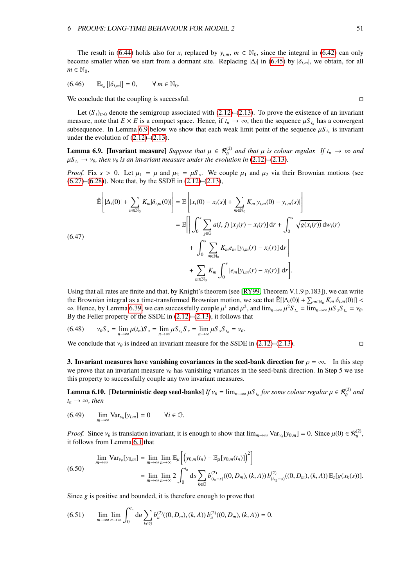<span id="page-51-4"></span>The result in [\(6.44\)](#page-50-0) holds also for  $x_i$  replaced by  $y_{i,m}$ ,  $m \in \mathbb{N}_0$ , since the integral in [\(6.42\)](#page-50-1) can only become smaller when we start from a dormant site. Replacing  $|\Delta_i|$  in [\(6.45\)](#page-50-2) by  $|\delta_{i,m}|$ , we obtain, for all  $m \in \mathbb{N}_0$  $m \in \mathbb{N}_0$ ,

$$
(6.46) \qquad \mathbb{E}_{\bar{\nu}_{\theta}}\left[|\delta_{i,m}|\right] = 0, \qquad \forall \, m \in \mathbb{N}_{0}.
$$

We conclude that the coupling is successful.

Let  $(S_t)_{t\geq0}$  denote the semigroup associated with [\(2.12\)](#page-7-0)–[\(2.13\)](#page-7-0). To prove the existence of an invariant measure, note that  $E \times E$  is a compact space. Hence, if  $t_n \to \infty$ , then the sequence  $\mu S_{t_n}$  has a convergent<br>subsequence. In Lemma 6.9 below we show that each weak limit point of the sequence  $\mu S_{t_n}$  is invariant subsequence. In Lemma [6.9](#page-51-1) below we show that each weak limit point of the sequence  $\mu S_{t_n}$  is invariant under the evolution of (2.12)–(2.13) under the evolution of  $(2.12)$ – $(2.13)$ .

<span id="page-51-1"></span>**Lemma 6.9. [Invariant measure]** *Suppose that*  $\mu \in \mathcal{R}_{\theta}^{(2)}$  *and that*  $\mu$  *is colour regular. If*  $t_n \to \infty$  *and*  $\mu$ <sup>S</sup>  $\to \infty$  *is an invariant measure under the evolution in* (2.12)-(2.13)  $\mu S_{t_n} \to \nu_{\theta}$ , then  $\nu_{\theta}$  is an invariant measure under the evolution in [\(2.12\)](#page-7-0)–[\(2.13\)](#page-7-0).

*Proof.* Fix  $s > 0$ . Let  $\mu_1 = \mu$  and  $\mu_2 = \mu S_s$ . We couple  $\mu_1$  and  $\mu_2$  via their Brownian motions (see (6.27)–(6.28)). Note that by the SSDE in (2.12)–(2.13)  $(6.27)$ – $(6.28)$ ). Note that, by the SSDE in  $(2.12)$ – $(2.13)$ ,

$$
\hat{\mathbb{E}}\left[|\Delta_{i}(0)| + \sum_{m \in \mathbb{N}_{0}} K_{m}|\delta_{i,m}(0)|\right] = \mathbb{E}\left[|x_{i}(0) - x_{i}(s)| + \sum_{m \in \mathbb{N}_{0}} K_{m}|y_{i,m}(0) - y_{i,m}(s)|\right]
$$
\n
$$
= \mathbb{E}\left[\left|\int_{0}^{s} \sum_{j \in \mathbb{G}} a(i,j) [x_{j}(r) - x_{i}(r)] dr + \int_{0}^{s} \sqrt{g(x_{i}(r))} dw_{i}(r) + \int_{0}^{s} \sum_{m \in \mathbb{N}_{0}} K_{m} e_{m} [y_{i,m}(r) - x_{i}(r)] dr\right| + \sum_{m \in \mathbb{N}_{0}} K_{m} \int_{0}^{s} |e_{m}[y_{i,m}(r) - x_{i}(r)] dr\right].
$$
\n(6.47)

Using that all rates are finite and that, by Knight's theorem (see [\[RY99,](#page-73-4) Theorem V.1.9 p.183]), we can write the Brownian integral as a time-transformed Brownian motion, we see that  $\mathbb{B}[\Delta_i(0)] + \sum_{m \in \mathbb{N}_0} K_m|\delta_{i,m}(0)| < \infty$ . Hence by Lemma 6.39, we can successfully counte  $u^1$  and  $u^2$  and  $\lim_{n \to \infty} u^2S_n = \lim_{n \to \infty} u^S S_n = \math$ ∞. Hence, by Lemma [6.39,](#page-49-1) we can successfully couple  $\mu^1$  and  $\mu^2$ , and  $\lim_{n\to\infty}\mu^2S_{t_n} = \lim_{n\to\infty}\mu S_sS_{t_n} = \nu_\theta$ .<br>By the Feller property of the SSDE in (2.12)–(2.13), it follows that By the Feller property of the SSDE in [\(2.12\)](#page-7-0)–[\(2.13\)](#page-7-0), it follows that

$$
(6.48) \qquad \nu_{\theta} S_s = \lim_{n \to \infty} \mu(t_n) S_s = \lim_{n \to \infty} \mu S_{t_n} S_s = \lim_{n \to \infty} \mu S_s S_{t_n} = \nu_{\theta}.
$$

We conclude that  $v_{\theta}$  is indeed an invariant measure for the SSDE in [\(2.12\)](#page-7-0)–[\(2.13\)](#page-7-0).

3. Invariant measures have vanishing covariances in the seed-bank direction for  $\rho = \infty$ . In this step we prove that an invariant measure  $v_\theta$  has vanishing variances in the seed-bank direction. In Step 5 we use this property to successfully couple any two invariant measures.

<span id="page-51-3"></span><span id="page-51-0"></span>**Lemma 6.10.** [Deterministic deep seed-banks] *If*  $v_{\theta} = \lim_{n \to \infty} \mu S_{t_n}$  for some colour regular  $\mu \in \mathcal{R}_{\theta}^{(2)}$  and  $t \to \infty$  then  $t_n \rightarrow \infty$ *, then* 

(6.49) 
$$
\lim_{m \to \infty} \text{Var}_{\nu_{\theta}}[y_{i,m}] = 0 \quad \forall i \in \mathbb{G}.
$$

*Proof.* Since  $v_{\theta}$  is translation invariant, it is enough to show that  $\lim_{m\to\infty} \text{Var}_{v_{\theta}}[y_{0,m}] = 0$ . Since  $\mu(0) \in \mathcal{R}_{\theta}^{(2)}$ , it follows from I emma 6.1 that it follows from Lemma [6.1](#page-44-1) that

$$
\lim_{m \to \infty} \text{Var}_{\nu_{\theta}}[y_{0,m}] = \lim_{m \to \infty} \lim_{n \to \infty} \mathbb{E}_{\mu} \left[ \left( y_{0,m}(t_n) - \mathbb{E}_{\mu}[y_{0,m}(t_n)] \right)^2 \right]
$$
\n
$$
(6.50)
$$
\n
$$
= \lim_{m \to \infty} \lim_{n \to \infty} 2 \int_0^{t_n} ds \sum_{k \in \mathbb{G}} b_{(t_n-s)}^{(2)}((0, D_m), (k, A)) b_{(t_{n_k}-s)}^{(2)}((0, D_m), (k, A)) \mathbb{E}_{z}[g(x_k(s))].
$$

<span id="page-51-2"></span>Since *g* is positive and bounded, it is therefore enough to prove that

$$
(6.51) \qquad \lim_{m \to \infty} \lim_{n \to \infty} \int_0^{t_n} du \sum_{k \in \mathbb{G}} b_u^{(2)}((0, D_m), (k, A)) b_u^{(2)}((0, D_m), (k, A)) = 0.
$$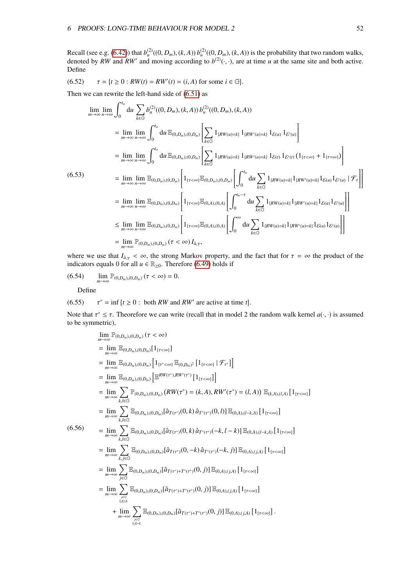Recall (see e.g. [\(6.42\)](#page-50-1)) that  $b_u^{(2)}((0, D_m), (k, A)) b_u^{(2)}((0, D_m), (k, A))$  is the probability that two random walks,<br>denoted by RW and RW' and moving according to  $b^{(2)}(\cdot, \cdot)$ , are at time u at the same site and both active. Define

(6.52) 
$$
\tau = \{t \ge 0 : RW(t) = RW'(t) = (i, A) \text{ for some } i \in \mathbb{G}\}.
$$

Then we can rewrite the left-hand side of [\(6.51\)](#page-51-2) as

$$
\lim_{m \to \infty} \lim_{n \to \infty} \int_{0}^{t_{n}} du \sum_{k \in G} b_{u}^{(2)}((0, D_{m}), (k, A)) b_{u}^{(2)}((0, D_{m}), (k, A))
$$
\n
$$
= \lim_{m \to \infty} \lim_{n \to \infty} \int_{0}^{t_{n}} du \mathbb{E}_{(0, D_{m}), (0, D_{m})} \left[ \sum_{k \in G} 1_{\{RW(u) = k\}} 1_{\{RW'(u) = k\}} 1_{\mathcal{E}(u)} 1_{\mathcal{E}(u)} \right]
$$
\n
$$
= \lim_{m \to \infty} \lim_{n \to \infty} \int_{0}^{t_{n}} du \mathbb{E}_{(0, D_{m}), (0, D_{m})} \left[ \sum_{k \in G} 1_{\{RW(u) = k\}} 1_{\{RW'(u) = k\}} 1_{\mathcal{E}(t)} 1_{\mathcal{E}(t)} (1_{\{\tau < \infty\}} + 1_{\{\tau = \infty\}}) \right]
$$
\n(6.53)\n
$$
= \lim_{m \to \infty} \lim_{n \to \infty} \mathbb{E}_{(0, D_{m}), (0, D_{m})} \left[ 1_{\{\tau < \infty\}} \mathbb{E}_{(0, D_{m}), (0, D_{m})} \left[ \int_{0}^{t_{n}} du \sum_{k \in G} 1_{\{RW(u) = k\}} 1_{\{RW(u) = k\}} 1_{\mathcal{E}(u)} 1_{\mathcal{E}(u)} 1_{\mathcal{E}(u)} 1_{\mathcal{E}(u)} \right] \mathcal{F}_{\tau} \right]
$$
\n
$$
= \lim_{m \to \infty} \lim_{n \to \infty} \mathbb{E}_{(0, D_{m}), (0, D_{m})} \left[ 1_{\{\tau < \infty\}} \mathbb{E}_{(0, A), (0, A)} \left[ \int_{0}^{t_{n} - \tau} du \sum_{k \in G} 1_{\{RW(u) = k\}} 1_{\{RW'(u) = k\}} 1_{\mathcal{E}(u)} 1_{\mathcal{E}(u)} 1_{\mathcal{E}(u)} \right] \right]
$$
\n
$$
\leq \lim_{m \to \infty} \lim_{n \to \infty} \mathbb{E}_{
$$

where we use that  $I_{\hat{a},\gamma} < \infty$ , the strong Markov property, and the fact that for  $\tau = \infty$  the product of the indicators equals 0 for all  $u \in \mathbb{R}_{\geq 0}$ . Therefore [\(6.49\)](#page-51-3) holds if

$$
(6.54) \qquad \lim_{m\to\infty} \mathbb{P}_{(0,D_m),(0,D_m)} (\tau < \infty) = 0.
$$

Define

(6.55) 
$$
\tau^* = \inf \{ t \ge 0 : \text{ both } RW \text{ and } RW' \text{ are active at time } t \}.
$$

Note that  $\tau^* \leq \tau$ . Theorefore we can write (recall that in model 2 the random walk kernel  $a(\cdot, \cdot)$  is assumed to be symmetric) to be symmetric),

$$
\lim_{m \to \infty} \mathbb{P}_{(0,D_m),(0,D_m)}(\tau < \infty)
$$
\n
$$
= \lim_{m \to \infty} \mathbb{E}_{(0,D_m),(0,D_m)}[1_{[\tau < \infty]}]
$$
\n
$$
= \lim_{m \to \infty} \mathbb{E}_{(0,D_m),(0,D_m)}[1_{[\tau < \infty]} \mathbb{E}_{(0,D_m)^2}[1_{[\tau < \infty]} | \mathcal{F}_{\tau'}]]
$$
\n
$$
= \lim_{m \to \infty} \mathbb{E}_{(0,D_m),(0,D_m)}[ \mathbb{E}^{RW(\tau^*),RW'(\tau^*)}[1_{[\tau < \infty]} ]]
$$
\n
$$
= \lim_{m \to \infty} \sum_{k,l \in \mathbb{G}} \mathbb{P}_{(0,D_m),(0,D_m)}(RW(\tau^*) = (k, A), RW'(\tau^*) = (l, A)) \mathbb{E}_{(k,A),(l,A)}[1_{[\tau < \infty]}]
$$
\n
$$
= \lim_{m \to \infty} \sum_{k,l \in \mathbb{G}} \mathbb{E}_{(0,D_m),(0,D_m)}[\hat{a}_{T(\tau^*)}(0,k) \hat{a}_{T'(\tau^*)}(0,l)] \mathbb{E}_{(0,A),(l-k,A)}[1_{[\tau < \infty]}]
$$
\n(6.56)\n
$$
= \lim_{m \to \infty} \sum_{k,l \in \mathbb{G}} \mathbb{E}_{(0,D_m),(0,D_m)}[\hat{a}_{T(\tau^*)}(0,k) \hat{a}_{T'(\tau^*)}(-k,l-k)] \mathbb{E}_{(0,A),(l-k,A)}[1_{[\tau < \infty]}]
$$
\n
$$
= \lim_{m \to \infty} \sum_{k,l \in \mathbb{G}} \mathbb{E}_{(0,D_m),(0,D_m)}[\hat{a}_{T(\tau^*)}(0,-k) \hat{a}_{T'(\tau^*)}(-k,j)] \mathbb{E}_{(0,A),(j,A)}[1_{[\tau < \infty]}]
$$
\n
$$
= \lim_{m \to \infty} \sum_{j \in \mathbb{G}} \mathbb{E}_{(0,D_m),(0,D_m)}[\hat{a}_{T(\tau^*)+T'(\tau^*)}(0,j)] \mathbb{E}_{(0,A),(j,A)}[1_{[\tau < \infty]}]
$$
\n
$$
= \lim_{j \to \infty} \sum_{j \in \mathbb{G}}
$$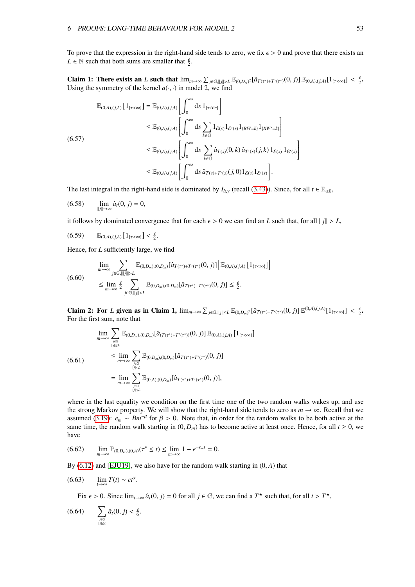To prove that the expression in the right-hand side tends to zero, we fix  $\epsilon > 0$  and prove that there exists an *L*  $\in$  N such that both sums are smaller that  $\frac{\epsilon}{2}$ .

**Claim 1: There exists an** *L* such that  $\lim_{m\to\infty} \sum_{j\in\mathbb{G},||j||>\mathbb{Z}} \mathbb{E}_{(0,D_m)^2}[\hat{a}_{T(\tau^*)+T'(\tau^*)}(0,j)] \mathbb{E}_{(0,A),(j,A)}[1_{\{\tau<\infty\}}] < \frac{\epsilon}{2}$ . Using the symmetry of the kernel  $a(\cdot, \cdot)$  in model 2, we find

$$
\mathbb{E}_{(0,A),(j,A)} [1_{\{\tau<\infty\}}] = \mathbb{E}_{(0,A),(j,A)} \left[ \int_0^\infty ds \, 1_{\{\tau \in ds\}} \right]
$$
\n
$$
\leq \mathbb{E}_{(0,A),(j,A)} \left[ \int_0^\infty ds \sum_{k \in \mathbb{G}} 1_{\mathcal{E}(s)} 1_{\mathcal{E}(s)} 1_{\{RW=k\}} 1_{\{RW'=k\}} \right]
$$
\n
$$
\leq \mathbb{E}_{(0,A),(j,A)} \left[ \int_0^\infty ds \sum_{k \in \mathbb{G}} \hat{a}_{T(s)}(0,k) \, \hat{a}_{T'(s)}(j,k) \, 1_{\mathcal{E}(s)} 1_{\mathcal{E}'(s)} \right]
$$
\n
$$
\leq \mathbb{E}_{(0,A),(j,A)} \left[ \int_0^\infty ds \, \hat{a}_{T(s)+T'(s)}(j,0) 1_{\mathcal{E}(s)} 1_{\mathcal{E}'(s)} \right].
$$

The last integral in the right-hand side is dominated by  $I_{\hat{a},\gamma}$  (recall [\(3.43\)](#page-21-0)). Since, for all  $t \in \mathbb{R}_{\geq 0}$ ,

$$
(6.58) \qquad \lim_{\|j\|\to\infty} \hat{a}_t(0,j) = 0,
$$

it follows by dominated convergence that for each  $\epsilon > 0$  we can find an *L* such that, for all  $\|\vec{h}\| > L$ ,

$$
(6.59) \qquad \mathbb{E}_{(0, A), (j, A)}\left[1_{\{\tau < \infty\}}\right] < \tfrac{\epsilon}{2}.
$$

Hence, for *L* sufficiently large, we find

$$
\lim_{m\to\infty}\sum_{j\in\mathbb{G},\|\|j\|\geq L}\mathbb{E}_{(0,D_m),(0,D_m)}[\hat{a}_{T(\tau^*)+T'(\tau^*)}(0,j)]\left[\mathbb{E}_{(0,A),(j,A)}[1_{\{\tau<\infty\}}]\right]
$$
\n
$$
\leq \lim_{m\to\infty}\frac{\epsilon}{2}\sum_{j\in\mathbb{G},\|\|j\|>L}\mathbb{E}_{(0,D_m),(0,D_m)}[\hat{a}_{T(\tau^*)+T'(\tau^*)}(0,j)]\leq \frac{\epsilon}{2}.
$$

**Claim 2: For** *L* **given as in Claim 1,**  $\lim_{m\to\infty} \sum_{j\in\mathbb{G},||j||\le L} \mathbb{E}_{(0,D_m)^2}[\hat{a}_{T(\tau^*)+T'(\tau^*)}(0,j)] \mathbb{E}^{(0,A),(j,A)}[1_{\{\tau<\infty\}}] < \frac{\epsilon}{2}$ . For the first sum, note that

$$
\lim_{m \to \infty} \sum_{j \in G} \mathbb{E}_{(0,D_m),(0,D_m)}[\hat{a}_{(T(\tau^*)+T'(\tau^*))}(0,j)] \mathbb{E}_{(0,A),(j,A)} [1_{\{\tau < \infty\}}]
$$
\n
$$
\leq \lim_{m \to \infty} \sum_{j \in G \atop |I| \leq L} \mathbb{E}_{(0,D_m),(0,D_m)}[\hat{a}_{T(\tau^*)+T'(\tau^*)}(0,j)]
$$
\n
$$
= \lim_{m \to \infty} \sum_{j \in G \atop |I| \leq L} \mathbb{E}_{(0,A),(0,D_m)}[\hat{a}_{T(\tau^*)+T'(\tau^*)}(0,j)],
$$

where in the last equality we condition on the first time one of the two random walks wakes up, and use the strong Markov property. We will show that the right-hand side tends to zero as  $m \to \infty$ . Recall that we assumed [\(3.19\)](#page-17-1):  $e_m \sim Bm^{-\beta}$  for  $\beta > 0$ . Note that, in order for the random walks to be both active at the random walk starting in (0, D) has to become active at least once. Hence for all  $t > 0$  we same time, the random walk starting in  $(0, D_m)$  has to become active at least once. Hence, for all  $t \ge 0$ , we have

<span id="page-53-1"></span>
$$
(6.62) \qquad \lim_{m \to \infty} \mathbb{P}_{(0,D_m),(0,A)}(\tau^* \le t) \le \lim_{m \to \infty} 1 - e^{-e_m t} = 0.
$$

By [\(6.12\)](#page-45-2) and [\[EJU19\]](#page-72-2), we also have for the random walk starting in (0, *<sup>A</sup>*) that

$$
(6.63) \qquad \lim_{t\to\infty} T(t) \sim ct^{\gamma}.
$$

<span id="page-53-0"></span>Fix  $\epsilon > 0$ . Since  $\lim_{t \to \infty} \hat{a}_t(0, j) = 0$  for all  $j \in \mathbb{G}$ , we can find a  $T^*$  such that, for all  $t > T^*$ ,

$$
(6.64) \qquad \sum_{j\in\mathbb{G}\atop \|j\|\leq L} \hat{a}_t(0,j)<\tfrac{\epsilon}{6}.
$$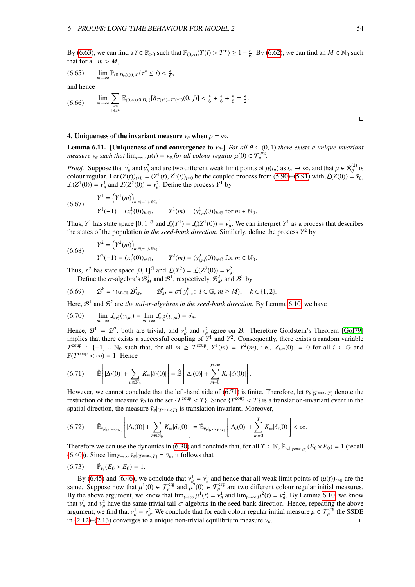By [\(6.63\)](#page-53-0), we can find a  $\tilde{t} \in \mathbb{R}_{\geq 0}$  such that  $\mathbb{P}_{(0, A)}(T(\tilde{t}) > T^*) \geq 1 - \frac{\epsilon}{6}$ . By [\(6.62\)](#page-53-1), we can find an  $M \in \mathbb{N}_0$  such that for all  $m > M$ that for all  $m > M$ ,

$$
(6.65) \qquad \lim_{m\to\infty} \mathbb{P}_{(0,D_m),(0,A)}(\tau^* \leq \tilde{t}) < \frac{\epsilon}{6},
$$

and hence

$$
(6.66) \qquad \lim_{m\to\infty}\sum_{j\in\mathbb{G}\atop ||j||\leq L}\mathbb{E}_{(0,A),(0,D_m)}[\hat{a}_{T(\tau^*)+T'(\tau^*)}(0,j)] < \frac{\epsilon}{6}+\frac{\epsilon}{6}+\frac{\epsilon}{6}=\frac{\epsilon}{2}.
$$

#### 4. Uniqueness of the invariant measure  $\nu_{\theta}$  when  $\rho = \infty$ .

<span id="page-54-1"></span>**Lemma 6.11.** [Uniqueness of and convergence to  $v_{\theta}$ .] *For all*  $\theta \in (0,1)$  *there exists a unique invariant measure*  $v_{\theta}$  *such that*  $\lim_{t\to\infty} \mu(t) = v_{\theta}$  *for all colour regular*  $\mu(0) \in \mathcal{T}_{\theta}^{erg}$ *.* 

*Proof.* Suppose that  $v_\theta^1$  and  $v_\theta^2$  and are two different weak limit points of  $\mu(t_n)$  as  $t_n \to \infty$ , and that  $\mu \in \mathcal{R}^{(2)}_\theta$  is colour regular. Let  $(\bar{Z}(t))_{-\theta} = (Z^1(t), Z^2(t))_{-\theta}$  be the coupled process from (5.90 colour regular. Let  $(\bar{Z}(t))_{t\geq0} = (Z^1(t), Z^2(t))_{t\geq0}$  be the coupled process from [\(5.90\)](#page-40-6)–[\(5.91\)](#page-40-6) with  $\mathcal{L}(\bar{Z}(0)) = \bar{v}_{\theta}$ ,<br> $f(Z^1(0)) = v^1$  and  $f(Z^2(0)) = v^2$ . Define the process  $Y^1$  by  $\mathcal{L}(Z^1(0)) = v_\theta^1$  and  $\mathcal{L}(Z^2(0)) = v_\theta^2$ . Define the process  $Y^1$  by

(6.67) 
$$
Y^{1} = (Y^{1}(m))_{m \in \{-1\} \cup \mathbb{N}_{0}} ,
$$

$$
Y^{1}(-1) = (x_{i}^{1}(0))_{i \in \mathbb{G}}, \qquad Y^{1}(m) = (y_{i,m}^{1}(0))_{i \in \mathbb{G}} \text{ for } m \in \mathbb{N}_{0} .
$$

Thus,  $Y^1$  has state space  $[0, 1]^G$  and  $\mathcal{L}(Y^1) = \mathcal{L}(Z^1(0)) = v_\theta^1$ . We can interpret  $Y^1$  as a process that describes the states of the population in the seed-bank direction. Similarly, define the process  $Y^2$  by the states of the population *in the seed-bank direction*. Similarly, define the process  $Y^2$  by

(6.68) 
$$
Y^{2} = (Y^{2}(m))_{m \in \{-1\} \cup \mathbb{N}_{0}} ,
$$

$$
Y^{2}(-1) = (x_{i}^{2}(0))_{i \in \mathbb{G}}, \qquad Y^{2}(m) = (y_{i,m}^{2}(0))_{i \in \mathbb{G}} \text{ for } m \in \mathbb{N}_{0}.
$$

Thus,  $Y^2$  has state space  $[0, 1]^G$  and  $\mathcal{L}(Y^2) = \mathcal{L}(Z^2(0)) = v_\theta^2$ .<br>Define the  $\sigma$ -algebra's  $\mathcal{R}^1$  and  $\mathcal{R}^1$  respectively  $\mathcal{R}^2$  and

Define the 
$$
\sigma
$$
-algebra's  $\mathcal{B}_M^1$  and  $\mathcal{B}^1$ , respectively,  $\mathcal{B}_M^2$  and  $\mathcal{B}^2$  by  
(6.69)  $\mathcal{B}^k = \bigcap_{M \in \mathbb{N}_0} \mathcal{B}_M^k$ ,  $\mathcal{B}_M^k = \sigma(\mathbf{y}_{i,m}^k : i \in \mathbb{G}, m \ge M)$ ,  $k \in \{1, 2\}$ .

Here,  $\mathcal{B}^1$  and  $\mathcal{B}^2$  are *the tail-σ-algebras in the seed-bank direction*. By Lemma [6.10,](#page-51-0) we have

(6.70) 
$$
\lim_{m\to\infty}\mathcal{L}_{\nu_{\theta}^1}(y_{i,m})=\lim_{m\to\infty}\mathcal{L}_{\nu_{\theta}^2}(y_{i,m})=\delta_{\theta}.
$$

Hence,  $\mathcal{B}^1 = \mathcal{B}^2$ , both are trivial, and  $v_\theta^1$  and  $v_\theta^2$  agree on  $\mathcal{B}$ . Therefore Goldstein's Theorem [\[Gol79\]](#page-72-3) implies that there exists a successful coupling of  $Y^1$  and  $Y^2$ . Consequently, there exists a random variable  $T^{\text{coup}} \in \{-1\} \cup \mathbb{N}_0$  such that, for all  $m \geq T^{\text{coup}}$ ,  $Y^1(m) = Y^2(m)$ , i.e.,  $|\delta_{i,m}(0)| = 0$  for all  $i \in \mathbb{G}$  and  $\mathbb{P}(T^{\text{coup}} < \infty) = 1$ . Hence  $\mathbb{P}(T^{\text{coup}} < \infty) = 1$ . Hence

<span id="page-54-0"></span>
$$
(6.71) \qquad \hat{\mathbb{E}}\left[|\Delta_i(0)|+\sum_{m\in\mathbb{N}_0}K_m|\delta_i(0)|\right]=\hat{\mathbb{E}}\left[|\Delta_i(0)|+\sum_{m=0}^{T^{\text{coup}}}K_m|\delta_i(0)|\right].
$$

However, we cannot conclude that the left-hand side of [\(6.71\)](#page-54-0) is finite. Therefore, let  $\bar{\nu}_{\theta}|_{(T^{\text{coup}} \frown T)}$  denote the restriction of the measure  $\bar{\nu}_{\phi}$  to the set  $T^{\text{coup}} \frown T$ . Since  $T^{\text{coup}} \frown T$  is a trans restriction of the measure  $\bar{v}_{\theta}$  to the set {*T*<sup>coup</sup> < *T*}. Since {*T*<sup>coup</sup> < *T*} is a translation-invariant event in the spatial direction, the measure  $\bar{v}_{\theta}$ less as is translation invariant. Moreover spatial direction, the measure  $\bar{\nu}_{\theta}|_{\{T^{\text{coup}} < T\}}$  is translation invariant. Moreover,

$$
(6.72) \qquad \hat{\mathbb{E}}_{\bar{\nu}_{\theta}|_{(T^{\text{coup}}
$$

Therefore we can use the dynamics in [\(6.30\)](#page-48-0) and conclude that, for all  $T \in \mathbb{N}$ ,  $\hat{\mathbb{P}}_{\bar{v}_{\theta}|_{T^{\text{coup}} (recall (*f. 40*)). Since  $\lim_{T \to T_0} \bar{v}_{\theta}$  is following that$ [\(6.40\)](#page-50-3)). Since  $\lim_{T \to \infty} \bar{\nu}_{\theta}|_{T^{\text{coup}} < T]} = \bar{\nu}_{\theta}$ , it follows that

$$
(6.73) \qquad \hat{\mathbb{P}}_{\bar{\nu}_\theta}(E_0 \times E_0) = 1.
$$

By [\(6.45\)](#page-50-2) and [\(6.46\)](#page-51-4), we conclude that  $v_{\theta}^1$  $v_{\theta}^{1} = v_{\theta}^{2}$  $\frac{d}{\theta}$  and hence that all weak limit points of  $(\mu(t))_{t\geq0}$  are the  $\epsilon$   $\mathcal{T}^{\text{erg}}$  are two different colour regular initial measures same. Suppose now that  $\mu^1(0) \in \mathcal{T}_{\theta}^{erg}$  and  $\mu^2(0) \in \mathcal{T}_{\theta}^{erg}$  are two different colour regular initial measures.<br>By the above argument we know that  $\lim_{\mu \to 0^+} \mu^1(t) = \nu^1$  and  $\lim_{\mu \to 0^+} \mu^2(t) = \nu^2$ . By I By the above argument, we know that  $\lim_{t\to\infty} \mu^1(t) = v_\theta^1$  and  $\lim_{t\to\infty} \mu^2(t) = v_\theta^2$ . By Lemma [6.10,](#page-51-0) we know that  $v_{\theta}^1$  and  $v_{\theta}^2$  have the same trivial tail- $\sigma$ -algebras in the seed-bank direction. Hence, repeating the above<br>aroument, we find that  $v^1 - v^2$ . We conclude that for each colour regular initial measure  $u \in \$ argument, we find that  $v_\theta^1 = v_\theta^2$ . We conclude that for each colour regular initial measure  $\mu \in \mathcal{T}_\theta^{\text{erg}}$  the SSDE in (2.12)–(2.13) converges to a unique non-trivial equilibrium measure  $v_\theta$ in [\(2.12\)](#page-7-0)–[\(2.13\)](#page-7-0) converges to a unique non-trivial equilibrium measure  $v_\theta$ .

 $\Box$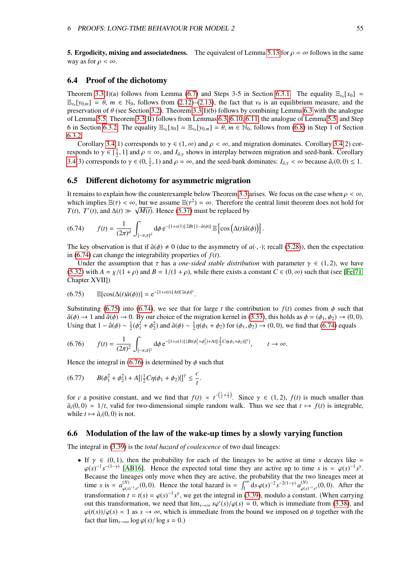**5. Ergodicity, mixing and associatedness.** The equivalent of Lemma [5.13](#page-42-2) for  $\rho = \infty$  follows in the same way as for  $\rho < \infty$ .

### <span id="page-55-0"></span>6.4 Proof of the dichotomy

Theorem [3.3\(](#page-18-1)I)(a) follows from Lemma [\(6.7\)](#page-48-2) and Steps 3-5 in Section [6.3.1.](#page-47-0) The equality  $\mathbb{E}_{\gamma_\theta}[x_0] =$  $\mathbb{E}_{\nu_{\theta}}[y_{0,m}] = \theta$ ,  $m \in \mathbb{N}_0$ , follows from [\(2.12\)](#page-7-0)–[\(2.13\)](#page-7-0), the fact that  $\nu_{\theta}$  is an equilibrium measure, and the proportion of  $\theta$  (see Section 3.2). Theorem 3.3(I)(b) follows by combining Lemma 6.3 with the preservation of  $\theta$  (see Section [3.2\)](#page-17-2). Theorem [3.3\(](#page-18-1)I)(b) follows by combining Lemma [6.3](#page-45-0) with the analogue<br>of Lemma 5.5. Theorem 3.3(II) follows from Lemmas 6.3, 6.10, 6.11, the analogue of Lemma 5.5, and Step of Lemma [5.5.](#page-33-1) Theorem [3.3\(](#page-18-1)II) follows from Lemmas [6.3,](#page-45-0) [6.10,](#page-51-0) [6.11,](#page-54-1) the analogue of Lemma [5.5,](#page-33-1) and Step 6 in Section [6.3.2.](#page-49-0) The equality  $\mathbb{E}_{\nu_\theta}[x_0] = \mathbb{E}_{\nu_\theta}[y_{0,m}] = \theta$ ,  $m \in \mathbb{N}_0$ , follows from [\(6.8\)](#page-44-2) in Step 1 of Section 6.3.2. [6.3.2.](#page-49-0)

Corollary [3.4\(](#page-19-0)1) corresponds to  $\gamma \in (1, \infty)$  and  $\rho < \infty$ , and migration dominates. Corollary 3.4(2) corresponds to  $\gamma \in [\frac{1}{2}, 1]$  and  $\rho = \infty$ , and  $I_{\hat{a},\gamma}$  shows in interplay between migration and seed-bank. Corollary [3.4\(](#page-19-0)3) corresponds to  $\gamma \in (0, \frac{1}{2}, 1)$  and  $\rho = \infty$ , and the seed-bank dominates:  $I_{\hat{a}, \gamma} < \infty$  because  $\hat{a}_t(0, 0) \le 1$ .

# <span id="page-55-1"></span>6.5 Different dichotomy for asymmetric migration

It remains to explain how the counterexample below Theorem [3.3](#page-18-1) arises. We focus on the case when  $\rho < \infty$ , which implies  $\mathbb{E}(\tau) < \infty$ , but we assume  $\mathbb{E}(\tau^2) = \infty$ . Therefore the central limit theorem does not hold for  $T(t)$ ,  $T'(t)$  and  $\Delta(t) \gg \sqrt{M(t)}$ . Hence (5.37) must be replaced by *T*(*t*), *T*'(*t*), and  $\Delta(t) \gg \sqrt{M(t)}$ . Hence [\(5.37\)](#page-32-1) must be replaced by

<span id="page-55-3"></span>
$$
(6.74) \qquad f(t) = \frac{1}{(2\pi)^d} \int_{[-\pi,\pi]^d} d\phi \, e^{-[1+o(1)]\,2Bt\,[1-\hat{a}(\phi)]} \, \mathbb{E}\left[\cos\left(\Delta(t)\tilde{a}(\phi)\right)\right].
$$

The key observation is that if  $\tilde{a}(\phi) \neq 0$  (due to the asymmetry of  $a(\cdot, \cdot)$ ; recall [\(5.28\)](#page-31-0)), then the expectation in [\(6.74\)](#page-55-3) can change the integrability properties of  $f(t)$ .

<span id="page-55-4"></span>Under the assumption that  $\tau$  has a *one-sided stable distribution* with parameter  $\gamma \in (1, 2)$ , we have [\(5.32\)](#page-32-3) with  $A = \chi/(1 + \rho)$  and  $B = 1/(1 + \rho)$ , while there exists a constant  $C \in (0, \infty)$  such that (see [\[Fel71,](#page-72-1) Chapter XVII])

$$
(6.75) \qquad \mathbb{E}[\cos(\Delta(t)\tilde{a}(\phi))] = e^{-[1+o(t)]At|C\tilde{a}(\phi)]^{\gamma}}.
$$

Substituting [\(6.75\)](#page-55-4) into [\(6.74\)](#page-55-3), we see that for large *t* the contribution to  $f(t)$  comes from  $\phi$  such that  $\hat{a}(\phi) \to 1$  and  $\tilde{a}(\phi) \to 0$ . By our choice of the migration kernel in [\(3.33\)](#page-20-0), this holds as  $\phi = (\phi_1, \phi_2) \to (0, 0)$ . Using that  $1 - \hat{a}(\phi) \sim \frac{1}{2}(\phi_1^2 + \phi_2^2)$  and  $\tilde{a}(\phi) \sim \frac{1}{2}\eta(\phi_1 + \phi_2)$  for  $(\phi_1, \phi_2) \to (0, 0)$ , we find that [\(6.74\)](#page-55-3) equals

<span id="page-55-5"></span>
$$
(6.76) \t f(t) = \frac{1}{(2\pi)^2} \int_{[-\pi,\pi]^2} d\phi \, e^{-[1+o(1)] \{ Bt(\phi_1^2 + \phi_2^2) + At[\frac{1}{2}C\eta(\phi_1 + \phi_2)]]^{\gamma} \}}, \t t \to \infty.
$$

Hence the integral in [\(6.76\)](#page-55-5) is determined by  $\phi$  such that

$$
(6.77) \tB(\phi_1^2 + \phi_2^2) + A[|\frac{1}{2}C\eta(\phi_1 + \phi_2)|]^{\gamma} \le \frac{c}{t}.
$$

for *c* a positive constant, and we find that  $f(t) \approx t^{-\left(\frac{1}{t}\right)}$  $(\frac{1}{\gamma} + \frac{1}{2})$ . Since  $\gamma \in (1, 2)$ ,  $f(t)$  is much smaller than  $\hat{a}_t(0,0) \times 1/t$ , valid for two-dimensional simple random walk. Thus we see that  $t \mapsto f(t)$  is integrable, while  $t \mapsto \hat{a}_t(0, 0)$  is not.

### <span id="page-55-2"></span>6.6 Modulation of the law of the wake-up times by a slowly varying function

The integral in [\(3.39\)](#page-20-1) is the *total hazard of coalescence* of two dual lineages:

• If  $\gamma \in (0, 1)$ , then the probability for each of the lineages to be active at time *s* decays like  $\approx$  $\varphi(s)^{-1} s^{-(1-\gamma)}$  [\[AB16\]](#page-71-1). Hence the expected total time they are active up to time *s* is  $\approx \varphi(s)^{-1} s^{\gamma}$ . Because the lineages only move when they are active, the probability that the two lineages meet at time *s* is  $\approx a_{\text{obs}}^{(N)}$ (*s*)  $\int_{\varphi(s)^{-1} s^y}^{(N)} (0, 0)$ . Hence the total hazard is  $\frac{1}{2} \int_1^\infty ds \, \varphi(s)^{-2} s^{-2(1-y)} \, a_{\varphi(s)}^{(N)}$  $\varphi(s)^{-1} s^{\gamma}(0,0)$ . After the transformation  $t = t(s) = \varphi(s)^{-1} s^{\gamma}$ , we get the integral in [\(3.39\)](#page-20-1), modulo a constant. (When carrying<br>out this transformation, we need that  $\lim_{s \to a'} \frac{\varphi(s') \varphi(s) - 0}{s - s}$  which is immediate from (3.38), and out this transformation, we need that  $\lim_{s\to\infty} s\varphi'(s)/\varphi(s) = 0$ , which is immediate from [\(3.38\)](#page-20-2), and  $\varphi(t(s))/\varphi(s) \ge 1$  as  $s \to \infty$ , which is immediate from the bound we imposed on  $\psi$  together with the  $\varphi(t(s))/\varphi(s) \geq 1$  as  $s \to \infty$ , which is immediate from the bound we imposed on  $\psi$  together with the fact that  $\lim_{s\to\infty} \log \varphi(s) / \log s = 0.$ )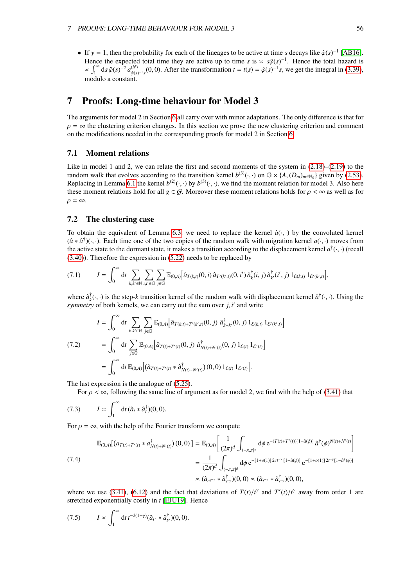• If  $\gamma = 1$ , then the probability for each of the lineages to be active at time *s* decays like  $\hat{\varphi}(s)^{-1}$  [\[AB16\]](#page-71-1).<br>Hence the expected total time they are active up to time *s* is  $\sim s\hat{\varphi}(s)^{-1}$ . Hence the total baza Hence the expected total time they are active up to time *s* is  $\approx s\hat{\varphi}(s)^{-1}$ . Hence the total hazard is  $\sim \int_{-\infty}^{\infty} ds \hat{\varphi}(s)^{-2} a^{(N)}(0,0)$ . After the transformation  $t = t(s) - \hat{\varphi}(s)^{-1} s$ , we get the integral in (3.  $\approx \int_1^{\infty} ds \hat{\varphi}(s)^{-2} a_{\hat{\varphi}(s)}^{(N)}$ <sup>(*N*)</sup></sup> $\hat{\varphi}(s)^{-1}s$ , (0, 0). After the transformation *t* = *t*(*s*) =  $\hat{\varphi}(s)^{-1}s$ , we get the integral in [\(3.39\)](#page-20-1), modulo a constant.

# 7 Proofs: Long-time behaviour for Model 3

The arguments for model 2 in Section [6](#page-43-2) all carry over with minor adaptations. The only difference is that for  $\rho = \infty$  the clustering criterion changes. In this section we prove the new clustering criterion and comment on the modifications needed in the corresponding proofs for model 2 in Section [6.](#page-43-2)

## 7.1 Moment relations

Like in model 1 and 2, we can relate the first and second moments of the system in  $(2.18)$ – $(2.19)$  to the random walk that evolves according to the transition kernel  $b^{(3)}(\cdot, \cdot)$  on  $\mathbb{G} \times \{A, (D_m)_{m \in \mathbb{N}_0}\}$  given by [\(2.53\)](#page-14-1).<br>Replacing in Lemma 6.1 the kernel  $b^{(2)}(\cdot, \cdot)$  by  $b^{(3)}(\cdot, \cdot)$  we find the moment relation fo Replacing in Lemma [6.1](#page-44-1) the kernel  $b^{(2)}(\cdot, \cdot)$  by  $b^{(3)}(\cdot, \cdot)$ , we find the moment relation for model 3. Also here<br>these moment relations hold for all  $a \in G$ . Moreover these moment relations holds for  $a \le \infty$  as well a these moment relations hold for all *g* ∈ G. Moreover these moment relations holds for  $\rho < \infty$  as well as for  $\rho = \infty$ .

# 7.2 The clustering case

To obtain the equivalent of Lemma [6.3,](#page-45-0) we need to replace the kernel  $\hat{a}(\cdot, \cdot)$  by the convoluted kernel  $(\hat{a} * \hat{a}^{\dagger})(\cdot,\cdot)$ . Each time one of the two copies of the random walk with migration kernel  $a(\cdot,\cdot)$  moves from the active state to the dormant state, it makes a transition according to the displacement kernel  $a^{\d$ the active state to the dormant state, it makes a transition according to the displacement kernel  $a^{\dagger}(\cdot, \cdot)$  (recall  $(3.40)$ ). Therefore the expression in (5.22) needs to be replaced by [\(3.40\)](#page-21-1)). Therefore the expression in [\(5.22\)](#page-31-2) needs to be replaced by

$$
(7.1) \tI = \int_0^\infty dt \sum_{k,k' \in \mathbb{N}} \sum_{i,i' \in \mathbb{G}} \sum_{j \in \mathbb{G}} \mathbb{E}_{(0,A)} \Big[ \hat{a}_{T(k,t)}(0,i) \, \hat{a}_{T'(k',t)}(0,i') \, \hat{a}_k^{\dagger}(i,j) \, \hat{a}_{k'}^{\dagger}(i',j) \, 1_{\mathcal{E}(k,t)} \, 1_{\mathcal{E}'(k',t)} \Big],
$$

where  $\hat{a}_k^{\dagger}$  $\psi_k^{\dagger}(\cdot, \cdot)$  is the step-*k* transition kernel of the random walk with displacement kernel  $\hat{a}^{\dagger}(\cdot, \cdot)$ . Using the *symmetry* of both kernels, we can carry out the sum over  $j$ ,  $i'$  and write

i

$$
I = \int_0^\infty dt \sum_{k,k' \in \mathbb{N}} \sum_{j \in \mathbb{G}} \mathbb{E}_{(0,A)} \Big[ \hat{a}_{T(k,t)+T'(k',t)}(0,j) \; \hat{a}_{k+k'}^\dagger(0,j) \; 1_{\mathcal{E}(k,t)} \; 1_{\mathcal{E}'(k',t)}
$$
\n
$$
= \int_0^\infty dt \sum_{j \in \mathbb{G}} \mathbb{E}_{(0,A)} \Big[ \hat{a}_{T(t)+T'(t)}(0,j) \; \hat{a}_{N(t)+N'(t)}^\dagger(0,j) \; 1_{\mathcal{E}(t)} \; 1_{\mathcal{E}'(t)} \Big]
$$
\n
$$
= \int_0^\infty dt \, \mathbb{E}_{(0,A)} \Big[ (\hat{a}_{T(t)+T'(t)} * \hat{a}_{N(t)+N'(t)}^\dagger)(0,0) \; 1_{\mathcal{E}(t)} \; 1_{\mathcal{E}'(t)} \Big].
$$

The last expression is the analogue of [\(5.25\)](#page-31-6).

For  $\rho < \infty$ , following the same line of argument as for model 2, we find with the help of [\(3.41\)](#page-21-2) that

$$
(7.3) \tI \times \int_1^\infty dt \, (\hat{a}_t * \hat{a}_t^\dagger)(0,0).
$$

For  $\rho = \infty$ , with the help of the Fourier transform we compute

$$
\mathbb{E}_{(0,A)}[(a_{T(t)+T'(t)} * a_{N(t)+N'(t)}^{\dagger})(0,0)] = \mathbb{E}_{(0,A)}\left[\frac{1}{(2\pi)^d} \int_{(-\pi,\pi]^d} d\phi \,\mathrm{e}^{-(T(t)+T'(t))[1-\hat{a}(\phi)]}\,\hat{a}^{\dagger}(\phi)^{N(t)+N'(t)}\right]
$$
\n
$$
= \frac{1}{(2\pi)^d} \int_{(-\pi,\pi]^d} d\phi \,\mathrm{e}^{-(1+o(1))2ct^{-\gamma}[1-\hat{a}(\phi)]}\,\mathrm{e}^{-(1+o(1))2t^{-\gamma}[1-\hat{a}^{\dagger}(\phi)]}
$$
\n
$$
\asymp (\hat{a}_{ct-\gamma} * \hat{a}_{t-\gamma}^{\dagger})(0,0) \asymp (\hat{a}_{t-\gamma} * \hat{a}_{t-\gamma}^{\dagger})(0,0),
$$

where we use [\(3.41\)](#page-21-2), [\(6.12\)](#page-45-2) and the fact that deviations of  $T(t)/t^{\gamma}$  and  $T'(t)/t^{\gamma}$  away from order 1 are stretched exponentially costly in t [FII119]. Hence stretched exponentially costly in *t* [\[EJU19\]](#page-72-2). Hence

$$
(7.5) \t I \approx \int_1^\infty dt \, t^{-2(1-\gamma)} (\hat{a}_{t^{\gamma}} * \hat{a}_{t^{\gamma}}^\dagger)(0,0).
$$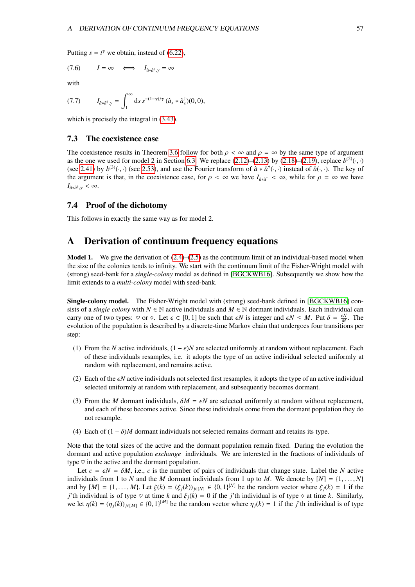Putting  $s = t^{\gamma}$  we obtain, instead of [\(6.22\)](#page-46-2),

$$
(7.6) \tI = \infty \iff I_{\hat{a} * \hat{a}^\dagger, \gamma} = \infty
$$

with

$$
(7.7) \tI_{\hat{a}*\hat{a}^{\dagger},\gamma} = \int_1^{\infty} ds \, s^{-(1-\gamma)/\gamma} \, (\hat{a}_s*\hat{a}_s^{\dagger})(0,0),
$$

which is precisely the integral in  $(3.43)$ .

### 7.3 The coexistence case

The coexistence results in Theorem [3.6](#page-21-3) follow for both  $\rho < \infty$  and  $\rho = \infty$  by the same type of argument as the one we used for model 2 in Section [6.3.](#page-47-4) We replace  $(2.12)$ – $(2.13)$  by  $(2.18)$ – $(2.19)$ , replace  $b^{(2)}(\cdot, \cdot)$ <br>(see 2.41) by  $b^{(3)}(\cdot, \cdot)$  (see 2.53), and use the Fourier transform of  $\hat{a} * \hat{a}^{\dagger}(\cdot, \cdot)$  ins (see [2.41\)](#page-13-0) by  $b^{(3)}(\cdot, \cdot)$  (see [2.53\)](#page-14-1), and use the Fourier transform of  $\hat{a} * \hat{a}^{\dagger}(\cdot, \cdot)$  instead of  $\hat{a}(\cdot, \cdot)$ . The key of the argument is that in the coexistence case, for  $a \leq \infty$  we have  $L_{\alpha} \leq \infty$  whil the argument is that, in the coexistence case, for  $\rho < \infty$  we have  $I_{\hat{a} * \hat{a}^{\dagger}} < \infty$ , while for  $\rho = \infty$  we have  $I_{\hat{a}*\hat{a}^{\dagger},\gamma}<\infty.$ 

#### 7.4 Proof of the dichotomy

This follows in exactly the same way as for model 2.

# <span id="page-57-0"></span>A Derivation of continuum frequency equations

Model 1. We give the derivation of  $(2.4)$ – $(2.5)$  as the continuum limit of an individual-based model when the size of the colonies tends to infinity. We start with the continuum limit of the Fisher-Wright model with (strong) seed-bank for a *single-colony* model as defined in [\[BGCKWB16\]](#page-71-2). Subsequently we show how the limit extends to a *multi-colony* model with seed-bank.

Single-colony model. The Fisher-Wright model with (strong) seed-bank defined in [\[BGCKWB16\]](#page-71-2) consists of a *single colony* with  $N \in \mathbb{N}$  active individuals and  $M \in \mathbb{N}$  dormant individuals. Each individual can carry one of two types:  $\heartsuit$  or  $\diamond$ . Let  $\epsilon \in [0,1]$  be such that  $\epsilon N$  is integer and  $\epsilon N \leq M$ . Put  $\delta = \frac{\epsilon N}{M}$ . The evolution of the population is described by a discrete-time Markov chain that undergoes four tran evolution of the population is described by a discrete-time Markov chain that undergoes four transitions per step:

- (1) From the *N* active individuals,  $(1 \epsilon)N$  are selected uniformly at random without replacement. Each of these individuals resamples, i.e. it adopts the type of an active individual selected uniformly at random with replacement, and remains active.
- (2) Each of the  $\epsilon N$  active individuals not selected first resamples, it adopts the type of an active individual selected uniformly at random with replacement, and subsequently becomes dormant.
- (3) From the *M* dormant individuals,  $\delta M = \epsilon N$  are selected uniformly at random without replacement, and each of these becomes active. Since these individuals come from the dormant population they do not resample.
- (4) Each of  $(1 \delta)M$  dormant individuals not selected remains dormant and retains its type.

Note that the total sizes of the active and the dormant population remain fixed. During the evolution the dormant and active population *exchange* individuals. We are interested in the fractions of individuals of type  $\heartsuit$  in the active and the dormant population.

Let  $c = \epsilon N = \delta M$ , i.e., *c* is the number of pairs of individuals that change state. Label the *N* active individuals from 1 to *N* and the *M* dormant individuals from 1 up to *M*. We denote by  $[N] = \{1, \ldots, N\}$ and by  $[M] = \{1, ..., M\}$ . Let  $\xi(k) = (\xi_j(k))_{j \in [N]} \in \{0, 1\}^{[N]}$  be the random vector where  $\xi_j(k) = 1$  if the *i*'th individual is of type  $\otimes$  at time *k* similarly *j*'th individual is of type  $\heartsuit$  at time *k* and  $\xi_j(k) = 0$  if the *j*'th individual is of type  $\diamond$  at time *k*. Similarly, we let  $\eta(k) = (\eta_j(k))_{j \in [M]} \in \{0, 1\}^{[M]}$  be the random vector where  $\eta_j(k) = 1$  if the *j*'th individual is of type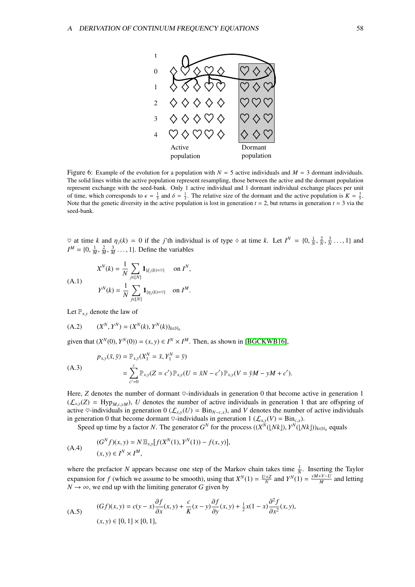

Figure 6: Example of the evolution for a population with  $N = 5$  active individuals and  $M = 3$  dormant individuals. The solid lines within the active population represent resampling, those between the active and the dormant population represent exchange with the seed-bank. Only 1 active individual and 1 dormant individual exchange places per unit of time, which corresponds to  $\epsilon = \frac{1}{5}$  and  $\delta = \frac{1}{3}$ . The relative size of the dormant and the active population is  $K = \frac{3}{5}$ . Note that the genetic diversity in the active population is lost in generation  $t = 2$ , but returns in generation  $t = 3$  via the seed-bank.

 $\heartsuit$  at time *k* and  $\eta_j(k) = 0$  if the *j*'th individual is of type  $\diamond$  at time *k*. Let  $I^N = \{0, \frac{1}{N}, I^M = \{0, \frac{1}{N}, \frac{1}{N}\}$  $\frac{2}{N}$ ,  $\frac{3}{N} \dots$ , 1} and  $I^M = \{0, \frac{1}{M}, \frac{1}{M}\}$  $\frac{2}{M}$  $\frac{3}{M}$ ..., 1}. Define the variables

$$
X^{N}(k) = \frac{1}{N} \sum_{j \in [N]} \mathbf{1}_{\{\xi_{j}(k) = \heartsuit\}} \text{ on } I^{N},
$$
  
(A.1)  

$$
Y^{N}(k) = \frac{1}{N} \sum_{j \in [N]} \mathbf{1}_{\{\eta_{j}(k) = \heartsuit\}} \text{ on } I^{M}.
$$

Let  $\mathbb{P}_{x,y}$  denote the law of

$$
(A.2) \t (X^N, Y^N) = (X^N(k), Y^N(k))_{k \in \mathbb{N}_0}
$$

given that  $(X^N(0), Y^N(0)) = (x, y) \in I^N \times I^M$ . Then, as shown in [\[BGCKWB16\]](#page-71-2),

$$
p_{x,y}(\bar{x}, \bar{y}) = \mathbb{P}_{x,y}(X_1^N = \bar{x}, Y_1^N = \bar{y})
$$
  
= 
$$
\sum_{c'=0}^c \mathbb{P}_{x,y}(Z = c') \mathbb{P}_{x,y}(U = \bar{x}N - c') \mathbb{P}_{x,y}(V = \bar{y}M - yM + c').
$$

Here,  $Z$  denotes the number of dormant  $\heartsuit$ -individuals in generation 0 that become active in generation 1  $(\mathcal{L}_{x,y}(Z) = \text{Hyp}_{M,c,yM})$ , *U* denotes the number of active individuals in generation 1 that are offspring of active ♡-individuals in generation 0 ( $\mathcal{L}_{x,y}(U) = \text{Bin}_{N-c,x}$ ), and *V* denotes the number of active individuals in generation 0 that become dormant  $\heartsuit$ -individuals in generation 1 ( $\mathcal{L}_{xx}(V) = \text{Bin}_{c,x}$ ).

Speed up time by a factor *N*. The generator  $G^N$  for the process  $((X^N(\lfloor Nk\rfloor), Y^N(\lfloor Nk\rfloor))_{k \in \mathbb{N}_0}$  equals

(A.4) 
$$
(G^{N} f)(x, y) = N \mathbb{E}_{x, y} [f(X^{N}(1), Y^{N}(1)) - f(x, y)],
$$

$$
(x, y) \in I^{N} \times I^{M},
$$

where the prefactor *N* appears because one step of the Markov chain takes time  $\frac{1}{N}$ . Inserting the Taylor expansion for *f* (which we assume to be smooth), using that  $X^N(1) = \frac{U+Z}{N}$  and  $Y^N(1) = \frac{yM+V-U}{M}$  $\frac{N+V-U}{M}$  and letting  $N \to \infty$ , we end up with the limiting generator *G* given by

(A.5) 
$$
(Gf)(x, y) = c(y - x)\frac{\partial f}{\partial x}(x, y) + \frac{c}{K}(x - y)\frac{\partial f}{\partial y}(x, y) + \frac{1}{2}x(1 - x)\frac{\partial^2 f}{\partial x^2}(x, y),
$$

$$
(x, y) \in [0, 1] \times [0, 1],
$$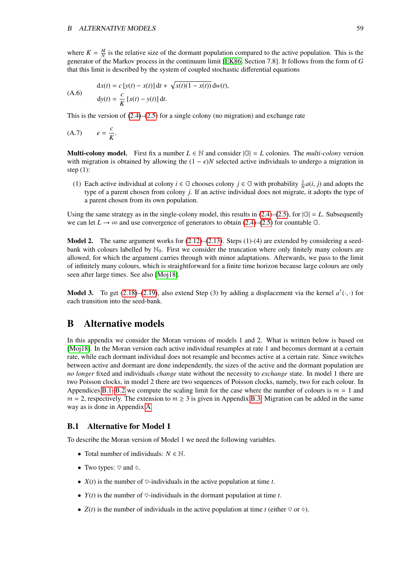where  $K = \frac{M}{N}$  is the relative size of the dormant population compared to the active population. This is the generator of the Markov process in the continuum limit [\[EK86,](#page-72-4) Section 7.8]. It follows from the form of *G* that this limit is described by the system of coupled stochastic differential equations

$$
\begin{aligned} \text{(A.6)} \qquad & \text{d}x(t) = c \left[ y(t) - x(t) \right] \text{d}t + \sqrt{x(t)(1 - x(t))} \, \text{d}w(t), \\ & \text{d}y(t) = \frac{c}{K} \left[ x(t) - y(t) \right] \text{d}t. \end{aligned}
$$

This is the version of  $(2.4)$ – $(2.5)$  for a single colony (no migration) and exchange rate

$$
(A.7) \t e = \frac{c}{K}.
$$

**Multi-colony model.** First fix a number  $L \in \mathbb{N}$  and consider  $|\mathbb{G}| = L$  colonies. The *multi-colony* version with migration is obtained by allowing the  $(1 - \epsilon)N$  selected active individuals to undergo a migration in step  $(1)$ :

(1) Each active individual at colony  $i \in \mathbb{G}$  chooses colony  $j \in \mathbb{G}$  with probability  $\frac{1}{N}a(i, j)$  and adopts the type of a parent chosen from colony *i*. If an active individual does not migrate, it adopts the t type of a parent chosen from colony *j*. If an active individual does not migrate, it adopts the type of a parent chosen from its own population.

Using the same strategy as in the single-colony model, this results in  $(2.4)$ – $(2.5)$ , for  $|\mathbb{G}| = L$ . Subsequently we can let  $L \to \infty$  and use convergence of generators to obtain [\(2.4\)](#page-6-0)–[\(2.5\)](#page-6-0) for countable G.

**Model 2.** The same argument works for  $(2.12)$ – $(2.13)$ . Steps  $(1)$ – $(4)$  are extended by considering a seedbank with colours labelled by  $\mathbb{N}_0$ . First we consider the truncation where only finitely many colours are allowed, for which the argument carries through with minor adaptations. Afterwards, we pass to the limit of infinitely many colours, which is straightforward for a finite time horizon because large colours are only seen after large times. See also [\[Moj18\]](#page-73-5).

**Model 3.** To get [\(2.18\)](#page-8-2)–[\(2.19\)](#page-8-2), also extend Step (3) by adding a displacement via the kernel  $a^{\dagger}(\cdot, \cdot)$  for each transition into the seed-bank each transition into the seed-bank.

# B Alternative models

In this appendix we consider the Moran versions of models 1 and 2. What is written below is based on [\[Moj18\]](#page-73-5). In the Moran version each active individual resamples at rate 1 and becomes dormant at a certain rate, while each dormant individual does not resample and becomes active at a certain rate. Since switches between active and dormant are done independently, the sizes of the active and the dormant population are *no longer* fixed and individuals *change* state without the necessity to *exchange* state. In model 1 there are two Poisson clocks, in model 2 there are two sequences of Poisson clocks, namely, two for each colour. In Appendices [B.1](#page-59-0)[–B.2](#page-61-0) we compute the scaling limit for the case where the number of colours is  $m = 1$  and  $m = 2$ , respectively. The extension to  $m \ge 3$  is given in Appendix [B.3.](#page-65-1) Migration can be added in the same way as is done in Appendix [A.](#page-57-0)

## <span id="page-59-0"></span>B.1 Alternative for Model 1

To describe the Moran version of Model 1 we need the following variables.

- Total number of individuals:  $N \in \mathbb{N}$ .
- Two types:  $\heartsuit$  and  $\diamond$ .
- $X(t)$  is the number of  $\heartsuit$ -individuals in the active population at time *t*.
- $Y(t)$  is the number of  $\heartsuit$ -individuals in the dormant population at time *t*.
- $Z(t)$  is the number of individuals in the active population at time *t* (either  $\heartsuit$  or  $\diamond$ ).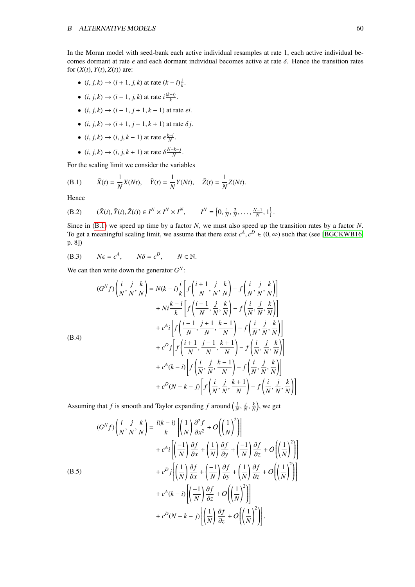In the Moran model with seed-bank each active individual resamples at rate 1, each active individual becomes dormant at rate  $\epsilon$  and each dormant individual becomes active at rate  $\delta$ . Hence the transition rates for  $(X(t), Y(t), Z(t))$  are:

- (*i*, *j*, *k*)  $\to$  (*i* + 1, *j*, *k*) at rate  $(k i) \frac{i}{k}$ .
- $(i, j, k) \rightarrow (i 1, j, k)$  at rate  $i \frac{(k-i)}{k}$  $\frac{(-i)}{k}$ .
- $(i, j, k) \rightarrow (i-1, j+1, k-1)$  at rate  $\epsilon i$ .
- $(i, j, k) \rightarrow (i + 1, j 1, k + 1)$  at rate  $\delta j$ .
- $(i, j, k) \rightarrow (i, j, k 1)$  at rate  $\epsilon \frac{k i}{N}$ .
- <span id="page-60-0"></span>•  $(i, j, k) \rightarrow (i, j, k + 1)$  at rate  $\delta \frac{N-k-j}{N}$  $\frac{-\kappa-j}{N}$ .

For the scaling limit we consider the variables

(B.1) 
$$
\bar{X}(t) = \frac{1}{N}X(Nt), \quad \bar{Y}(t) = \frac{1}{N}Y(Nt), \quad \bar{Z}(t) = \frac{1}{N}Z(Nt).
$$

Hence

 $\overline{C}$ 

(B.2) 
$$
(\bar{X}(t), \bar{Y}(t), \bar{Z}(t)) \in I^N \times I^N \times I^N
$$
,  $I^N = \left\{0, \frac{1}{N}, \frac{2}{N}, \dots, \frac{N-1}{N}, 1\right\}$ .

Since in [\(B.1\)](#page-60-0) we speed up time by a factor *N*, we must also speed up the transition rates by a factor *N*. To get a meaningful scaling limit, we assume that there exist  $c^A$ ,  $c^D \in (0, \infty)$  such that (see [\[BGCKWB16,](#page-71-2) p. 81) p. 8])

(B.3) 
$$
N\epsilon = c^A
$$
,  $N\delta = c^D$ ,  $N \in \mathbb{N}$ .

We can then write down the generator  $G^N$ :

$$
(G^N f)\left(\frac{i}{N}, \frac{j}{N}, \frac{k}{N}\right) = N(k-i)\frac{i}{k}\left[f\left(\frac{i+1}{N}, \frac{j}{N}, \frac{k}{N}\right) - f\left(\frac{i}{N}, \frac{j}{N}, \frac{k}{N}\right)\right] + Ni\frac{k-i}{k}\left[f\left(\frac{i-1}{N}, \frac{j}{N}, \frac{k}{N}\right) - f\left(\frac{i}{N}, \frac{j}{N}, \frac{k}{N}\right)\right] + c^A i\left[f\left(\frac{i-1}{N}, \frac{j+1}{N}, \frac{k-1}{N}\right) - f\left(\frac{i}{N}, \frac{j}{N}, \frac{k}{N}\right)\right] + c^D j\left[f\left(\frac{i+1}{N}, \frac{j-1}{N}, \frac{k+1}{N}\right) - f\left(\frac{i}{N}, \frac{j}{N}, \frac{k}{N}\right)\right] + c^A (k-i)\left[f\left(\frac{i}{N}, \frac{j}{N}, \frac{k-1}{N}\right) - f\left(\frac{i}{N}, \frac{j}{N}, \frac{k}{N}\right)\right] + c^D (N - k - j)\left[f\left(\frac{i}{N}, \frac{j}{N}, \frac{k+1}{N}\right) - f\left(\frac{i}{N}, \frac{j}{N}, \frac{k}{N}\right)\right]
$$

Assuming that *f* is smooth and Taylor expanding *f* around  $\left(\frac{i}{N}\right)$ , *j N* ,  $\frac{k}{N}$ ), we get

<span id="page-60-1"></span>
$$
(G^{N}f)\left(\frac{i}{N},\frac{j}{N},\frac{k}{N}\right) = \frac{i(k-i)}{k}\left[\left(\frac{1}{N}\right)\frac{\partial^{2}f}{\partial x^{2}} + O\left(\left(\frac{1}{N}\right)^{2}\right)\right] + c^{A}i\left[\left(\frac{-1}{N}\right)\frac{\partial f}{\partial x} + \left(\frac{1}{N}\right)\frac{\partial f}{\partial y} + \left(\frac{-1}{N}\right)\frac{\partial f}{\partial z} + O\left(\left(\frac{1}{N}\right)^{2}\right)\right] + c^{D}j\left[\left(\frac{1}{N}\right)\frac{\partial f}{\partial x} + \left(\frac{-1}{N}\right)\frac{\partial f}{\partial y} + \left(\frac{1}{N}\right)\frac{\partial f}{\partial z} + O\left(\left(\frac{1}{N}\right)^{2}\right)\right] + c^{A}(k-i)\left[\left(\frac{-1}{N}\right)\frac{\partial f}{\partial z} + O\left(\left(\frac{1}{N}\right)^{2}\right)\right] + c^{D}(N-k-j)\left[\left(\frac{1}{N}\right)\frac{\partial f}{\partial z} + O\left(\left(\frac{1}{N}\right)^{2}\right)\right].
$$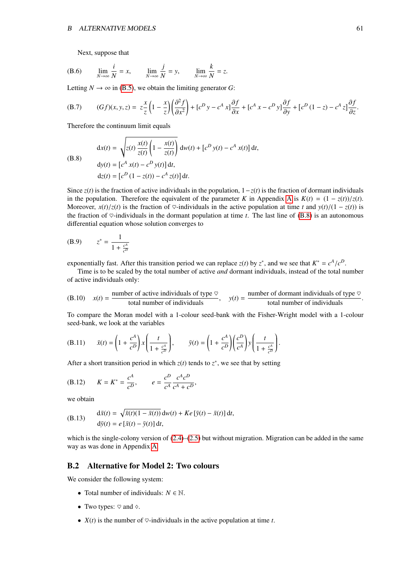Next, suppose that

(B.6) 
$$
\lim_{N \to \infty} \frac{i}{N} = x, \qquad \lim_{N \to \infty} \frac{j}{N} = y, \qquad \lim_{N \to \infty} \frac{k}{N} = z.
$$

Letting  $N \to \infty$  in [\(B.5\)](#page-60-1), we obtain the limiting generator *G*:

(B.7) 
$$
(Gf)(x, y, z) = z\frac{x}{z}\left(1 - \frac{x}{z}\right)\left(\frac{\partial^2 f}{\partial x^2}\right) + [c^D y - c^A x]\frac{\partial f}{\partial x} + [c^A x - c^D y]\frac{\partial f}{\partial y} + [c^D (1 - z) - c^A z]\frac{\partial f}{\partial z}
$$

Therefore the continuum limit equals

(B.8)

<span id="page-61-1"></span>
$$
dx(t) = \sqrt{z(t) \frac{x(t)}{z(t)} \left(1 - \frac{x(t)}{z(t)}\right)} dw(t) + \left[c^D y(t) - c^A x(t)\right] dt,
$$
  
\n
$$
dy(t) = \left[c^A x(t) - c^D y(t)\right] dt,
$$
  
\n
$$
dz(t) = \left[c^D (1 - z(t)) - c^A z(t)\right] dt.
$$

Since  $z(t)$  is the fraction of active individuals in the population,  $1-z(t)$  is the fraction of dormant individuals in the population. Therefore the equivalent of the parameter *K* in [A](#page-57-0)ppendix A is  $K(t) = (1 - z(t))/z(t)$ . Moreover,  $x(t)/z(t)$  is the fraction of  $\heartsuit$ -individuals in the active population at time *t* and  $y(t)/(1 - z(t))$  is the fraction of  $\heartsuit$ -individuals in the dormant population at time *t*. The last line of [\(B.8\)](#page-61-1) is an autonomous differential equation whose solution converges to

(B.9) 
$$
z^* = \frac{1}{1 + \frac{c^A}{c^D}}
$$

exponentially fast. After this transition period we can replace *z*(*t*) by *z*<sup>\*</sup>, and we see that  $K^* = c^A/c^D$ .<br>Time is to be scaled by the total number of active *and* dormant individuals instead of the total n

Time is to be scaled by the total number of active *and* dormant individuals, instead of the total number of active individuals only:

(B.10) 
$$
x(t) =
$$
 number of active individuals of type  $\heartsuit$ ,  $y(t) =$  number of dominant individuals of type  $\heartsuit$  total number of individuals

To compare the Moran model with a 1-colour seed-bank with the Fisher-Wright model with a 1-colour seed-bank, we look at the variables

(B.11) 
$$
\bar{x}(t) = \left(1 + \frac{c^A}{c^D}\right) x \left(\frac{t}{1 + \frac{c^A}{c^D}}\right), \qquad \bar{y}(t) = \left(1 + \frac{c^A}{c^D}\right) \left(\frac{c^D}{c^A}\right) y \left(\frac{t}{1 + \frac{c^A}{c^D}}\right).
$$

After a short transition period in which  $z(t)$  tends to  $z^*$ , we see that by setting

(B.12) 
$$
K = K^* = \frac{c^A}{c^D}, \qquad e = \frac{c^D}{c^A} \frac{c^A c^D}{c^A + c^D},
$$

we obtain

(B.13) 
$$
d\bar{x}(t) = \sqrt{\bar{x}(t)(1 - \bar{x}(t))} dw(t) + Ke[\bar{y}(t) - \bar{x}(t)] dt,
$$

$$
d\bar{y}(t) = e[\bar{x}(t) - \bar{y}(t)] dt,
$$

which is the single-colony version of  $(2.4)$ – $(2.5)$  but without migration. Migration can be added in the same way as was done in Appendix [A.](#page-57-0)

### <span id="page-61-0"></span>B.2 Alternative for Model 2: Two colours

We consider the following system:

- Total number of individuals:  $N \in \mathbb{N}$ .
- Two types:  $\heartsuit$  and  $\diamond$ .
- $X(t)$  is the number of  $\heartsuit$ -individuals in the active population at time *t*.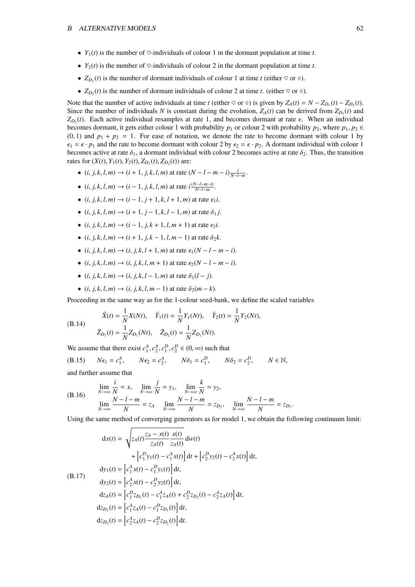- $Y_1(t)$  is the number of  $\heartsuit$ -individuals of colour 1 in the dormant population at time *t*.
- $Y_2(t)$  is the number of  $\heartsuit$ -individuals of colour 2 in the dormant population at time *t*.
- $Z_{D_1}(t)$  is the number of dormant individuals of colour 1 at time *t* (either  $\heartsuit$  or  $\diamondsuit$ ).
- $Z_{D_2}(t)$  is the number of dormant individuals of colour 2 at time *t*. (either  $\heartsuit$  or  $\diamondsuit$ ).

Note that the number of active individuals at time *t* (either  $\heartsuit$  or  $\diamond$ ) is given by  $Z_A(t) = N - Z_{D_1}(t) - Z_{D_2}(t)$ . Since the number of individuals *N* is constant during the evolution,  $Z_A(t)$  can be derived from  $Z_{D_1}(t)$  and  $Z_{D_2}(t)$ . Each active individual resamples at rate 1, and becomes dormant at rate  $\epsilon$ . When an individual becomes dormant it gets either colour 1 with probability n. or colour 2 with probability n. where n. n.  $\epsilon$ becomes dormant, it gets either colour 1 with probability  $p_1$  or colour 2 with probability  $p_2$ , where  $p_1, p_2 \in$  $(0, 1)$  and  $p_1 + p_2 = 1$ . For ease of notation, we denote the rate to become dormant with colour 1 by  $\epsilon_1 = \epsilon \cdot p_1$  and the rate to become dormant with colour 2 by  $\epsilon_2 = \epsilon \cdot p_2$ . A dormant individual with colour 1 becomes active at rate  $\delta_1$ , a dormant individual with colour 2 becomes active at rate  $\delta_2$ . Thus, the transition rates for  $(X(t), Y_1(t), Y_2(t), Z_{D_1}(t), Z_{D_2}(t))$  are:

- (*i*, *j*, *k*, *l*, *m*) → (*i* + 1, *j*, *k*, *l*, *m*) at rate  $(N l m i) \frac{i}{N l m}$ .
- $\bullet$  (*i*, *j*, *k*, *l*, *m*) → (*i* − 1, *j*, *k*, *l*, *m*) at rate *i*<sup>( $\frac{(N-l-m-i)}{N-l-m}$ )</sup> *N*−*l*−*m*−*l*)<br>*N*−*l*−*m*
- (*i*, *j*, *k*, *l*, *m*)  $\rightarrow$  (*i* 1, *j* + 1, *k*, *l* + 1, *m*) at rate  $\epsilon_1 i$ .
- (*i*, *j*, *k*, *l*, *m*)  $\rightarrow$  (*i* + 1, *j* − 1, *k*, *l* − 1, *m*) at rate  $\delta_1$ *j*.
- (*i*, *j*, *k*, *l*, *m*)  $\rightarrow$  (*i* 1, *j*, *k* + 1, *l*, *m* + 1) at rate  $\epsilon_2 i$ .
- (*i*, *j*, *k*, *l*, *m*)  $\rightarrow$  (*i* + 1, *j*, *k* 1, *l*, *m* 1) at rate  $\delta_2 k$ .
- (*i*, *j*, *k*, *l*, *m*)  $\rightarrow$  (*i*, *j*, *k*, *l* + 1, *m*) at rate  $\epsilon_1(N l m i)$ .
- (*i*, *j*, *k*, *l*, *m*) → (*i*, *j*, *k*, *l*, *m* + 1) at rate  $\epsilon_2(N l m i)$ .
- (*i*, *j*, *k*, *l*, *m*)  $\rightarrow$  (*i*, *j*, *k*, *l* − 1, *m*) at rate  $\delta_1(l j)$ .
- (*i*, *j*, *k*, *l*, *m*)  $\rightarrow$  (*i*, *j*, *k*, *l*, *m* − 1) at rate  $\delta_2(m k)$ .

Proceeding in the same way as for the 1-colour seed-bank, we define the scaled variables

(B.14) 
$$
\bar{X}(t) = \frac{1}{N} X(Nt), \quad \bar{Y}_1(t) = \frac{1}{N} Y_1(Nt), \quad \bar{Y}_2(t) = \frac{1}{N} Y_2(Nt),
$$

$$
\bar{Z}_{D_1}(t) = \frac{1}{N} Z_{D_1}(Nt), \quad \bar{Z}_{D_2}(t) = \frac{1}{N} Z_{D_1}(Nt).
$$

We assume that there exist  $c_1^A$ ,  $c_2^A$ ,  $c_1^D$ ,  $c_2^D$   $\in (0, \infty)$  such that

(B.15) 
$$
N\epsilon_1 = c_1^A
$$
,  $N\epsilon_2 = c_2^A$ ,  $N\delta_1 = c_1^D$ ,  $N\delta_2 = c_2^D$ ,  $N \in \mathbb{N}$ ,

and further assume that

(B.16) 
$$
\lim_{N \to \infty} \frac{i}{N} = x, \quad \lim_{N \to \infty} \frac{j}{N} = y_1, \quad \lim_{N \to \infty} \frac{k}{N} = y_2, \n\lim_{N \to \infty} \frac{N - l - m}{N} = z_A \quad \lim_{N \to \infty} \frac{N - l - m}{N} = z_{D_2}, \quad \lim_{N \to \infty} \frac{N - l - m}{N} = z_{D_1}.
$$

Using the same method of converging generators as for model 1, we obtain the following continuum limit:

<span id="page-62-0"></span>
$$
dx(t) = \sqrt{z_A(t) \frac{z_A - x(t)}{z_A(t)} \frac{x(t)}{z_A(t)}} dw(t)
$$
  
+  $\left[ c_1^D y_1(t) - c_1^A x(t) \right] dt + \left[ c_2^D y_2(t) - c_2^A x(t) \right] dt$ ,  

$$
dy_1(t) = \left[ c_1^A x(t) - c_1^D y_1(t) \right] dt
$$
,  

$$
dy_2(t) = \left[ c_2^A x(t) - c_2^D y_2(t) \right] dt
$$
,  

$$
dz_A(t) = \left[ c_1^D z_{D_1}(t) - c_1^A z_A(t) + c_2^D z_{D_2}(t) - c_2^A z_A(t) \right] dt
$$
,  

$$
dz_{D_1}(t) = \left[ c_1^A z_A(t) - c_1^D z_{D_1}(t) \right] dt
$$
,  

$$
dz_{D_2}(t) = \left[ c_2^A z_A(t) - c_2^D z_{D_2}(t) \right] dt
$$
.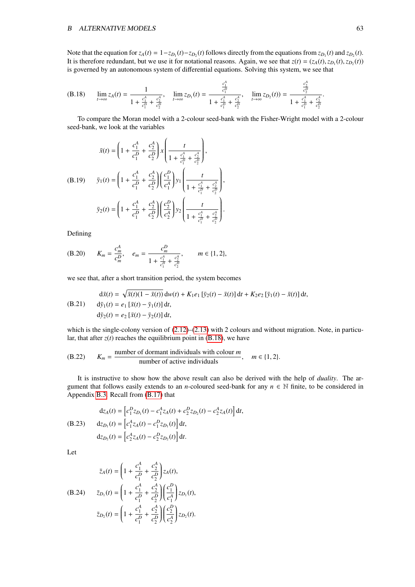### B ALTERNATIVE MODELS 63

Note that the equation for  $z_A(t) = 1 - z_{D_1}(t) - z_{D_2}(t)$  follows directly from the equations from  $z_{D_1}(t)$  and  $z_{D_2}(t)$ . It is therefore redundant, but we use it for notational reasons. Again, we see that  $z(t) = (z_A(t), z_{D_1}(t), z_{D_2}(t))$ <br>is governed by an autonomous system of differential equations. Solving this system, we see that is governed by an autonomous system of differential equations. Solving this system, we see that

(B.18) 
$$
\lim_{t \to \infty} z_A(t) = \frac{1}{1 + \frac{c_1^4}{c_1^D} + \frac{c_2^4}{c_2^D}}, \quad \lim_{t \to \infty} z_{D_1}(t) = \frac{\frac{c_1^4}{c_1^D}}{1 + \frac{c_1^4}{c_1^D} + \frac{c_2^4}{c_2^D}}, \quad \lim_{t \to \infty} z_{D_2}(t) = \frac{\frac{c_2^4}{c_2^D}}{1 + \frac{c_1^4}{c_1^D} + \frac{c_2^4}{c_2^D}}.
$$

To compare the Moran model with a 2-colour seed-bank with the Fisher-Wright model with a 2-colour seed-bank, we look at the variables

$$
\bar{x}(t) = \left(1 + \frac{c_1^A}{c_1^D} + \frac{c_2^A}{c_2^D}\right) x \left(\frac{t}{1 + \frac{c_1^A}{c_1^D} + \frac{c_2^A}{c_2^D}}\right),
$$
\n(B.19) 
$$
\bar{y}_1(t) = \left(1 + \frac{c_1^A}{c_1^D} + \frac{c_2^A}{c_2^D}\right) \left(\frac{c_1^D}{c_1^A}\right) y_1 \left(\frac{t}{1 + \frac{c_1^A}{c_1^D} + \frac{c_2^A}{c_2^D}}\right),
$$
\n
$$
\bar{y}_2(t) = \left(1 + \frac{c_1^A}{c_1^D} + \frac{c_2^A}{c_2^D}\right) \left(\frac{c_2^D}{c_2^A}\right) y_2 \left(\frac{t}{1 + \frac{c_1^A}{c_1^D} + \frac{c_2^A}{c_2^D}}\right).
$$

<span id="page-63-3"></span> $\overline{\phantom{a}}$ 

Defining

(B.20) 
$$
K_m = \frac{c_m^A}{c_m^D}, \quad e_m = \frac{c_m^D}{1 + \frac{c_1^A}{c_1^D} + \frac{c_2^A}{c_2^D}}, \qquad m \in \{1, 2\},\
$$

we see that, after a short transition period, the system becomes

(B.21) 
$$
d\bar{x}(t) = \sqrt{\bar{x}(t)(1 - \bar{x}(t))} dw(t) + K_1 e_1 [\bar{y}_2(t) - \bar{x}(t)] dt + K_2 e_2 [\bar{y}_1(t) - \bar{x}(t)] dt,
$$
  
\n
$$
d\bar{y}_1(t) = e_1 [\bar{x}(t) - \bar{y}_1(t)] dt,
$$
  
\n
$$
d\bar{y}_2(t) = e_2 [\bar{x}(t) - \bar{y}_2(t)] dt,
$$

which is the single-colony version of  $(2.12)$ – $(2.13)$  with 2 colours and without migration. Note, in particular, that after  $z(t)$  reaches the equilibrium point in [\(B.18\)](#page-63-0), we have

(B.22) 
$$
K_m = \frac{\text{number of dominant individuals with colour } m}{\text{number of active individuals}}, \quad m \in \{1, 2\}.
$$

It is instructive to show how the above result can also be derived with the help of *duality*. The argument that follows easily extends to an *n*-coloured seed-bank for any  $n \in \mathbb{N}$  finite, to be considered in Appendix [B.3.](#page-65-1) Recall from [\(B.17\)](#page-62-0) that

<span id="page-63-2"></span>(B.23) 
$$
dz_A(t) = \left[c_1^D z_{D_1}(t) - c_1^A z_A(t) + c_2^D z_{D_2}(t) - c_2^A z_A(t)\right] dt,
$$
  
\n
$$
dz_{D_1}(t) = \left[c_1^A z_A(t) - c_1^D z_{D_1}(t)\right] dt,
$$
  
\n
$$
dz_{D_2}(t) = \left[c_2^A z_A(t) - c_2^D z_{D_2}(t)\right] dt.
$$

<span id="page-63-1"></span>Let

$$
\bar{z}_A(t) = \left(1 + \frac{c_1^A}{c_1^D} + \frac{c_2^A}{c_2^D}\right) z_A(t),
$$
\n(B.24) 
$$
\bar{z}_{D_1}(t) = \left(1 + \frac{c_1^A}{c_1^D} + \frac{c_2^A}{c_2^D}\right) \left(\frac{c_1^D}{c_1^A}\right) z_{D_1}(t),
$$
\n
$$
\bar{z}_{D_2}(t) = \left(1 + \frac{c_1^A}{c_1^D} + \frac{c_2^A}{c_2^D}\right) \left(\frac{c_2^D}{c_2^A}\right) z_{D_2}(t).
$$

<span id="page-63-0"></span>*A*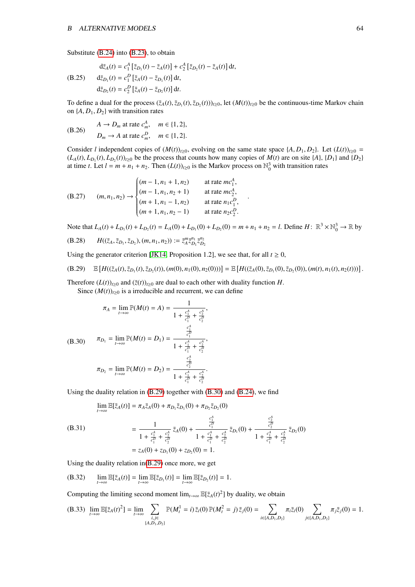Substitute [\(B.24\)](#page-63-1) into [\(B.23\)](#page-63-2), to obtain

(B.25) 
$$
d\bar{z}_A(t) = c_1^A [\bar{z}_{D_1}(t) - \bar{z}_A(t)] + c_2^A [\bar{z}_{D_2}(t) - \bar{z}_A(t)] dt,
$$

$$
d\bar{z}_{D_1}(t) = c_1^D [\bar{z}_A(t) - \bar{z}_{D_1}(t)] dt,
$$

$$
d\bar{z}_{D_2}(t) = c_2^D [\bar{z}_A(t) - \bar{z}_{D_2}(t)] dt.
$$

To define a dual for the process  $(\bar{z}_A(t), \bar{z}_{D_1}(t), \bar{z}_{D_2}(t))_{t \ge 0}$ , let  $(M(t))_{t \ge 0}$  be the continuous-time Markov chain on  $\{A, D, D_2\}$  with transition rates on  $\{A, D_1, D_2\}$  with transition rates

(B.26) 
$$
A \rightarrow D_m \text{ at rate } c_m^A, \quad m \in \{1, 2\},
$$

$$
D_m \rightarrow A \text{ at rate } c_m^D, \quad m \in \{1, 2\}.
$$

Consider *l* independent copies of  $(M(t))_{t\geq0}$ , evolving on the same state space  $\{A, D_1, D_2\}$ . Let  $(L(t))_{t\geq0}$  =  $(L_A(t), L_{D_1}(t), L_{D_2}(t))_{t\geq 0}$  be the process that counts how many copies of  $M(t)$  are on site  $\{A\}$ ,  $\{D_1\}$  and  $\{D_2\}$  at time  $t \to t - m + n_1 + n_2$ . Then  $(L(t))_{t\geq 0}$  is the Markov process on  $\mathbb{N}^3$  with transit at time *t*. Let  $l = m + n_1 + n_2$ . Then  $(L(t))_{t \ge 0}$  is the Markov process on  $\mathbb{N}_0^3$  with transition rates

(B.27) 
$$
(m, n_1, n_2) \rightarrow \begin{cases} (m-1, n_1+1, n_2) & \text{at rate } mc_1^A, \\ (m-1, n_1, n_2+1) & \text{at rate } mc_2^A, \\ (m+1, n_1-1, n_2) & \text{at rate } n_1c_1^D, \\ (m+1, n_1, n_2-1) & \text{at rate } n_2c_2^D. \end{cases}
$$

Note that  $L_A(t) + L_{D_1}(t) + L_{D_2}(t) = L_A(0) + L_{D_1}(0) + L_{D_2}(0) = m + n_1 + n_2 = l$ . Define  $H: \mathbb{R}^3 \times \mathbb{N}_0^3 \to \mathbb{R}$  by

<span id="page-64-0"></span>(B.28) 
$$
H((\bar{z}_A, \bar{z}_{D_1}, \bar{z}_{D_2}), (m, n_1, n_2)) := \bar{z}_A^m \bar{z}_{D_1}^{n_1} \bar{z}_{D_2}^{n_2}
$$

Using the generator criterion [\[JK14,](#page-72-5) Proposition 1.2], we see that, for all  $t \ge 0$ ,

(B.29) 
$$
\mathbb{E}\left[H((\bar{z}_A(t),\bar{z}_{D_1}(t),\bar{z}_{D_2}(t)),(m(0),n_1(0),n_2(0)))\right]=\mathbb{E}\left[H((\bar{z}_A(0),\bar{z}_{D_1}(0),\bar{z}_{D_2}(0)),(m(t),n_1(t),n_2(t)))\right].
$$

Therefore  $(L(t))_{t\geq0}$  and  $(\bar{z}(t))_{t\geq0}$  are dual to each other with duality function *H*. Since  $(M(t))_{t\geq0}$  is a irreducible and recurrent, we can define

<span id="page-64-1"></span>
$$
\pi_A = \lim_{t \to \infty} \mathbb{P}(M(t) = A) = \frac{1}{1 + \frac{c_1^A}{c_1^D} + \frac{c_2^A}{c_2^D}},
$$
  
(B.30) 
$$
\pi_{D_1} = \lim_{t \to \infty} \mathbb{P}(M(t) = D_1) = \frac{\frac{c_1^A}{c_1^D} + \frac{c_2^A}{c_2^D}}{1 + \frac{c_1^A}{c_1^D} + \frac{c_2^A}{c_2^D}},
$$

$$
\pi_{D_2} = \lim_{t \to \infty} \mathbb{P}(M(t) = D_2) = \frac{\frac{c_2^A}{c_2^D}}{1 + \frac{c_1^A}{c_1^D} + \frac{c_2^A}{c_2^D}}.
$$

Using the duality relation in [\(B.29\)](#page-64-0) together with [\(B.30\)](#page-64-1) and [\(B.24\)](#page-63-1), we find

<span id="page-64-3"></span><span id="page-64-2"></span>
$$
\lim_{t\to\infty} \mathbb{E}[\bar{z}_A(t)] = \pi_A \bar{z}_A(0) + \pi_{D_1} \bar{z}_{D_1}(0) + \pi_{D_2} \bar{z}_{D_2}(0)
$$

(B.31) 
$$
= \frac{1}{1 + \frac{c_1^4}{c_1^D} + \frac{c_2^4}{c_2^D}} \bar{z}_A(0) + \frac{\frac{c_1^4}{c_1^D}}{1 + \frac{c_1^4}{c_1^D} + \frac{c_2^4}{c_2^D}} \bar{z}_{D_1}(0) + \frac{\frac{c_2^4}{c_2^D}}{1 + \frac{c_1^4}{c_1^D} + \frac{c_2^4}{c_2^D}} \bar{z}_{D_2}(0)
$$

$$
= z_A(0) + z_{D_1}(0) + z_{D_2}(0) = 1.
$$

Using the duality relation in[\(B.29\)](#page-64-0) once more, we get

(B.32) 
$$
\lim_{t\to\infty}\mathbb{E}[\bar{z}_A(t)] = \lim_{t\to\infty}\mathbb{E}[\bar{z}_{D_1}(t)] = \lim_{t\to\infty}\mathbb{E}[\bar{z}_{D_2}(t)] = 1.
$$

Computing the limiting second moment  $\lim_{t\to\infty} \mathbb{E}[z_A(t)^2]$  by duality, we obtain

$$
(B.33)\ \ \lim_{t\to\infty}\mathbb{E}[\bar{z}_A(t)^2]=\lim_{t\to\infty}\sum_{\substack{i,j\in\{A,D_1,D_2\}\\\{A,D_1,D_2\}}} \mathbb{P}(M_t^1=i)\ \bar{z}_i(0)\ \mathbb{P}(M_t^2=j)\ \bar{z}_j(0)=\sum_{i\in\{A,D_1,D_2\}}\pi_i\bar{z}_i(0)\sum_{j\in\{A,D_1,D_2\}}\pi_j\bar{z}_j(0)=1.
$$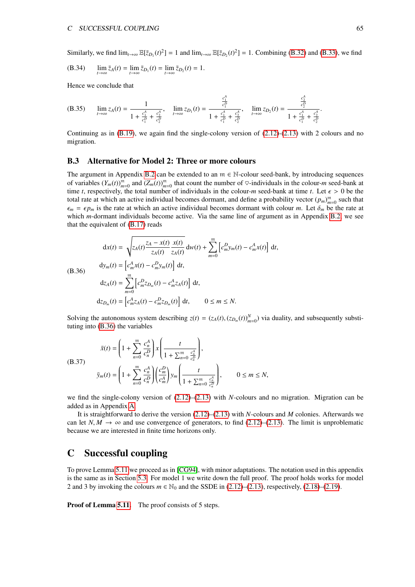Similarly, we find  $\lim_{t\to\infty} \mathbb{E}[\bar{z}_{D_1}(t)^2] = 1$  and  $\lim_{t\to\infty} \mathbb{E}[\bar{z}_{D_2}(t)^2] = 1$ . Combining [\(B.32\)](#page-64-2) and [\(B.33\)](#page-64-3), we find

(B.34) 
$$
\lim_{t \to \infty} \bar{z}_A(t) = \lim_{t \to \infty} \bar{z}_{D_1}(t) = \lim_{t \to \infty} \bar{z}_{D_2}(t) = 1.
$$

Hence we conclude that

(B.35) 
$$
\lim_{t \to \infty} z_A(t) = \frac{1}{1 + \frac{c_1^A}{c_1^D} + \frac{c_2^A}{c_2^D}}, \quad \lim_{t \to \infty} z_{D_1}(t) = \frac{\frac{c_1^A}{c_1^D}}{1 + \frac{c_1^A}{c_1^D} + \frac{c_2^A}{c_2^D}}, \quad \lim_{t \to \infty} z_{D_2}(t) = \frac{\frac{c_2^A}{c_2^D}}{1 + \frac{c_1^A}{c_1^D} + \frac{c_2^A}{c_2^D}}.
$$

Continuing as in  $(B.19)$ , we again find the single-colony version of  $(2.12)-(2.13)$  $(2.12)-(2.13)$  $(2.12)-(2.13)$  with 2 colours and no migration.

## <span id="page-65-1"></span>B.3 Alternative for Model 2: Three or more colours

The argument in Appendix [B.2](#page-61-0) can be extended to an  $m \in \mathbb{N}$ -colour seed-bank, by introducing sequences of variables  $(Y_m(t))_{m=0}^m$  and  $(Z_m(t))_{m=0}^m$  that count the number of  $\heartsuit$ -individuals in the colour-*m* seed-bank at time *t*, respectively, the total number of individuals in the colour-*m* seed-bank at time *t*. Let  $\epsilon > 0$  be the total rate at which an active individual becomes dormant, and define a probability vector  $(p_m)_{m=0}^m$  such that  $\epsilon_m = \epsilon p_m$  is the rate at which an active individual becomes dormant with colour *m*. Let  $\delta_m$  be the rate at which *m*-dormant individuals become active. Via the same line of argument as in Appendix [B.2,](#page-61-0) we see that the equivalent of [\(B.17\)](#page-62-0) reads

<span id="page-65-2"></span>
$$
dx(t) = \sqrt{z_A(t) \frac{z_A - x(t)}{z_A(t)} \frac{x(t)}{z_A(t)}} dw(t) + \sum_{m=0}^{m} \left[ c_m^D y_m(t) - c_m^A x(t) \right] dt,
$$
  
\n(B.36) 
$$
dy_m(t) = \left[ c_m^A x(t) - c_m^D y_m(t) \right] dt,
$$
  
\n
$$
dz_A(t) = \sum_{m=0}^{m} \left[ c_m^D z_{D_m}(t) - c_m^A z_A(t) \right] dt,
$$
  
\n
$$
dz_{D_m}(t) = \left[ c_m^A z_A(t) - c_m^D z_{D_m}(t) \right] dt, \qquad 0 \le m \le N.
$$

Solving the autonomous system describing  $z(t) = (z_A(t), (z_{D_m}(t))_{m=0}^N)$  via duality, and subsequently substituting into (B 36) the variables tuting into [\(B.36\)](#page-65-2) the variables

$$
\bar{x}(t) = \left(1 + \sum_{n=0}^{m} \frac{c_n^A}{c_n^D}\right) x \left(\frac{t}{1 + \sum_{n=0}^{m} \frac{c_n^A}{c_n^D}}\right),
$$
\n(B.37)\n
$$
\bar{y}_m(t) = \left(1 + \sum_{n=0}^{m} \frac{c_n^A}{c_n^D}\right) \left(\frac{c_m^D}{c_m^A}\right) y_m \left(\frac{t}{1 + \sum_{n=0}^{m} \frac{c_n^A}{c_n^D}}\right), \qquad 0 \le m \le N,
$$

we find the single-colony version of  $(2.12)$ – $(2.13)$  with *N*-colours and no migration. Migration can be added as in Appendix [A.](#page-57-0)

It is straightforward to derive the version [\(2.12\)](#page-7-0)–[\(2.13\)](#page-7-0) with *N*-colours and *M* colonies. Afterwards we can let *N*,  $M \rightarrow \infty$  and use convergence of generators, to find [\(2.12\)](#page-7-0)–[\(2.13\)](#page-7-0). The limit is unproblematic because we are interested in finite time horizons only.

# <span id="page-65-0"></span>C Successful coupling

To prove Lemma [5.11](#page-41-2) we proceed as in [\[CG94\]](#page-71-0), with minor adaptations. The notation used in this appendix is the same as in Section [5.3.](#page-35-0) For model 1 we write down the full proof. The proof holds works for model 2 and 3 by invoking the colours  $m \in \mathbb{N}_0$  and the SSDE in [\(2.12\)](#page-7-0)–[\(2.13\)](#page-7-0), respectively, [\(2.18\)](#page-8-2)–[\(2.19\)](#page-8-2).

Proof of Lemma [5.11.](#page-41-2) The proof consists of 5 steps.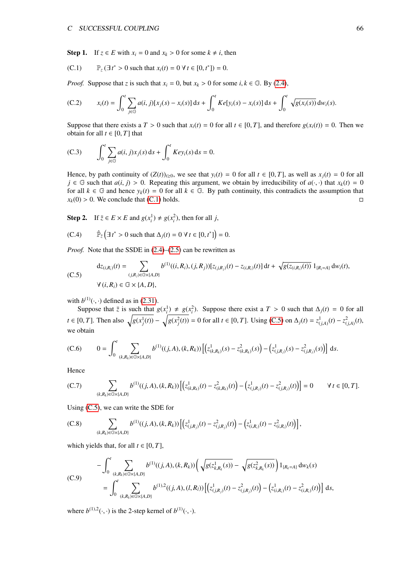<span id="page-66-0"></span>Step 1. If  $z \in E$  with  $x_i = 0$  and  $x_k > 0$  for some  $k \neq i$ , then

(C.1) 
$$
\mathbb{P}_z (\exists t^* > 0 \text{ such that } x_i(t) = 0 \ \forall \ t \in [0, t^*]) = 0.
$$

*Proof.* Suppose that *z* is such that  $x_i = 0$ , but  $x_k > 0$  for some *i*,  $k \in \mathbb{G}$ . By [\(2.4\)](#page-6-0),

(C.2) 
$$
x_i(t) = \int_0^t \sum_{j \in \mathbb{G}} a(i, j) [x_j(s) - x_i(s)] ds + \int_0^t K e[y_i(s) - x_i(s)] ds + \int_0^t \sqrt{g(x_i(s))} dw_i(s).
$$

Suppose that there exists a  $T > 0$  such that  $x_i(t) = 0$  for all  $t \in [0, T]$ , and therefore  $g(x_i(t)) = 0$ . Then we obtain for all  $t \in [0, T]$  that

(C.3) 
$$
\int_0^t \sum_{j \in \mathbb{G}} a(i, j) x_j(s) \, ds + \int_0^t Key_i(s) \, ds = 0.
$$

Hence, by path continuity of  $(Z(t))_{t\geq0}$ , we see that  $y_i(t) = 0$  for all  $t \in [0, T]$ , as well as  $x_i(t) = 0$  for all *j* ∈ G such that *a*(*i*, *j*) > 0. Repeating this argument, we obtain by irreducibility of *a*( $\cdot$ , $\cdot$ ) that *x<sub>k</sub>*(*t*) = 0 for all  $k \in \mathbb{G}$  and hence  $y_k(t) = 0$  for all  $k \in \mathbb{G}$ . By path continuity, this contradicts the assumption that  $x_k(0) > 0$ . We conclude that [\(C.1\)](#page-66-0) holds.

**Step 2.** If  $\overline{z} \in E \times E$  and  $g(x_i^1) \neq g(x_i^2)$ , then for all *j*,

<span id="page-66-1"></span>(C.4) 
$$
\hat{\mathbb{P}}_{\bar{z}}\left(\exists t^* > 0 \text{ such that } \Delta_j(t) = 0 \ \forall \ t \in [0, t^*]\right) = 0.
$$

*Proof.* Note that the SSDE in  $(2.4)$ – $(2.5)$  can be rewritten as

$$
dz_{(i,R_i)}(t) = \sum_{(j,R_j)\in\mathbb{G}\times\{A,D\}} b^{(1)}((i,R_i),(j,R_j))[z_{(j,R_j)}(t) - z_{(i,R_i)}(t)] dt + \sqrt{g(z_{(i,R_i)}(t))} 1_{\{R_i = A\}} dw_i(t),
$$
  
\n
$$
\forall (i,R_i) \in \mathbb{G} \times \{A,D\},
$$

with  $b^{(1)}(\cdot, \cdot)$  defined as in [\(2.31\)](#page-11-0).<br>Suppose that  $\overline{z}$  is such that  $\overline{z}$ 

Suppose that  $\overline{z}$  is such that  $g(x_i^1) \neq g(x_i^2)$ . Suppose there exist a  $T > 0$  such that  $\Delta_j(t) = 0$  for all  $t \in [0, T]$ . Then also  $\sqrt{g(x_j^1(t))} - \sqrt{g(x_j^2(t))} = 0$  for all  $t \in [0, T]$ . Using [\(C.5\)](#page-66-1) on  $\Delta_j(t) = z_{(j, A)}^1(t) - z_{(j, A)}^2(t)$ , we obtain

(C.6) 
$$
0 = \int_0^t \sum_{(k,R_k) \in \mathbb{G} \times \{A,D\}} b^{(1)}((j,A),(k,R_k)) \left[ \left( z^1_{(k,R_k)}(s) - z^2_{(k,R_k)}(s) \right) - \left( z^1_{(j,R_j)}(s) - z^2_{(j,R_j)}(s) \right) \right] ds.
$$

Hence

(C.7) 
$$
\sum_{(k,R_k)\in\mathbb{G}\times\{A,D\}} b^{(1)}((j,A),(k,R_k)) \left[ \left( z^1_{(k,R_k)}(t) - z^2_{(k,R_k)}(t) \right) - \left( z^1_{(j,R_j)}(t) - z^2_{(j,R_j)}(t) \right) \right] = 0 \qquad \forall \ t \in [0,T].
$$

Using [\(C.5\)](#page-66-1), we can write the SDE for

(C.8) 
$$
\sum_{(k,R_k)\in\mathbb{G}\times\{A,D\}}b^{(1)}((j,A),(k,R_k))\left[\left(z_{(j,R_j)}^1(t)-z_{(j,R_j)}^2(t)\right)-\left(z_{(i,R_i)}^1(t)-z_{(i,R_i)}^2(t)\right)\right],
$$

<span id="page-66-2"></span>which yields that, for all  $t \in [0, T]$ ,

$$
-\int_0^t \sum_{(k,R_k)\in\mathbb{G}\times\{A,D\}} b^{(1)}((j,A),(k,R_k)) \left(\sqrt{g(z_{k,R_k}^1(s))} - \sqrt{g(z_{k,R_k}^2(s))}\right) 1_{\{R_k = A\}} dw_k(s)
$$
  

$$
= \int_0^t \sum_{(k,R_k)\in\mathbb{G}\times\{A,D\}} b^{(1),2}((j,A),(l,R_l)) \left[\left(z_{(j,R_j)}^1(t) - z_{(j,R_j)}^2(t)\right) - \left(z_{(i,R_i)}^1(t) - z_{(i,R_i)}^2(t)\right)\right] ds,
$$

where  $b^{(1),2}(\cdot,\cdot)$  is the 2-step kernel of  $b^{(1)}(\cdot,\cdot)$ .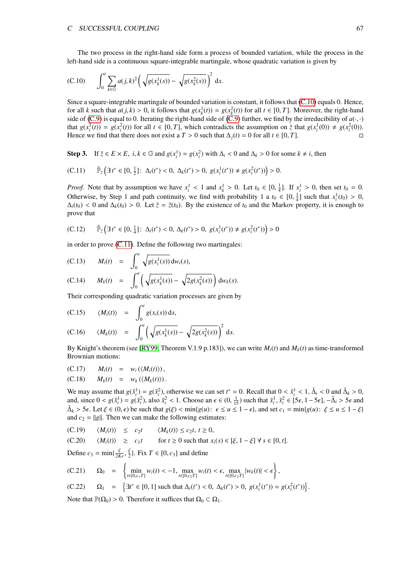<span id="page-67-0"></span>The two process in the right-hand side form a process of bounded variation, while the process in the left-hand side is a continuous square-integrable martingale, whose quadratic variation is given by

(C.10) 
$$
\int_0^t \sum_{k \in \mathbb{G}} a(j,k)^2 \left( \sqrt{g(x_k^1(s))} - \sqrt{g(x_k^2(s))} \right)^2 ds.
$$

Since a square-integrable martingale of bounded variation is constant, it follows that [\(C.10\)](#page-67-0) equals 0. Hence, for all *k* such that  $a(j, k) > 0$ , it follows that  $g(x_k^1(t)) = g(x_k^2(t))$  for all  $t \in [0, T]$ . Moreover, the right-hand<br>side of  $(C, 0)$  is equal to 0. Iterating the right-hand side of  $(C, 0)$  further we find by the irreducibilit side of [\(C.9\)](#page-66-2) is equal to 0. Iterating the right-hand side of (C.9) further, we find by the irreducibility of  $a(\cdot, \cdot)$ that  $g(x_i^1(t)) = g(x_i^2(t))$  for all  $t \in [0, T]$ , which contradicts the assumption on  $\overline{z}$  that  $g(x_i^1(0)) \neq g(x_i^2(0))$ .<br>Hence we find that there does not exist a  $T > 0$  such that  $\Lambda_i(t) = 0$  for all  $t \in [0, T]$ Hence we find that there does not exist a *T* > 0 such that  $\Delta_i(t) = 0$  for all  $t \in [0, T]$ .

<span id="page-67-1"></span>Step 3. If  $\overline{z} \in E \times E$ ,  $i, k \in \mathbb{G}$  and  $g(x_i^1) = g(x_i^2)$  with  $\Delta_i < 0$  and  $\Delta_k > 0$  for some  $k \neq i$ , then

(C.11) 
$$
\hat{\mathbb{P}}_{\bar{z}}\left(\exists t^* \in [0, \frac{1}{2}]: \Delta_i(t^*) < 0, \Delta_k(t^*) > 0, g(x_i^1(t^*)) \neq g(x_i^2(t^*))\right) > 0.
$$

*Proof.* Note that by assumption we have  $x_i^1 < 1$  and  $x_k^1 > 0$ . Let  $t_0 \in [0, \frac{1}{4}]$ . If  $x_i^1 > 0$ , then set  $t_0 = 0$ .<br>Otherwise, by Stap 1 and note continuity we find with probability 1 a  $t \in [0, \frac{1}{4}]$  such that  $x_i$ Otherwise, by Step 1 and path continuity, we find with probability 1 a  $t_0 \in [0, \frac{1}{4}]$  such that  $x_i^1(t_0) > 0$ ,  $\Delta(t_0) > 0$ ,  $\Delta(t_0) > 0$ , Let  $\tilde{z} = \overline{z}(t_0)$ . By the existence of  $t_0$  and the Markov property it is  $\Delta_i(t_0) < 0$  and  $\Delta_k(t_0) > 0$ . Let  $\tilde{z} = \overline{z}(t_0)$ . By the existence of  $t_0$  and the Markov property, it is enough to prove that

$$
\text{(C.12)} \qquad \hat{\mathbb{P}}_{\tilde{z}}\left(\exists \, t^* \in [0, \frac{1}{4}]: \, \Delta_i(t^*) < 0, \, \Delta_k(t^*) > 0, \, g(x_i^1(t^*)) \neq g(x_i^2(t^*)) \right) > 0
$$

in order to prove [\(C.11\)](#page-67-1). Define the following two martingales:

(C.13) 
$$
M_i(t) = \int_0^t \sqrt{g(x_i^1(s))} dw_i(s),
$$
  
(C.14) 
$$
M_k(t) = \int_0^t \left(\sqrt{g(x_k^1(s))} - \sqrt{2g(x_k^2(s))}\right) dw_k(s).
$$

Their corresponding quadratic variation processes are given by

(C.15) 
$$
\langle M_i(t) \rangle = \int_0^t g(x_i(s)) ds,
$$

(C.16) 
$$
\langle M_k(t) \rangle = \int_0^t \left( \sqrt{g(x_k^1(s))} - \sqrt{2g(x_k^2(s))} \right)^2 ds.
$$

By Knight's theorem (see [\[RY99,](#page-73-4) Theorem V.1.9 p.183]), we can write  $M_i(t)$  and  $M_k(t)$  as time-transformed Brownian motions:

(C.17) 
$$
M_i(t) = w_i (\langle M_i(t) \rangle),
$$

(C.18) 
$$
M_k(t) = w_k(\langle M_k(t) \rangle).
$$

We may assume that  $g(\tilde{x}_i^1) = g(\tilde{x}_i^2)$ , otherwise we can set  $t^* = 0$ . Recall that  $0 < \tilde{x}_i^1 < 1$ ,  $\tilde{\Delta}_i < 0$  and  $\tilde{\Delta}_k > 0$ , and since  $0 < g(\tilde{x}^1) = g(\tilde{x}^2)$ , also  $\tilde{x}^2 < 1$ . Choose an  $\epsilon \in (0, \pm)$  such that and, since  $0 < g(\tilde{x}_i^1) = g(\tilde{x}_i^2)$ , also  $\tilde{x}_i^2 < 1$ . Choose an  $\epsilon \in (0, \frac{1}{15})$  such that  $\tilde{x}_i^1, \tilde{x}_i^2 \in [5\epsilon, 1 - 5\epsilon]$ ,  $-\tilde{\Delta}_i > 5\epsilon$  and  $\tilde{\Delta}_i > 5\epsilon$ . Let  $\zeta \in (0, \epsilon)$  be such that  $\alpha(\epsilon) < \min\{\alpha(\mu) : \epsilon \le \mu \$  $\tilde{\Delta}_k > 5\epsilon$ . Let  $\xi \in (0, \epsilon)$  be such that  $g(\xi) < \min\{g(u): \epsilon \le u \le 1 - \epsilon\}$ , and set  $c_1 = \min\{g(u): \xi \le u \le 1 - \xi\}$ and  $c_2 = ||g||$ . Then we can make the following estimates:

(C.19) 
$$
\langle M_i(t) \rangle \leq c_2 t \quad \langle M_k(t) \rangle \leq c_2 t, t \geq 0,
$$

(C.20) 
$$
\langle M_i(t) \rangle \ge c_1 t
$$
 for  $t \ge 0$  such that  $x_i(s) \in [\xi, 1 - \xi] \forall s \in [0, t]$ .

Define  $c_3 = \min\{\frac{\xi}{2K}e, \frac{\xi}{2}\}\$ . Fix  $T \in [0, c_3]$  and define

$$
(C.21) \qquad \Omega_0 = \left\{ \min_{t \in [0,c_1T]} w_i(t) < -1, \max_{t \in [0,c_2T]} w_i(t) < \epsilon, \max_{t \in [0,c_2T]} |w_k(t)| < \epsilon \right\},
$$

(C.22) 
$$
\Omega_1 = \left\{ \exists t^* \in [0, 1] \text{ such that } \Delta_i(t^*) < 0, \ \Delta_k(t^*) > 0, \ g(x_i^1(t^*)) = g(x_i^2(t^*)) \right\}.
$$

Note that  $\mathbb{P}(\Omega_0) > 0$ . Therefore it suffices that  $\Omega_0 \subset \Omega_1$ .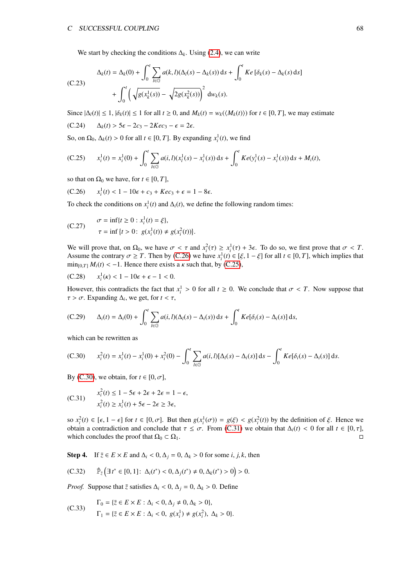We start by checking the conditions ∆*k*. Using [\(2.4\)](#page-6-0), we can write

$$
\Delta_k(t) = \Delta_k(0) + \int_0^t \sum_{l \in \mathbb{G}} a(k, l)(\Delta_l(s) - \Delta_k(s)) ds + \int_0^t K e[\delta_k(s) - \Delta_k(s) ds] + \int_0^t \left(\sqrt{g(x_k^l(s))} - \sqrt{2g(x_k^2(s))}\right)^2 dw_k(s).
$$

Since  $|\Delta_l(t)| \le 1$ ,  $|\delta_k(t)| \le 1$  for all  $t \ge 0$ , and  $M_k(t) = w_k(\langle M_k(t) \rangle)$  for  $t \in [0, T]$ , we may estimate (C.24)  $\Delta_k(t) > 5\epsilon - 2c_3 - 2Kec_3 - \epsilon = 2\epsilon$ .  $\Delta_k(t)$  > 5 $\epsilon$  - 2 $c_3$  - 2*Kec*<sub>3</sub> -  $\epsilon$  = 2 $\epsilon$ .

<span id="page-68-1"></span>So, on  $\Omega_0$ ,  $\Delta_k(t) > 0$  for all  $t \in [0, T]$ . By expanding  $x_i^1(t)$ , we find

(C.25) 
$$
x_i^1(t) = x_i^1(0) + \int_0^t \sum_{l \in \mathbb{G}} a(i, l)(x_l^1(s) - x_i^1(s)) ds + \int_0^t K e(y_i^1(s) - x_i^1(s)) ds + M_i(t),
$$

so that on  $\Omega_0$  we have, for  $t \in [0, T]$ ,

<span id="page-68-0"></span>(C.26) 
$$
x_i^1(t) < 1 - 10\epsilon + c_3 + Kec_3 + \epsilon = 1 - 8\epsilon.
$$

To check the conditions on  $x_i^1(t)$  and  $\Delta_i(t)$ , we define the following random times:

(C.27) 
$$
\sigma = \inf\{t \ge 0 : x_i^1(t) = \xi\},
$$

$$
\tau = \inf\{t > 0 : g(x_i^1(t)) \ne g(x_i^2(t))\}.
$$

We will prove that, on  $\Omega_0$ , we have  $\sigma < \tau$  and  $x_i^2(\tau) \ge x_i^1(\tau) + 3\epsilon$ . To do so, we first prove that  $\sigma < T$ .<br>Assume the contrary  $\sigma > T$ . Then by  $(C, 26)$  we have  $x^1(\tau) \in [\xi, 1 - \xi]$  for all  $t \in [0, T]$ , which implies Assume the contrary  $\sigma \geq T$ . Then by [\(C.26\)](#page-68-0) we have  $x_i^1(t) \in [\xi, 1 - \xi]$  for all  $t \in [0, T]$ , which implies that ming  $\pi M(t) \leq -1$ . Hence there exists a  $\kappa$  such that by (C.25).  $\min_{[0,T]} M_i(t) < -1$ . Hence there exists a  $\kappa$  such that, by [\(C.25\)](#page-68-1),

(C.28) 
$$
x_i^1(\kappa) < 1 - 10\epsilon + \epsilon - 1 < 0.
$$

However, this contradicts the fact that  $x_i^1 > 0$  for all  $t \ge 0$ . We conclude that  $\sigma < T$ . Now suppose that  $\tau > \sigma$ . Expanding  $\Delta$ , we get for  $t < \tau$ .  $\tau > \sigma$ . Expanding  $\Delta_i$ , we get, for  $t < \tau$ ,

(C.29) 
$$
\Delta_i(t) = \Delta_i(0) + \int_0^t \sum_{l \in \mathbb{G}} a(i, l)(\Delta_l(s) - \Delta_i(s)) ds + \int_0^t K e[\delta_i(s) - \Delta_i(s)] ds,
$$

<span id="page-68-2"></span>which can be rewritten as

(C.30) 
$$
x_i^2(t) = x_i^1(t) - x_i^1(0) + x_i^2(0) - \int_0^t \sum_{l \in \mathbb{G}} a(i, l)[\Delta_l(s) - \Delta_i(s)] ds - \int_0^t K e[\delta_i(s) - \Delta_i(s)] ds.
$$

<span id="page-68-3"></span>By [\(C.30\)](#page-68-2), we obtain, for  $t \in [0, \sigma]$ ,

(C.31) 
$$
x_i^2(t) \le 1 - 5\epsilon + 2\epsilon + 2\epsilon = 1 - \epsilon,
$$

$$
x_i^2(t) \ge x_i^1(t) + 5\epsilon - 2\epsilon \ge 3\epsilon,
$$

so  $x_i^2(t) \in [\epsilon, 1 - \epsilon]$  for  $t \in [0, \sigma]$ . But then  $g(x_i^1(\sigma)) = g(\xi) < g(x_i^2(t))$  by the definition of  $\xi$ . Hence we obtain a contradiction and conclude that  $\tau \leq \sigma$ . From  $(C, 31)$  we obtain that  $\Delta(t) \leq 0$  for all  $t \in [0, \tau]$ obtain a contradiction and conclude that  $τ ≤ σ$ . From [\(C.31\)](#page-68-3) we obtain that  $Δ<sub>i</sub>(t) < 0$  for all  $t ∈ [0, τ]$ , which concludes the proof that  $Ω<sub>0</sub> ⊂ Ω<sub>1</sub>$ . which concludes the proof that  $\Omega_0 \subset \Omega_1$ .

Step 4. If  $\overline{z} \in E \times E$  and  $\Delta_i < 0$ ,  $\Delta_i = 0$ ,  $\Delta_k > 0$  for some *i*, *j*, *k*, then

(C.32) 
$$
\hat{\mathbb{P}}_{\bar{z}}\Big(\exists t^* \in [0,1]: \Delta_i(t^*) < 0, \Delta_j(t^*) \neq 0, \Delta_k(t^*) > 0\Big) > 0.
$$

*Proof.* Suppose that  $\overline{z}$  satisfies  $\Delta_i < 0$ ,  $\Delta_j = 0$ ,  $\Delta_k > 0$ . Define

(C.33) 
$$
\Gamma_0 = \{ \bar{z} \in E \times E : \Delta_i < 0, \Delta_j \neq 0, \Delta_k > 0 \},
$$

$$
\Gamma_1 = \{ \bar{z} \in E \times E : \Delta_i < 0, g(x_i^1) \neq g(x_i^2), \Delta_k > 0 \}.
$$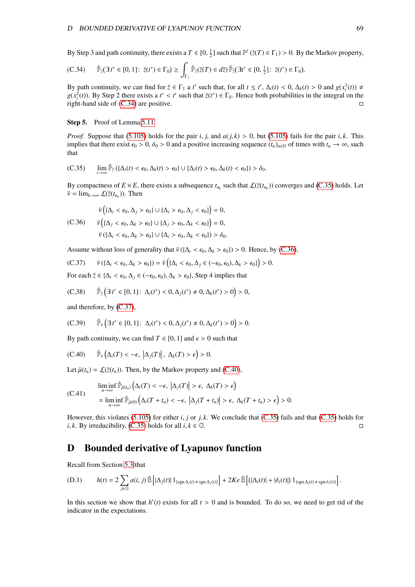By Step 3 and path continuity, there exists a  $T \in [0, \frac{1}{2}]$  such that  $\mathbb{P}^{\bar{z}}(\bar{z}(T) \in \Gamma_1) > 0$ . By the Markov property,

<span id="page-69-1"></span>
$$
(C.34) \qquad \hat{\mathbb{P}}_{\tilde{z}}(\exists t^* \in [0,1]: \ \bar{z}(t^*) \in \Gamma_0) \ge \int_{\Gamma_1} \hat{\mathbb{P}}_{\tilde{z}}(\bar{z}(T) \in d\tilde{z}) \, \hat{\mathbb{P}}_{\tilde{z}}(\exists t^* \in [0,\frac{1}{2}]: \ \bar{z}(t^*) \in \Gamma_0).
$$

By path continuity, we can find for  $\overline{z} \in \Gamma_1$  a *t'* such that, for all  $t \le t'$ ,  $\Delta_i(t) < 0$ ,  $\Delta_k(t) > 0$  and  $g(x_i^1(t)) \neq g(x_i^2(t))$ . By Step 2 there exists a  $t^* < t'$  such that  $\overline{z}(t^*) \in \Gamma_2$ . Hence both probabilities  $g(x_i^2(t))$ . By Step 2 there exists a  $t^* < t'$  such that  $\overline{z}(t^*) \in \Gamma_0$ . Hence both probabilities in the integral on the right-hand side of  $(C, 34)$  are positive right-hand side of  $(C.34)$  are positive.

#### Step 5. Proof of Lemma [5.11.](#page-41-2)

<span id="page-69-2"></span>*Proof.* Suppose that [\(5.105\)](#page-41-6) holds for the pair *i*, *j*, and  $a(j, k) > 0$ , but (5.105) fails for the pair *i*, *k*. This implies that there exist  $\epsilon_0 > 0$ ,  $\delta_0 > 0$  and a positive increasing sequence  $(t_n)_{n \in \mathbb{N}}$  of times with  $t_n \to \infty$ , such that

(C.35) 
$$
\lim_{t\to\infty}\hat{\mathbb{P}}_{\bar{z}}\left(\{\Delta_i(t)<\epsilon_0,\Delta_k(t)>\epsilon_0\}\cup\{\Delta_i(t)>\epsilon_0,\Delta_k(t)<\epsilon_0\}\right)>\delta_0.
$$

<span id="page-69-3"></span>By compactness of  $E \times E$ , there exists a subsequence  $t_{n_k}$  such that  $\mathcal{L}(\bar{z}(t_{n_k}))$  converges and [\(C.35\)](#page-69-2) holds. Let  $\bar{\nu} = \lim_{k \to \infty} \mathcal{L}(\bar{z}(t_{n_k}))$ . Then

$$
\bar{\nu}\left(\{\Delta_i < \epsilon_0, \Delta_j > \epsilon_0\} \cup \{\Delta_i > \epsilon_0, \Delta_j < \epsilon_0\}\right) = 0,
$$
\n(C.36) 
$$
\bar{\nu}\left(\{\Delta_j < \epsilon_0, \Delta_k > \epsilon_0\} \cup \{\Delta_j > \epsilon_0, \Delta_k < \epsilon_0\}\right) = 0,
$$
\n
$$
\bar{\nu}\left(\{\Delta_i < \epsilon_0, \Delta_k > \epsilon_0\} \cup \{\Delta_i > \epsilon_0, \Delta_k < \epsilon_0\}\right) > \delta_0.
$$

Assume without loss of generality that  $\bar{v} (\{\Delta_i < \epsilon_0, \Delta_k > \epsilon_0\}) > 0$ . Hence, by [\(C.36\)](#page-69-3),

<span id="page-69-4"></span>(C.37) 
$$
\bar{\nu}(\{\Delta_i < \epsilon_0, \Delta_k > \epsilon_0\}) = \bar{\nu}\left(\{\Delta_i < \epsilon_0, \Delta_j \in (-\epsilon_0, \epsilon_0), \Delta_k > \epsilon_0\}\right) > 0.
$$

For each  $\bar{z} \in {\{\Delta_i < \epsilon_0, \Delta_j \in (-\epsilon_0, \epsilon_0), \Delta_k > \epsilon_0\}}$ , Step 4 implies that

(C.38) 
$$
\hat{\mathbb{P}}_{\bar{z}}\left(\exists t^* \in [0,1]: \Delta_i(t^*) < 0, \Delta_j(t^*) \neq 0, \Delta_k(t^*) > 0\right) > 0,
$$

and therefore, by [\(C.37\)](#page-69-4),

<span id="page-69-5"></span>(C.39) 
$$
\hat{\mathbb{P}}_{\bar{v}}\Big(\exists t^* \in [0,1]: \Delta_i(t^*) < 0, \Delta_j(t^*) \neq 0, \Delta_k(t^*) > 0\Big) > 0.
$$

By path continuity, we can find  $T \in [0, 1]$  and  $\epsilon > 0$  such that

(C.40) 
$$
\hat{\mathbb{P}}_{\bar{\nu}}\left(\Delta_i(T) < -\epsilon, \left|\Delta_j(T)\right|, \Delta_k(T) > \epsilon\right) > 0.
$$

Let  $\bar{\mu}(t_n) = \mathcal{L}(\bar{z}(t_n))$ . Then, by the Markov property and [\(C.40\)](#page-69-5),

$$
\liminf_{n \to \infty} \widehat{\mathbb{P}}_{\bar{\mu}(t_n)} \left( \Delta_i(T) < -\epsilon, \ |\Delta_j(T)| > \epsilon, \ \Delta_k(T) > \epsilon \right) \\
= \liminf_{n \to \infty} \widehat{\mathbb{P}}_{\bar{\mu}(0)} \left( \Delta_i(T + t_n) < -\epsilon, \ |\Delta_j(T + t_n)| > \epsilon, \ \Delta_k(T + t_n) > \epsilon \right) > 0.
$$

However, this violates [\(5.105\)](#page-41-6) for either *i*, *j* or *j*, *k*. We conclude that [\(C.35\)](#page-69-2) fails and that (C.35) holds for *i k*. By irreducibility (C.35) holds for all *i*  $k \in \mathbb{F}$ *i*, *k*. By irreducibility, [\(C.35\)](#page-69-2) holds for all  $i, k \in \mathbb{G}$ .

# <span id="page-69-0"></span>D Bounded derivative of Lyapunov function

Recall from Section [5.3](#page-35-0) that

(D.1) 
$$
h(t) = 2 \sum_{j \in \mathbb{G}} a(i, j) \mathbb{E} \left[ |\Delta_j(t)| \mathbb{1}_{\{\text{sgn}\,\Delta_i(t) \neq \text{sgn}\,\Delta_j(t)\}} \right] + 2Ke \mathbb{E} \left[ (|\Delta_i(t)| + |\delta_i(t)|) \mathbb{1}_{\{\text{sgn}\,\Delta_i(t) \neq \text{sgn}\,\delta_i(t)\}} \right].
$$

In this section we show that  $h'(t)$  exists for all  $t > 0$  and is bounded. To do so, we need to get rid of the indicator in the expectations indicator in the expectations.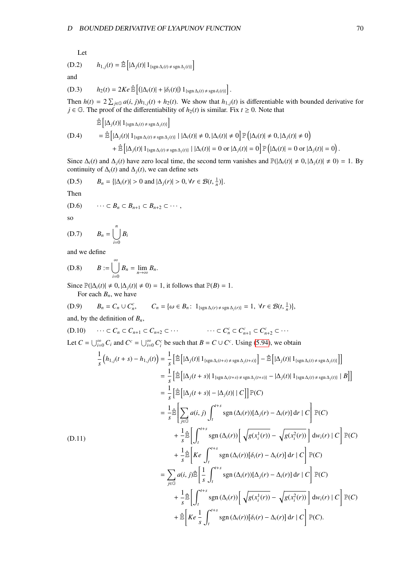Let

(D.2) 
$$
h_{1,j}(t) = \hat{\mathbb{E}} \left[ |\Delta_j(t)| \, 1_{\{\text{sgn}\,\Delta_i(t) \neq \text{sgn}\,\Delta_j(t)\}} \right]
$$

and

(D.3) 
$$
h_2(t) = 2Ke \hat{\mathbb{E}} \left[ \left( |\Delta_i(t)| + |\delta_i(t)| \right) 1_{\{\text{sgn }\Delta_i(t) \neq \text{sgn }\delta_i(t)\}} \right].
$$

Then  $h(t) = 2 \sum_{j \in \mathbb{G}} a(i, j)h_{1,j}(t) + h_2(t)$ . We show that  $h_{1,j}(t)$  is differentiable with bounded derivative for  $i \in \mathbb{G}$ . The proof of the differentiability of  $h_2(t)$  is similar. Fix  $t > 0$ . Note that *j* ∈  $\mathbb{G}$ . The proof of the differentiability of *h*<sub>2</sub>(*t*) is similar. Fix *t* ≥ 0. Note that

$$
\hat{\mathbb{E}}\left[\left|\Delta_j(t)\right|1_{\{\operatorname{sgn}\Delta_i(t)\neq \operatorname{sgn}\Delta_j(t)\}}\right]
$$
\n(D.4) = 
$$
\hat{\mathbb{E}}\left[\left|\Delta_j(t)\right|1_{\{\operatorname{sgn}\Delta_i(t)\neq \operatorname{sgn}\Delta_j(t)\}}\right|\left|\Delta_i(t)\right| \neq 0, \left|\Delta_i(t)\right| \neq 0\right]\mathbb{P}\left(\left|\Delta_i(t)\right| \neq 0, \left|\Delta_j(t)\right| \neq 0\right)
$$
\n
$$
+ \hat{\mathbb{E}}\left[\left|\Delta_j(t)\right|1_{\{\operatorname{sgn}\Delta_i(t)\neq \operatorname{sgn}\Delta_j(t)\}}\right|\left|\Delta_i(t)\right| = 0 \text{ or } \left|\Delta_j(t)\right| = 0\right]\mathbb{P}\left(\left|\Delta_i(t)\right| = 0 \text{ or } \left|\Delta_j(t)\right| = 0\right).
$$

Since  $\Delta_i(t)$  and  $\Delta_j(t)$  have zero local time, the second term vanishes and  $\mathbb{P}(|\Delta_i(t)| \neq 0, |\Delta_j(t)| \neq 0) = 1$ . By continuity of  $\Delta_i(t)$  and  $\Delta_i(t)$  we can define sets continuity of  $\Delta_i(t)$  and  $\Delta_j(t)$ , we can define sets

(D.5) 
$$
B_n = \{ |\Delta_i(r)| > 0 \text{ and } |\Delta_j(r)| > 0, \forall r \in \mathcal{B}(t, \frac{1}{n}) \}
$$

Then

$$
(D.6) \qquad \cdots \subset B_n \subset B_{n+1} \subset B_{n+2} \subset \cdots,
$$

so

$$
(D.7) \t B_n = \bigcup_{i=0}^n B_i
$$

and we define

(D.8) 
$$
B := \bigcup_{i=0}^{\infty} B_n = \lim_{n \to \infty} B_n.
$$

Since  $\mathbb{P}(|\Delta_i(t)| \neq 0, |\Delta_i(t)| \neq 0) = 1$ , it follows that  $\mathbb{P}(B) = 1$ . For each  $B_n$ , we have

(D.9) 
$$
B_n = C_n \cup C_n^c, \qquad C_n = \{ \omega \in B_n \colon 1_{\{ \operatorname{sgn} \Delta_i(r) \neq \operatorname{sgn} \Delta_j(r) \}} = 1, \ \forall r \in \mathcal{B}(t, \frac{1}{n}) \},
$$

and, by the definition of *Bn*,

$$
(D.10) \qquad \cdots \subset C_n \subset C_{n+1} \subset C_{n+2} \subset \cdots \qquad \qquad \cdots \subset C_n^c \subset C_{n+1}^c \subset C_{n+2}^c \subset \cdots
$$

Let  $C = \bigcup_{i=0}^{\infty} C_i$  and  $C^c = \bigcup_{i=0}^{\infty} C_i^c$  be such that  $B = C \cup C^c$ . Using [\(5.94\)](#page-40-7), we obtain

$$
\frac{1}{s} (h_{1,j}(t+s) - h_{1,j}(t)) = \frac{1}{s} \left[ \mathbb{E} \left[ |\Delta_j(t)| \mathbf{1}_{\{\text{sgn}\,\Delta_i(t+s) \neq \text{sgn}\,\Delta_j(t+s)\}} \right] - \mathbb{E} \left[ |\Delta_j(t) \mathbf{1}_{\{\text{sgn}\,\Delta_i(t)\neq \text{sgn}\,\Delta_j(t)\}} \right] \right]
$$
\n
$$
= \frac{1}{s} \left[ \mathbb{E} \left[ |\Delta_j(t+s)| \mathbf{1}_{\{\text{sgn}\,\Delta_i(t+s) \neq \text{sgn}\,\Delta_j(t+s)\}} - |\Delta_j(t)| \mathbf{1}_{\{\text{sgn}\,\Delta_i(t)\neq \text{sgn}\,\Delta_j(t)\}} |B| \right]
$$
\n
$$
= \frac{1}{s} \left[ \mathbb{E} \left[ |\Delta_j(t+s)| - |\Delta_j(t)| |C| \right] \mathbb{P}(C)
$$
\n
$$
= \frac{1}{s} \mathbb{E} \left[ \sum_{j \in G} a(i, j) \int_{t}^{t+s} \text{sgn}\,(\Delta_i(t)) [\Delta_j(t) - \Delta_i(t)] \, \mathrm{d}t |C \right] \mathbb{P}(C)
$$
\n
$$
+ \frac{1}{s} \mathbb{E} \left[ \int_{t}^{t+s} \text{sgn}\,(\Delta_i(t)) \left[ \sqrt{g(x_i^1(t))} - \sqrt{g(x_i^2(t))} \right] \, \mathrm{d}w_i(t) |C \right] \mathbb{P}(C)
$$
\n
$$
+ \frac{1}{s} \mathbb{E} \left[ Ke \int_{t}^{t+s} \text{sgn}(\Delta_i(t)) [\delta_i(t) - \Delta_i(t)] \, \mathrm{d}t |C \right] \mathbb{P}(C)
$$
\n
$$
= \sum_{j \in G} a(i, j) \mathbb{E} \left[ \frac{1}{s} \int_{t}^{t+s} \text{sgn}(\Delta_i(t)) [\Delta_j(t) - \Delta_i(t)] \, \mathrm{d}t |C \right] \mathbb{P}(C)
$$
\n
$$
+ \frac{1}{s} \mathbb{E} \left[ \int_{t}^{t+s} \text{sgn}(\Delta_i(t)) \left[ \sqrt{g(x_i^1(t))} - \sqrt{g(x_i^2(t))} \right] \, \mathrm{d}w_i(t) |C \
$$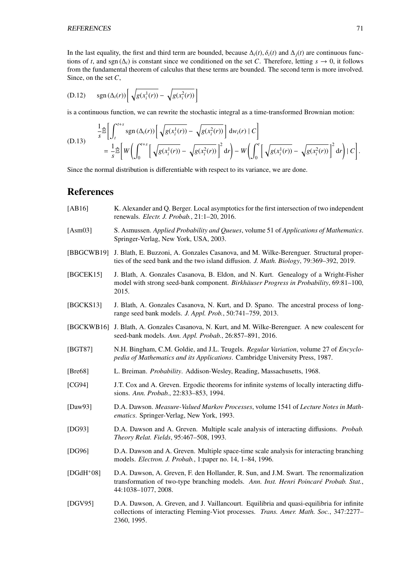REFERENCES 71

In the last equality, the first and third term are bounded, because  $\Delta_i(t)$ ,  $\delta_i(t)$  and  $\Delta_i(t)$  are continuous functions of *t*, and sgn ( $\Delta$ *i*) is constant since we conditioned on the set *C*. Therefore, letting  $s \to 0$ , it follows from the fundamental theorem of calculus that these terms are bounded. The second term is more involved. Since, on the set *C*,

(D.12) 
$$
\operatorname{sgn}(\Delta_i(r)) \left[ \sqrt{g(x_i^1(r))} - \sqrt{g(x_i^2(r))} \right]
$$

is a continuous function, we can rewrite the stochastic integral as a time-transformed Brownian motion:

(D.13) 
$$
\frac{1}{s} \hat{\mathbb{B}} \left[ \int_{t}^{t+s} sgn(\Delta_{i}(r)) \left[ \sqrt{g(x_{i}^{1}(r))} - \sqrt{g(x_{i}^{2}(r))} \right] dw_{i}(r) + C \right]
$$
  
\n
$$
= \frac{1}{s} \hat{\mathbb{B}} \left[ W \left( \int_{0}^{t+s} \left[ \sqrt{g(x_{i}^{1}(r))} - \sqrt{g(x_{i}^{2}(r))} \right]^{2} dr \right) - W \left( \int_{0}^{t} \left[ \sqrt{g(x_{i}^{1}(r))} - \sqrt{g(x_{i}^{2}(r))} \right]^{2} dr \right) + C \right].
$$

Since the normal distribution is differentiable with respect to its variance, we are done.

# References

- <span id="page-71-1"></span>[AB16] K. Alexander and Q. Berger. Local asymptotics for the first intersection of two independent renewals. *Electr. J. Probab.*, 21:1–20, 2016.
- [Asm03] S. Asmussen. *Applied Probability and Queues*, volume 51 of *Applications of Mathematics*. Springer-Verlag, New York, USA, 2003.
- [BBGCWB19] J. Blath, E. Buzzoni, A. Gonzales Casanova, and M. Wilke-Berenguer. Structural properties of the seed bank and the two island diffusion. *J. Math. Biology*, 79:369–392, 2019.
- [BGCEK15] J. Blath, A. Gonzales Casanova, B. Eldon, and N. Kurt. Genealogy of a Wright-Fisher model with strong seed-bank component. *Birkhäuser Progress in Probability*, 69:81–100, 2015.
- [BGCKS13] J. Blath, A. Gonzales Casanova, N. Kurt, and D. Spano. The ancestral process of longrange seed bank models. *J. Appl. Prob.*, 50:741–759, 2013.
- <span id="page-71-2"></span>[BGCKWB16] J. Blath, A. Gonzales Casanova, N. Kurt, and M. Wilke-Berenguer. A new coalescent for seed-bank models. *Ann. Appl. Probab.*, 26:857–891, 2016.
- [BGT87] N.H. Bingham, C.M. Goldie, and J.L. Teugels. *Regular Variation*, volume 27 of *Encyclopedia of Mathematics and its Applications*. Cambridge University Press, 1987.
- [Bre68] L. Breiman. *Probability*. Addison-Wesley, Reading, Massachusetts, 1968.
- <span id="page-71-0"></span>[CG94] J.T. Cox and A. Greven. Ergodic theorems for infinite systems of locally interacting diffusions. *Ann. Probab.*, 22:833–853, 1994.
- [Daw93] D.A. Dawson. *Measure-Valued Markov Processes*, volume 1541 of *Lecture Notes in Mathematics*. Springer-Verlag, New York, 1993.
- [DG93] D.A. Dawson and A. Greven. Multiple scale analysis of interacting diffusions. *Probab. Theory Relat. Fields*, 95:467–508, 1993.
- [DG96] D.A. Dawson and A. Greven. Multiple space-time scale analysis for interacting branching models. *Electron. J. Probab.*, 1:paper no. 14, 1–84, 1996.
- [DGdH<sup>+</sup>08] D.A. Dawson, A. Greven, F. den Hollander, R. Sun, and J.M. Swart. The renormalization transformation of two-type branching models. Ann. Inst. Henri Poincaré Probab. Stat., 44:1038–1077, 2008.
- [DGV95] D.A. Dawson, A. Greven, and J. Vaillancourt. Equilibria and quasi-equilibria for infinite collections of interacting Fleming-Viot processes. *Trans. Amer. Math. Soc.*, 347:2277– 2360, 1995.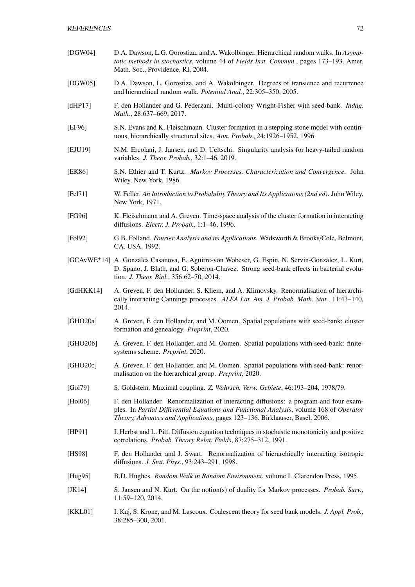| [DGW04]   | D.A. Dawson, L.G. Gorostiza, and A. Wakolbinger. Hierarchical random walks. In Asymp-<br>totic methods in stochastics, volume 44 of Fields Inst. Commun., pages 173-193. Amer.<br>Math. Soc., Providence, RI, 2004.                                            |
|-----------|----------------------------------------------------------------------------------------------------------------------------------------------------------------------------------------------------------------------------------------------------------------|
| [DGW05]   | D.A. Dawson, L. Gorostiza, and A. Wakolbinger. Degrees of transience and recurrence<br>and hierarchical random walk. Potential Anal., 22:305-350, 2005.                                                                                                        |
| [dHP17]   | F. den Hollander and G. Pederzani. Multi-colony Wright-Fisher with seed-bank. Indag.<br>Math., 28:637-669, 2017.                                                                                                                                               |
| [EF96]    | S.N. Evans and K. Fleischmann. Cluster formation in a stepping stone model with contin-<br>uous, hierarchically structured sites. Ann. Probab., 24:1926-1952, 1996.                                                                                            |
| [EJU19]   | N.M. Ercolani, J. Jansen, and D. Ueltschi. Singularity analysis for heavy-tailed random<br>variables. <i>J. Theor. Probab.</i> , 32:1-46, 2019.                                                                                                                |
| [EK86]    | S.N. Ethier and T. Kurtz. Markov Processes. Characterization and Convergence. John<br>Wiley, New York, 1986.                                                                                                                                                   |
| [Fe171]   | W. Feller. An Introduction to Probability Theory and Its Applications (2nd ed). John Wiley,<br>New York, 1971.                                                                                                                                                 |
| [FG96]    | K. Fleischmann and A. Greven. Time-space analysis of the cluster formation in interacting<br>diffusions. Electr. J. Probab., 1:1-46, 1996.                                                                                                                     |
| [Fe192]   | G.B. Folland. Fourier Analysis and its Applications. Wadsworth & Brooks/Cole, Belmont,<br>CA, USA, 1992.                                                                                                                                                       |
|           | [GCAvWE <sup>+</sup> 14] A. Gonzales Casanova, E. Aguirre-von Wobeser, G. Espin, N. Servin-Gonzalez, L. Kurt,<br>D. Spano, J. Blath, and G. Soberon-Chavez. Strong seed-bank effects in bacterial evolu-<br>tion. <i>J. Theor. Biol.</i> , 356:62-70, 2014.    |
| [GdHKK14] | A. Greven, F. den Hollander, S. Kliem, and A. Klimovsky. Renormalisation of hierarchi-<br>cally interacting Cannings processes. ALEA Lat. Am. J. Probab. Math. Stat., 11:43-140,<br>2014.                                                                      |
| [GHO20a]  | A. Greven, F. den Hollander, and M. Oomen. Spatial populations with seed-bank: cluster<br>formation and genealogy. Preprint, 2020.                                                                                                                             |
| [GHO20b]  | A. Greven, F. den Hollander, and M. Oomen. Spatial populations with seed-bank: finite-<br>systems scheme. Preprint, 2020.                                                                                                                                      |
| [GHO20c]  | A. Greven, F. den Hollander, and M. Oomen. Spatial populations with seed-bank: renor-<br>malisation on the hierarchical group. <i>Preprint</i> , 2020.                                                                                                         |
| [Gol79]   | S. Goldstein. Maximal coupling. Z. Wahrsch. Verw. Gebiete, 46:193-204, 1978/79.                                                                                                                                                                                |
| [Hol06]   | F. den Hollander. Renormalization of interacting diffusions: a program and four exam-<br>ples. In Partial Differential Equations and Functional Analysis, volume 168 of Operator<br>Theory, Advances and Applications, pages 123-136. Birkhauser, Basel, 2006. |
| [HP91]    | I. Herbst and L. Pitt. Diffusion equation techniques in stochastic monotonicity and positive<br>correlations. Probab. Theory Relat. Fields, 87:275-312, 1991.                                                                                                  |
| [HS98]    | F. den Hollander and J. Swart. Renormalization of hierarchically interacting isotropic<br>diffusions. <i>J. Stat. Phys.</i> , 93:243-291, 1998.                                                                                                                |
| [Hug95]   | B.D. Hughes. Random Walk in Random Environment, volume I. Clarendon Press, 1995.                                                                                                                                                                               |
| [JK14]    | S. Jansen and N. Kurt. On the notion(s) of duality for Markov processes. Probab. Surv.,<br>11:59-120, 2014.                                                                                                                                                    |
| [KKL01]   | I. Kaj, S. Krone, and M. Lascoux. Coalescent theory for seed bank models. J. Appl. Prob.,<br>38:285-300, 2001.                                                                                                                                                 |